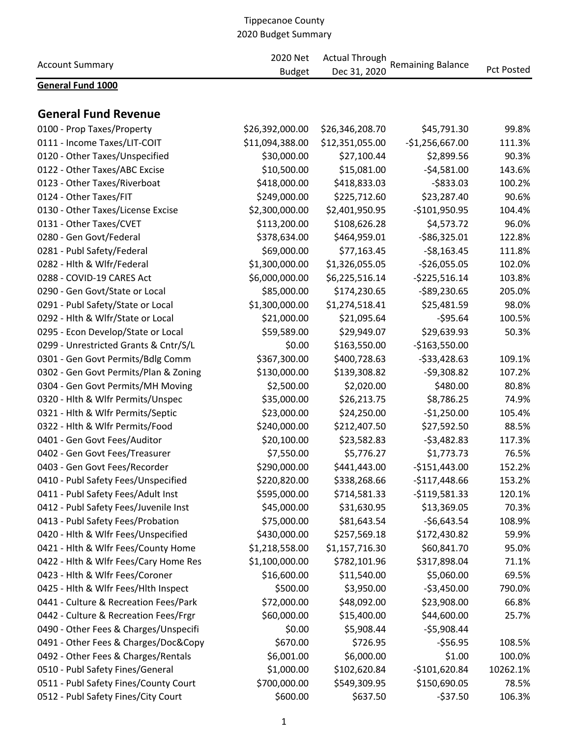| <b>Account Summary</b>                | 2020 Net<br><b>Budget</b> | <b>Actual Through</b><br>Dec 31, 2020 | <b>Remaining Balance</b> | <b>Pct Posted</b> |
|---------------------------------------|---------------------------|---------------------------------------|--------------------------|-------------------|
| <b>General Fund 1000</b>              |                           |                                       |                          |                   |
| <b>General Fund Revenue</b>           |                           |                                       |                          |                   |
| 0100 - Prop Taxes/Property            | \$26,392,000.00           | \$26,346,208.70                       | \$45,791.30              | 99.8%             |
| 0111 - Income Taxes/LIT-COIT          | \$11,094,388.00           | \$12,351,055.00                       | $-$1,256,667.00$         | 111.3%            |
| 0120 - Other Taxes/Unspecified        | \$30,000.00               | \$27,100.44                           | \$2,899.56               | 90.3%             |
| 0122 - Other Taxes/ABC Excise         | \$10,500.00               | \$15,081.00                           | $-54,581.00$             | 143.6%            |
| 0123 - Other Taxes/Riverboat          | \$418,000.00              | \$418,833.03                          | $-5833.03$               | 100.2%            |
| 0124 - Other Taxes/FIT                | \$249,000.00              | \$225,712.60                          | \$23,287.40              | 90.6%             |
| 0130 - Other Taxes/License Excise     | \$2,300,000.00            | \$2,401,950.95                        | $-$101,950.95$           | 104.4%            |
| 0131 - Other Taxes/CVET               | \$113,200.00              | \$108,626.28                          | \$4,573.72               | 96.0%             |
| 0280 - Gen Govt/Federal               | \$378,634.00              | \$464,959.01                          | $-586,325.01$            | 122.8%            |
| 0281 - Publ Safety/Federal            | \$69,000.00               | \$77,163.45                           | $-58,163.45$             | 111.8%            |
| 0282 - Hlth & Wlfr/Federal            | \$1,300,000.00            | \$1,326,055.05                        | $-$26,055.05$            | 102.0%            |
| 0288 - COVID-19 CARES Act             | \$6,000,000.00            | \$6,225,516.14                        | $-5225,516.14$           | 103.8%            |
| 0290 - Gen Govt/State or Local        | \$85,000.00               | \$174,230.65                          | $-589,230.65$            | 205.0%            |
| 0291 - Publ Safety/State or Local     | \$1,300,000.00            | \$1,274,518.41                        | \$25,481.59              | 98.0%             |
| 0292 - Hlth & Wlfr/State or Local     | \$21,000.00               | \$21,095.64                           | $-595.64$                | 100.5%            |
| 0295 - Econ Develop/State or Local    | \$59,589.00               | \$29,949.07                           | \$29,639.93              | 50.3%             |
| 0299 - Unrestricted Grants & Cntr/S/L | \$0.00                    | \$163,550.00                          | $-$163,550.00$           |                   |
| 0301 - Gen Govt Permits/Bdlg Comm     | \$367,300.00              | \$400,728.63                          | $-533,428.63$            | 109.1%            |
| 0302 - Gen Govt Permits/Plan & Zoning | \$130,000.00              | \$139,308.82                          | $-59,308.82$             | 107.2%            |
| 0304 - Gen Govt Permits/MH Moving     | \$2,500.00                | \$2,020.00                            | \$480.00                 | 80.8%             |
| 0320 - Hlth & Wlfr Permits/Unspec     | \$35,000.00               | \$26,213.75                           | \$8,786.25               | 74.9%             |
| 0321 - Hlth & Wlfr Permits/Septic     | \$23,000.00               | \$24,250.00                           | $-$1,250.00$             | 105.4%            |
| 0322 - Hlth & Wlfr Permits/Food       | \$240,000.00              | \$212,407.50                          | \$27,592.50              | 88.5%             |
| 0401 - Gen Govt Fees/Auditor          | \$20,100.00               | \$23,582.83                           | $-53,482.83$             | 117.3%            |
| 0402 - Gen Govt Fees/Treasurer        | \$7,550.00                | \$5,776.27                            | \$1,773.73               | 76.5%             |
| 0403 - Gen Govt Fees/Recorder         | \$290,000.00              | \$441,443.00                          | $-$151,443.00$           | 152.2%            |
| 0410 - Publ Safety Fees/Unspecified   | \$220,820.00              | \$338,268.66                          | $-$117,448.66$           | 153.2%            |
| 0411 - Publ Safety Fees/Adult Inst    | \$595,000.00              | \$714,581.33                          | $-$119,581.33$           | 120.1%            |
| 0412 - Publ Safety Fees/Juvenile Inst | \$45,000.00               | \$31,630.95                           | \$13,369.05              | 70.3%             |
| 0413 - Publ Safety Fees/Probation     | \$75,000.00               | \$81,643.54                           | $-56,643.54$             | 108.9%            |
| 0420 - Hlth & Wlfr Fees/Unspecified   | \$430,000.00              | \$257,569.18                          | \$172,430.82             | 59.9%             |
| 0421 - Hlth & Wlfr Fees/County Home   | \$1,218,558.00            | \$1,157,716.30                        | \$60,841.70              | 95.0%             |
| 0422 - Hlth & Wlfr Fees/Cary Home Res | \$1,100,000.00            | \$782,101.96                          | \$317,898.04             | 71.1%             |
| 0423 - Hlth & Wlfr Fees/Coroner       | \$16,600.00               | \$11,540.00                           | \$5,060.00               | 69.5%             |
| 0425 - Hith & Wifr Fees/Hith Inspect  | \$500.00                  | \$3,950.00                            | $-53,450.00$             | 790.0%            |
| 0441 - Culture & Recreation Fees/Park | \$72,000.00               | \$48,092.00                           | \$23,908.00              | 66.8%             |
| 0442 - Culture & Recreation Fees/Frgr | \$60,000.00               | \$15,400.00                           | \$44,600.00              | 25.7%             |
| 0490 - Other Fees & Charges/Unspecifi | \$0.00                    | \$5,908.44                            | $-55,908.44$             |                   |
| 0491 - Other Fees & Charges/Doc&Copy  | \$670.00                  | \$726.95                              | $-556.95$                | 108.5%            |
| 0492 - Other Fees & Charges/Rentals   | \$6,001.00                | \$6,000.00                            | \$1.00                   | 100.0%            |
| 0510 - Publ Safety Fines/General      | \$1,000.00                | \$102,620.84                          | $-$101,620.84$           | 10262.1%          |
| 0511 - Publ Safety Fines/County Court | \$700,000.00              | \$549,309.95                          | \$150,690.05             | 78.5%             |
| 0512 - Publ Safety Fines/City Court   | \$600.00                  | \$637.50                              | $-537.50$                | 106.3%            |
|                                       |                           |                                       |                          |                   |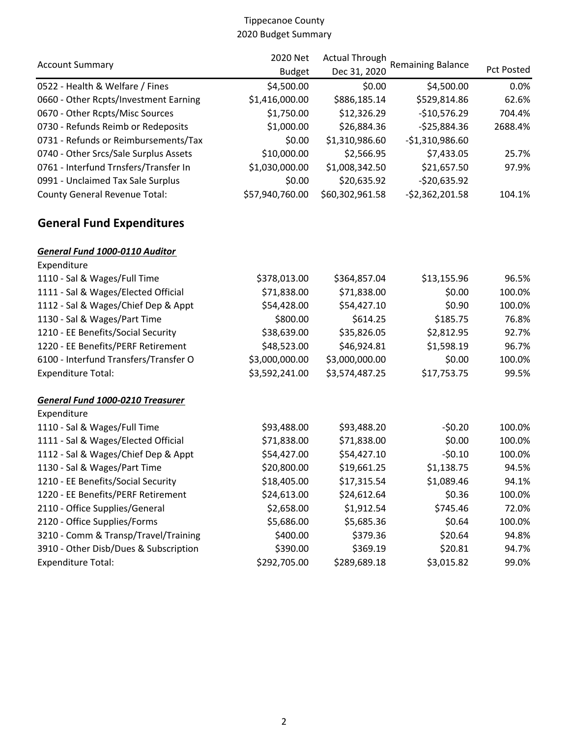| <b>Account Summary</b>                | 2020 Net        | <b>Actual Through</b> | <b>Remaining Balance</b> |                   |  |
|---------------------------------------|-----------------|-----------------------|--------------------------|-------------------|--|
|                                       | <b>Budget</b>   | Dec 31, 2020          |                          | <b>Pct Posted</b> |  |
| 0522 - Health & Welfare / Fines       | \$4,500.00      | \$0.00                | \$4,500.00               | 0.0%              |  |
| 0660 - Other Rcpts/Investment Earning | \$1,416,000.00  | \$886,185.14          | \$529,814.86             | 62.6%             |  |
| 0670 - Other Rcpts/Misc Sources       | \$1,750.00      | \$12,326.29           | $-$10,576.29$            | 704.4%            |  |
| 0730 - Refunds Reimb or Redeposits    | \$1,000.00      | \$26,884.36           | $-525,884.36$            | 2688.4%           |  |
| 0731 - Refunds or Reimbursements/Tax  | \$0.00          | \$1,310,986.60        | $-$1,310,986.60$         |                   |  |
| 0740 - Other Srcs/Sale Surplus Assets | \$10,000.00     | \$2,566.95            | \$7,433.05               | 25.7%             |  |
| 0761 - Interfund Trnsfers/Transfer In | \$1,030,000.00  | \$1,008,342.50        | \$21,657.50              | 97.9%             |  |
| 0991 - Unclaimed Tax Sale Surplus     | \$0.00          | \$20,635.92           | $-520,635.92$            |                   |  |
| <b>County General Revenue Total:</b>  | \$57,940,760.00 | \$60,302,961.58       | $-52,362,201.58$         | 104.1%            |  |
| <b>General Fund Expenditures</b>      |                 |                       |                          |                   |  |
| General Fund 1000-0110 Auditor        |                 |                       |                          |                   |  |
| Expenditure                           |                 |                       |                          |                   |  |
| 1110 - Sal & Wages/Full Time          | \$378,013.00    | \$364,857.04          | \$13,155.96              | 96.5%             |  |
| 1111 - Sal & Wages/Elected Official   | \$71,838.00     | \$71,838.00           | \$0.00                   | 100.0%            |  |
| 1112 - Sal & Wages/Chief Dep & Appt   | \$54,428.00     | \$54,427.10           | \$0.90                   | 100.0%            |  |
| 1130 - Sal & Wages/Part Time          | \$800.00        | \$614.25              | \$185.75                 | 76.8%             |  |
| 1210 - EE Benefits/Social Security    | \$38,639.00     | \$35,826.05           | \$2,812.95               | 92.7%             |  |
| 1220 - EE Benefits/PERF Retirement    | \$48,523.00     | \$46,924.81           | \$1,598.19               | 96.7%             |  |
| 6100 - Interfund Transfers/Transfer O | \$3,000,000.00  | \$3,000,000.00        | \$0.00                   | 100.0%            |  |
| <b>Expenditure Total:</b>             | \$3,592,241.00  | \$3,574,487.25        | \$17,753.75              | 99.5%             |  |
| General Fund 1000-0210 Treasurer      |                 |                       |                          |                   |  |
| Expenditure                           |                 |                       |                          |                   |  |
| 1110 - Sal & Wages/Full Time          | \$93,488.00     | \$93,488.20           | $-50.20$                 | 100.0%            |  |
| 1111 - Sal & Wages/Elected Official   | \$71,838.00     | \$71,838.00           | \$0.00                   | 100.0%            |  |
| 1112 - Sal & Wages/Chief Dep & Appt   | \$54,427.00     | \$54,427.10           | $-50.10$                 | 100.0%            |  |
| 1130 - Sal & Wages/Part Time          | \$20,800.00     | \$19,661.25           | \$1,138.75               | 94.5%             |  |
| 1210 - EE Benefits/Social Security    | \$18,405.00     | \$17,315.54           | \$1,089.46               | 94.1%             |  |
| 1220 - EE Benefits/PERF Retirement    | \$24,613.00     | \$24,612.64           | \$0.36                   | 100.0%            |  |
| 2110 - Office Supplies/General        | \$2,658.00      | \$1,912.54            | \$745.46                 | 72.0%             |  |
| 2120 - Office Supplies/Forms          | \$5,686.00      | \$5,685.36            | \$0.64                   | 100.0%            |  |
| 3210 - Comm & Transp/Travel/Training  | \$400.00        | \$379.36              | \$20.64                  | 94.8%             |  |
| 3910 - Other Disb/Dues & Subscription | \$390.00        | \$369.19              | \$20.81                  | 94.7%             |  |
| <b>Expenditure Total:</b>             | \$292,705.00    | \$289,689.18          | \$3,015.82               | 99.0%             |  |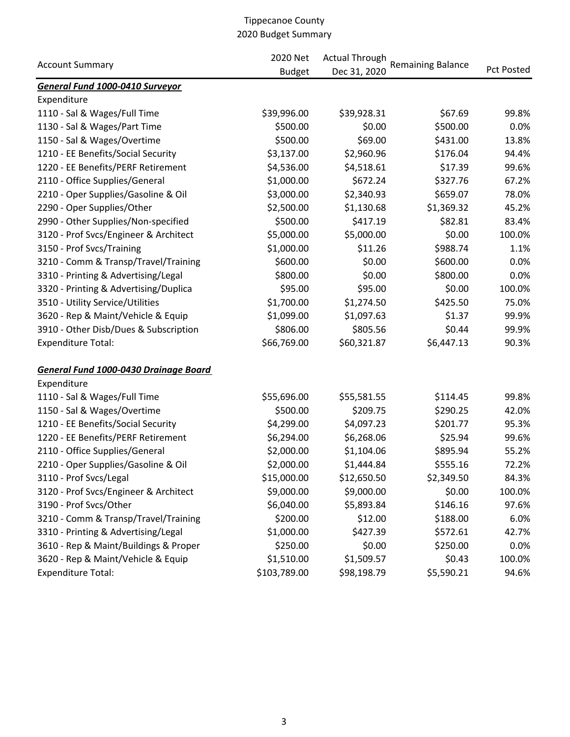|                                       | 2020 Net      | <b>Actual Through</b> |                          |                   |
|---------------------------------------|---------------|-----------------------|--------------------------|-------------------|
| <b>Account Summary</b>                | <b>Budget</b> | Dec 31, 2020          | <b>Remaining Balance</b> | <b>Pct Posted</b> |
| General Fund 1000-0410 Surveyor       |               |                       |                          |                   |
| Expenditure                           |               |                       |                          |                   |
| 1110 - Sal & Wages/Full Time          | \$39,996.00   | \$39,928.31           | \$67.69                  | 99.8%             |
| 1130 - Sal & Wages/Part Time          | \$500.00      | \$0.00                | \$500.00                 | 0.0%              |
| 1150 - Sal & Wages/Overtime           | \$500.00      | \$69.00               | \$431.00                 | 13.8%             |
| 1210 - EE Benefits/Social Security    | \$3,137.00    | \$2,960.96            | \$176.04                 | 94.4%             |
| 1220 - EE Benefits/PERF Retirement    | \$4,536.00    | \$4,518.61            | \$17.39                  | 99.6%             |
| 2110 - Office Supplies/General        | \$1,000.00    | \$672.24              | \$327.76                 | 67.2%             |
| 2210 - Oper Supplies/Gasoline & Oil   | \$3,000.00    | \$2,340.93            | \$659.07                 | 78.0%             |
| 2290 - Oper Supplies/Other            | \$2,500.00    | \$1,130.68            | \$1,369.32               | 45.2%             |
| 2990 - Other Supplies/Non-specified   | \$500.00      | \$417.19              | \$82.81                  | 83.4%             |
| 3120 - Prof Svcs/Engineer & Architect | \$5,000.00    | \$5,000.00            | \$0.00                   | 100.0%            |
| 3150 - Prof Svcs/Training             | \$1,000.00    | \$11.26               | \$988.74                 | 1.1%              |
| 3210 - Comm & Transp/Travel/Training  | \$600.00      | \$0.00                | \$600.00                 | 0.0%              |
| 3310 - Printing & Advertising/Legal   | \$800.00      | \$0.00                | \$800.00                 | 0.0%              |
| 3320 - Printing & Advertising/Duplica | \$95.00       | \$95.00               | \$0.00                   | 100.0%            |
| 3510 - Utility Service/Utilities      | \$1,700.00    | \$1,274.50            | \$425.50                 | 75.0%             |
| 3620 - Rep & Maint/Vehicle & Equip    | \$1,099.00    | \$1,097.63            | \$1.37                   | 99.9%             |
| 3910 - Other Disb/Dues & Subscription | \$806.00      | \$805.56              | \$0.44                   | 99.9%             |
| <b>Expenditure Total:</b>             | \$66,769.00   | \$60,321.87           | \$6,447.13               | 90.3%             |
| General Fund 1000-0430 Drainage Board |               |                       |                          |                   |
| Expenditure                           |               |                       |                          |                   |
| 1110 - Sal & Wages/Full Time          | \$55,696.00   | \$55,581.55           | \$114.45                 | 99.8%             |
| 1150 - Sal & Wages/Overtime           | \$500.00      | \$209.75              | \$290.25                 | 42.0%             |
| 1210 - EE Benefits/Social Security    | \$4,299.00    | \$4,097.23            | \$201.77                 | 95.3%             |
| 1220 - EE Benefits/PERF Retirement    | \$6,294.00    | \$6,268.06            | \$25.94                  | 99.6%             |
| 2110 - Office Supplies/General        | \$2,000.00    | \$1,104.06            | \$895.94                 | 55.2%             |
| 2210 - Oper Supplies/Gasoline & Oil   | \$2,000.00    | \$1,444.84            | \$555.16                 | 72.2%             |
| 3110 - Prof Svcs/Legal                | \$15,000.00   | \$12,650.50           | \$2,349.50               | 84.3%             |
| 3120 - Prof Svcs/Engineer & Architect | \$9,000.00    | \$9,000.00            | \$0.00                   | 100.0%            |
| 3190 - Prof Svcs/Other                | \$6,040.00    | \$5,893.84            | \$146.16                 | 97.6%             |
| 3210 - Comm & Transp/Travel/Training  | \$200.00      | \$12.00               | \$188.00                 | 6.0%              |
| 3310 - Printing & Advertising/Legal   | \$1,000.00    | \$427.39              | \$572.61                 | 42.7%             |
| 3610 - Rep & Maint/Buildings & Proper | \$250.00      | \$0.00                | \$250.00                 | 0.0%              |
| 3620 - Rep & Maint/Vehicle & Equip    | \$1,510.00    | \$1,509.57            | \$0.43                   | 100.0%            |
| <b>Expenditure Total:</b>             | \$103,789.00  | \$98,198.79           | \$5,590.21               | 94.6%             |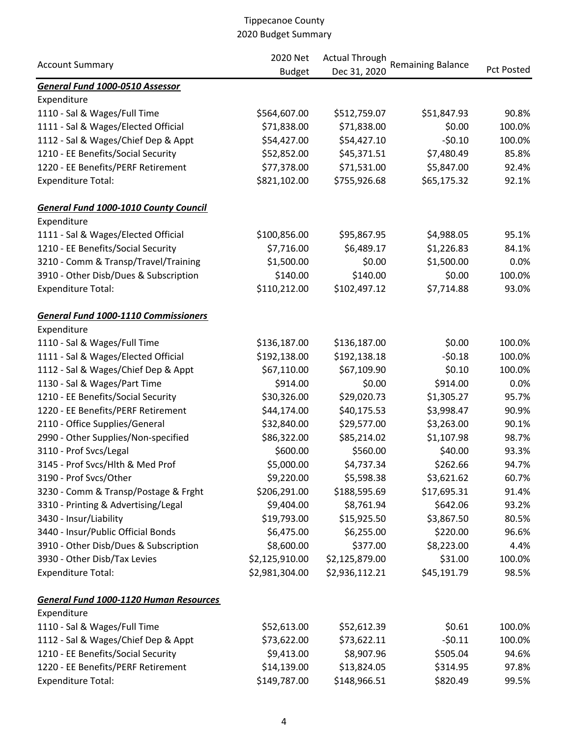|                                              | 2020 Net       | <b>Actual Through</b> |                          |                   |
|----------------------------------------------|----------------|-----------------------|--------------------------|-------------------|
| <b>Account Summary</b>                       | <b>Budget</b>  | Dec 31, 2020          | <b>Remaining Balance</b> | <b>Pct Posted</b> |
| General Fund 1000-0510 Assessor              |                |                       |                          |                   |
| Expenditure                                  |                |                       |                          |                   |
| 1110 - Sal & Wages/Full Time                 | \$564,607.00   | \$512,759.07          | \$51,847.93              | 90.8%             |
| 1111 - Sal & Wages/Elected Official          | \$71,838.00    | \$71,838.00           | \$0.00                   | 100.0%            |
| 1112 - Sal & Wages/Chief Dep & Appt          | \$54,427.00    | \$54,427.10           | $-50.10$                 | 100.0%            |
| 1210 - EE Benefits/Social Security           | \$52,852.00    | \$45,371.51           | \$7,480.49               | 85.8%             |
| 1220 - EE Benefits/PERF Retirement           | \$77,378.00    | \$71,531.00           | \$5,847.00               | 92.4%             |
| <b>Expenditure Total:</b>                    | \$821,102.00   | \$755,926.68          | \$65,175.32              | 92.1%             |
| <b>General Fund 1000-1010 County Council</b> |                |                       |                          |                   |
| Expenditure                                  |                |                       |                          |                   |
| 1111 - Sal & Wages/Elected Official          | \$100,856.00   | \$95,867.95           | \$4,988.05               | 95.1%             |
| 1210 - EE Benefits/Social Security           | \$7,716.00     | \$6,489.17            | \$1,226.83               | 84.1%             |
| 3210 - Comm & Transp/Travel/Training         | \$1,500.00     | \$0.00                | \$1,500.00               | 0.0%              |
| 3910 - Other Disb/Dues & Subscription        | \$140.00       | \$140.00              | \$0.00                   | 100.0%            |
| <b>Expenditure Total:</b>                    | \$110,212.00   | \$102,497.12          | \$7,714.88               | 93.0%             |
| <b>General Fund 1000-1110 Commissioners</b>  |                |                       |                          |                   |
| Expenditure                                  |                |                       |                          |                   |
| 1110 - Sal & Wages/Full Time                 | \$136,187.00   | \$136,187.00          | \$0.00                   | 100.0%            |
| 1111 - Sal & Wages/Elected Official          | \$192,138.00   | \$192,138.18          | $-50.18$                 | 100.0%            |
| 1112 - Sal & Wages/Chief Dep & Appt          | \$67,110.00    | \$67,109.90           | \$0.10                   | 100.0%            |
| 1130 - Sal & Wages/Part Time                 | \$914.00       | \$0.00                | \$914.00                 | 0.0%              |
| 1210 - EE Benefits/Social Security           | \$30,326.00    | \$29,020.73           | \$1,305.27               | 95.7%             |
| 1220 - EE Benefits/PERF Retirement           | \$44,174.00    | \$40,175.53           | \$3,998.47               | 90.9%             |
| 2110 - Office Supplies/General               | \$32,840.00    | \$29,577.00           | \$3,263.00               | 90.1%             |
| 2990 - Other Supplies/Non-specified          | \$86,322.00    | \$85,214.02           | \$1,107.98               | 98.7%             |
| 3110 - Prof Svcs/Legal                       | \$600.00       | \$560.00              | \$40.00                  | 93.3%             |
| 3145 - Prof Svcs/Hlth & Med Prof             | \$5,000.00     | \$4,737.34            | \$262.66                 | 94.7%             |
| 3190 - Prof Svcs/Other                       | \$9,220.00     | \$5,598.38            | \$3,621.62               | 60.7%             |
| 3230 - Comm & Transp/Postage & Frght         | \$206,291.00   | \$188,595.69          | \$17,695.31              | 91.4%             |
| 3310 - Printing & Advertising/Legal          | \$9,404.00     | \$8,761.94            | \$642.06                 | 93.2%             |
| 3430 - Insur/Liability                       | \$19,793.00    | \$15,925.50           | \$3,867.50               | 80.5%             |
| 3440 - Insur/Public Official Bonds           | \$6,475.00     | \$6,255.00            | \$220.00                 | 96.6%             |
| 3910 - Other Disb/Dues & Subscription        | \$8,600.00     | \$377.00              | \$8,223.00               | 4.4%              |
| 3930 - Other Disb/Tax Levies                 | \$2,125,910.00 | \$2,125,879.00        | \$31.00                  | 100.0%            |
| <b>Expenditure Total:</b>                    | \$2,981,304.00 | \$2,936,112.21        | \$45,191.79              | 98.5%             |
| General Fund 1000-1120 Human Resources       |                |                       |                          |                   |
| Expenditure                                  |                |                       |                          |                   |
| 1110 - Sal & Wages/Full Time                 | \$52,613.00    | \$52,612.39           | \$0.61                   | 100.0%            |
| 1112 - Sal & Wages/Chief Dep & Appt          | \$73,622.00    | \$73,622.11           | $-50.11$                 | 100.0%            |
| 1210 - EE Benefits/Social Security           | \$9,413.00     | \$8,907.96            | \$505.04                 | 94.6%             |
| 1220 - EE Benefits/PERF Retirement           | \$14,139.00    | \$13,824.05           | \$314.95                 | 97.8%             |
| <b>Expenditure Total:</b>                    | \$149,787.00   | \$148,966.51          | \$820.49                 | 99.5%             |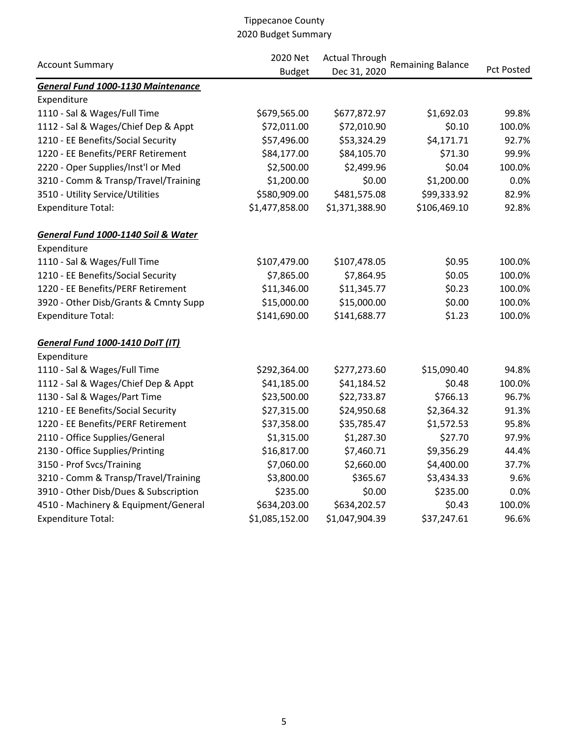|                                           | 2020 Net       | <b>Actual Through</b> |                          |                   |  |
|-------------------------------------------|----------------|-----------------------|--------------------------|-------------------|--|
| <b>Account Summary</b>                    | <b>Budget</b>  | Dec 31, 2020          | <b>Remaining Balance</b> | <b>Pct Posted</b> |  |
| <b>General Fund 1000-1130 Maintenance</b> |                |                       |                          |                   |  |
| Expenditure                               |                |                       |                          |                   |  |
| 1110 - Sal & Wages/Full Time              | \$679,565.00   | \$677,872.97          | \$1,692.03               | 99.8%             |  |
| 1112 - Sal & Wages/Chief Dep & Appt       | \$72,011.00    | \$72,010.90           | \$0.10                   | 100.0%            |  |
| 1210 - EE Benefits/Social Security        | \$57,496.00    | \$53,324.29           | \$4,171.71               | 92.7%             |  |
| 1220 - EE Benefits/PERF Retirement        | \$84,177.00    | \$84,105.70           | \$71.30                  | 99.9%             |  |
| 2220 - Oper Supplies/Inst'l or Med        | \$2,500.00     | \$2,499.96            | \$0.04                   | 100.0%            |  |
| 3210 - Comm & Transp/Travel/Training      | \$1,200.00     | \$0.00                | \$1,200.00               | 0.0%              |  |
| 3510 - Utility Service/Utilities          | \$580,909.00   | \$481,575.08          | \$99,333.92              | 82.9%             |  |
| <b>Expenditure Total:</b>                 | \$1,477,858.00 | \$1,371,388.90        | \$106,469.10             | 92.8%             |  |
| General Fund 1000-1140 Soil & Water       |                |                       |                          |                   |  |
| Expenditure                               |                |                       |                          |                   |  |
| 1110 - Sal & Wages/Full Time              | \$107,479.00   | \$107,478.05          | \$0.95                   | 100.0%            |  |
| 1210 - EE Benefits/Social Security        | \$7,865.00     | \$7,864.95            | \$0.05                   | 100.0%            |  |
| 1220 - EE Benefits/PERF Retirement        | \$11,346.00    | \$11,345.77           | \$0.23                   | 100.0%            |  |
| 3920 - Other Disb/Grants & Cmnty Supp     | \$15,000.00    | \$15,000.00           | \$0.00                   | 100.0%            |  |
| <b>Expenditure Total:</b>                 | \$141,690.00   | \$141,688.77          | \$1.23                   | 100.0%            |  |
| General Fund 1000-1410 DoIT (IT)          |                |                       |                          |                   |  |
| Expenditure                               |                |                       |                          |                   |  |
| 1110 - Sal & Wages/Full Time              | \$292,364.00   | \$277,273.60          | \$15,090.40              | 94.8%             |  |
| 1112 - Sal & Wages/Chief Dep & Appt       | \$41,185.00    | \$41,184.52           | \$0.48                   | 100.0%            |  |
| 1130 - Sal & Wages/Part Time              | \$23,500.00    | \$22,733.87           | \$766.13                 | 96.7%             |  |
| 1210 - EE Benefits/Social Security        | \$27,315.00    | \$24,950.68           | \$2,364.32               | 91.3%             |  |
| 1220 - EE Benefits/PERF Retirement        | \$37,358.00    | \$35,785.47           | \$1,572.53               | 95.8%             |  |
| 2110 - Office Supplies/General            | \$1,315.00     | \$1,287.30            | \$27.70                  | 97.9%             |  |
| 2130 - Office Supplies/Printing           | \$16,817.00    | \$7,460.71            | \$9,356.29               | 44.4%             |  |
| 3150 - Prof Svcs/Training                 | \$7,060.00     | \$2,660.00            | \$4,400.00               | 37.7%             |  |
| 3210 - Comm & Transp/Travel/Training      | \$3,800.00     | \$365.67              | \$3,434.33               | 9.6%              |  |
| 3910 - Other Disb/Dues & Subscription     | \$235.00       | \$0.00                | \$235.00                 | 0.0%              |  |
| 4510 - Machinery & Equipment/General      | \$634,203.00   | \$634,202.57          | \$0.43                   | 100.0%            |  |
| <b>Expenditure Total:</b>                 | \$1,085,152.00 | \$1,047,904.39        | \$37,247.61              | 96.6%             |  |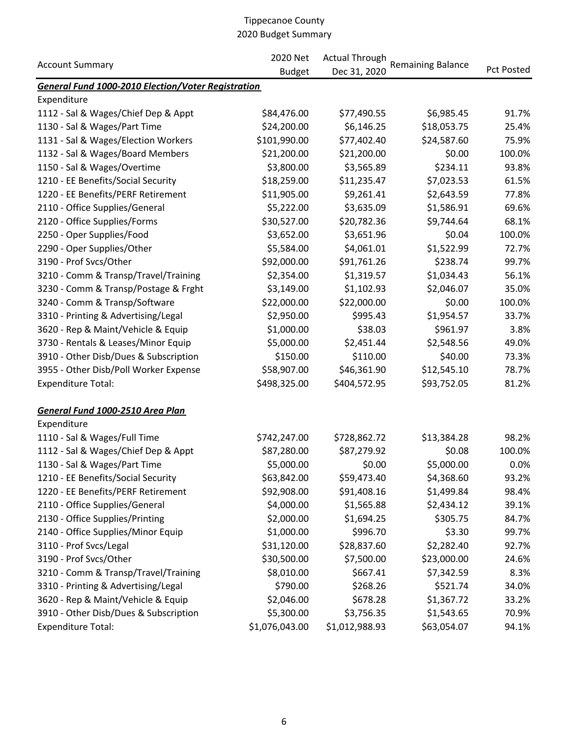|                                                           | 2020 Net       | <b>Actual Through</b> |                          |                   |
|-----------------------------------------------------------|----------------|-----------------------|--------------------------|-------------------|
| <b>Account Summary</b>                                    | <b>Budget</b>  | Dec 31, 2020          | <b>Remaining Balance</b> | <b>Pct Posted</b> |
| <b>General Fund 1000-2010 Election/Voter Registration</b> |                |                       |                          |                   |
| Expenditure                                               |                |                       |                          |                   |
| 1112 - Sal & Wages/Chief Dep & Appt                       | \$84,476.00    | \$77,490.55           | \$6,985.45               | 91.7%             |
| 1130 - Sal & Wages/Part Time                              | \$24,200.00    | \$6,146.25            | \$18,053.75              | 25.4%             |
| 1131 - Sal & Wages/Election Workers                       | \$101,990.00   | \$77,402.40           | \$24,587.60              | 75.9%             |
| 1132 - Sal & Wages/Board Members                          | \$21,200.00    | \$21,200.00           | \$0.00                   | 100.0%            |
| 1150 - Sal & Wages/Overtime                               | \$3,800.00     | \$3,565.89            | \$234.11                 | 93.8%             |
| 1210 - EE Benefits/Social Security                        | \$18,259.00    | \$11,235.47           | \$7,023.53               | 61.5%             |
| 1220 - EE Benefits/PERF Retirement                        | \$11,905.00    | \$9,261.41            | \$2,643.59               | 77.8%             |
| 2110 - Office Supplies/General                            | \$5,222.00     | \$3,635.09            | \$1,586.91               | 69.6%             |
| 2120 - Office Supplies/Forms                              | \$30,527.00    | \$20,782.36           | \$9,744.64               | 68.1%             |
| 2250 - Oper Supplies/Food                                 | \$3,652.00     | \$3,651.96            | \$0.04                   | 100.0%            |
| 2290 - Oper Supplies/Other                                | \$5,584.00     | \$4,061.01            | \$1,522.99               | 72.7%             |
| 3190 - Prof Svcs/Other                                    | \$92,000.00    | \$91,761.26           | \$238.74                 | 99.7%             |
| 3210 - Comm & Transp/Travel/Training                      | \$2,354.00     | \$1,319.57            | \$1,034.43               | 56.1%             |
| 3230 - Comm & Transp/Postage & Frght                      | \$3,149.00     | \$1,102.93            | \$2,046.07               | 35.0%             |
| 3240 - Comm & Transp/Software                             | \$22,000.00    | \$22,000.00           | \$0.00                   | 100.0%            |
| 3310 - Printing & Advertising/Legal                       | \$2,950.00     | \$995.43              | \$1,954.57               | 33.7%             |
| 3620 - Rep & Maint/Vehicle & Equip                        | \$1,000.00     | \$38.03               | \$961.97                 | 3.8%              |
| 3730 - Rentals & Leases/Minor Equip                       | \$5,000.00     | \$2,451.44            | \$2,548.56               | 49.0%             |
| 3910 - Other Disb/Dues & Subscription                     | \$150.00       | \$110.00              | \$40.00                  | 73.3%             |
| 3955 - Other Disb/Poll Worker Expense                     | \$58,907.00    | \$46,361.90           | \$12,545.10              | 78.7%             |
| <b>Expenditure Total:</b>                                 | \$498,325.00   | \$404,572.95          | \$93,752.05              | 81.2%             |
| General Fund 1000-2510 Area Plan                          |                |                       |                          |                   |
| Expenditure                                               |                |                       |                          |                   |
| 1110 - Sal & Wages/Full Time                              | \$742,247.00   | \$728,862.72          | \$13,384.28              | 98.2%             |
| 1112 - Sal & Wages/Chief Dep & Appt                       | \$87,280.00    | \$87,279.92           | \$0.08                   | 100.0%            |
| 1130 - Sal & Wages/Part Time                              | \$5,000.00     | \$0.00                | \$5,000.00               | 0.0%              |
| 1210 - EE Benefits/Social Security                        | \$63,842.00    | \$59,473.40           | \$4,368.60               | 93.2%             |
| 1220 - EE Benefits/PERF Retirement                        | \$92,908.00    | \$91,408.16           | \$1,499.84               | 98.4%             |
| 2110 - Office Supplies/General                            | \$4,000.00     | \$1,565.88            | \$2,434.12               | 39.1%             |
| 2130 - Office Supplies/Printing                           | \$2,000.00     | \$1,694.25            | \$305.75                 | 84.7%             |
| 2140 - Office Supplies/Minor Equip                        | \$1,000.00     | \$996.70              | \$3.30                   | 99.7%             |
| 3110 - Prof Svcs/Legal                                    | \$31,120.00    | \$28,837.60           | \$2,282.40               | 92.7%             |
| 3190 - Prof Svcs/Other                                    | \$30,500.00    | \$7,500.00            | \$23,000.00              | 24.6%             |
| 3210 - Comm & Transp/Travel/Training                      | \$8,010.00     | \$667.41              | \$7,342.59               | 8.3%              |
| 3310 - Printing & Advertising/Legal                       | \$790.00       | \$268.26              | \$521.74                 | 34.0%             |
| 3620 - Rep & Maint/Vehicle & Equip                        | \$2,046.00     | \$678.28              | \$1,367.72               | 33.2%             |
| 3910 - Other Disb/Dues & Subscription                     | \$5,300.00     | \$3,756.35            | \$1,543.65               | 70.9%             |
| <b>Expenditure Total:</b>                                 | \$1,076,043.00 | \$1,012,988.93        | \$63,054.07              | 94.1%             |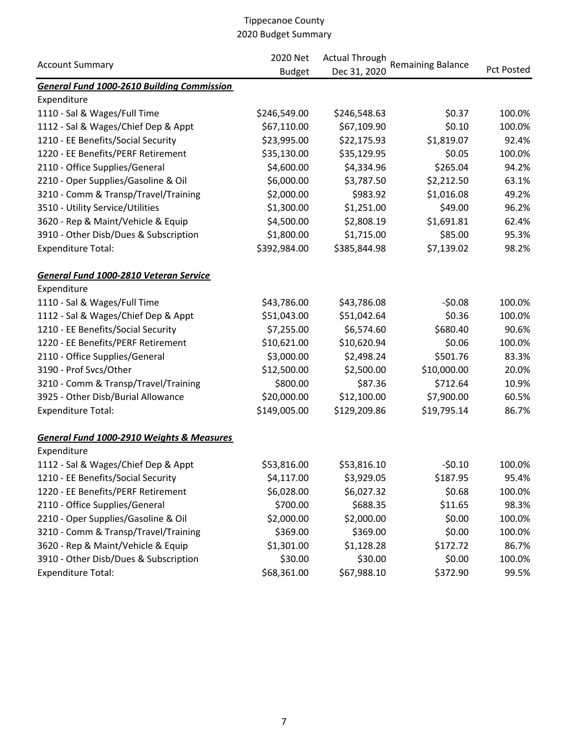|                                                      | 2020 Net      | <b>Actual Through</b> |                          |                   |  |
|------------------------------------------------------|---------------|-----------------------|--------------------------|-------------------|--|
| <b>Account Summary</b>                               | <b>Budget</b> | Dec 31, 2020          | <b>Remaining Balance</b> | <b>Pct Posted</b> |  |
| <b>General Fund 1000-2610 Building Commission</b>    |               |                       |                          |                   |  |
| Expenditure                                          |               |                       |                          |                   |  |
| 1110 - Sal & Wages/Full Time                         | \$246,549.00  | \$246,548.63          | \$0.37                   | 100.0%            |  |
| 1112 - Sal & Wages/Chief Dep & Appt                  | \$67,110.00   | \$67,109.90           | \$0.10                   | 100.0%            |  |
| 1210 - EE Benefits/Social Security                   | \$23,995.00   | \$22,175.93           | \$1,819.07               | 92.4%             |  |
| 1220 - EE Benefits/PERF Retirement                   | \$35,130.00   | \$35,129.95           | \$0.05                   | 100.0%            |  |
| 2110 - Office Supplies/General                       | \$4,600.00    | \$4,334.96            | \$265.04                 | 94.2%             |  |
| 2210 - Oper Supplies/Gasoline & Oil                  | \$6,000.00    | \$3,787.50            | \$2,212.50               | 63.1%             |  |
| 3210 - Comm & Transp/Travel/Training                 | \$2,000.00    | \$983.92              | \$1,016.08               | 49.2%             |  |
| 3510 - Utility Service/Utilities                     | \$1,300.00    | \$1,251.00            | \$49.00                  | 96.2%             |  |
| 3620 - Rep & Maint/Vehicle & Equip                   | \$4,500.00    | \$2,808.19            | \$1,691.81               | 62.4%             |  |
| 3910 - Other Disb/Dues & Subscription                | \$1,800.00    | \$1,715.00            | \$85.00                  | 95.3%             |  |
| <b>Expenditure Total:</b>                            | \$392,984.00  | \$385,844.98          | \$7,139.02               | 98.2%             |  |
| General Fund 1000-2810 Veteran Service               |               |                       |                          |                   |  |
| Expenditure                                          |               |                       |                          |                   |  |
| 1110 - Sal & Wages/Full Time                         | \$43,786.00   | \$43,786.08           | $-50.08$                 | 100.0%            |  |
| 1112 - Sal & Wages/Chief Dep & Appt                  | \$51,043.00   | \$51,042.64           | \$0.36                   | 100.0%            |  |
| 1210 - EE Benefits/Social Security                   | \$7,255.00    | \$6,574.60            | \$680.40                 | 90.6%             |  |
| 1220 - EE Benefits/PERF Retirement                   | \$10,621.00   | \$10,620.94           | \$0.06                   | 100.0%            |  |
| 2110 - Office Supplies/General                       | \$3,000.00    | \$2,498.24            | \$501.76                 | 83.3%             |  |
| 3190 - Prof Svcs/Other                               | \$12,500.00   | \$2,500.00            | \$10,000.00              | 20.0%             |  |
| 3210 - Comm & Transp/Travel/Training                 | \$800.00      | \$87.36               | \$712.64                 | 10.9%             |  |
| 3925 - Other Disb/Burial Allowance                   | \$20,000.00   | \$12,100.00           | \$7,900.00               | 60.5%             |  |
| <b>Expenditure Total:</b>                            | \$149,005.00  | \$129,209.86          | \$19,795.14              | 86.7%             |  |
| <b>General Fund 1000-2910 Weights &amp; Measures</b> |               |                       |                          |                   |  |
| Expenditure                                          |               |                       |                          |                   |  |
| 1112 - Sal & Wages/Chief Dep & Appt                  | \$53,816.00   | \$53,816.10           | $-50.10$                 | 100.0%            |  |
| 1210 - EE Benefits/Social Security                   | \$4,117.00    | \$3,929.05            | \$187.95                 | 95.4%             |  |
| 1220 - EE Benefits/PERF Retirement                   | \$6,028.00    | \$6,027.32            | \$0.68                   | 100.0%            |  |
| 2110 - Office Supplies/General                       | \$700.00      | \$688.35              | \$11.65                  | 98.3%             |  |
| 2210 - Oper Supplies/Gasoline & Oil                  | \$2,000.00    | \$2,000.00            | \$0.00                   | 100.0%            |  |
| 3210 - Comm & Transp/Travel/Training                 | \$369.00      | \$369.00              | \$0.00                   | 100.0%            |  |
| 3620 - Rep & Maint/Vehicle & Equip                   | \$1,301.00    | \$1,128.28            | \$172.72                 | 86.7%             |  |
| 3910 - Other Disb/Dues & Subscription                | \$30.00       | \$30.00               | \$0.00                   | 100.0%            |  |
| <b>Expenditure Total:</b>                            | \$68,361.00   | \$67,988.10           | \$372.90                 | 99.5%             |  |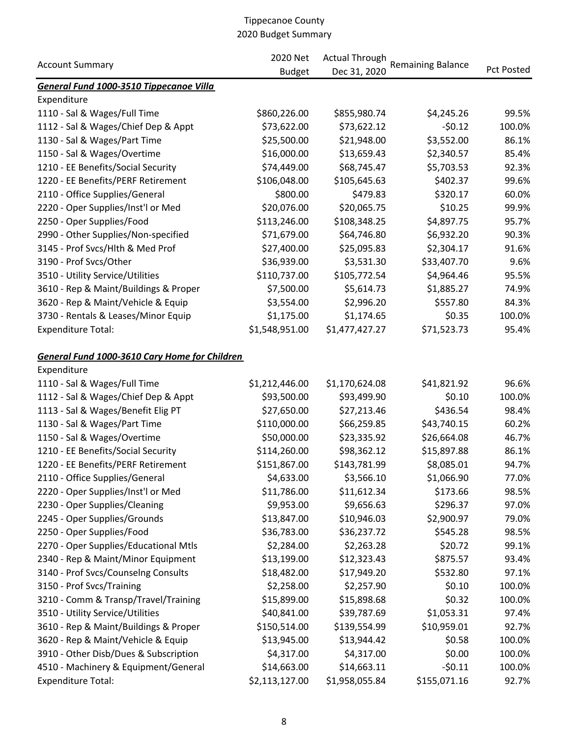| <b>Account Summary</b>                        | 2020 Net       | <b>Actual Through</b> | <b>Remaining Balance</b> |                   |
|-----------------------------------------------|----------------|-----------------------|--------------------------|-------------------|
|                                               | <b>Budget</b>  | Dec 31, 2020          |                          | <b>Pct Posted</b> |
| General Fund 1000-3510 Tippecanoe Villa       |                |                       |                          |                   |
| Expenditure                                   |                |                       |                          |                   |
| 1110 - Sal & Wages/Full Time                  | \$860,226.00   | \$855,980.74          | \$4,245.26               | 99.5%             |
| 1112 - Sal & Wages/Chief Dep & Appt           | \$73,622.00    | \$73,622.12           | $-50.12$                 | 100.0%            |
| 1130 - Sal & Wages/Part Time                  | \$25,500.00    | \$21,948.00           | \$3,552.00               | 86.1%             |
| 1150 - Sal & Wages/Overtime                   | \$16,000.00    | \$13,659.43           | \$2,340.57               | 85.4%             |
| 1210 - EE Benefits/Social Security            | \$74,449.00    | \$68,745.47           | \$5,703.53               | 92.3%             |
| 1220 - EE Benefits/PERF Retirement            | \$106,048.00   | \$105,645.63          | \$402.37                 | 99.6%             |
| 2110 - Office Supplies/General                | \$800.00       | \$479.83              | \$320.17                 | 60.0%             |
| 2220 - Oper Supplies/Inst'l or Med            | \$20,076.00    | \$20,065.75           | \$10.25                  | 99.9%             |
| 2250 - Oper Supplies/Food                     | \$113,246.00   | \$108,348.25          | \$4,897.75               | 95.7%             |
| 2990 - Other Supplies/Non-specified           | \$71,679.00    | \$64,746.80           | \$6,932.20               | 90.3%             |
| 3145 - Prof Svcs/Hlth & Med Prof              | \$27,400.00    | \$25,095.83           | \$2,304.17               | 91.6%             |
| 3190 - Prof Svcs/Other                        | \$36,939.00    | \$3,531.30            | \$33,407.70              | 9.6%              |
| 3510 - Utility Service/Utilities              | \$110,737.00   | \$105,772.54          | \$4,964.46               | 95.5%             |
| 3610 - Rep & Maint/Buildings & Proper         | \$7,500.00     | \$5,614.73            | \$1,885.27               | 74.9%             |
| 3620 - Rep & Maint/Vehicle & Equip            | \$3,554.00     | \$2,996.20            | \$557.80                 | 84.3%             |
| 3730 - Rentals & Leases/Minor Equip           | \$1,175.00     | \$1,174.65            | \$0.35                   | 100.0%            |
| <b>Expenditure Total:</b>                     | \$1,548,951.00 | \$1,477,427.27        | \$71,523.73              | 95.4%             |
| General Fund 1000-3610 Cary Home for Children |                |                       |                          |                   |
| Expenditure                                   |                |                       |                          |                   |
| 1110 - Sal & Wages/Full Time                  | \$1,212,446.00 | \$1,170,624.08        | \$41,821.92              | 96.6%             |
| 1112 - Sal & Wages/Chief Dep & Appt           | \$93,500.00    | \$93,499.90           | \$0.10                   | 100.0%            |
| 1113 - Sal & Wages/Benefit Elig PT            | \$27,650.00    | \$27,213.46           | \$436.54                 | 98.4%             |
| 1130 - Sal & Wages/Part Time                  | \$110,000.00   | \$66,259.85           | \$43,740.15              | 60.2%             |
| 1150 - Sal & Wages/Overtime                   | \$50,000.00    | \$23,335.92           | \$26,664.08              | 46.7%             |
| 1210 - EE Benefits/Social Security            | \$114,260.00   | \$98,362.12           | \$15,897.88              | 86.1%             |
| 1220 - EE Benefits/PERF Retirement            | \$151,867.00   | \$143,781.99          | \$8,085.01               | 94.7%             |
| 2110 - Office Supplies/General                | \$4,633.00     | \$3,566.10            | \$1,066.90               | 77.0%             |
| 2220 - Oper Supplies/Inst'l or Med            | \$11,786.00    | \$11,612.34           | \$173.66                 | 98.5%             |
| 2230 - Oper Supplies/Cleaning                 | \$9,953.00     | \$9,656.63            | \$296.37                 | 97.0%             |
| 2245 - Oper Supplies/Grounds                  | \$13,847.00    | \$10,946.03           | \$2,900.97               | 79.0%             |
| 2250 - Oper Supplies/Food                     | \$36,783.00    | \$36,237.72           | \$545.28                 | 98.5%             |
| 2270 - Oper Supplies/Educational Mtls         | \$2,284.00     | \$2,263.28            | \$20.72                  | 99.1%             |
| 2340 - Rep & Maint/Minor Equipment            | \$13,199.00    | \$12,323.43           | \$875.57                 | 93.4%             |
| 3140 - Prof Svcs/Counselng Consults           | \$18,482.00    | \$17,949.20           | \$532.80                 | 97.1%             |
| 3150 - Prof Svcs/Training                     | \$2,258.00     | \$2,257.90            | \$0.10                   | 100.0%            |
| 3210 - Comm & Transp/Travel/Training          | \$15,899.00    | \$15,898.68           | \$0.32                   | 100.0%            |
| 3510 - Utility Service/Utilities              | \$40,841.00    | \$39,787.69           | \$1,053.31               | 97.4%             |
| 3610 - Rep & Maint/Buildings & Proper         | \$150,514.00   | \$139,554.99          | \$10,959.01              | 92.7%             |
| 3620 - Rep & Maint/Vehicle & Equip            | \$13,945.00    | \$13,944.42           | \$0.58                   | 100.0%            |
| 3910 - Other Disb/Dues & Subscription         | \$4,317.00     | \$4,317.00            | \$0.00                   | 100.0%            |
| 4510 - Machinery & Equipment/General          | \$14,663.00    | \$14,663.11           | $-50.11$                 | 100.0%            |
| <b>Expenditure Total:</b>                     | \$2,113,127.00 | \$1,958,055.84        | \$155,071.16             | 92.7%             |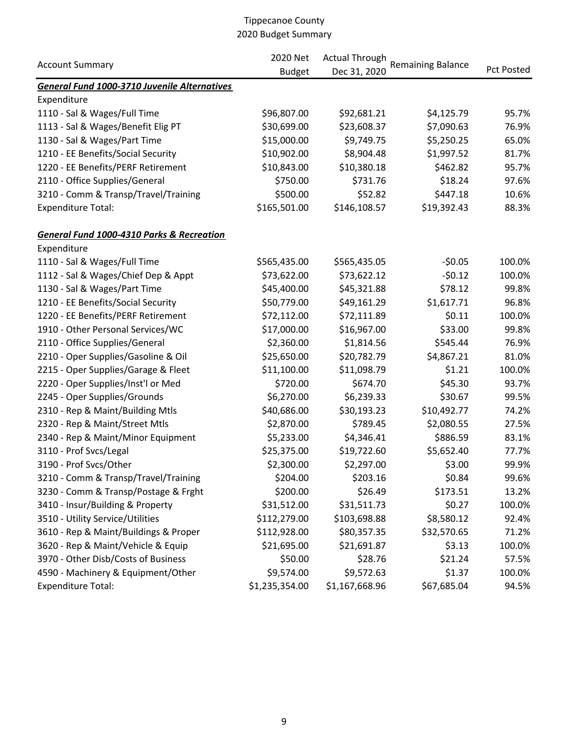|                                                      | 2020 Net       | <b>Actual Through</b> |                          |                   |  |
|------------------------------------------------------|----------------|-----------------------|--------------------------|-------------------|--|
| <b>Account Summary</b>                               | <b>Budget</b>  | Dec 31, 2020          | <b>Remaining Balance</b> | <b>Pct Posted</b> |  |
| <b>General Fund 1000-3710 Juvenile Alternatives</b>  |                |                       |                          |                   |  |
| Expenditure                                          |                |                       |                          |                   |  |
| 1110 - Sal & Wages/Full Time                         | \$96,807.00    | \$92,681.21           | \$4,125.79               | 95.7%             |  |
| 1113 - Sal & Wages/Benefit Elig PT                   | \$30,699.00    | \$23,608.37           | \$7,090.63               | 76.9%             |  |
| 1130 - Sal & Wages/Part Time                         | \$15,000.00    | \$9,749.75            | \$5,250.25               | 65.0%             |  |
| 1210 - EE Benefits/Social Security                   | \$10,902.00    | \$8,904.48            | \$1,997.52               | 81.7%             |  |
| 1220 - EE Benefits/PERF Retirement                   | \$10,843.00    | \$10,380.18           | \$462.82                 | 95.7%             |  |
| 2110 - Office Supplies/General                       | \$750.00       | \$731.76              | \$18.24                  | 97.6%             |  |
| 3210 - Comm & Transp/Travel/Training                 | \$500.00       | \$52.82               | \$447.18                 | 10.6%             |  |
| <b>Expenditure Total:</b>                            | \$165,501.00   | \$146,108.57          | \$19,392.43              | 88.3%             |  |
| <b>General Fund 1000-4310 Parks &amp; Recreation</b> |                |                       |                          |                   |  |
| Expenditure                                          |                |                       |                          |                   |  |
| 1110 - Sal & Wages/Full Time                         | \$565,435.00   | \$565,435.05          | $-50.05$                 | 100.0%            |  |
| 1112 - Sal & Wages/Chief Dep & Appt                  | \$73,622.00    | \$73,622.12           | $-50.12$                 | 100.0%            |  |
| 1130 - Sal & Wages/Part Time                         | \$45,400.00    | \$45,321.88           | \$78.12                  | 99.8%             |  |
| 1210 - EE Benefits/Social Security                   | \$50,779.00    | \$49,161.29           | \$1,617.71               | 96.8%             |  |
| 1220 - EE Benefits/PERF Retirement                   | \$72,112.00    | \$72,111.89           | \$0.11                   | 100.0%            |  |
| 1910 - Other Personal Services/WC                    | \$17,000.00    | \$16,967.00           | \$33.00                  | 99.8%             |  |
| 2110 - Office Supplies/General                       | \$2,360.00     | \$1,814.56            | \$545.44                 | 76.9%             |  |
| 2210 - Oper Supplies/Gasoline & Oil                  | \$25,650.00    | \$20,782.79           | \$4,867.21               | 81.0%             |  |
| 2215 - Oper Supplies/Garage & Fleet                  | \$11,100.00    | \$11,098.79           | \$1.21                   | 100.0%            |  |
| 2220 - Oper Supplies/Inst'l or Med                   | \$720.00       | \$674.70              | \$45.30                  | 93.7%             |  |
| 2245 - Oper Supplies/Grounds                         | \$6,270.00     | \$6,239.33            | \$30.67                  | 99.5%             |  |
| 2310 - Rep & Maint/Building Mtls                     | \$40,686.00    | \$30,193.23           | \$10,492.77              | 74.2%             |  |
| 2320 - Rep & Maint/Street Mtls                       | \$2,870.00     | \$789.45              | \$2,080.55               | 27.5%             |  |
| 2340 - Rep & Maint/Minor Equipment                   | \$5,233.00     | \$4,346.41            | \$886.59                 | 83.1%             |  |
| 3110 - Prof Svcs/Legal                               | \$25,375.00    | \$19,722.60           | \$5,652.40               | 77.7%             |  |
| 3190 - Prof Svcs/Other                               | \$2,300.00     | \$2,297.00            | \$3.00                   | 99.9%             |  |
| 3210 - Comm & Transp/Travel/Training                 | \$204.00       | \$203.16              | \$0.84                   | 99.6%             |  |
| 3230 - Comm & Transp/Postage & Frght                 | \$200.00       | \$26.49               | \$173.51                 | 13.2%             |  |
| 3410 - Insur/Building & Property                     | \$31,512.00    | \$31,511.73           | \$0.27                   | 100.0%            |  |
| 3510 - Utility Service/Utilities                     | \$112,279.00   | \$103,698.88          | \$8,580.12               | 92.4%             |  |
| 3610 - Rep & Maint/Buildings & Proper                | \$112,928.00   | \$80,357.35           | \$32,570.65              | 71.2%             |  |
| 3620 - Rep & Maint/Vehicle & Equip                   | \$21,695.00    | \$21,691.87           | \$3.13                   | 100.0%            |  |
| 3970 - Other Disb/Costs of Business                  | \$50.00        | \$28.76               | \$21.24                  | 57.5%             |  |
| 4590 - Machinery & Equipment/Other                   | \$9,574.00     | \$9,572.63            | \$1.37                   | 100.0%            |  |
| <b>Expenditure Total:</b>                            | \$1,235,354.00 | \$1,167,668.96        | \$67,685.04              | 94.5%             |  |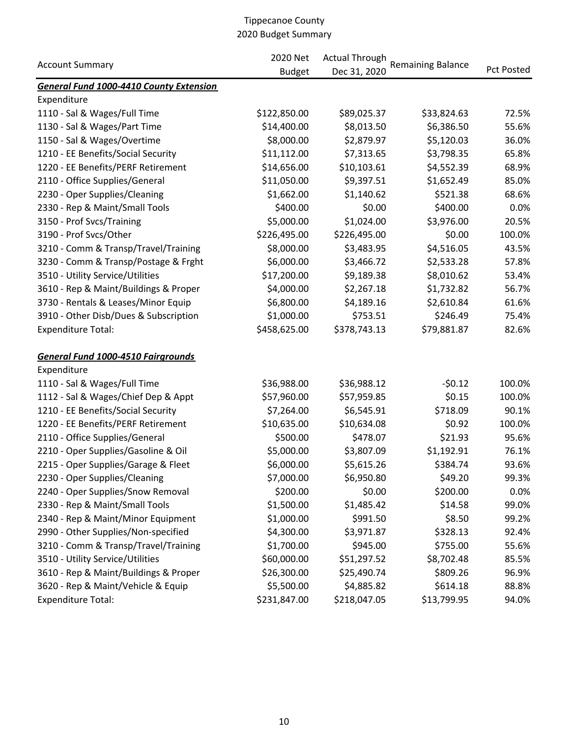|                                                | 2020 Net<br><b>Actual Through</b> |              |                          |                   |
|------------------------------------------------|-----------------------------------|--------------|--------------------------|-------------------|
| <b>Account Summary</b>                         | <b>Budget</b>                     | Dec 31, 2020 | <b>Remaining Balance</b> | <b>Pct Posted</b> |
| <b>General Fund 1000-4410 County Extension</b> |                                   |              |                          |                   |
| Expenditure                                    |                                   |              |                          |                   |
| 1110 - Sal & Wages/Full Time                   | \$122,850.00                      | \$89,025.37  | \$33,824.63              | 72.5%             |
| 1130 - Sal & Wages/Part Time                   | \$14,400.00                       | \$8,013.50   | \$6,386.50               | 55.6%             |
| 1150 - Sal & Wages/Overtime                    | \$8,000.00                        | \$2,879.97   | \$5,120.03               | 36.0%             |
| 1210 - EE Benefits/Social Security             | \$11,112.00                       | \$7,313.65   | \$3,798.35               | 65.8%             |
| 1220 - EE Benefits/PERF Retirement             | \$14,656.00                       | \$10,103.61  | \$4,552.39               | 68.9%             |
| 2110 - Office Supplies/General                 | \$11,050.00                       | \$9,397.51   | \$1,652.49               | 85.0%             |
| 2230 - Oper Supplies/Cleaning                  | \$1,662.00                        | \$1,140.62   | \$521.38                 | 68.6%             |
| 2330 - Rep & Maint/Small Tools                 | \$400.00                          | \$0.00       | \$400.00                 | 0.0%              |
| 3150 - Prof Svcs/Training                      | \$5,000.00                        | \$1,024.00   | \$3,976.00               | 20.5%             |
| 3190 - Prof Svcs/Other                         | \$226,495.00                      | \$226,495.00 | \$0.00                   | 100.0%            |
| 3210 - Comm & Transp/Travel/Training           | \$8,000.00                        | \$3,483.95   | \$4,516.05               | 43.5%             |
| 3230 - Comm & Transp/Postage & Frght           | \$6,000.00                        | \$3,466.72   | \$2,533.28               | 57.8%             |
| 3510 - Utility Service/Utilities               | \$17,200.00                       | \$9,189.38   | \$8,010.62               | 53.4%             |
| 3610 - Rep & Maint/Buildings & Proper          | \$4,000.00                        | \$2,267.18   | \$1,732.82               | 56.7%             |
| 3730 - Rentals & Leases/Minor Equip            | \$6,800.00                        | \$4,189.16   | \$2,610.84               | 61.6%             |
| 3910 - Other Disb/Dues & Subscription          | \$1,000.00                        | \$753.51     | \$246.49                 | 75.4%             |
| <b>Expenditure Total:</b>                      | \$458,625.00                      | \$378,743.13 | \$79,881.87              | 82.6%             |
| <b>General Fund 1000-4510 Fairgrounds</b>      |                                   |              |                          |                   |
| Expenditure                                    |                                   |              |                          |                   |
| 1110 - Sal & Wages/Full Time                   | \$36,988.00                       | \$36,988.12  | $-50.12$                 | 100.0%            |
| 1112 - Sal & Wages/Chief Dep & Appt            | \$57,960.00                       | \$57,959.85  | \$0.15                   | 100.0%            |
| 1210 - EE Benefits/Social Security             | \$7,264.00                        | \$6,545.91   | \$718.09                 | 90.1%             |
| 1220 - EE Benefits/PERF Retirement             | \$10,635.00                       | \$10,634.08  | \$0.92                   | 100.0%            |
| 2110 - Office Supplies/General                 | \$500.00                          | \$478.07     | \$21.93                  | 95.6%             |
| 2210 - Oper Supplies/Gasoline & Oil            | \$5,000.00                        | \$3,807.09   | \$1,192.91               | 76.1%             |
| 2215 - Oper Supplies/Garage & Fleet            | \$6,000.00                        | \$5,615.26   | \$384.74                 | 93.6%             |
| 2230 - Oper Supplies/Cleaning                  | \$7,000.00                        | \$6,950.80   | \$49.20                  | 99.3%             |
| 2240 - Oper Supplies/Snow Removal              | \$200.00                          | \$0.00       | \$200.00                 | 0.0%              |
| 2330 - Rep & Maint/Small Tools                 | \$1,500.00                        | \$1,485.42   | \$14.58                  | 99.0%             |
| 2340 - Rep & Maint/Minor Equipment             | \$1,000.00                        | \$991.50     | \$8.50                   | 99.2%             |
| 2990 - Other Supplies/Non-specified            | \$4,300.00                        | \$3,971.87   | \$328.13                 | 92.4%             |
| 3210 - Comm & Transp/Travel/Training           | \$1,700.00                        | \$945.00     | \$755.00                 | 55.6%             |
| 3510 - Utility Service/Utilities               | \$60,000.00                       | \$51,297.52  | \$8,702.48               | 85.5%             |
| 3610 - Rep & Maint/Buildings & Proper          | \$26,300.00                       | \$25,490.74  | \$809.26                 | 96.9%             |
| 3620 - Rep & Maint/Vehicle & Equip             | \$5,500.00                        | \$4,885.82   | \$614.18                 | 88.8%             |
| <b>Expenditure Total:</b>                      | \$231,847.00                      | \$218,047.05 | \$13,799.95              | 94.0%             |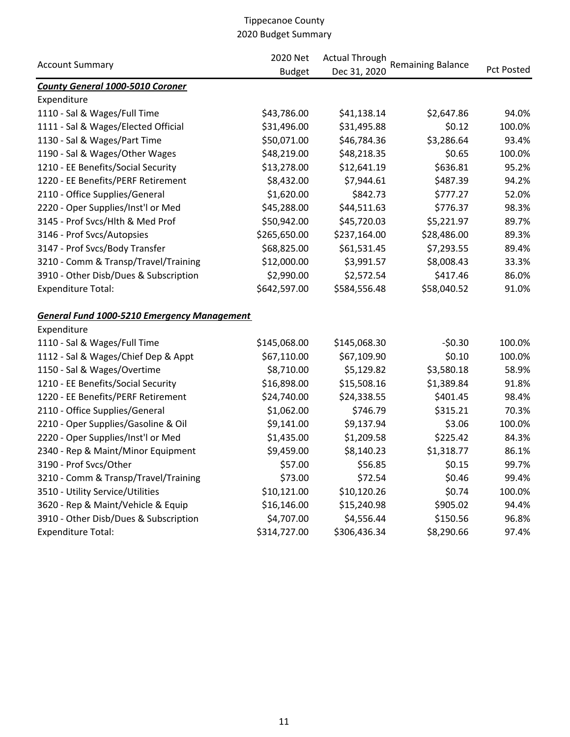|                                                    | 2020 Net      | <b>Actual Through</b> |                          |            |
|----------------------------------------------------|---------------|-----------------------|--------------------------|------------|
| <b>Account Summary</b>                             | <b>Budget</b> | Dec 31, 2020          | <b>Remaining Balance</b> | Pct Posted |
| <b>County General 1000-5010 Coroner</b>            |               |                       |                          |            |
| Expenditure                                        |               |                       |                          |            |
| 1110 - Sal & Wages/Full Time                       | \$43,786.00   | \$41,138.14           | \$2,647.86               | 94.0%      |
| 1111 - Sal & Wages/Elected Official                | \$31,496.00   | \$31,495.88           | \$0.12                   | 100.0%     |
| 1130 - Sal & Wages/Part Time                       | \$50,071.00   | \$46,784.36           | \$3,286.64               | 93.4%      |
| 1190 - Sal & Wages/Other Wages                     | \$48,219.00   | \$48,218.35           | \$0.65                   | 100.0%     |
| 1210 - EE Benefits/Social Security                 | \$13,278.00   | \$12,641.19           | \$636.81                 | 95.2%      |
| 1220 - EE Benefits/PERF Retirement                 | \$8,432.00    | \$7,944.61            | \$487.39                 | 94.2%      |
| 2110 - Office Supplies/General                     | \$1,620.00    | \$842.73              | \$777.27                 | 52.0%      |
| 2220 - Oper Supplies/Inst'l or Med                 | \$45,288.00   | \$44,511.63           | \$776.37                 | 98.3%      |
| 3145 - Prof Svcs/Hlth & Med Prof                   | \$50,942.00   | \$45,720.03           | \$5,221.97               | 89.7%      |
| 3146 - Prof Svcs/Autopsies                         | \$265,650.00  | \$237,164.00          | \$28,486.00              | 89.3%      |
| 3147 - Prof Svcs/Body Transfer                     | \$68,825.00   | \$61,531.45           | \$7,293.55               | 89.4%      |
| 3210 - Comm & Transp/Travel/Training               | \$12,000.00   | \$3,991.57            | \$8,008.43               | 33.3%      |
| 3910 - Other Disb/Dues & Subscription              | \$2,990.00    | \$2,572.54            | \$417.46                 | 86.0%      |
| <b>Expenditure Total:</b>                          | \$642,597.00  | \$584,556.48          | \$58,040.52              | 91.0%      |
| <b>General Fund 1000-5210 Emergency Management</b> |               |                       |                          |            |
| Expenditure                                        |               |                       |                          |            |
| 1110 - Sal & Wages/Full Time                       | \$145,068.00  | \$145,068.30          | $-50.30$                 | 100.0%     |
| 1112 - Sal & Wages/Chief Dep & Appt                | \$67,110.00   | \$67,109.90           | \$0.10                   | 100.0%     |
| 1150 - Sal & Wages/Overtime                        | \$8,710.00    | \$5,129.82            | \$3,580.18               | 58.9%      |
| 1210 - EE Benefits/Social Security                 | \$16,898.00   | \$15,508.16           | \$1,389.84               | 91.8%      |
| 1220 - EE Benefits/PERF Retirement                 | \$24,740.00   | \$24,338.55           | \$401.45                 | 98.4%      |
| 2110 - Office Supplies/General                     | \$1,062.00    | \$746.79              | \$315.21                 | 70.3%      |
| 2210 - Oper Supplies/Gasoline & Oil                | \$9,141.00    | \$9,137.94            | \$3.06                   | 100.0%     |
| 2220 - Oper Supplies/Inst'l or Med                 | \$1,435.00    | \$1,209.58            | \$225.42                 | 84.3%      |
| 2340 - Rep & Maint/Minor Equipment                 | \$9,459.00    | \$8,140.23            | \$1,318.77               | 86.1%      |
| 3190 - Prof Svcs/Other                             | \$57.00       | \$56.85               | \$0.15                   | 99.7%      |
| 3210 - Comm & Transp/Travel/Training               | \$73.00       | \$72.54               | \$0.46                   | 99.4%      |
| 3510 - Utility Service/Utilities                   | \$10,121.00   | \$10,120.26           | \$0.74                   | 100.0%     |
| 3620 - Rep & Maint/Vehicle & Equip                 | \$16,146.00   | \$15,240.98           | \$905.02                 | 94.4%      |
| 3910 - Other Disb/Dues & Subscription              | \$4,707.00    | \$4,556.44            | \$150.56                 | 96.8%      |
| <b>Expenditure Total:</b>                          | \$314,727.00  | \$306,436.34          | \$8,290.66               | 97.4%      |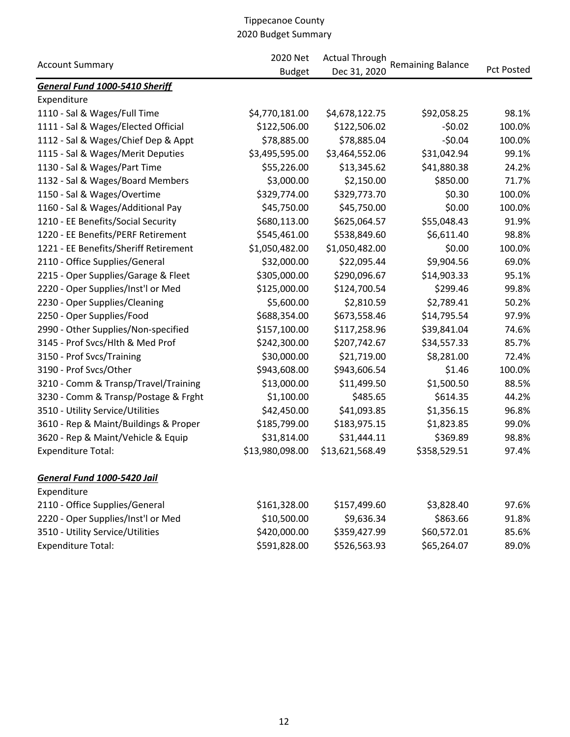| <b>Account Summary</b>                | 2020 Net        | <b>Actual Through</b> | <b>Remaining Balance</b> |                   |  |
|---------------------------------------|-----------------|-----------------------|--------------------------|-------------------|--|
|                                       | <b>Budget</b>   | Dec 31, 2020          |                          | <b>Pct Posted</b> |  |
| <b>General Fund 1000-5410 Sheriff</b> |                 |                       |                          |                   |  |
| Expenditure                           |                 |                       |                          |                   |  |
| 1110 - Sal & Wages/Full Time          | \$4,770,181.00  | \$4,678,122.75        | \$92,058.25              | 98.1%             |  |
| 1111 - Sal & Wages/Elected Official   | \$122,506.00    | \$122,506.02          | $-50.02$                 | 100.0%            |  |
| 1112 - Sal & Wages/Chief Dep & Appt   | \$78,885.00     | \$78,885.04           | $-50.04$                 | 100.0%            |  |
| 1115 - Sal & Wages/Merit Deputies     | \$3,495,595.00  | \$3,464,552.06        | \$31,042.94              | 99.1%             |  |
| 1130 - Sal & Wages/Part Time          | \$55,226.00     | \$13,345.62           | \$41,880.38              | 24.2%             |  |
| 1132 - Sal & Wages/Board Members      | \$3,000.00      | \$2,150.00            | \$850.00                 | 71.7%             |  |
| 1150 - Sal & Wages/Overtime           | \$329,774.00    | \$329,773.70          | \$0.30                   | 100.0%            |  |
| 1160 - Sal & Wages/Additional Pay     | \$45,750.00     | \$45,750.00           | \$0.00                   | 100.0%            |  |
| 1210 - EE Benefits/Social Security    | \$680,113.00    | \$625,064.57          | \$55,048.43              | 91.9%             |  |
| 1220 - EE Benefits/PERF Retirement    | \$545,461.00    | \$538,849.60          | \$6,611.40               | 98.8%             |  |
| 1221 - EE Benefits/Sheriff Retirement | \$1,050,482.00  | \$1,050,482.00        | \$0.00                   | 100.0%            |  |
| 2110 - Office Supplies/General        | \$32,000.00     | \$22,095.44           | \$9,904.56               | 69.0%             |  |
| 2215 - Oper Supplies/Garage & Fleet   | \$305,000.00    | \$290,096.67          | \$14,903.33              | 95.1%             |  |
| 2220 - Oper Supplies/Inst'l or Med    | \$125,000.00    | \$124,700.54          | \$299.46                 | 99.8%             |  |
| 2230 - Oper Supplies/Cleaning         | \$5,600.00      | \$2,810.59            | \$2,789.41               | 50.2%             |  |
| 2250 - Oper Supplies/Food             | \$688,354.00    | \$673,558.46          | \$14,795.54              | 97.9%             |  |
| 2990 - Other Supplies/Non-specified   | \$157,100.00    | \$117,258.96          | \$39,841.04              | 74.6%             |  |
| 3145 - Prof Svcs/Hlth & Med Prof      | \$242,300.00    | \$207,742.67          | \$34,557.33              | 85.7%             |  |
| 3150 - Prof Svcs/Training             | \$30,000.00     | \$21,719.00           | \$8,281.00               | 72.4%             |  |
| 3190 - Prof Svcs/Other                | \$943,608.00    | \$943,606.54          | \$1.46                   | 100.0%            |  |
| 3210 - Comm & Transp/Travel/Training  | \$13,000.00     | \$11,499.50           | \$1,500.50               | 88.5%             |  |
| 3230 - Comm & Transp/Postage & Frght  | \$1,100.00      | \$485.65              | \$614.35                 | 44.2%             |  |
| 3510 - Utility Service/Utilities      | \$42,450.00     | \$41,093.85           | \$1,356.15               | 96.8%             |  |
| 3610 - Rep & Maint/Buildings & Proper | \$185,799.00    | \$183,975.15          | \$1,823.85               | 99.0%             |  |
| 3620 - Rep & Maint/Vehicle & Equip    | \$31,814.00     | \$31,444.11           | \$369.89                 | 98.8%             |  |
| <b>Expenditure Total:</b>             | \$13,980,098.00 | \$13,621,568.49       | \$358,529.51             | 97.4%             |  |
| General Fund 1000-5420 Jail           |                 |                       |                          |                   |  |
| Expenditure                           |                 |                       |                          |                   |  |
| 2110 - Office Supplies/General        | \$161,328.00    | \$157,499.60          | \$3,828.40               | 97.6%             |  |
| 2220 - Oper Supplies/Inst'l or Med    | \$10,500.00     | \$9,636.34            | \$863.66                 | 91.8%             |  |
| 3510 - Utility Service/Utilities      | \$420,000.00    | \$359,427.99          | \$60,572.01              | 85.6%             |  |
| <b>Expenditure Total:</b>             | \$591,828.00    | \$526,563.93          | \$65,264.07              | 89.0%             |  |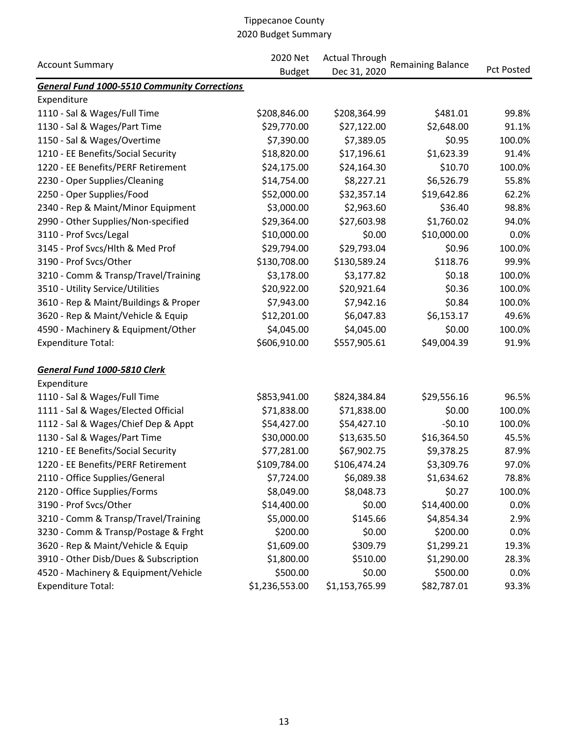|                                                     | 2020 Net<br><b>Actual Through</b> |                |                          |                   |
|-----------------------------------------------------|-----------------------------------|----------------|--------------------------|-------------------|
| <b>Account Summary</b>                              | <b>Budget</b>                     | Dec 31, 2020   | <b>Remaining Balance</b> | <b>Pct Posted</b> |
| <b>General Fund 1000-5510 Community Corrections</b> |                                   |                |                          |                   |
| Expenditure                                         |                                   |                |                          |                   |
| 1110 - Sal & Wages/Full Time                        | \$208,846.00                      | \$208,364.99   | \$481.01                 | 99.8%             |
| 1130 - Sal & Wages/Part Time                        | \$29,770.00                       | \$27,122.00    | \$2,648.00               | 91.1%             |
| 1150 - Sal & Wages/Overtime                         | \$7,390.00                        | \$7,389.05     | \$0.95                   | 100.0%            |
| 1210 - EE Benefits/Social Security                  | \$18,820.00                       | \$17,196.61    | \$1,623.39               | 91.4%             |
| 1220 - EE Benefits/PERF Retirement                  | \$24,175.00                       | \$24,164.30    | \$10.70                  | 100.0%            |
| 2230 - Oper Supplies/Cleaning                       | \$14,754.00                       | \$8,227.21     | \$6,526.79               | 55.8%             |
| 2250 - Oper Supplies/Food                           | \$52,000.00                       | \$32,357.14    | \$19,642.86              | 62.2%             |
| 2340 - Rep & Maint/Minor Equipment                  | \$3,000.00                        | \$2,963.60     | \$36.40                  | 98.8%             |
| 2990 - Other Supplies/Non-specified                 | \$29,364.00                       | \$27,603.98    | \$1,760.02               | 94.0%             |
| 3110 - Prof Svcs/Legal                              | \$10,000.00                       | \$0.00         | \$10,000.00              | 0.0%              |
| 3145 - Prof Svcs/Hlth & Med Prof                    | \$29,794.00                       | \$29,793.04    | \$0.96                   | 100.0%            |
| 3190 - Prof Svcs/Other                              | \$130,708.00                      | \$130,589.24   | \$118.76                 | 99.9%             |
| 3210 - Comm & Transp/Travel/Training                | \$3,178.00                        | \$3,177.82     | \$0.18                   | 100.0%            |
| 3510 - Utility Service/Utilities                    | \$20,922.00                       | \$20,921.64    | \$0.36                   | 100.0%            |
| 3610 - Rep & Maint/Buildings & Proper               | \$7,943.00                        | \$7,942.16     | \$0.84                   | 100.0%            |
| 3620 - Rep & Maint/Vehicle & Equip                  | \$12,201.00                       | \$6,047.83     | \$6,153.17               | 49.6%             |
| 4590 - Machinery & Equipment/Other                  | \$4,045.00                        | \$4,045.00     | \$0.00                   | 100.0%            |
| <b>Expenditure Total:</b>                           | \$606,910.00                      | \$557,905.61   | \$49,004.39              | 91.9%             |
| General Fund 1000-5810 Clerk                        |                                   |                |                          |                   |
| Expenditure                                         |                                   |                |                          |                   |
| 1110 - Sal & Wages/Full Time                        | \$853,941.00                      | \$824,384.84   | \$29,556.16              | 96.5%             |
| 1111 - Sal & Wages/Elected Official                 | \$71,838.00                       | \$71,838.00    | \$0.00                   | 100.0%            |
| 1112 - Sal & Wages/Chief Dep & Appt                 | \$54,427.00                       | \$54,427.10    | $-50.10$                 | 100.0%            |
| 1130 - Sal & Wages/Part Time                        | \$30,000.00                       | \$13,635.50    | \$16,364.50              | 45.5%             |
| 1210 - EE Benefits/Social Security                  | \$77,281.00                       | \$67,902.75    | \$9,378.25               | 87.9%             |
| 1220 - EE Benefits/PERF Retirement                  | \$109,784.00                      | \$106,474.24   | \$3,309.76               | 97.0%             |
| 2110 - Office Supplies/General                      | \$7,724.00                        | \$6,089.38     | \$1,634.62               | 78.8%             |
| 2120 - Office Supplies/Forms                        | \$8,049.00                        | \$8,048.73     | \$0.27                   | 100.0%            |
| 3190 - Prof Svcs/Other                              | \$14,400.00                       | \$0.00         | \$14,400.00              | 0.0%              |
| 3210 - Comm & Transp/Travel/Training                | \$5,000.00                        | \$145.66       | \$4,854.34               | 2.9%              |
| 3230 - Comm & Transp/Postage & Frght                | \$200.00                          | \$0.00         | \$200.00                 | 0.0%              |
| 3620 - Rep & Maint/Vehicle & Equip                  | \$1,609.00                        | \$309.79       | \$1,299.21               | 19.3%             |
| 3910 - Other Disb/Dues & Subscription               | \$1,800.00                        | \$510.00       | \$1,290.00               | 28.3%             |
| 4520 - Machinery & Equipment/Vehicle                | \$500.00                          | \$0.00         | \$500.00                 | 0.0%              |
| <b>Expenditure Total:</b>                           | \$1,236,553.00                    | \$1,153,765.99 | \$82,787.01              | 93.3%             |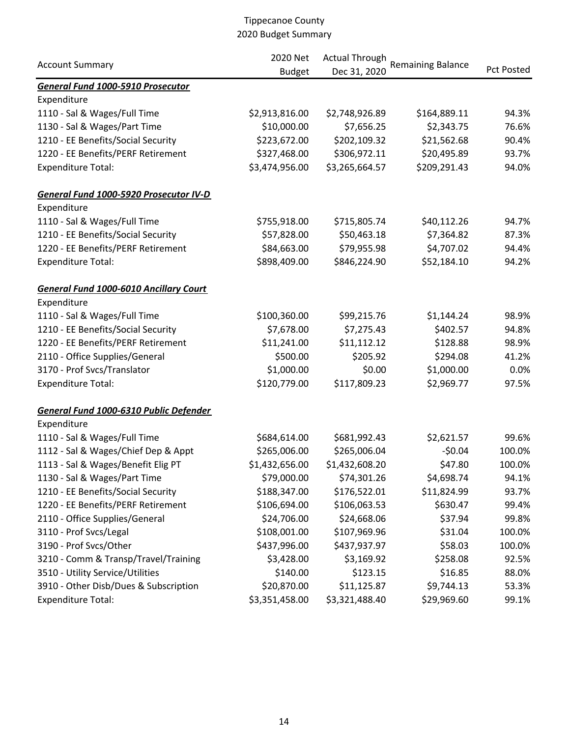|                                               | 2020 Net<br><b>Actual Through</b> |                | <b>Remaining Balance</b> |                   |
|-----------------------------------------------|-----------------------------------|----------------|--------------------------|-------------------|
| <b>Account Summary</b>                        | <b>Budget</b>                     | Dec 31, 2020   |                          | <b>Pct Posted</b> |
| General Fund 1000-5910 Prosecutor             |                                   |                |                          |                   |
| Expenditure                                   |                                   |                |                          |                   |
| 1110 - Sal & Wages/Full Time                  | \$2,913,816.00                    | \$2,748,926.89 | \$164,889.11             | 94.3%             |
| 1130 - Sal & Wages/Part Time                  | \$10,000.00                       | \$7,656.25     | \$2,343.75               | 76.6%             |
| 1210 - EE Benefits/Social Security            | \$223,672.00                      | \$202,109.32   | \$21,562.68              | 90.4%             |
| 1220 - EE Benefits/PERF Retirement            | \$327,468.00                      | \$306,972.11   | \$20,495.89              | 93.7%             |
| <b>Expenditure Total:</b>                     | \$3,474,956.00                    | \$3,265,664.57 | \$209,291.43             | 94.0%             |
| General Fund 1000-5920 Prosecutor IV-D        |                                   |                |                          |                   |
| Expenditure                                   |                                   |                |                          |                   |
| 1110 - Sal & Wages/Full Time                  | \$755,918.00                      | \$715,805.74   | \$40,112.26              | 94.7%             |
| 1210 - EE Benefits/Social Security            | \$57,828.00                       | \$50,463.18    | \$7,364.82               | 87.3%             |
| 1220 - EE Benefits/PERF Retirement            | \$84,663.00                       | \$79,955.98    | \$4,707.02               | 94.4%             |
| <b>Expenditure Total:</b>                     | \$898,409.00                      | \$846,224.90   | \$52,184.10              | 94.2%             |
| <b>General Fund 1000-6010 Ancillary Court</b> |                                   |                |                          |                   |
| Expenditure                                   |                                   |                |                          |                   |
| 1110 - Sal & Wages/Full Time                  | \$100,360.00                      | \$99,215.76    | \$1,144.24               | 98.9%             |
| 1210 - EE Benefits/Social Security            | \$7,678.00                        | \$7,275.43     | \$402.57                 | 94.8%             |
| 1220 - EE Benefits/PERF Retirement            | \$11,241.00                       | \$11,112.12    | \$128.88                 | 98.9%             |
| 2110 - Office Supplies/General                | \$500.00                          | \$205.92       | \$294.08                 | 41.2%             |
| 3170 - Prof Svcs/Translator                   | \$1,000.00                        | \$0.00         | \$1,000.00               | 0.0%              |
| <b>Expenditure Total:</b>                     | \$120,779.00                      | \$117,809.23   | \$2,969.77               | 97.5%             |
| General Fund 1000-6310 Public Defender        |                                   |                |                          |                   |
| Expenditure                                   |                                   |                |                          |                   |
| 1110 - Sal & Wages/Full Time                  | \$684,614.00                      | \$681,992.43   | \$2,621.57               | 99.6%             |
| 1112 - Sal & Wages/Chief Dep & Appt           | \$265,006.00                      | \$265,006.04   | $-50.04$                 | 100.0%            |
| 1113 - Sal & Wages/Benefit Elig PT            | \$1,432,656.00                    | \$1,432,608.20 | \$47.80                  | 100.0%            |
| 1130 - Sal & Wages/Part Time                  | \$79,000.00                       | \$74,301.26    | \$4,698.74               | 94.1%             |
| 1210 - EE Benefits/Social Security            | \$188,347.00                      | \$176,522.01   | \$11,824.99              | 93.7%             |
| 1220 - EE Benefits/PERF Retirement            | \$106,694.00                      | \$106,063.53   | \$630.47                 | 99.4%             |
| 2110 - Office Supplies/General                | \$24,706.00                       | \$24,668.06    | \$37.94                  | 99.8%             |
| 3110 - Prof Svcs/Legal                        | \$108,001.00                      | \$107,969.96   | \$31.04                  | 100.0%            |
| 3190 - Prof Svcs/Other                        | \$437,996.00                      | \$437,937.97   | \$58.03                  | 100.0%            |
| 3210 - Comm & Transp/Travel/Training          | \$3,428.00                        | \$3,169.92     | \$258.08                 | 92.5%             |
| 3510 - Utility Service/Utilities              | \$140.00                          | \$123.15       | \$16.85                  | 88.0%             |
| 3910 - Other Disb/Dues & Subscription         | \$20,870.00                       | \$11,125.87    | \$9,744.13               | 53.3%             |
| <b>Expenditure Total:</b>                     | \$3,351,458.00                    | \$3,321,488.40 | \$29,969.60              | 99.1%             |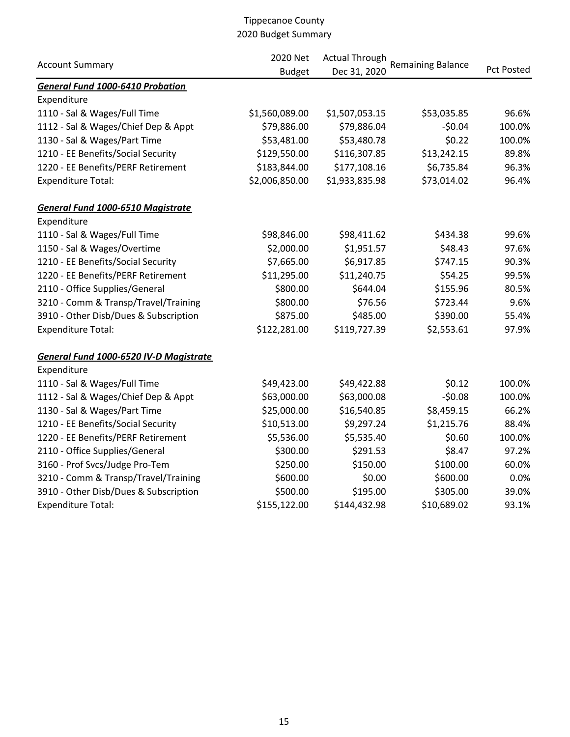|                                          | 2020 Net       | <b>Actual Through</b> |                          |                   |  |
|------------------------------------------|----------------|-----------------------|--------------------------|-------------------|--|
| <b>Account Summary</b>                   | <b>Budget</b>  | Dec 31, 2020          | <b>Remaining Balance</b> | <b>Pct Posted</b> |  |
| <b>General Fund 1000-6410 Probation</b>  |                |                       |                          |                   |  |
| Expenditure                              |                |                       |                          |                   |  |
| 1110 - Sal & Wages/Full Time             | \$1,560,089.00 | \$1,507,053.15        | \$53,035.85              | 96.6%             |  |
| 1112 - Sal & Wages/Chief Dep & Appt      | \$79,886.00    | \$79,886.04           | $-50.04$                 | 100.0%            |  |
| 1130 - Sal & Wages/Part Time             | \$53,481.00    | \$53,480.78           | \$0.22                   | 100.0%            |  |
| 1210 - EE Benefits/Social Security       | \$129,550.00   | \$116,307.85          | \$13,242.15              | 89.8%             |  |
| 1220 - EE Benefits/PERF Retirement       | \$183,844.00   | \$177,108.16          | \$6,735.84               | 96.3%             |  |
| <b>Expenditure Total:</b>                | \$2,006,850.00 | \$1,933,835.98        | \$73,014.02              | 96.4%             |  |
| <b>General Fund 1000-6510 Magistrate</b> |                |                       |                          |                   |  |
| Expenditure                              |                |                       |                          |                   |  |
| 1110 - Sal & Wages/Full Time             | \$98,846.00    | \$98,411.62           | \$434.38                 | 99.6%             |  |
| 1150 - Sal & Wages/Overtime              | \$2,000.00     | \$1,951.57            | \$48.43                  | 97.6%             |  |
| 1210 - EE Benefits/Social Security       | \$7,665.00     | \$6,917.85            | \$747.15                 | 90.3%             |  |
| 1220 - EE Benefits/PERF Retirement       | \$11,295.00    | \$11,240.75           | \$54.25                  | 99.5%             |  |
| 2110 - Office Supplies/General           | \$800.00       | \$644.04              | \$155.96                 | 80.5%             |  |
| 3210 - Comm & Transp/Travel/Training     | \$800.00       | \$76.56               | \$723.44                 | 9.6%              |  |
| 3910 - Other Disb/Dues & Subscription    | \$875.00       | \$485.00              | \$390.00                 | 55.4%             |  |
| <b>Expenditure Total:</b>                | \$122,281.00   | \$119,727.39          | \$2,553.61               | 97.9%             |  |
| General Fund 1000-6520 IV-D Magistrate   |                |                       |                          |                   |  |
| Expenditure                              |                |                       |                          |                   |  |
| 1110 - Sal & Wages/Full Time             | \$49,423.00    | \$49,422.88           | \$0.12                   | 100.0%            |  |
| 1112 - Sal & Wages/Chief Dep & Appt      | \$63,000.00    | \$63,000.08           | $-50.08$                 | 100.0%            |  |
| 1130 - Sal & Wages/Part Time             | \$25,000.00    | \$16,540.85           | \$8,459.15               | 66.2%             |  |
| 1210 - EE Benefits/Social Security       | \$10,513.00    | \$9,297.24            | \$1,215.76               | 88.4%             |  |
| 1220 - EE Benefits/PERF Retirement       | \$5,536.00     | \$5,535.40            | \$0.60                   | 100.0%            |  |
| 2110 - Office Supplies/General           | \$300.00       | \$291.53              | \$8.47                   | 97.2%             |  |
| 3160 - Prof Svcs/Judge Pro-Tem           | \$250.00       | \$150.00              | \$100.00                 | 60.0%             |  |
| 3210 - Comm & Transp/Travel/Training     | \$600.00       | \$0.00                | \$600.00                 | 0.0%              |  |
| 3910 - Other Disb/Dues & Subscription    | \$500.00       | \$195.00              | \$305.00                 | 39.0%             |  |
| <b>Expenditure Total:</b>                | \$155,122.00   | \$144,432.98          | \$10,689.02              | 93.1%             |  |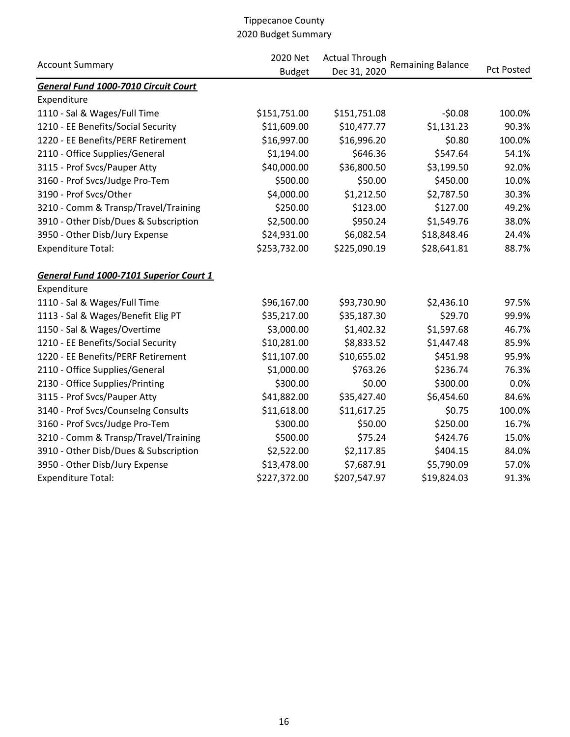|                                         | 2020 Net      | <b>Actual Through</b> |                          |                   |  |
|-----------------------------------------|---------------|-----------------------|--------------------------|-------------------|--|
| <b>Account Summary</b>                  | <b>Budget</b> | Dec 31, 2020          | <b>Remaining Balance</b> | <b>Pct Posted</b> |  |
| General Fund 1000-7010 Circuit Court    |               |                       |                          |                   |  |
| Expenditure                             |               |                       |                          |                   |  |
| 1110 - Sal & Wages/Full Time            | \$151,751.00  | \$151,751.08          | $-50.08$                 | 100.0%            |  |
| 1210 - EE Benefits/Social Security      | \$11,609.00   | \$10,477.77           | \$1,131.23               | 90.3%             |  |
| 1220 - EE Benefits/PERF Retirement      | \$16,997.00   | \$16,996.20           | \$0.80                   | 100.0%            |  |
| 2110 - Office Supplies/General          | \$1,194.00    | \$646.36              | \$547.64                 | 54.1%             |  |
| 3115 - Prof Svcs/Pauper Atty            | \$40,000.00   | \$36,800.50           | \$3,199.50               | 92.0%             |  |
| 3160 - Prof Svcs/Judge Pro-Tem          | \$500.00      | \$50.00               | \$450.00                 | 10.0%             |  |
| 3190 - Prof Svcs/Other                  | \$4,000.00    | \$1,212.50            | \$2,787.50               | 30.3%             |  |
| 3210 - Comm & Transp/Travel/Training    | \$250.00      | \$123.00              | \$127.00                 | 49.2%             |  |
| 3910 - Other Disb/Dues & Subscription   | \$2,500.00    | \$950.24              | \$1,549.76               | 38.0%             |  |
| 3950 - Other Disb/Jury Expense          | \$24,931.00   | \$6,082.54            | \$18,848.46              | 24.4%             |  |
| <b>Expenditure Total:</b>               | \$253,732.00  | \$225,090.19          | \$28,641.81              | 88.7%             |  |
| General Fund 1000-7101 Superior Court 1 |               |                       |                          |                   |  |
| Expenditure                             |               |                       |                          |                   |  |
| 1110 - Sal & Wages/Full Time            | \$96,167.00   | \$93,730.90           | \$2,436.10               | 97.5%             |  |
| 1113 - Sal & Wages/Benefit Elig PT      | \$35,217.00   | \$35,187.30           | \$29.70                  | 99.9%             |  |
| 1150 - Sal & Wages/Overtime             | \$3,000.00    | \$1,402.32            | \$1,597.68               | 46.7%             |  |
| 1210 - EE Benefits/Social Security      | \$10,281.00   | \$8,833.52            | \$1,447.48               | 85.9%             |  |
| 1220 - EE Benefits/PERF Retirement      | \$11,107.00   | \$10,655.02           | \$451.98                 | 95.9%             |  |
| 2110 - Office Supplies/General          | \$1,000.00    | \$763.26              | \$236.74                 | 76.3%             |  |
| 2130 - Office Supplies/Printing         | \$300.00      | \$0.00                | \$300.00                 | 0.0%              |  |
| 3115 - Prof Svcs/Pauper Atty            | \$41,882.00   | \$35,427.40           | \$6,454.60               | 84.6%             |  |
| 3140 - Prof Svcs/Counselng Consults     | \$11,618.00   | \$11,617.25           | \$0.75                   | 100.0%            |  |
| 3160 - Prof Svcs/Judge Pro-Tem          | \$300.00      | \$50.00               | \$250.00                 | 16.7%             |  |
| 3210 - Comm & Transp/Travel/Training    | \$500.00      | \$75.24               | \$424.76                 | 15.0%             |  |
| 3910 - Other Disb/Dues & Subscription   | \$2,522.00    | \$2,117.85            | \$404.15                 | 84.0%             |  |
| 3950 - Other Disb/Jury Expense          | \$13,478.00   | \$7,687.91            | \$5,790.09               | 57.0%             |  |
| <b>Expenditure Total:</b>               | \$227,372.00  | \$207,547.97          | \$19,824.03              | 91.3%             |  |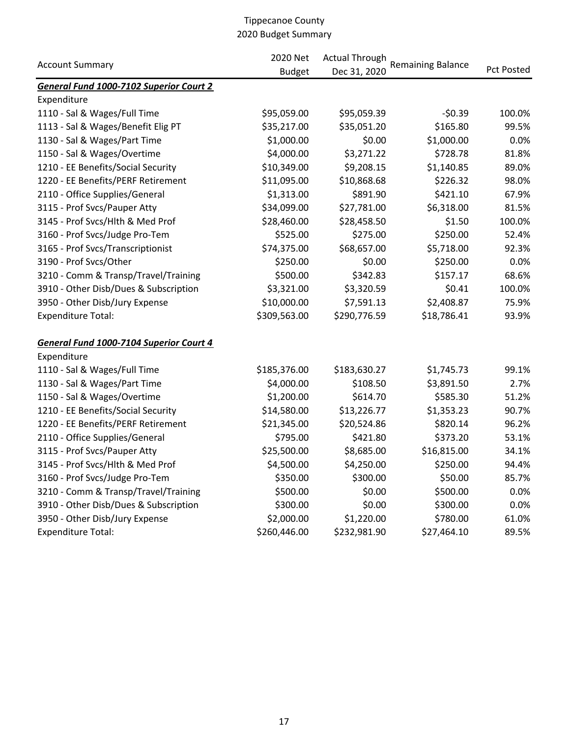|                                         | 2020 Net      |              | <b>Actual Through</b>    |            |
|-----------------------------------------|---------------|--------------|--------------------------|------------|
| <b>Account Summary</b>                  | <b>Budget</b> | Dec 31, 2020 | <b>Remaining Balance</b> | Pct Posted |
| General Fund 1000-7102 Superior Court 2 |               |              |                          |            |
| Expenditure                             |               |              |                          |            |
| 1110 - Sal & Wages/Full Time            | \$95,059.00   | \$95,059.39  | $-50.39$                 | 100.0%     |
| 1113 - Sal & Wages/Benefit Elig PT      | \$35,217.00   | \$35,051.20  | \$165.80                 | 99.5%      |
| 1130 - Sal & Wages/Part Time            | \$1,000.00    | \$0.00       | \$1,000.00               | 0.0%       |
| 1150 - Sal & Wages/Overtime             | \$4,000.00    | \$3,271.22   | \$728.78                 | 81.8%      |
| 1210 - EE Benefits/Social Security      | \$10,349.00   | \$9,208.15   | \$1,140.85               | 89.0%      |
| 1220 - EE Benefits/PERF Retirement      | \$11,095.00   | \$10,868.68  | \$226.32                 | 98.0%      |
| 2110 - Office Supplies/General          | \$1,313.00    | \$891.90     | \$421.10                 | 67.9%      |
| 3115 - Prof Svcs/Pauper Atty            | \$34,099.00   | \$27,781.00  | \$6,318.00               | 81.5%      |
| 3145 - Prof Svcs/Hlth & Med Prof        | \$28,460.00   | \$28,458.50  | \$1.50                   | 100.0%     |
| 3160 - Prof Svcs/Judge Pro-Tem          | \$525.00      | \$275.00     | \$250.00                 | 52.4%      |
| 3165 - Prof Svcs/Transcriptionist       | \$74,375.00   | \$68,657.00  | \$5,718.00               | 92.3%      |
| 3190 - Prof Svcs/Other                  | \$250.00      | \$0.00       | \$250.00                 | 0.0%       |
| 3210 - Comm & Transp/Travel/Training    | \$500.00      | \$342.83     | \$157.17                 | 68.6%      |
| 3910 - Other Disb/Dues & Subscription   | \$3,321.00    | \$3,320.59   | \$0.41                   | 100.0%     |
| 3950 - Other Disb/Jury Expense          | \$10,000.00   | \$7,591.13   | \$2,408.87               | 75.9%      |
| <b>Expenditure Total:</b>               | \$309,563.00  | \$290,776.59 | \$18,786.41              | 93.9%      |
| General Fund 1000-7104 Superior Court 4 |               |              |                          |            |
| Expenditure                             |               |              |                          |            |
| 1110 - Sal & Wages/Full Time            | \$185,376.00  | \$183,630.27 | \$1,745.73               | 99.1%      |
| 1130 - Sal & Wages/Part Time            | \$4,000.00    | \$108.50     | \$3,891.50               | 2.7%       |
| 1150 - Sal & Wages/Overtime             | \$1,200.00    | \$614.70     | \$585.30                 | 51.2%      |
| 1210 - EE Benefits/Social Security      | \$14,580.00   | \$13,226.77  | \$1,353.23               | 90.7%      |
| 1220 - EE Benefits/PERF Retirement      | \$21,345.00   | \$20,524.86  | \$820.14                 | 96.2%      |
| 2110 - Office Supplies/General          | \$795.00      | \$421.80     | \$373.20                 | 53.1%      |
| 3115 - Prof Svcs/Pauper Atty            | \$25,500.00   | \$8,685.00   | \$16,815.00              | 34.1%      |
| 3145 - Prof Svcs/Hlth & Med Prof        | \$4,500.00    | \$4,250.00   | \$250.00                 | 94.4%      |
| 3160 - Prof Svcs/Judge Pro-Tem          | \$350.00      | \$300.00     | \$50.00                  | 85.7%      |
| 3210 - Comm & Transp/Travel/Training    | \$500.00      | \$0.00       | \$500.00                 | 0.0%       |
| 3910 - Other Disb/Dues & Subscription   | \$300.00      | \$0.00       | \$300.00                 | 0.0%       |
| 3950 - Other Disb/Jury Expense          | \$2,000.00    | \$1,220.00   | \$780.00                 | 61.0%      |
| <b>Expenditure Total:</b>               | \$260,446.00  | \$232,981.90 | \$27,464.10              | 89.5%      |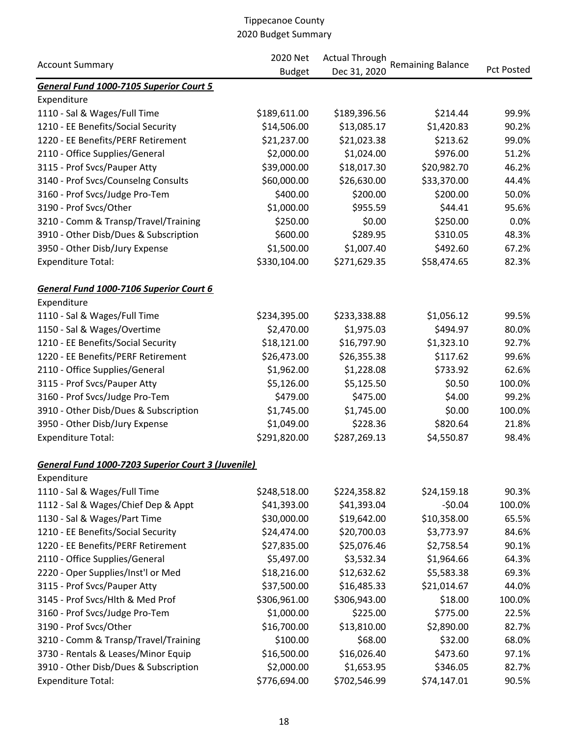| <b>Account Summary</b>                                    | 2020 Net      | <b>Actual Through</b> | <b>Remaining Balance</b> |                   |
|-----------------------------------------------------------|---------------|-----------------------|--------------------------|-------------------|
|                                                           | <b>Budget</b> | Dec 31, 2020          |                          | <b>Pct Posted</b> |
| General Fund 1000-7105 Superior Court 5                   |               |                       |                          |                   |
| Expenditure                                               |               |                       |                          |                   |
| 1110 - Sal & Wages/Full Time                              | \$189,611.00  | \$189,396.56          | \$214.44                 | 99.9%             |
| 1210 - EE Benefits/Social Security                        | \$14,506.00   | \$13,085.17           | \$1,420.83               | 90.2%             |
| 1220 - EE Benefits/PERF Retirement                        | \$21,237.00   | \$21,023.38           | \$213.62                 | 99.0%             |
| 2110 - Office Supplies/General                            | \$2,000.00    | \$1,024.00            | \$976.00                 | 51.2%             |
| 3115 - Prof Svcs/Pauper Atty                              | \$39,000.00   | \$18,017.30           | \$20,982.70              | 46.2%             |
| 3140 - Prof Svcs/Counselng Consults                       | \$60,000.00   | \$26,630.00           | \$33,370.00              | 44.4%             |
| 3160 - Prof Svcs/Judge Pro-Tem                            | \$400.00      | \$200.00              | \$200.00                 | 50.0%             |
| 3190 - Prof Svcs/Other                                    | \$1,000.00    | \$955.59              | \$44.41                  | 95.6%             |
| 3210 - Comm & Transp/Travel/Training                      | \$250.00      | \$0.00                | \$250.00                 | 0.0%              |
| 3910 - Other Disb/Dues & Subscription                     | \$600.00      | \$289.95              | \$310.05                 | 48.3%             |
| 3950 - Other Disb/Jury Expense                            | \$1,500.00    | \$1,007.40            | \$492.60                 | 67.2%             |
| <b>Expenditure Total:</b>                                 | \$330,104.00  | \$271,629.35          | \$58,474.65              | 82.3%             |
| General Fund 1000-7106 Superior Court 6                   |               |                       |                          |                   |
| Expenditure                                               |               |                       |                          |                   |
| 1110 - Sal & Wages/Full Time                              | \$234,395.00  | \$233,338.88          | \$1,056.12               | 99.5%             |
| 1150 - Sal & Wages/Overtime                               | \$2,470.00    | \$1,975.03            | \$494.97                 | 80.0%             |
| 1210 - EE Benefits/Social Security                        | \$18,121.00   | \$16,797.90           | \$1,323.10               | 92.7%             |
| 1220 - EE Benefits/PERF Retirement                        | \$26,473.00   | \$26,355.38           | \$117.62                 | 99.6%             |
| 2110 - Office Supplies/General                            | \$1,962.00    | \$1,228.08            | \$733.92                 | 62.6%             |
| 3115 - Prof Svcs/Pauper Atty                              | \$5,126.00    | \$5,125.50            | \$0.50                   | 100.0%            |
| 3160 - Prof Svcs/Judge Pro-Tem                            | \$479.00      | \$475.00              | \$4.00                   | 99.2%             |
| 3910 - Other Disb/Dues & Subscription                     | \$1,745.00    | \$1,745.00            | \$0.00                   | 100.0%            |
| 3950 - Other Disb/Jury Expense                            | \$1,049.00    | \$228.36              | \$820.64                 | 21.8%             |
| <b>Expenditure Total:</b>                                 | \$291,820.00  | \$287,269.13          | \$4,550.87               | 98.4%             |
| <b>General Fund 1000-7203 Superior Court 3 (Juvenile)</b> |               |                       |                          |                   |
| Expenditure                                               |               |                       |                          |                   |
| 1110 - Sal & Wages/Full Time                              | \$248,518.00  | \$224,358.82          | \$24,159.18              | 90.3%             |
| 1112 - Sal & Wages/Chief Dep & Appt                       | \$41,393.00   | \$41,393.04           | $-50.04$                 | 100.0%            |
| 1130 - Sal & Wages/Part Time                              | \$30,000.00   | \$19,642.00           | \$10,358.00              | 65.5%             |
| 1210 - EE Benefits/Social Security                        | \$24,474.00   | \$20,700.03           | \$3,773.97               | 84.6%             |
| 1220 - EE Benefits/PERF Retirement                        | \$27,835.00   | \$25,076.46           | \$2,758.54               | 90.1%             |
| 2110 - Office Supplies/General                            | \$5,497.00    | \$3,532.34            | \$1,964.66               | 64.3%             |
| 2220 - Oper Supplies/Inst'l or Med                        | \$18,216.00   | \$12,632.62           | \$5,583.38               | 69.3%             |
| 3115 - Prof Svcs/Pauper Atty                              | \$37,500.00   | \$16,485.33           | \$21,014.67              | 44.0%             |
| 3145 - Prof Svcs/Hlth & Med Prof                          | \$306,961.00  | \$306,943.00          | \$18.00                  | 100.0%            |
| 3160 - Prof Svcs/Judge Pro-Tem                            | \$1,000.00    | \$225.00              | \$775.00                 | 22.5%             |
| 3190 - Prof Svcs/Other                                    | \$16,700.00   | \$13,810.00           | \$2,890.00               | 82.7%             |
| 3210 - Comm & Transp/Travel/Training                      | \$100.00      | \$68.00               | \$32.00                  | 68.0%             |
| 3730 - Rentals & Leases/Minor Equip                       | \$16,500.00   | \$16,026.40           | \$473.60                 | 97.1%             |
| 3910 - Other Disb/Dues & Subscription                     | \$2,000.00    | \$1,653.95            | \$346.05                 | 82.7%             |
| <b>Expenditure Total:</b>                                 | \$776,694.00  | \$702,546.99          | \$74,147.01              | 90.5%             |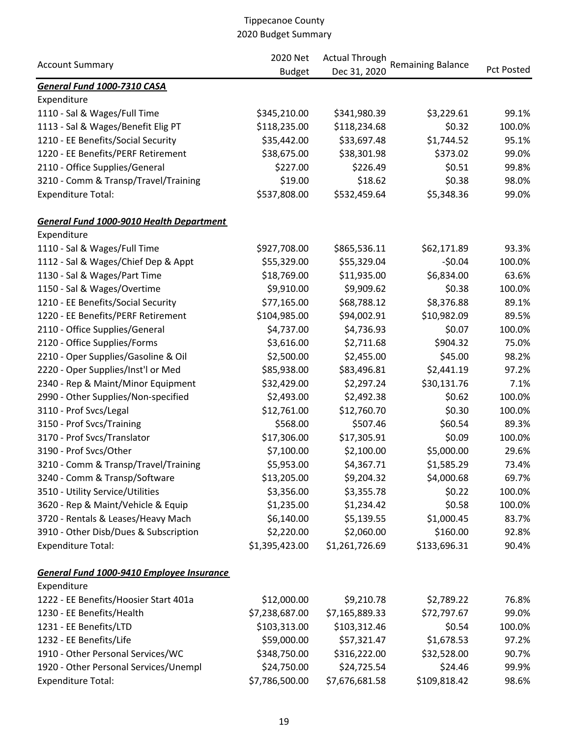|                                                 | 2020 Net       | <b>Actual Through</b> |                          |                   |
|-------------------------------------------------|----------------|-----------------------|--------------------------|-------------------|
| <b>Account Summary</b>                          | <b>Budget</b>  | Dec 31, 2020          | <b>Remaining Balance</b> | <b>Pct Posted</b> |
| General Fund 1000-7310 CASA                     |                |                       |                          |                   |
| Expenditure                                     |                |                       |                          |                   |
| 1110 - Sal & Wages/Full Time                    | \$345,210.00   | \$341,980.39          | \$3,229.61               | 99.1%             |
| 1113 - Sal & Wages/Benefit Elig PT              | \$118,235.00   | \$118,234.68          | \$0.32                   | 100.0%            |
| 1210 - EE Benefits/Social Security              | \$35,442.00    | \$33,697.48           | \$1,744.52               | 95.1%             |
| 1220 - EE Benefits/PERF Retirement              | \$38,675.00    | \$38,301.98           | \$373.02                 | 99.0%             |
| 2110 - Office Supplies/General                  | \$227.00       | \$226.49              | \$0.51                   | 99.8%             |
| 3210 - Comm & Transp/Travel/Training            | \$19.00        | \$18.62               | \$0.38                   | 98.0%             |
| <b>Expenditure Total:</b>                       | \$537,808.00   | \$532,459.64          | \$5,348.36               | 99.0%             |
| <b>General Fund 1000-9010 Health Department</b> |                |                       |                          |                   |
| Expenditure                                     |                |                       |                          |                   |
| 1110 - Sal & Wages/Full Time                    | \$927,708.00   | \$865,536.11          | \$62,171.89              | 93.3%             |
| 1112 - Sal & Wages/Chief Dep & Appt             | \$55,329.00    | \$55,329.04           | $-50.04$                 | 100.0%            |
| 1130 - Sal & Wages/Part Time                    | \$18,769.00    | \$11,935.00           | \$6,834.00               | 63.6%             |
| 1150 - Sal & Wages/Overtime                     | \$9,910.00     | \$9,909.62            | \$0.38                   | 100.0%            |
| 1210 - EE Benefits/Social Security              | \$77,165.00    | \$68,788.12           | \$8,376.88               | 89.1%             |
| 1220 - EE Benefits/PERF Retirement              | \$104,985.00   | \$94,002.91           | \$10,982.09              | 89.5%             |
| 2110 - Office Supplies/General                  | \$4,737.00     | \$4,736.93            | \$0.07                   | 100.0%            |
| 2120 - Office Supplies/Forms                    | \$3,616.00     | \$2,711.68            | \$904.32                 | 75.0%             |
| 2210 - Oper Supplies/Gasoline & Oil             | \$2,500.00     | \$2,455.00            | \$45.00                  | 98.2%             |
| 2220 - Oper Supplies/Inst'l or Med              | \$85,938.00    | \$83,496.81           | \$2,441.19               | 97.2%             |
| 2340 - Rep & Maint/Minor Equipment              | \$32,429.00    | \$2,297.24            | \$30,131.76              | 7.1%              |
| 2990 - Other Supplies/Non-specified             | \$2,493.00     | \$2,492.38            | \$0.62                   | 100.0%            |
| 3110 - Prof Svcs/Legal                          | \$12,761.00    | \$12,760.70           | \$0.30                   | 100.0%            |
| 3150 - Prof Svcs/Training                       | \$568.00       | \$507.46              | \$60.54                  | 89.3%             |
| 3170 - Prof Svcs/Translator                     | \$17,306.00    | \$17,305.91           | \$0.09                   | 100.0%            |
| 3190 - Prof Svcs/Other                          | \$7,100.00     | \$2,100.00            | \$5,000.00               | 29.6%             |
| 3210 - Comm & Transp/Travel/Training            | \$5,953.00     | \$4,367.71            | \$1,585.29               | 73.4%             |
| 3240 - Comm & Transp/Software                   | \$13,205.00    | \$9,204.32            | \$4,000.68               | 69.7%             |
| 3510 - Utility Service/Utilities                | \$3,356.00     | \$3,355.78            | \$0.22                   | 100.0%            |
| 3620 - Rep & Maint/Vehicle & Equip              | \$1,235.00     | \$1,234.42            | \$0.58                   | 100.0%            |
| 3720 - Rentals & Leases/Heavy Mach              | \$6,140.00     | \$5,139.55            | \$1,000.45               | 83.7%             |
| 3910 - Other Disb/Dues & Subscription           | \$2,220.00     | \$2,060.00            | \$160.00                 | 92.8%             |
| <b>Expenditure Total:</b>                       | \$1,395,423.00 | \$1,261,726.69        | \$133,696.31             | 90.4%             |
| General Fund 1000-9410 Employee Insurance       |                |                       |                          |                   |
| Expenditure                                     |                |                       |                          |                   |
| 1222 - EE Benefits/Hoosier Start 401a           | \$12,000.00    | \$9,210.78            | \$2,789.22               | 76.8%             |
| 1230 - EE Benefits/Health                       | \$7,238,687.00 | \$7,165,889.33        | \$72,797.67              | 99.0%             |
| 1231 - EE Benefits/LTD                          | \$103,313.00   | \$103,312.46          | \$0.54                   | 100.0%            |
| 1232 - EE Benefits/Life                         | \$59,000.00    | \$57,321.47           | \$1,678.53               | 97.2%             |
| 1910 - Other Personal Services/WC               | \$348,750.00   | \$316,222.00          | \$32,528.00              | 90.7%             |
| 1920 - Other Personal Services/Unempl           | \$24,750.00    | \$24,725.54           | \$24.46                  | 99.9%             |
| <b>Expenditure Total:</b>                       | \$7,786,500.00 | \$7,676,681.58        | \$109,818.42             | 98.6%             |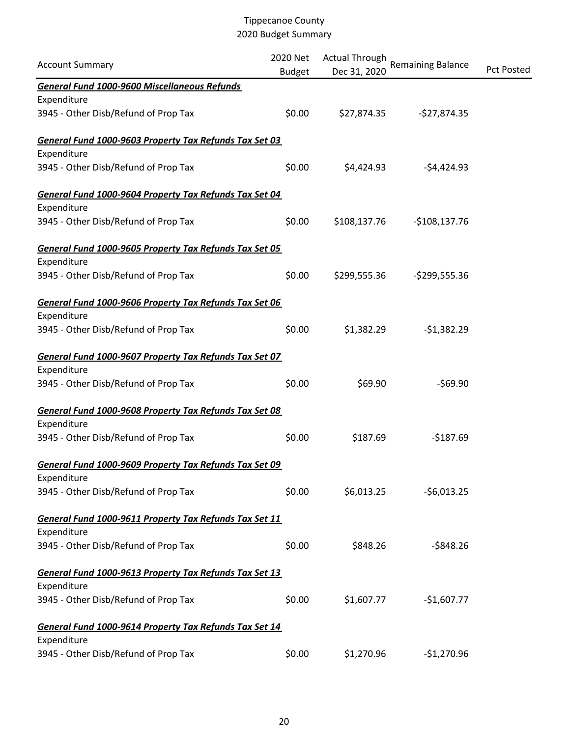| <b>Account Summary</b>                                 | 2020 Net<br><b>Budget</b> | <b>Actual Through</b><br>Dec 31, 2020 | Remaining Balance | <b>Pct Posted</b> |
|--------------------------------------------------------|---------------------------|---------------------------------------|-------------------|-------------------|
| <b>General Fund 1000-9600 Miscellaneous Refunds</b>    |                           |                                       |                   |                   |
| Expenditure                                            |                           |                                       |                   |                   |
| 3945 - Other Disb/Refund of Prop Tax                   | \$0.00                    | \$27,874.35                           | $-$27,874.35$     |                   |
| General Fund 1000-9603 Property Tax Refunds Tax Set 03 |                           |                                       |                   |                   |
| Expenditure                                            |                           |                                       |                   |                   |
| 3945 - Other Disb/Refund of Prop Tax                   | \$0.00                    | \$4,424.93                            | $-54,424.93$      |                   |
| General Fund 1000-9604 Property Tax Refunds Tax Set 04 |                           |                                       |                   |                   |
| Expenditure                                            |                           |                                       |                   |                   |
| 3945 - Other Disb/Refund of Prop Tax                   | \$0.00                    | \$108,137.76                          | $-$108,137.76$    |                   |
| General Fund 1000-9605 Property Tax Refunds Tax Set 05 |                           |                                       |                   |                   |
| Expenditure                                            |                           |                                       |                   |                   |
| 3945 - Other Disb/Refund of Prop Tax                   | \$0.00                    | \$299,555.36                          | $-$ \$299,555.36  |                   |
| General Fund 1000-9606 Property Tax Refunds Tax Set 06 |                           |                                       |                   |                   |
| Expenditure                                            |                           |                                       |                   |                   |
| 3945 - Other Disb/Refund of Prop Tax                   | \$0.00                    | \$1,382.29                            | $-$1,382.29$      |                   |
| General Fund 1000-9607 Property Tax Refunds Tax Set 07 |                           |                                       |                   |                   |
| Expenditure                                            |                           |                                       |                   |                   |
| 3945 - Other Disb/Refund of Prop Tax                   | \$0.00                    | \$69.90                               | $-569.90$         |                   |
| General Fund 1000-9608 Property Tax Refunds Tax Set 08 |                           |                                       |                   |                   |
| Expenditure                                            |                           |                                       |                   |                   |
| 3945 - Other Disb/Refund of Prop Tax                   | \$0.00                    | \$187.69                              | $-$187.69$        |                   |
| General Fund 1000-9609 Property Tax Refunds Tax Set 09 |                           |                                       |                   |                   |
| Expenditure                                            |                           |                                       |                   |                   |
| 3945 - Other Disb/Refund of Prop Tax                   | \$0.00                    | \$6,013.25                            | $-56,013.25$      |                   |
| General Fund 1000-9611 Property Tax Refunds Tax Set 11 |                           |                                       |                   |                   |
| Expenditure                                            |                           |                                       |                   |                   |
| 3945 - Other Disb/Refund of Prop Tax                   | \$0.00                    | \$848.26                              | $-$ \$848.26      |                   |
| General Fund 1000-9613 Property Tax Refunds Tax Set 13 |                           |                                       |                   |                   |
| Expenditure                                            |                           |                                       |                   |                   |
| 3945 - Other Disb/Refund of Prop Tax                   | \$0.00                    | \$1,607.77                            | $-$1,607.77$      |                   |
| General Fund 1000-9614 Property Tax Refunds Tax Set 14 |                           |                                       |                   |                   |
| Expenditure                                            |                           |                                       |                   |                   |
| 3945 - Other Disb/Refund of Prop Tax                   | \$0.00                    | \$1,270.96                            | $-$1,270.96$      |                   |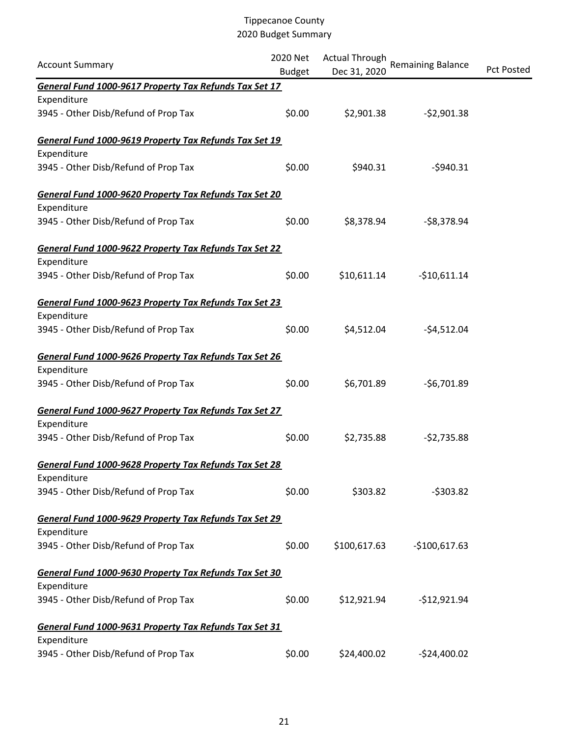| <b>Account Summary</b>                                 | 2020 Net<br><b>Budget</b> | <b>Actual Through</b><br>Dec 31, 2020 | Remaining Balance | <b>Pct Posted</b> |
|--------------------------------------------------------|---------------------------|---------------------------------------|-------------------|-------------------|
| General Fund 1000-9617 Property Tax Refunds Tax Set 17 |                           |                                       |                   |                   |
| Expenditure                                            |                           |                                       |                   |                   |
| 3945 - Other Disb/Refund of Prop Tax                   | \$0.00                    | \$2,901.38                            | $-52,901.38$      |                   |
| General Fund 1000-9619 Property Tax Refunds Tax Set 19 |                           |                                       |                   |                   |
| Expenditure                                            |                           |                                       |                   |                   |
| 3945 - Other Disb/Refund of Prop Tax                   | \$0.00                    | \$940.31                              | $-5940.31$        |                   |
| General Fund 1000-9620 Property Tax Refunds Tax Set 20 |                           |                                       |                   |                   |
| Expenditure                                            |                           |                                       |                   |                   |
| 3945 - Other Disb/Refund of Prop Tax                   | \$0.00                    | \$8,378.94                            | $-58,378.94$      |                   |
| General Fund 1000-9622 Property Tax Refunds Tax Set 22 |                           |                                       |                   |                   |
| Expenditure                                            |                           |                                       |                   |                   |
| 3945 - Other Disb/Refund of Prop Tax                   | \$0.00                    | \$10,611.14                           | $-$10,611.14$     |                   |
| General Fund 1000-9623 Property Tax Refunds Tax Set 23 |                           |                                       |                   |                   |
| Expenditure                                            |                           |                                       |                   |                   |
| 3945 - Other Disb/Refund of Prop Tax                   | \$0.00                    | \$4,512.04                            | $-54,512.04$      |                   |
| General Fund 1000-9626 Property Tax Refunds Tax Set 26 |                           |                                       |                   |                   |
| Expenditure                                            |                           |                                       |                   |                   |
| 3945 - Other Disb/Refund of Prop Tax                   | \$0.00                    | \$6,701.89                            | $-56,701.89$      |                   |
| General Fund 1000-9627 Property Tax Refunds Tax Set 27 |                           |                                       |                   |                   |
| Expenditure                                            |                           |                                       |                   |                   |
| 3945 - Other Disb/Refund of Prop Tax                   | \$0.00                    | \$2,735.88                            | $-52,735.88$      |                   |
| General Fund 1000-9628 Property Tax Refunds Tax Set 28 |                           |                                       |                   |                   |
| Expenditure                                            |                           |                                       |                   |                   |
| 3945 - Other Disb/Refund of Prop Tax                   | \$0.00                    | \$303.82                              | $-5303.82$        |                   |
| General Fund 1000-9629 Property Tax Refunds Tax Set 29 |                           |                                       |                   |                   |
| Expenditure                                            |                           |                                       |                   |                   |
| 3945 - Other Disb/Refund of Prop Tax                   | \$0.00                    | \$100,617.63                          | $-$100,617.63$    |                   |
| General Fund 1000-9630 Property Tax Refunds Tax Set 30 |                           |                                       |                   |                   |
| Expenditure                                            |                           |                                       |                   |                   |
| 3945 - Other Disb/Refund of Prop Tax                   | \$0.00                    | \$12,921.94                           | $-$12,921.94$     |                   |
| General Fund 1000-9631 Property Tax Refunds Tax Set 31 |                           |                                       |                   |                   |
| Expenditure                                            |                           |                                       |                   |                   |
| 3945 - Other Disb/Refund of Prop Tax                   | \$0.00                    | \$24,400.02                           | $-524,400.02$     |                   |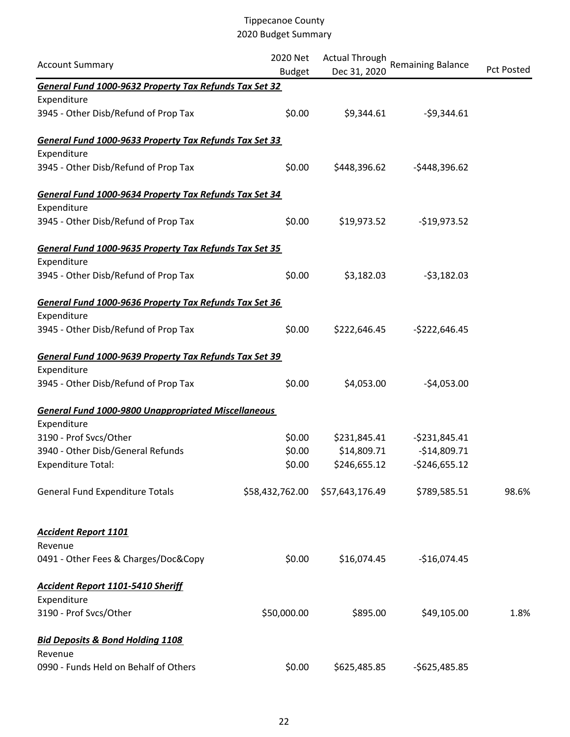| <b>Account Summary</b>                                     | 2020 Net<br><b>Budget</b> | <b>Actual Through</b><br>Dec 31, 2020 | <b>Remaining Balance</b> | <b>Pct Posted</b> |
|------------------------------------------------------------|---------------------------|---------------------------------------|--------------------------|-------------------|
| General Fund 1000-9632 Property Tax Refunds Tax Set 32     |                           |                                       |                          |                   |
| Expenditure                                                |                           |                                       |                          |                   |
| 3945 - Other Disb/Refund of Prop Tax                       | \$0.00                    | \$9,344.61                            | $-59,344.61$             |                   |
| General Fund 1000-9633 Property Tax Refunds Tax Set 33     |                           |                                       |                          |                   |
| Expenditure                                                |                           |                                       |                          |                   |
| 3945 - Other Disb/Refund of Prop Tax                       | \$0.00                    | \$448,396.62                          | $-$448,396.62$           |                   |
| General Fund 1000-9634 Property Tax Refunds Tax Set 34     |                           |                                       |                          |                   |
| Expenditure                                                |                           |                                       |                          |                   |
| 3945 - Other Disb/Refund of Prop Tax                       | \$0.00                    | \$19,973.52                           | $-$19,973.52$            |                   |
| General Fund 1000-9635 Property Tax Refunds Tax Set 35     |                           |                                       |                          |                   |
| Expenditure                                                |                           |                                       |                          |                   |
| 3945 - Other Disb/Refund of Prop Tax                       | \$0.00                    | \$3,182.03                            | $-53,182.03$             |                   |
| General Fund 1000-9636 Property Tax Refunds Tax Set 36     |                           |                                       |                          |                   |
| Expenditure                                                |                           |                                       |                          |                   |
| 3945 - Other Disb/Refund of Prop Tax                       | \$0.00                    | \$222,646.45                          | $-5222,646.45$           |                   |
| General Fund 1000-9639 Property Tax Refunds Tax Set 39     |                           |                                       |                          |                   |
| Expenditure                                                |                           |                                       |                          |                   |
| 3945 - Other Disb/Refund of Prop Tax                       | \$0.00                    | \$4,053.00                            | $-$4,053.00$             |                   |
| <b>General Fund 1000-9800 Unappropriated Miscellaneous</b> |                           |                                       |                          |                   |
| Expenditure                                                |                           |                                       |                          |                   |
| 3190 - Prof Svcs/Other                                     | \$0.00                    | \$231,845.41                          | $-5231,845.41$           |                   |
| 3940 - Other Disb/General Refunds                          | \$0.00                    | \$14,809.71                           | $-$14,809.71$            |                   |
| <b>Expenditure Total:</b>                                  | \$0.00                    | \$246,655.12                          | $-5246,655.12$           |                   |
| <b>General Fund Expenditure Totals</b>                     | \$58,432,762.00           | \$57,643,176.49                       | \$789,585.51             | 98.6%             |
| <b>Accident Report 1101</b>                                |                           |                                       |                          |                   |
| Revenue                                                    |                           |                                       |                          |                   |
| 0491 - Other Fees & Charges/Doc&Copy                       | \$0.00                    | \$16,074.45                           | $-$16,074.45$            |                   |
| <b>Accident Report 1101-5410 Sheriff</b>                   |                           |                                       |                          |                   |
| Expenditure                                                |                           |                                       |                          |                   |
| 3190 - Prof Svcs/Other                                     | \$50,000.00               | \$895.00                              | \$49,105.00              | 1.8%              |
| <b>Bid Deposits &amp; Bond Holding 1108</b>                |                           |                                       |                          |                   |
| Revenue                                                    |                           |                                       |                          |                   |
| 0990 - Funds Held on Behalf of Others                      | \$0.00                    | \$625,485.85                          | $-5625,485.85$           |                   |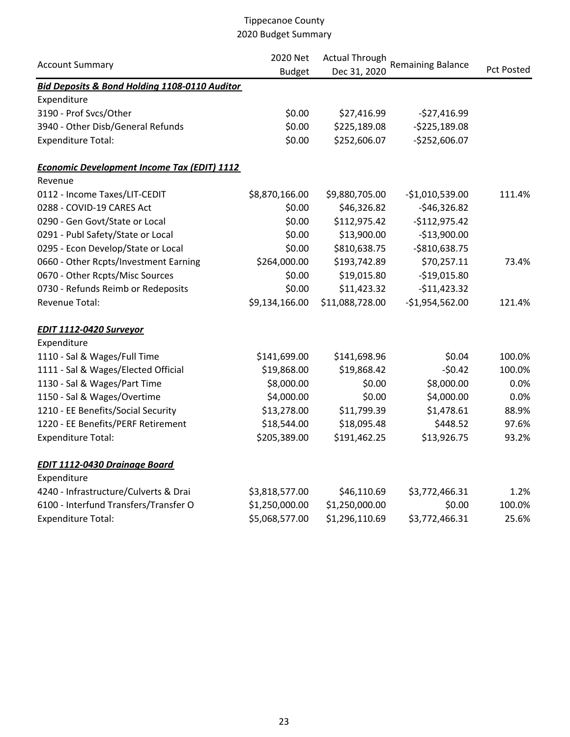|                                                          | 2020 Net       | <b>Actual Through</b> |                          |                   |  |
|----------------------------------------------------------|----------------|-----------------------|--------------------------|-------------------|--|
| <b>Account Summary</b>                                   | <b>Budget</b>  | Dec 31, 2020          | <b>Remaining Balance</b> | <b>Pct Posted</b> |  |
| <b>Bid Deposits &amp; Bond Holding 1108-0110 Auditor</b> |                |                       |                          |                   |  |
| Expenditure                                              |                |                       |                          |                   |  |
| 3190 - Prof Svcs/Other                                   | \$0.00         | \$27,416.99           | $-527,416.99$            |                   |  |
| 3940 - Other Disb/General Refunds                        | \$0.00         | \$225,189.08          | $-5225,189.08$           |                   |  |
| <b>Expenditure Total:</b>                                | \$0.00         | \$252,606.07          | $-$252,606.07$           |                   |  |
| <b>Economic Development Income Tax (EDIT) 1112</b>       |                |                       |                          |                   |  |
| Revenue                                                  |                |                       |                          |                   |  |
| 0112 - Income Taxes/LIT-CEDIT                            | \$8,870,166.00 | \$9,880,705.00        | $-51,010,539.00$         | 111.4%            |  |
| 0288 - COVID-19 CARES Act                                | \$0.00         | \$46,326.82           | $-$46,326.82$            |                   |  |
| 0290 - Gen Govt/State or Local                           | \$0.00         | \$112,975.42          | $-5112,975.42$           |                   |  |
| 0291 - Publ Safety/State or Local                        | \$0.00         | \$13,900.00           | $-$13,900.00$            |                   |  |
| 0295 - Econ Develop/State or Local                       | \$0.00         | \$810,638.75          | $-$810,638.75$           |                   |  |
| 0660 - Other Rcpts/Investment Earning                    | \$264,000.00   | \$193,742.89          | \$70,257.11              | 73.4%             |  |
| 0670 - Other Rcpts/Misc Sources                          | \$0.00         | \$19,015.80           | $-$19,015.80$            |                   |  |
| 0730 - Refunds Reimb or Redeposits                       | \$0.00         | \$11,423.32           | $-$11,423.32$            |                   |  |
| <b>Revenue Total:</b>                                    | \$9,134,166.00 | \$11,088,728.00       | $-$1,954,562.00$         | 121.4%            |  |
| <b>EDIT 1112-0420 Surveyor</b>                           |                |                       |                          |                   |  |
| Expenditure                                              |                |                       |                          |                   |  |
| 1110 - Sal & Wages/Full Time                             | \$141,699.00   | \$141,698.96          | \$0.04                   | 100.0%            |  |
| 1111 - Sal & Wages/Elected Official                      | \$19,868.00    | \$19,868.42           | $-50.42$                 | 100.0%            |  |
| 1130 - Sal & Wages/Part Time                             | \$8,000.00     | \$0.00                | \$8,000.00               | 0.0%              |  |
| 1150 - Sal & Wages/Overtime                              | \$4,000.00     | \$0.00                | \$4,000.00               | 0.0%              |  |
| 1210 - EE Benefits/Social Security                       | \$13,278.00    | \$11,799.39           | \$1,478.61               | 88.9%             |  |
| 1220 - EE Benefits/PERF Retirement                       | \$18,544.00    | \$18,095.48           | \$448.52                 | 97.6%             |  |
| <b>Expenditure Total:</b>                                | \$205,389.00   | \$191,462.25          | \$13,926.75              | 93.2%             |  |
| <b>EDIT 1112-0430 Drainage Board</b>                     |                |                       |                          |                   |  |
| Expenditure                                              |                |                       |                          |                   |  |
| 4240 - Infrastructure/Culverts & Drai                    | \$3,818,577.00 | \$46,110.69           | \$3,772,466.31           | 1.2%              |  |
| 6100 - Interfund Transfers/Transfer O                    | \$1,250,000.00 | \$1,250,000.00        | \$0.00                   | 100.0%            |  |
| <b>Expenditure Total:</b>                                | \$5,068,577.00 | \$1,296,110.69        | \$3,772,466.31           | 25.6%             |  |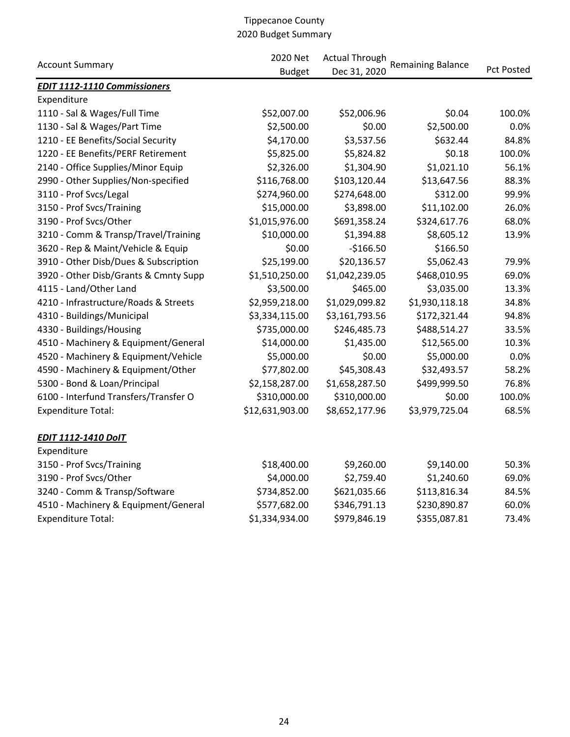|                                       | 2020 Net        | <b>Actual Through</b> |                          |            |  |
|---------------------------------------|-----------------|-----------------------|--------------------------|------------|--|
| <b>Account Summary</b>                | <b>Budget</b>   | Dec 31, 2020          | <b>Remaining Balance</b> | Pct Posted |  |
| <b>EDIT 1112-1110 Commissioners</b>   |                 |                       |                          |            |  |
| Expenditure                           |                 |                       |                          |            |  |
| 1110 - Sal & Wages/Full Time          | \$52,007.00     | \$52,006.96           | \$0.04                   | 100.0%     |  |
| 1130 - Sal & Wages/Part Time          | \$2,500.00      | \$0.00                | \$2,500.00               | 0.0%       |  |
| 1210 - EE Benefits/Social Security    | \$4,170.00      | \$3,537.56            | \$632.44                 | 84.8%      |  |
| 1220 - EE Benefits/PERF Retirement    | \$5,825.00      | \$5,824.82            | \$0.18                   | 100.0%     |  |
| 2140 - Office Supplies/Minor Equip    | \$2,326.00      | \$1,304.90            | \$1,021.10               | 56.1%      |  |
| 2990 - Other Supplies/Non-specified   | \$116,768.00    | \$103,120.44          | \$13,647.56              | 88.3%      |  |
| 3110 - Prof Svcs/Legal                | \$274,960.00    | \$274,648.00          | \$312.00                 | 99.9%      |  |
| 3150 - Prof Svcs/Training             | \$15,000.00     | \$3,898.00            | \$11,102.00              | 26.0%      |  |
| 3190 - Prof Svcs/Other                | \$1,015,976.00  | \$691,358.24          | \$324,617.76             | 68.0%      |  |
| 3210 - Comm & Transp/Travel/Training  | \$10,000.00     | \$1,394.88            | \$8,605.12               | 13.9%      |  |
| 3620 - Rep & Maint/Vehicle & Equip    | \$0.00          | $-$166.50$            | \$166.50                 |            |  |
| 3910 - Other Disb/Dues & Subscription | \$25,199.00     | \$20,136.57           | \$5,062.43               | 79.9%      |  |
| 3920 - Other Disb/Grants & Cmnty Supp | \$1,510,250.00  | \$1,042,239.05        | \$468,010.95             | 69.0%      |  |
| 4115 - Land/Other Land                | \$3,500.00      | \$465.00              | \$3,035.00               | 13.3%      |  |
| 4210 - Infrastructure/Roads & Streets | \$2,959,218.00  | \$1,029,099.82        | \$1,930,118.18           | 34.8%      |  |
| 4310 - Buildings/Municipal            | \$3,334,115.00  | \$3,161,793.56        | \$172,321.44             | 94.8%      |  |
| 4330 - Buildings/Housing              | \$735,000.00    | \$246,485.73          | \$488,514.27             | 33.5%      |  |
| 4510 - Machinery & Equipment/General  | \$14,000.00     | \$1,435.00            | \$12,565.00              | 10.3%      |  |
| 4520 - Machinery & Equipment/Vehicle  | \$5,000.00      | \$0.00                | \$5,000.00               | 0.0%       |  |
| 4590 - Machinery & Equipment/Other    | \$77,802.00     | \$45,308.43           | \$32,493.57              | 58.2%      |  |
| 5300 - Bond & Loan/Principal          | \$2,158,287.00  | \$1,658,287.50        | \$499,999.50             | 76.8%      |  |
| 6100 - Interfund Transfers/Transfer O | \$310,000.00    | \$310,000.00          | \$0.00                   | 100.0%     |  |
| <b>Expenditure Total:</b>             | \$12,631,903.00 | \$8,652,177.96        | \$3,979,725.04           | 68.5%      |  |
| <b>EDIT 1112-1410 DoIT</b>            |                 |                       |                          |            |  |
| Expenditure                           |                 |                       |                          |            |  |
| 3150 - Prof Svcs/Training             | \$18,400.00     | \$9,260.00            | \$9,140.00               | 50.3%      |  |
| 3190 - Prof Svcs/Other                | \$4,000.00      | \$2,759.40            | \$1,240.60               | 69.0%      |  |
| 3240 - Comm & Transp/Software         | \$734,852.00    | \$621,035.66          | \$113,816.34             | 84.5%      |  |
| 4510 - Machinery & Equipment/General  | \$577,682.00    | \$346,791.13          | \$230,890.87             | 60.0%      |  |
| <b>Expenditure Total:</b>             | \$1,334,934.00  | \$979,846.19          | \$355,087.81             | 73.4%      |  |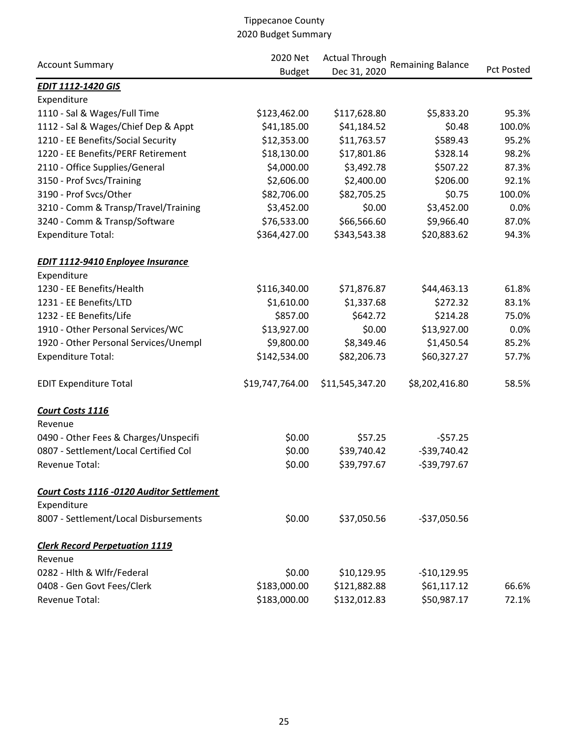|                                           | 2020 Net<br><b>Actual Through</b> |                 |                          |                   |  |
|-------------------------------------------|-----------------------------------|-----------------|--------------------------|-------------------|--|
| <b>Account Summary</b>                    | <b>Budget</b>                     | Dec 31, 2020    | <b>Remaining Balance</b> | <b>Pct Posted</b> |  |
| <b>EDIT 1112-1420 GIS</b>                 |                                   |                 |                          |                   |  |
| Expenditure                               |                                   |                 |                          |                   |  |
| 1110 - Sal & Wages/Full Time              | \$123,462.00                      | \$117,628.80    | \$5,833.20               | 95.3%             |  |
| 1112 - Sal & Wages/Chief Dep & Appt       | \$41,185.00                       | \$41,184.52     | \$0.48                   | 100.0%            |  |
| 1210 - EE Benefits/Social Security        | \$12,353.00                       | \$11,763.57     | \$589.43                 | 95.2%             |  |
| 1220 - EE Benefits/PERF Retirement        | \$18,130.00                       | \$17,801.86     | \$328.14                 | 98.2%             |  |
| 2110 - Office Supplies/General            | \$4,000.00                        | \$3,492.78      | \$507.22                 | 87.3%             |  |
| 3150 - Prof Svcs/Training                 | \$2,606.00                        | \$2,400.00      | \$206.00                 | 92.1%             |  |
| 3190 - Prof Svcs/Other                    | \$82,706.00                       | \$82,705.25     | \$0.75                   | 100.0%            |  |
| 3210 - Comm & Transp/Travel/Training      | \$3,452.00                        | \$0.00          | \$3,452.00               | 0.0%              |  |
| 3240 - Comm & Transp/Software             | \$76,533.00                       | \$66,566.60     | \$9,966.40               | 87.0%             |  |
| <b>Expenditure Total:</b>                 | \$364,427.00                      | \$343,543.38    | \$20,883.62              | 94.3%             |  |
| <b>EDIT 1112-9410 Enployee Insurance</b>  |                                   |                 |                          |                   |  |
| Expenditure                               |                                   |                 |                          |                   |  |
| 1230 - EE Benefits/Health                 | \$116,340.00                      | \$71,876.87     | \$44,463.13              | 61.8%             |  |
| 1231 - EE Benefits/LTD                    | \$1,610.00                        | \$1,337.68      | \$272.32                 | 83.1%             |  |
| 1232 - EE Benefits/Life                   | \$857.00                          | \$642.72        | \$214.28                 | 75.0%             |  |
| 1910 - Other Personal Services/WC         | \$13,927.00                       | \$0.00          | \$13,927.00              | 0.0%              |  |
| 1920 - Other Personal Services/Unempl     | \$9,800.00                        | \$8,349.46      | \$1,450.54               | 85.2%             |  |
| <b>Expenditure Total:</b>                 | \$142,534.00                      | \$82,206.73     | \$60,327.27              | 57.7%             |  |
| <b>EDIT Expenditure Total</b>             | \$19,747,764.00                   | \$11,545,347.20 | \$8,202,416.80           | 58.5%             |  |
| Court Costs 1116                          |                                   |                 |                          |                   |  |
| Revenue                                   |                                   |                 |                          |                   |  |
| 0490 - Other Fees & Charges/Unspecifi     | \$0.00                            | \$57.25         | $-557.25$                |                   |  |
| 0807 - Settlement/Local Certified Col     | \$0.00                            | \$39,740.42     | $-539,740.42$            |                   |  |
| Revenue Total:                            | \$0.00                            | \$39,797.67     | $-$39,797.67$            |                   |  |
| Court Costs 1116 -0120 Auditor Settlement |                                   |                 |                          |                   |  |
| Expenditure                               |                                   |                 |                          |                   |  |
| 8007 - Settlement/Local Disbursements     | \$0.00                            | \$37,050.56     | $-$37,050.56$            |                   |  |
| <b>Clerk Record Perpetuation 1119</b>     |                                   |                 |                          |                   |  |
| Revenue                                   |                                   |                 |                          |                   |  |
| 0282 - Hlth & Wlfr/Federal                | \$0.00                            | \$10,129.95     | $-$10,129.95$            |                   |  |
| 0408 - Gen Govt Fees/Clerk                | \$183,000.00                      | \$121,882.88    | \$61,117.12              | 66.6%             |  |
| Revenue Total:                            | \$183,000.00                      | \$132,012.83    | \$50,987.17              | 72.1%             |  |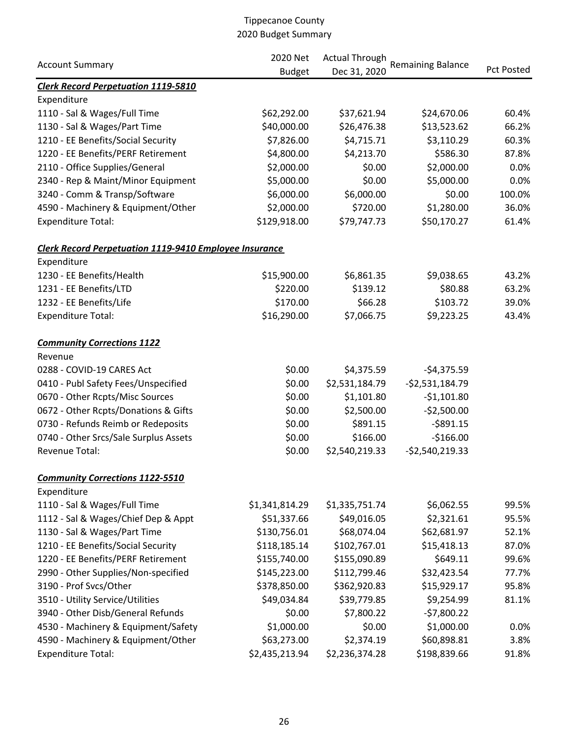|                                                               | 2020 Net       | <b>Actual Through</b> |                          |                   |
|---------------------------------------------------------------|----------------|-----------------------|--------------------------|-------------------|
| <b>Account Summary</b>                                        | <b>Budget</b>  | Dec 31, 2020          | <b>Remaining Balance</b> | <b>Pct Posted</b> |
| <b>Clerk Record Perpetuation 1119-5810</b>                    |                |                       |                          |                   |
| Expenditure                                                   |                |                       |                          |                   |
| 1110 - Sal & Wages/Full Time                                  | \$62,292.00    | \$37,621.94           | \$24,670.06              | 60.4%             |
| 1130 - Sal & Wages/Part Time                                  | \$40,000.00    | \$26,476.38           | \$13,523.62              | 66.2%             |
| 1210 - EE Benefits/Social Security                            | \$7,826.00     | \$4,715.71            | \$3,110.29               | 60.3%             |
| 1220 - EE Benefits/PERF Retirement                            | \$4,800.00     | \$4,213.70            | \$586.30                 | 87.8%             |
| 2110 - Office Supplies/General                                | \$2,000.00     | \$0.00                | \$2,000.00               | 0.0%              |
| 2340 - Rep & Maint/Minor Equipment                            | \$5,000.00     | \$0.00                | \$5,000.00               | 0.0%              |
| 3240 - Comm & Transp/Software                                 | \$6,000.00     | \$6,000.00            | \$0.00                   | 100.0%            |
| 4590 - Machinery & Equipment/Other                            | \$2,000.00     | \$720.00              | \$1,280.00               | 36.0%             |
| <b>Expenditure Total:</b>                                     | \$129,918.00   | \$79,747.73           | \$50,170.27              | 61.4%             |
| <b>Clerk Record Perpetuation 1119-9410 Employee Insurance</b> |                |                       |                          |                   |
| Expenditure                                                   |                |                       |                          |                   |
| 1230 - EE Benefits/Health                                     | \$15,900.00    | \$6,861.35            | \$9,038.65               | 43.2%             |
| 1231 - EE Benefits/LTD                                        | \$220.00       | \$139.12              | \$80.88                  | 63.2%             |
| 1232 - EE Benefits/Life                                       | \$170.00       | \$66.28               | \$103.72                 | 39.0%             |
| <b>Expenditure Total:</b>                                     | \$16,290.00    | \$7,066.75            | \$9,223.25               | 43.4%             |
| <b>Community Corrections 1122</b>                             |                |                       |                          |                   |
| Revenue                                                       |                |                       |                          |                   |
| 0288 - COVID-19 CARES Act                                     | \$0.00         | \$4,375.59            | $-54,375.59$             |                   |
| 0410 - Publ Safety Fees/Unspecified                           | \$0.00         | \$2,531,184.79        | $-52,531,184.79$         |                   |
| 0670 - Other Rcpts/Misc Sources                               | \$0.00         | \$1,101.80            | $-51,101.80$             |                   |
| 0672 - Other Rcpts/Donations & Gifts                          | \$0.00         | \$2,500.00            | $-52,500.00$             |                   |
| 0730 - Refunds Reimb or Redeposits                            | \$0.00         | \$891.15              | $-5891.15$               |                   |
| 0740 - Other Srcs/Sale Surplus Assets                         | \$0.00         | \$166.00              | $-$166.00$               |                   |
| Revenue Total:                                                | \$0.00         | \$2,540,219.33        | $-52,540,219.33$         |                   |
| <b>Community Corrections 1122-5510</b>                        |                |                       |                          |                   |
| Expenditure                                                   |                |                       |                          |                   |
| 1110 - Sal & Wages/Full Time                                  | \$1,341,814.29 | \$1,335,751.74        | \$6,062.55               | 99.5%             |
| 1112 - Sal & Wages/Chief Dep & Appt                           | \$51,337.66    | \$49,016.05           | \$2,321.61               | 95.5%             |
| 1130 - Sal & Wages/Part Time                                  | \$130,756.01   | \$68,074.04           | \$62,681.97              | 52.1%             |
| 1210 - EE Benefits/Social Security                            | \$118,185.14   | \$102,767.01          | \$15,418.13              | 87.0%             |
| 1220 - EE Benefits/PERF Retirement                            | \$155,740.00   | \$155,090.89          | \$649.11                 | 99.6%             |
| 2990 - Other Supplies/Non-specified                           | \$145,223.00   | \$112,799.46          | \$32,423.54              | 77.7%             |
| 3190 - Prof Svcs/Other                                        | \$378,850.00   | \$362,920.83          | \$15,929.17              | 95.8%             |
| 3510 - Utility Service/Utilities                              | \$49,034.84    | \$39,779.85           | \$9,254.99               | 81.1%             |
| 3940 - Other Disb/General Refunds                             | \$0.00         | \$7,800.22            | $-57,800.22$             |                   |
| 4530 - Machinery & Equipment/Safety                           | \$1,000.00     | \$0.00                | \$1,000.00               | 0.0%              |
| 4590 - Machinery & Equipment/Other                            | \$63,273.00    | \$2,374.19            | \$60,898.81              | 3.8%              |
| <b>Expenditure Total:</b>                                     | \$2,435,213.94 | \$2,236,374.28        | \$198,839.66             | 91.8%             |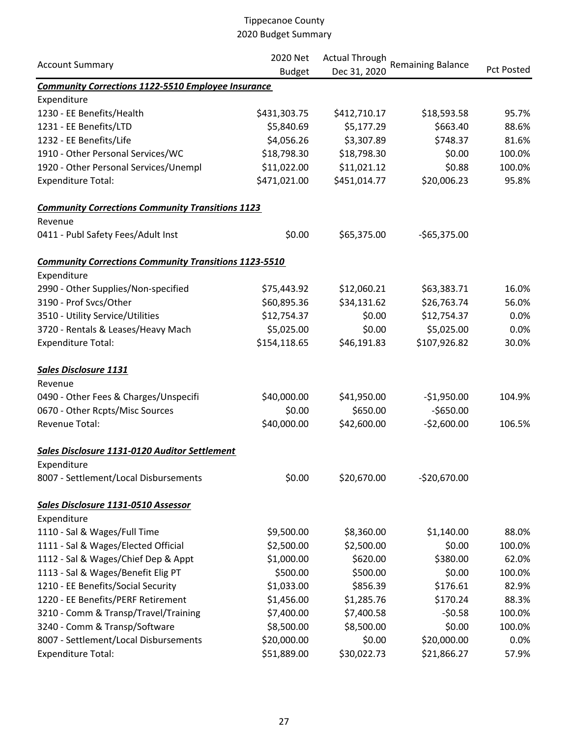|                                                              | 2020 Net<br><b>Actual Through</b> |              |                          |                   |
|--------------------------------------------------------------|-----------------------------------|--------------|--------------------------|-------------------|
| <b>Account Summary</b>                                       | <b>Budget</b>                     | Dec 31, 2020 | <b>Remaining Balance</b> | <b>Pct Posted</b> |
| <b>Community Corrections 1122-5510 Employee Insurance</b>    |                                   |              |                          |                   |
| Expenditure                                                  |                                   |              |                          |                   |
| 1230 - EE Benefits/Health                                    | \$431,303.75                      | \$412,710.17 | \$18,593.58              | 95.7%             |
| 1231 - EE Benefits/LTD                                       | \$5,840.69                        | \$5,177.29   | \$663.40                 | 88.6%             |
| 1232 - EE Benefits/Life                                      | \$4,056.26                        | \$3,307.89   | \$748.37                 | 81.6%             |
| 1910 - Other Personal Services/WC                            | \$18,798.30                       | \$18,798.30  | \$0.00                   | 100.0%            |
| 1920 - Other Personal Services/Unempl                        | \$11,022.00                       | \$11,021.12  | \$0.88                   | 100.0%            |
| <b>Expenditure Total:</b>                                    | \$471,021.00                      | \$451,014.77 | \$20,006.23              | 95.8%             |
| <b>Community Corrections Community Transitions 1123</b>      |                                   |              |                          |                   |
| Revenue                                                      |                                   |              |                          |                   |
| 0411 - Publ Safety Fees/Adult Inst                           | \$0.00                            | \$65,375.00  | $-565,375.00$            |                   |
| <b>Community Corrections Community Transitions 1123-5510</b> |                                   |              |                          |                   |
| Expenditure                                                  |                                   |              |                          |                   |
| 2990 - Other Supplies/Non-specified                          | \$75,443.92                       | \$12,060.21  | \$63,383.71              | 16.0%             |
| 3190 - Prof Svcs/Other                                       | \$60,895.36                       | \$34,131.62  | \$26,763.74              | 56.0%             |
| 3510 - Utility Service/Utilities                             | \$12,754.37                       | \$0.00       | \$12,754.37              | 0.0%              |
| 3720 - Rentals & Leases/Heavy Mach                           | \$5,025.00                        | \$0.00       | \$5,025.00               | 0.0%              |
| <b>Expenditure Total:</b>                                    | \$154,118.65                      | \$46,191.83  | \$107,926.82             | 30.0%             |
| <b>Sales Disclosure 1131</b>                                 |                                   |              |                          |                   |
| Revenue                                                      |                                   |              |                          |                   |
| 0490 - Other Fees & Charges/Unspecifi                        | \$40,000.00                       | \$41,950.00  | $-$1,950.00$             | 104.9%            |
| 0670 - Other Rcpts/Misc Sources                              | \$0.00                            | \$650.00     | $-$650.00$               |                   |
| Revenue Total:                                               | \$40,000.00                       | \$42,600.00  | $-52,600.00$             | 106.5%            |
| Sales Disclosure 1131-0120 Auditor Settlement                |                                   |              |                          |                   |
| Expenditure                                                  |                                   |              |                          |                   |
| 8007 - Settlement/Local Disbursements                        | \$0.00                            | \$20,670.00  | $-520,670.00$            |                   |
| Sales Disclosure 1131-0510 Assessor                          |                                   |              |                          |                   |
| Expenditure                                                  |                                   |              |                          |                   |
| 1110 - Sal & Wages/Full Time                                 | \$9,500.00                        | \$8,360.00   | \$1,140.00               | 88.0%             |
| 1111 - Sal & Wages/Elected Official                          | \$2,500.00                        | \$2,500.00   | \$0.00                   | 100.0%            |
| 1112 - Sal & Wages/Chief Dep & Appt                          | \$1,000.00                        | \$620.00     | \$380.00                 | 62.0%             |
| 1113 - Sal & Wages/Benefit Elig PT                           | \$500.00                          | \$500.00     | \$0.00                   | 100.0%            |
| 1210 - EE Benefits/Social Security                           | \$1,033.00                        | \$856.39     | \$176.61                 | 82.9%             |
| 1220 - EE Benefits/PERF Retirement                           | \$1,456.00                        | \$1,285.76   | \$170.24                 | 88.3%             |
| 3210 - Comm & Transp/Travel/Training                         | \$7,400.00                        | \$7,400.58   | $-50.58$                 | 100.0%            |
| 3240 - Comm & Transp/Software                                | \$8,500.00                        | \$8,500.00   | \$0.00                   | 100.0%            |
| 8007 - Settlement/Local Disbursements                        | \$20,000.00                       | \$0.00       | \$20,000.00              | 0.0%              |
| <b>Expenditure Total:</b>                                    | \$51,889.00                       | \$30,022.73  | \$21,866.27              | 57.9%             |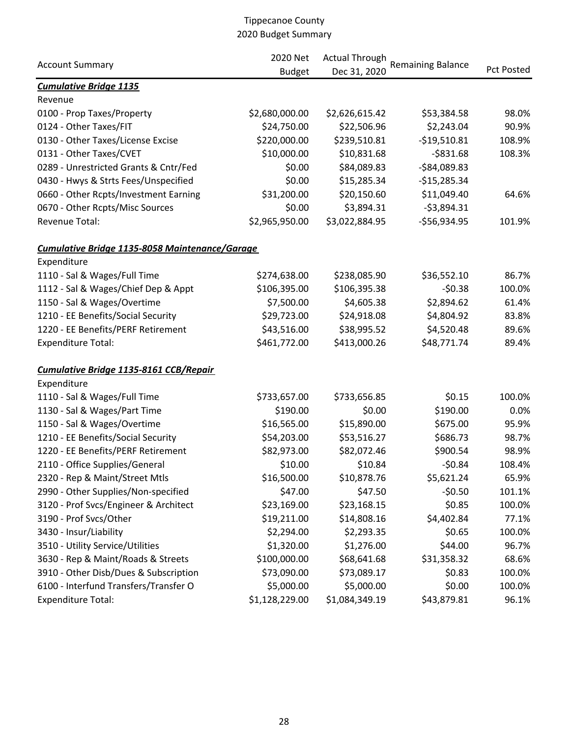|                                                       | 2020 Net       | <b>Actual Through</b> |                          |                   |  |
|-------------------------------------------------------|----------------|-----------------------|--------------------------|-------------------|--|
| <b>Account Summary</b>                                | <b>Budget</b>  | Dec 31, 2020          | <b>Remaining Balance</b> | <b>Pct Posted</b> |  |
| <b>Cumulative Bridge 1135</b>                         |                |                       |                          |                   |  |
| Revenue                                               |                |                       |                          |                   |  |
| 0100 - Prop Taxes/Property                            | \$2,680,000.00 | \$2,626,615.42        | \$53,384.58              | 98.0%             |  |
| 0124 - Other Taxes/FIT                                | \$24,750.00    | \$22,506.96           | \$2,243.04               | 90.9%             |  |
| 0130 - Other Taxes/License Excise                     | \$220,000.00   | \$239,510.81          | $-$19,510.81$            | 108.9%            |  |
| 0131 - Other Taxes/CVET                               | \$10,000.00    | \$10,831.68           | $-5831.68$               | 108.3%            |  |
| 0289 - Unrestricted Grants & Cntr/Fed                 | \$0.00         | \$84,089.83           | $-$84,089.83$            |                   |  |
| 0430 - Hwys & Strts Fees/Unspecified                  | \$0.00         | \$15,285.34           | $-$15,285.34$            |                   |  |
| 0660 - Other Rcpts/Investment Earning                 | \$31,200.00    | \$20,150.60           | \$11,049.40              | 64.6%             |  |
| 0670 - Other Rcpts/Misc Sources                       | \$0.00         | \$3,894.31            | $-53,894.31$             |                   |  |
| Revenue Total:                                        | \$2,965,950.00 | \$3,022,884.95        | -\$56,934.95             | 101.9%            |  |
| <b>Cumulative Bridge 1135-8058 Maintenance/Garage</b> |                |                       |                          |                   |  |
| Expenditure                                           |                |                       |                          |                   |  |
| 1110 - Sal & Wages/Full Time                          | \$274,638.00   | \$238,085.90          | \$36,552.10              | 86.7%             |  |
| 1112 - Sal & Wages/Chief Dep & Appt                   | \$106,395.00   | \$106,395.38          | $-50.38$                 | 100.0%            |  |
| 1150 - Sal & Wages/Overtime                           | \$7,500.00     | \$4,605.38            | \$2,894.62               | 61.4%             |  |
| 1210 - EE Benefits/Social Security                    | \$29,723.00    | \$24,918.08           | \$4,804.92               | 83.8%             |  |
| 1220 - EE Benefits/PERF Retirement                    | \$43,516.00    | \$38,995.52           | \$4,520.48               | 89.6%             |  |
| <b>Expenditure Total:</b>                             | \$461,772.00   | \$413,000.26          | \$48,771.74              | 89.4%             |  |
| Cumulative Bridge 1135-8161 CCB/Repair                |                |                       |                          |                   |  |
| Expenditure                                           |                |                       |                          |                   |  |
| 1110 - Sal & Wages/Full Time                          | \$733,657.00   | \$733,656.85          | \$0.15                   | 100.0%            |  |
| 1130 - Sal & Wages/Part Time                          | \$190.00       | \$0.00                | \$190.00                 | 0.0%              |  |
| 1150 - Sal & Wages/Overtime                           | \$16,565.00    | \$15,890.00           | \$675.00                 | 95.9%             |  |
| 1210 - EE Benefits/Social Security                    | \$54,203.00    | \$53,516.27           | \$686.73                 | 98.7%             |  |
| 1220 - EE Benefits/PERF Retirement                    | \$82,973.00    | \$82,072.46           | \$900.54                 | 98.9%             |  |
| 2110 - Office Supplies/General                        | \$10.00        | \$10.84               | $-50.84$                 | 108.4%            |  |
| 2320 - Rep & Maint/Street Mtls                        | \$16,500.00    | \$10,878.76           | \$5,621.24               | 65.9%             |  |
| 2990 - Other Supplies/Non-specified                   | \$47.00        | \$47.50               | $-50.50$                 | 101.1%            |  |
| 3120 - Prof Svcs/Engineer & Architect                 | \$23,169.00    | \$23,168.15           | \$0.85                   | 100.0%            |  |
| 3190 - Prof Svcs/Other                                | \$19,211.00    | \$14,808.16           | \$4,402.84               | 77.1%             |  |
| 3430 - Insur/Liability                                | \$2,294.00     | \$2,293.35            | \$0.65                   | 100.0%            |  |
| 3510 - Utility Service/Utilities                      | \$1,320.00     | \$1,276.00            | \$44.00                  | 96.7%             |  |
| 3630 - Rep & Maint/Roads & Streets                    | \$100,000.00   | \$68,641.68           | \$31,358.32              | 68.6%             |  |
| 3910 - Other Disb/Dues & Subscription                 | \$73,090.00    | \$73,089.17           | \$0.83                   | 100.0%            |  |
| 6100 - Interfund Transfers/Transfer O                 | \$5,000.00     | \$5,000.00            | \$0.00                   | 100.0%            |  |
| <b>Expenditure Total:</b>                             | \$1,128,229.00 | \$1,084,349.19        | \$43,879.81              | 96.1%             |  |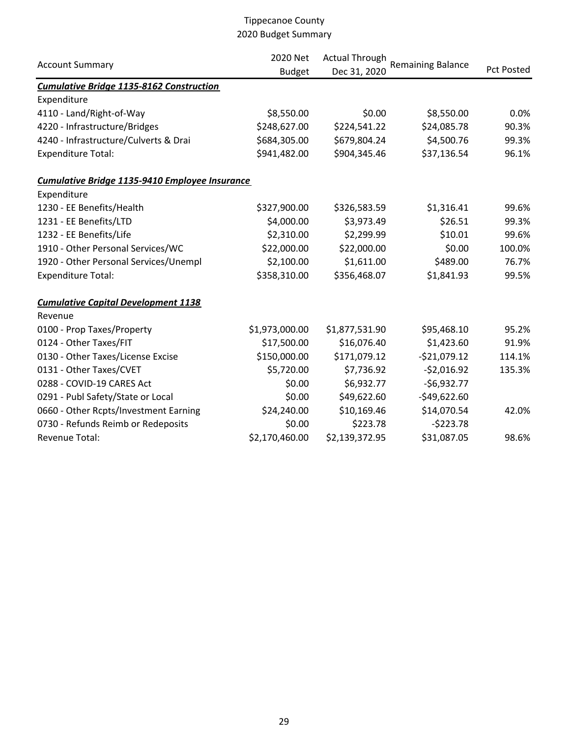| <b>Account Summary</b>                          | 2020 Net<br><b>Budget</b> | <b>Actual Through</b><br>Dec 31, 2020 | <b>Remaining Balance</b> | <b>Pct Posted</b> |
|-------------------------------------------------|---------------------------|---------------------------------------|--------------------------|-------------------|
| <b>Cumulative Bridge 1135-8162 Construction</b> |                           |                                       |                          |                   |
| Expenditure                                     |                           |                                       |                          |                   |
| 4110 - Land/Right-of-Way                        | \$8,550.00                | \$0.00                                | \$8,550.00               | 0.0%              |
| 4220 - Infrastructure/Bridges                   | \$248,627.00              | \$224,541.22                          | \$24,085.78              | 90.3%             |
| 4240 - Infrastructure/Culverts & Drai           | \$684,305.00              | \$679,804.24                          | \$4,500.76               | 99.3%             |
| <b>Expenditure Total:</b>                       | \$941,482.00              | \$904,345.46                          | \$37,136.54              | 96.1%             |
| Cumulative Bridge 1135-9410 Employee Insurance  |                           |                                       |                          |                   |
| Expenditure                                     |                           |                                       |                          |                   |
| 1230 - EE Benefits/Health                       | \$327,900.00              | \$326,583.59                          | \$1,316.41               | 99.6%             |
| 1231 - EE Benefits/LTD                          | \$4,000.00                | \$3,973.49                            | \$26.51                  | 99.3%             |
| 1232 - EE Benefits/Life                         | \$2,310.00                | \$2,299.99                            | \$10.01                  | 99.6%             |
| 1910 - Other Personal Services/WC               | \$22,000.00               | \$22,000.00                           | \$0.00                   | 100.0%            |
| 1920 - Other Personal Services/Unempl           | \$2,100.00                | \$1,611.00                            | \$489.00                 | 76.7%             |
| <b>Expenditure Total:</b>                       | \$358,310.00              | \$356,468.07                          | \$1,841.93               | 99.5%             |
| <b>Cumulative Capital Development 1138</b>      |                           |                                       |                          |                   |
| Revenue                                         |                           |                                       |                          |                   |
| 0100 - Prop Taxes/Property                      | \$1,973,000.00            | \$1,877,531.90                        | \$95,468.10              | 95.2%             |
| 0124 - Other Taxes/FIT                          | \$17,500.00               | \$16,076.40                           | \$1,423.60               | 91.9%             |
| 0130 - Other Taxes/License Excise               | \$150,000.00              | \$171,079.12                          | $-$21,079.12$            | 114.1%            |
| 0131 - Other Taxes/CVET                         | \$5,720.00                | \$7,736.92                            | $-52,016.92$             | 135.3%            |
| 0288 - COVID-19 CARES Act                       | \$0.00                    | \$6,932.77                            | $-$6,932.77$             |                   |
| 0291 - Publ Safety/State or Local               | \$0.00                    | \$49,622.60                           | $-$49,622.60$            |                   |
| 0660 - Other Rcpts/Investment Earning           | \$24,240.00               | \$10,169.46                           | \$14,070.54              | 42.0%             |
| 0730 - Refunds Reimb or Redeposits              | \$0.00                    | \$223.78                              | $-5223.78$               |                   |
| <b>Revenue Total:</b>                           | \$2,170,460.00            | \$2,139,372.95                        | \$31,087.05              | 98.6%             |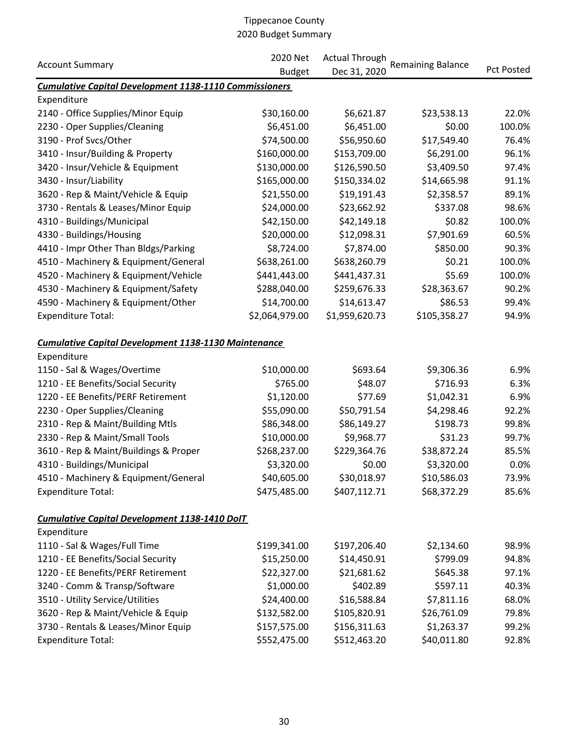|                                                               | 2020 Net       | <b>Actual Through</b> |                          |                   |
|---------------------------------------------------------------|----------------|-----------------------|--------------------------|-------------------|
| <b>Account Summary</b>                                        | <b>Budget</b>  | Dec 31, 2020          | <b>Remaining Balance</b> | <b>Pct Posted</b> |
| <b>Cumulative Capital Development 1138-1110 Commissioners</b> |                |                       |                          |                   |
| Expenditure                                                   |                |                       |                          |                   |
| 2140 - Office Supplies/Minor Equip                            | \$30,160.00    | \$6,621.87            | \$23,538.13              | 22.0%             |
| 2230 - Oper Supplies/Cleaning                                 | \$6,451.00     | \$6,451.00            | \$0.00                   | 100.0%            |
| 3190 - Prof Svcs/Other                                        | \$74,500.00    | \$56,950.60           | \$17,549.40              | 76.4%             |
| 3410 - Insur/Building & Property                              | \$160,000.00   | \$153,709.00          | \$6,291.00               | 96.1%             |
| 3420 - Insur/Vehicle & Equipment                              | \$130,000.00   | \$126,590.50          | \$3,409.50               | 97.4%             |
| 3430 - Insur/Liability                                        | \$165,000.00   | \$150,334.02          | \$14,665.98              | 91.1%             |
| 3620 - Rep & Maint/Vehicle & Equip                            | \$21,550.00    | \$19,191.43           | \$2,358.57               | 89.1%             |
| 3730 - Rentals & Leases/Minor Equip                           | \$24,000.00    | \$23,662.92           | \$337.08                 | 98.6%             |
| 4310 - Buildings/Municipal                                    | \$42,150.00    | \$42,149.18           | \$0.82                   | 100.0%            |
| 4330 - Buildings/Housing                                      | \$20,000.00    | \$12,098.31           | \$7,901.69               | 60.5%             |
| 4410 - Impr Other Than Bldgs/Parking                          | \$8,724.00     | \$7,874.00            | \$850.00                 | 90.3%             |
| 4510 - Machinery & Equipment/General                          | \$638,261.00   | \$638,260.79          | \$0.21                   | 100.0%            |
| 4520 - Machinery & Equipment/Vehicle                          | \$441,443.00   | \$441,437.31          | \$5.69                   | 100.0%            |
| 4530 - Machinery & Equipment/Safety                           | \$288,040.00   | \$259,676.33          | \$28,363.67              | 90.2%             |
| 4590 - Machinery & Equipment/Other                            | \$14,700.00    | \$14,613.47           | \$86.53                  | 99.4%             |
| <b>Expenditure Total:</b>                                     | \$2,064,979.00 | \$1,959,620.73        | \$105,358.27             | 94.9%             |
| <b>Cumulative Capital Development 1138-1130 Maintenance</b>   |                |                       |                          |                   |
| Expenditure                                                   |                |                       |                          |                   |
| 1150 - Sal & Wages/Overtime                                   | \$10,000.00    | \$693.64              | \$9,306.36               | 6.9%              |
| 1210 - EE Benefits/Social Security                            | \$765.00       | \$48.07               | \$716.93                 | 6.3%              |
| 1220 - EE Benefits/PERF Retirement                            | \$1,120.00     | \$77.69               | \$1,042.31               | 6.9%              |
| 2230 - Oper Supplies/Cleaning                                 | \$55,090.00    | \$50,791.54           | \$4,298.46               | 92.2%             |
| 2310 - Rep & Maint/Building Mtls                              | \$86,348.00    | \$86,149.27           | \$198.73                 | 99.8%             |
| 2330 - Rep & Maint/Small Tools                                | \$10,000.00    | \$9,968.77            | \$31.23                  | 99.7%             |
| 3610 - Rep & Maint/Buildings & Proper                         | \$268,237.00   | \$229,364.76          | \$38,872.24              | 85.5%             |
| 4310 - Buildings/Municipal                                    | \$3,320.00     | \$0.00                | \$3,320.00               | 0.0%              |
| 4510 - Machinery & Equipment/General                          | \$40,605.00    | \$30,018.97           | \$10,586.03              | 73.9%             |
| <b>Expenditure Total:</b>                                     | \$475,485.00   | \$407,112.71          | \$68,372.29              | 85.6%             |
| Cumulative Capital Development 1138-1410 DoIT                 |                |                       |                          |                   |
| Expenditure                                                   |                |                       |                          |                   |
| 1110 - Sal & Wages/Full Time                                  | \$199,341.00   | \$197,206.40          | \$2,134.60               | 98.9%             |
| 1210 - EE Benefits/Social Security                            | \$15,250.00    | \$14,450.91           | \$799.09                 | 94.8%             |
| 1220 - EE Benefits/PERF Retirement                            | \$22,327.00    | \$21,681.62           | \$645.38                 | 97.1%             |
| 3240 - Comm & Transp/Software                                 | \$1,000.00     | \$402.89              | \$597.11                 | 40.3%             |
| 3510 - Utility Service/Utilities                              | \$24,400.00    | \$16,588.84           | \$7,811.16               | 68.0%             |
| 3620 - Rep & Maint/Vehicle & Equip                            | \$132,582.00   | \$105,820.91          | \$26,761.09              | 79.8%             |
| 3730 - Rentals & Leases/Minor Equip                           | \$157,575.00   | \$156,311.63          | \$1,263.37               | 99.2%             |
| <b>Expenditure Total:</b>                                     | \$552,475.00   | \$512,463.20          | \$40,011.80              | 92.8%             |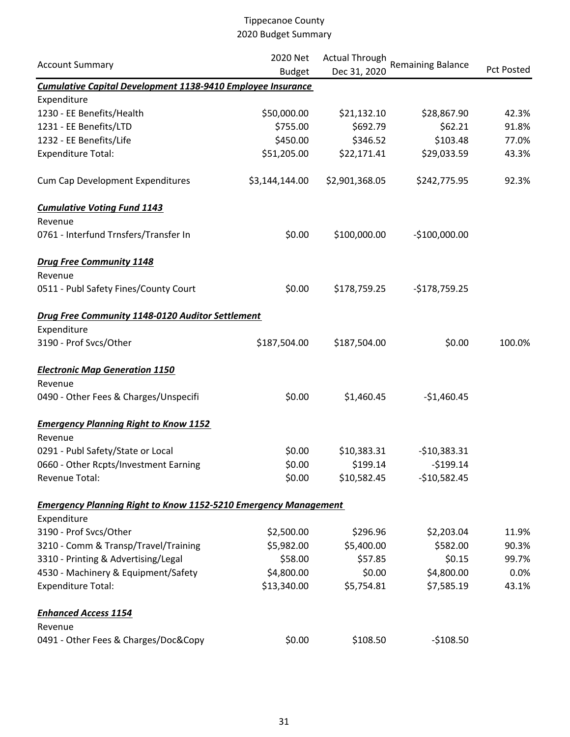|                                                                        | 2020 Net<br><b>Actual Through</b> |                |                          |                   |
|------------------------------------------------------------------------|-----------------------------------|----------------|--------------------------|-------------------|
| <b>Account Summary</b>                                                 | <b>Budget</b>                     | Dec 31, 2020   | <b>Remaining Balance</b> | <b>Pct Posted</b> |
| <b>Cumulative Capital Development 1138-9410 Employee Insurance</b>     |                                   |                |                          |                   |
| Expenditure                                                            |                                   |                |                          |                   |
| 1230 - EE Benefits/Health                                              | \$50,000.00                       | \$21,132.10    | \$28,867.90              | 42.3%             |
| 1231 - EE Benefits/LTD                                                 | \$755.00                          | \$692.79       | \$62.21                  | 91.8%             |
| 1232 - EE Benefits/Life                                                | \$450.00                          | \$346.52       | \$103.48                 | 77.0%             |
| <b>Expenditure Total:</b>                                              | \$51,205.00                       | \$22,171.41    | \$29,033.59              | 43.3%             |
| Cum Cap Development Expenditures                                       | \$3,144,144.00                    | \$2,901,368.05 | \$242,775.95             | 92.3%             |
| <b>Cumulative Voting Fund 1143</b>                                     |                                   |                |                          |                   |
| Revenue                                                                |                                   |                |                          |                   |
| 0761 - Interfund Trnsfers/Transfer In                                  | \$0.00                            | \$100,000.00   | $-$100,000.00$           |                   |
| <b>Drug Free Community 1148</b>                                        |                                   |                |                          |                   |
| Revenue                                                                |                                   |                |                          |                   |
| 0511 - Publ Safety Fines/County Court                                  | \$0.00                            | \$178,759.25   | $-$178,759.25$           |                   |
| Drug Free Community 1148-0120 Auditor Settlement                       |                                   |                |                          |                   |
| Expenditure                                                            |                                   |                |                          |                   |
| 3190 - Prof Svcs/Other                                                 | \$187,504.00                      | \$187,504.00   | \$0.00                   | 100.0%            |
| <b>Electronic Map Generation 1150</b>                                  |                                   |                |                          |                   |
| Revenue                                                                |                                   |                |                          |                   |
| 0490 - Other Fees & Charges/Unspecifi                                  | \$0.00                            | \$1,460.45     | $-$1,460.45$             |                   |
| <b>Emergency Planning Right to Know 1152</b>                           |                                   |                |                          |                   |
| Revenue                                                                |                                   |                |                          |                   |
| 0291 - Publ Safety/State or Local                                      | \$0.00                            | \$10,383.31    | $-$10,383.31$            |                   |
| 0660 - Other Rcpts/Investment Earning                                  | \$0.00                            | \$199.14       | $-5199.14$               |                   |
| Revenue Total:                                                         | \$0.00                            | \$10,582.45    | $-$10,582.45$            |                   |
| <b>Emergency Planning Right to Know 1152-5210 Emergency Management</b> |                                   |                |                          |                   |
| Expenditure                                                            |                                   |                |                          |                   |
| 3190 - Prof Svcs/Other                                                 | \$2,500.00                        | \$296.96       | \$2,203.04               | 11.9%             |
| 3210 - Comm & Transp/Travel/Training                                   | \$5,982.00                        | \$5,400.00     | \$582.00                 | 90.3%             |
| 3310 - Printing & Advertising/Legal                                    | \$58.00                           | \$57.85        | \$0.15                   | 99.7%             |
| 4530 - Machinery & Equipment/Safety                                    | \$4,800.00                        | \$0.00         | \$4,800.00               | 0.0%              |
| <b>Expenditure Total:</b>                                              | \$13,340.00                       | \$5,754.81     | \$7,585.19               | 43.1%             |
| <b>Enhanced Access 1154</b>                                            |                                   |                |                          |                   |
| Revenue                                                                |                                   |                |                          |                   |
| 0491 - Other Fees & Charges/Doc&Copy                                   | \$0.00                            | \$108.50       | $-$108.50$               |                   |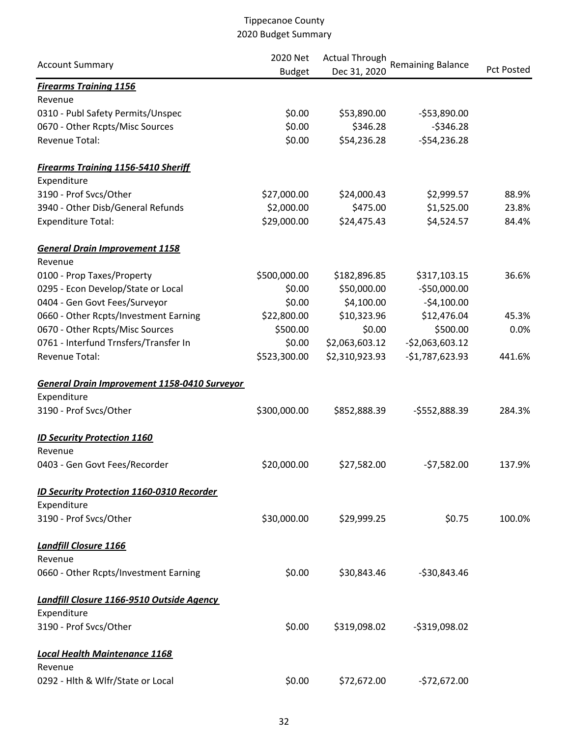| <b>Account Summary</b>                           | 2020 Net      | <b>Actual Through</b> |                          |                   |  |
|--------------------------------------------------|---------------|-----------------------|--------------------------|-------------------|--|
|                                                  | <b>Budget</b> | Dec 31, 2020          | <b>Remaining Balance</b> | <b>Pct Posted</b> |  |
| <b>Firearms Training 1156</b>                    |               |                       |                          |                   |  |
| Revenue                                          |               |                       |                          |                   |  |
| 0310 - Publ Safety Permits/Unspec                | \$0.00        | \$53,890.00           | $-553,890.00$            |                   |  |
| 0670 - Other Rcpts/Misc Sources                  | \$0.00        | \$346.28              | $-$346.28$               |                   |  |
| Revenue Total:                                   | \$0.00        | \$54,236.28           | $-554,236.28$            |                   |  |
| <b>Firearms Training 1156-5410 Sheriff</b>       |               |                       |                          |                   |  |
| Expenditure                                      |               |                       |                          |                   |  |
| 3190 - Prof Svcs/Other                           | \$27,000.00   | \$24,000.43           | \$2,999.57               | 88.9%             |  |
| 3940 - Other Disb/General Refunds                | \$2,000.00    | \$475.00              | \$1,525.00               | 23.8%             |  |
| <b>Expenditure Total:</b>                        | \$29,000.00   | \$24,475.43           | \$4,524.57               | 84.4%             |  |
| <b>General Drain Improvement 1158</b><br>Revenue |               |                       |                          |                   |  |
| 0100 - Prop Taxes/Property                       | \$500,000.00  | \$182,896.85          | \$317,103.15             | 36.6%             |  |
| 0295 - Econ Develop/State or Local               | \$0.00        | \$50,000.00           | -\$50,000.00             |                   |  |
| 0404 - Gen Govt Fees/Surveyor                    | \$0.00        | \$4,100.00            | $-54,100.00$             |                   |  |
| 0660 - Other Rcpts/Investment Earning            | \$22,800.00   | \$10,323.96           | \$12,476.04              | 45.3%             |  |
| 0670 - Other Rcpts/Misc Sources                  | \$500.00      | \$0.00                | \$500.00                 | 0.0%              |  |
| 0761 - Interfund Trnsfers/Transfer In            | \$0.00        | \$2,063,603.12        | $-52,063,603.12$         |                   |  |
| Revenue Total:                                   |               |                       |                          |                   |  |
|                                                  | \$523,300.00  | \$2,310,923.93        | $-$1,787,623.93$         | 441.6%            |  |
| General Drain Improvement 1158-0410 Surveyor     |               |                       |                          |                   |  |
| Expenditure                                      |               |                       |                          |                   |  |
| 3190 - Prof Svcs/Other                           | \$300,000.00  | \$852,888.39          | -\$552,888.39            | 284.3%            |  |
| <b>ID Security Protection 1160</b>               |               |                       |                          |                   |  |
| Revenue                                          |               |                       |                          |                   |  |
| 0403 - Gen Govt Fees/Recorder                    | \$20,000.00   | \$27,582.00           | $-57,582.00$             | 137.9%            |  |
| ID Security Protection 1160-0310 Recorder        |               |                       |                          |                   |  |
| Expenditure                                      |               |                       |                          |                   |  |
| 3190 - Prof Svcs/Other                           | \$30,000.00   | \$29,999.25           | \$0.75                   | 100.0%            |  |
| <b>Landfill Closure 1166</b>                     |               |                       |                          |                   |  |
| Revenue                                          |               |                       |                          |                   |  |
| 0660 - Other Rcpts/Investment Earning            | \$0.00        | \$30,843.46           | $-530,843.46$            |                   |  |
| <b>Landfill Closure 1166-9510 Outside Agency</b> |               |                       |                          |                   |  |
| Expenditure                                      |               |                       |                          |                   |  |
| 3190 - Prof Svcs/Other                           | \$0.00        | \$319,098.02          | $-5319,098.02$           |                   |  |
| <b>Local Health Maintenance 1168</b>             |               |                       |                          |                   |  |
| Revenue                                          |               |                       |                          |                   |  |
| 0292 - Hlth & Wlfr/State or Local                | \$0.00        | \$72,672.00           | $-572,672.00$            |                   |  |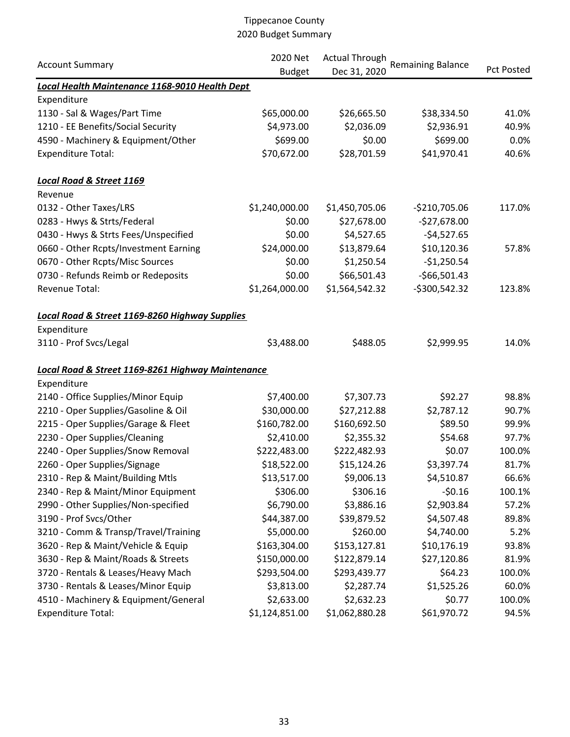|                                                   | 2020 Net<br><b>Actual Through</b><br><b>Remaining Balance</b> |                |                |                   |  |
|---------------------------------------------------|---------------------------------------------------------------|----------------|----------------|-------------------|--|
| <b>Account Summary</b>                            | <b>Budget</b>                                                 | Dec 31, 2020   |                | <b>Pct Posted</b> |  |
| Local Health Maintenance 1168-9010 Health Dept    |                                                               |                |                |                   |  |
| Expenditure                                       |                                                               |                |                |                   |  |
| 1130 - Sal & Wages/Part Time                      | \$65,000.00                                                   | \$26,665.50    | \$38,334.50    | 41.0%             |  |
| 1210 - EE Benefits/Social Security                | \$4,973.00                                                    | \$2,036.09     | \$2,936.91     | 40.9%             |  |
| 4590 - Machinery & Equipment/Other                | \$699.00                                                      | \$0.00         | \$699.00       | 0.0%              |  |
| <b>Expenditure Total:</b>                         | \$70,672.00                                                   | \$28,701.59    | \$41,970.41    | 40.6%             |  |
| <b>Local Road &amp; Street 1169</b>               |                                                               |                |                |                   |  |
| Revenue                                           |                                                               |                |                |                   |  |
| 0132 - Other Taxes/LRS                            | \$1,240,000.00                                                | \$1,450,705.06 | $-$210,705.06$ | 117.0%            |  |
| 0283 - Hwys & Strts/Federal                       | \$0.00                                                        | \$27,678.00    | $-527,678.00$  |                   |  |
| 0430 - Hwys & Strts Fees/Unspecified              | \$0.00                                                        | \$4,527.65     | $-54,527.65$   |                   |  |
| 0660 - Other Rcpts/Investment Earning             | \$24,000.00                                                   | \$13,879.64    | \$10,120.36    | 57.8%             |  |
| 0670 - Other Rcpts/Misc Sources                   | \$0.00                                                        | \$1,250.54     | $-$1,250.54$   |                   |  |
| 0730 - Refunds Reimb or Redeposits                | \$0.00                                                        | \$66,501.43    | $-566,501.43$  |                   |  |
| Revenue Total:                                    | \$1,264,000.00                                                | \$1,564,542.32 | $-5300,542.32$ | 123.8%            |  |
| Local Road & Street 1169-8260 Highway Supplies    |                                                               |                |                |                   |  |
| Expenditure                                       |                                                               |                |                |                   |  |
| 3110 - Prof Svcs/Legal                            | \$3,488.00                                                    | \$488.05       | \$2,999.95     | 14.0%             |  |
| Local Road & Street 1169-8261 Highway Maintenance |                                                               |                |                |                   |  |
| Expenditure                                       |                                                               |                |                |                   |  |
| 2140 - Office Supplies/Minor Equip                | \$7,400.00                                                    | \$7,307.73     | \$92.27        | 98.8%             |  |
| 2210 - Oper Supplies/Gasoline & Oil               | \$30,000.00                                                   | \$27,212.88    | \$2,787.12     | 90.7%             |  |
| 2215 - Oper Supplies/Garage & Fleet               | \$160,782.00                                                  | \$160,692.50   | \$89.50        | 99.9%             |  |
| 2230 - Oper Supplies/Cleaning                     | \$2,410.00                                                    | \$2,355.32     | \$54.68        | 97.7%             |  |
| 2240 - Oper Supplies/Snow Removal                 | \$222,483.00                                                  | \$222,482.93   | \$0.07         | 100.0%            |  |
| 2260 - Oper Supplies/Signage                      | \$18,522.00                                                   | \$15,124.26    | \$3,397.74     | 81.7%             |  |
| 2310 - Rep & Maint/Building Mtls                  | \$13,517.00                                                   | \$9,006.13     | \$4,510.87     | 66.6%             |  |
| 2340 - Rep & Maint/Minor Equipment                | \$306.00                                                      | \$306.16       | $-50.16$       | 100.1%            |  |
| 2990 - Other Supplies/Non-specified               | \$6,790.00                                                    | \$3,886.16     | \$2,903.84     | 57.2%             |  |
| 3190 - Prof Svcs/Other                            | \$44,387.00                                                   | \$39,879.52    | \$4,507.48     | 89.8%             |  |
| 3210 - Comm & Transp/Travel/Training              | \$5,000.00                                                    | \$260.00       | \$4,740.00     | 5.2%              |  |
| 3620 - Rep & Maint/Vehicle & Equip                | \$163,304.00                                                  | \$153,127.81   | \$10,176.19    | 93.8%             |  |
| 3630 - Rep & Maint/Roads & Streets                | \$150,000.00                                                  | \$122,879.14   | \$27,120.86    | 81.9%             |  |
| 3720 - Rentals & Leases/Heavy Mach                | \$293,504.00                                                  | \$293,439.77   | \$64.23        | 100.0%            |  |
| 3730 - Rentals & Leases/Minor Equip               | \$3,813.00                                                    | \$2,287.74     | \$1,525.26     | 60.0%             |  |
| 4510 - Machinery & Equipment/General              | \$2,633.00                                                    | \$2,632.23     | \$0.77         | 100.0%            |  |
| <b>Expenditure Total:</b>                         | \$1,124,851.00                                                | \$1,062,880.28 | \$61,970.72    | 94.5%             |  |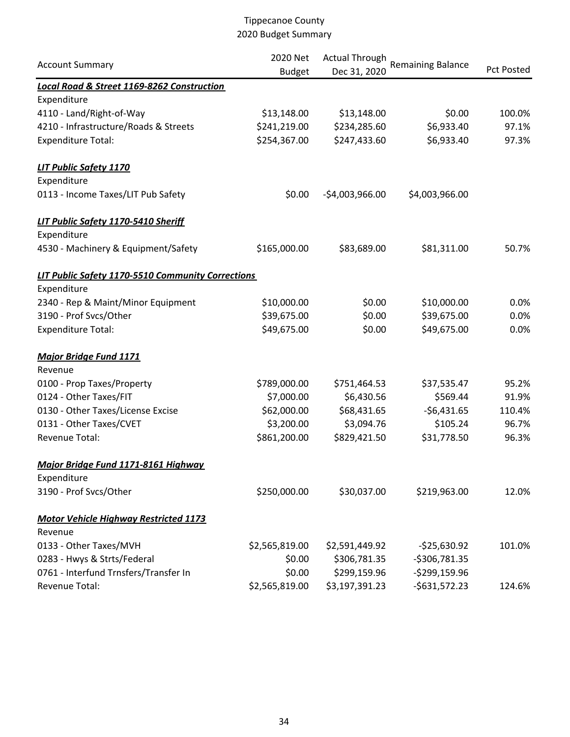| <b>Account Summary</b>                                | 2020 Net       | <b>Actual Through</b> | <b>Remaining Balance</b> |                   |
|-------------------------------------------------------|----------------|-----------------------|--------------------------|-------------------|
|                                                       | <b>Budget</b>  | Dec 31, 2020          |                          | <b>Pct Posted</b> |
| <b>Local Road &amp; Street 1169-8262 Construction</b> |                |                       |                          |                   |
| Expenditure                                           |                |                       |                          |                   |
| 4110 - Land/Right-of-Way                              | \$13,148.00    | \$13,148.00           | \$0.00                   | 100.0%            |
| 4210 - Infrastructure/Roads & Streets                 | \$241,219.00   | \$234,285.60          | \$6,933.40               | 97.1%             |
| <b>Expenditure Total:</b>                             | \$254,367.00   | \$247,433.60          | \$6,933.40               | 97.3%             |
| <b>LIT Public Safety 1170</b>                         |                |                       |                          |                   |
| Expenditure                                           |                |                       |                          |                   |
| 0113 - Income Taxes/LIT Pub Safety                    | \$0.00         | $-$4,003,966.00$      | \$4,003,966.00           |                   |
| LIT Public Safety 1170-5410 Sheriff                   |                |                       |                          |                   |
| Expenditure                                           |                |                       |                          |                   |
| 4530 - Machinery & Equipment/Safety                   | \$165,000.00   | \$83,689.00           | \$81,311.00              | 50.7%             |
| LIT Public Safety 1170-5510 Community Corrections     |                |                       |                          |                   |
| Expenditure                                           |                |                       |                          |                   |
| 2340 - Rep & Maint/Minor Equipment                    | \$10,000.00    | \$0.00                | \$10,000.00              | 0.0%              |
| 3190 - Prof Svcs/Other                                | \$39,675.00    | \$0.00                | \$39,675.00              | 0.0%              |
| <b>Expenditure Total:</b>                             | \$49,675.00    | \$0.00                | \$49,675.00              | 0.0%              |
| <b>Major Bridge Fund 1171</b>                         |                |                       |                          |                   |
| Revenue                                               |                |                       |                          |                   |
| 0100 - Prop Taxes/Property                            | \$789,000.00   | \$751,464.53          | \$37,535.47              | 95.2%             |
| 0124 - Other Taxes/FIT                                | \$7,000.00     | \$6,430.56            | \$569.44                 | 91.9%             |
| 0130 - Other Taxes/License Excise                     | \$62,000.00    | \$68,431.65           | $-$6,431.65$             | 110.4%            |
| 0131 - Other Taxes/CVET                               | \$3,200.00     | \$3,094.76            | \$105.24                 | 96.7%             |
| <b>Revenue Total:</b>                                 | \$861,200.00   | \$829,421.50          | \$31,778.50              | 96.3%             |
| Major Bridge Fund 1171-8161 Highway                   |                |                       |                          |                   |
| Expenditure                                           |                |                       |                          |                   |
| 3190 - Prof Svcs/Other                                | \$250,000.00   | \$30,037.00           | \$219,963.00             | 12.0%             |
| <b>Motor Vehicle Highway Restricted 1173</b>          |                |                       |                          |                   |
| Revenue                                               |                |                       |                          |                   |
| 0133 - Other Taxes/MVH                                | \$2,565,819.00 | \$2,591,449.92        | $-525,630.92$            | 101.0%            |
| 0283 - Hwys & Strts/Federal                           | \$0.00         | \$306,781.35          | $-5306,781.35$           |                   |
| 0761 - Interfund Trnsfers/Transfer In                 | \$0.00         | \$299,159.96          | $-5299,159.96$           |                   |
| Revenue Total:                                        | \$2,565,819.00 | \$3,197,391.23        | $-5631,572.23$           | 124.6%            |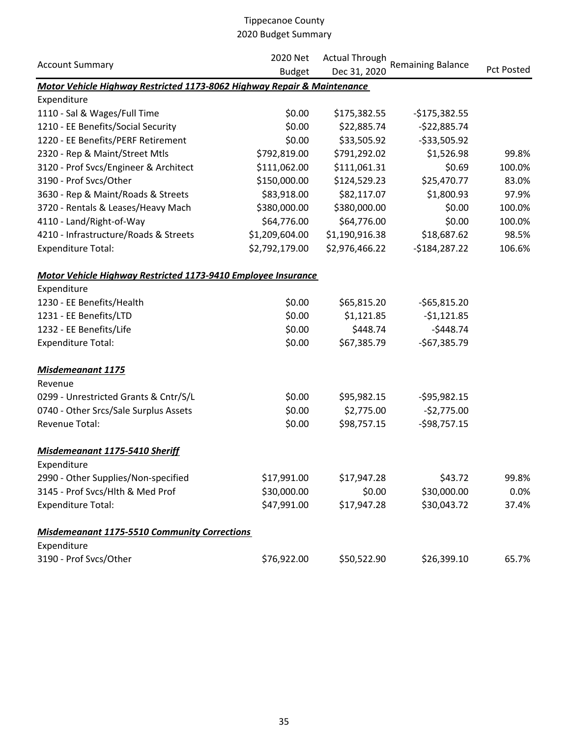|                                                                         | 2020 Net       | <b>Actual Through</b> | <b>Remaining Balance</b> | Pct Posted |
|-------------------------------------------------------------------------|----------------|-----------------------|--------------------------|------------|
| <b>Account Summary</b>                                                  | <b>Budget</b>  | Dec 31, 2020          |                          |            |
| Motor Vehicle Highway Restricted 1173-8062 Highway Repair & Maintenance |                |                       |                          |            |
| Expenditure                                                             |                |                       |                          |            |
| 1110 - Sal & Wages/Full Time                                            | \$0.00         | \$175,382.55          | $-$175,382.55$           |            |
| 1210 - EE Benefits/Social Security                                      | \$0.00         | \$22,885.74           | $-$22,885.74$            |            |
| 1220 - EE Benefits/PERF Retirement                                      | \$0.00         | \$33,505.92           | $-$ \$33,505.92          |            |
| 2320 - Rep & Maint/Street Mtls                                          | \$792,819.00   | \$791,292.02          | \$1,526.98               | 99.8%      |
| 3120 - Prof Svcs/Engineer & Architect                                   | \$111,062.00   | \$111,061.31          | \$0.69                   | 100.0%     |
| 3190 - Prof Svcs/Other                                                  | \$150,000.00   | \$124,529.23          | \$25,470.77              | 83.0%      |
| 3630 - Rep & Maint/Roads & Streets                                      | \$83,918.00    | \$82,117.07           | \$1,800.93               | 97.9%      |
| 3720 - Rentals & Leases/Heavy Mach                                      | \$380,000.00   | \$380,000.00          | \$0.00                   | 100.0%     |
| 4110 - Land/Right-of-Way                                                | \$64,776.00    | \$64,776.00           | \$0.00                   | 100.0%     |
| 4210 - Infrastructure/Roads & Streets                                   | \$1,209,604.00 | \$1,190,916.38        | \$18,687.62              | 98.5%      |
| <b>Expenditure Total:</b>                                               | \$2,792,179.00 | \$2,976,466.22        | $-5184,287.22$           | 106.6%     |
| Motor Vehicle Highway Restricted 1173-9410 Employee Insurance           |                |                       |                          |            |
| Expenditure                                                             |                |                       |                          |            |
| 1230 - EE Benefits/Health                                               | \$0.00         | \$65,815.20           | $-565,815.20$            |            |
| 1231 - EE Benefits/LTD                                                  | \$0.00         | \$1,121.85            | $-$1,121.85$             |            |
| 1232 - EE Benefits/Life                                                 | \$0.00         | \$448.74              | $-$448.74$               |            |
| <b>Expenditure Total:</b>                                               | \$0.00         | \$67,385.79           | $-567,385.79$            |            |
| <b>Misdemeanant 1175</b>                                                |                |                       |                          |            |
| Revenue                                                                 |                |                       |                          |            |
| 0299 - Unrestricted Grants & Cntr/S/L                                   | \$0.00         | \$95,982.15           | $-595,982.15$            |            |
| 0740 - Other Srcs/Sale Surplus Assets                                   | \$0.00         | \$2,775.00            | $-52,775.00$             |            |
| Revenue Total:                                                          | \$0.00         | \$98,757.15           | $-598,757.15$            |            |
| Misdemeanant 1175-5410 Sheriff                                          |                |                       |                          |            |
| Expenditure                                                             |                |                       |                          |            |
| 2990 - Other Supplies/Non-specified                                     | \$17,991.00    | \$17,947.28           | \$43.72                  | 99.8%      |
| 3145 - Prof Svcs/Hlth & Med Prof                                        | \$30,000.00    | \$0.00                | \$30,000.00              | 0.0%       |
| <b>Expenditure Total:</b>                                               | \$47,991.00    | \$17,947.28           | \$30,043.72              | 37.4%      |
| <b>Misdemeanant 1175-5510 Community Corrections</b>                     |                |                       |                          |            |
| Expenditure                                                             |                |                       |                          |            |
| 3190 - Prof Svcs/Other                                                  | \$76,922.00    | \$50,522.90           | \$26,399.10              | 65.7%      |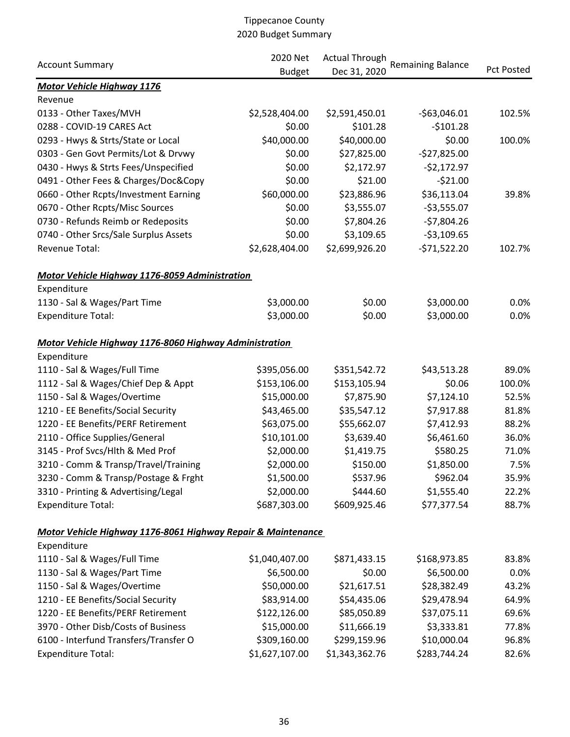|                                                              | 2020 Net       | <b>Actual Through</b> |                          |                   |
|--------------------------------------------------------------|----------------|-----------------------|--------------------------|-------------------|
| <b>Account Summary</b>                                       | <b>Budget</b>  | Dec 31, 2020          | <b>Remaining Balance</b> | <b>Pct Posted</b> |
| <b>Motor Vehicle Highway 1176</b>                            |                |                       |                          |                   |
| Revenue                                                      |                |                       |                          |                   |
| 0133 - Other Taxes/MVH                                       | \$2,528,404.00 | \$2,591,450.01        | $-563,046.01$            | 102.5%            |
| 0288 - COVID-19 CARES Act                                    | \$0.00         | \$101.28              | $-5101.28$               |                   |
| 0293 - Hwys & Strts/State or Local                           | \$40,000.00    | \$40,000.00           | \$0.00                   | 100.0%            |
| 0303 - Gen Govt Permits/Lot & Drvwy                          | \$0.00         | \$27,825.00           | $-$27,825.00$            |                   |
| 0430 - Hwys & Strts Fees/Unspecified                         | \$0.00         | \$2,172.97            | $-52,172.97$             |                   |
| 0491 - Other Fees & Charges/Doc&Copy                         | \$0.00         | \$21.00               | $-521.00$                |                   |
| 0660 - Other Rcpts/Investment Earning                        | \$60,000.00    | \$23,886.96           | \$36,113.04              | 39.8%             |
| 0670 - Other Rcpts/Misc Sources                              | \$0.00         | \$3,555.07            | $-53,555.07$             |                   |
| 0730 - Refunds Reimb or Redeposits                           | \$0.00         | \$7,804.26            | $-57,804.26$             |                   |
| 0740 - Other Srcs/Sale Surplus Assets                        | \$0.00         | \$3,109.65            | $-53,109.65$             |                   |
| Revenue Total:                                               | \$2,628,404.00 | \$2,699,926.20        | $-571,522.20$            | 102.7%            |
| <b>Motor Vehicle Highway 1176-8059 Administration</b>        |                |                       |                          |                   |
| Expenditure                                                  |                |                       |                          |                   |
| 1130 - Sal & Wages/Part Time                                 | \$3,000.00     | \$0.00                | \$3,000.00               | 0.0%              |
| <b>Expenditure Total:</b>                                    | \$3,000.00     | \$0.00                | \$3,000.00               | 0.0%              |
| Motor Vehicle Highway 1176-8060 Highway Administration       |                |                       |                          |                   |
| Expenditure                                                  |                |                       |                          |                   |
| 1110 - Sal & Wages/Full Time                                 | \$395,056.00   | \$351,542.72          | \$43,513.28              | 89.0%             |
| 1112 - Sal & Wages/Chief Dep & Appt                          | \$153,106.00   | \$153,105.94          | \$0.06                   | 100.0%            |
| 1150 - Sal & Wages/Overtime                                  | \$15,000.00    | \$7,875.90            | \$7,124.10               | 52.5%             |
| 1210 - EE Benefits/Social Security                           | \$43,465.00    | \$35,547.12           | \$7,917.88               | 81.8%             |
| 1220 - EE Benefits/PERF Retirement                           | \$63,075.00    | \$55,662.07           | \$7,412.93               | 88.2%             |
| 2110 - Office Supplies/General                               | \$10,101.00    | \$3,639.40            | \$6,461.60               | 36.0%             |
| 3145 - Prof Svcs/Hlth & Med Prof                             | \$2,000.00     | \$1,419.75            | \$580.25                 | 71.0%             |
| 3210 - Comm & Transp/Travel/Training                         | \$2,000.00     | \$150.00              | \$1,850.00               | 7.5%              |
| 3230 - Comm & Transp/Postage & Frght                         | \$1,500.00     | \$537.96              | \$962.04                 | 35.9%             |
| 3310 - Printing & Advertising/Legal                          | \$2,000.00     | \$444.60              | \$1,555.40               | 22.2%             |
| <b>Expenditure Total:</b>                                    | \$687,303.00   | \$609,925.46          | \$77,377.54              | 88.7%             |
| Motor Vehicle Highway 1176-8061 Highway Repair & Maintenance |                |                       |                          |                   |
| Expenditure                                                  |                |                       |                          |                   |
| 1110 - Sal & Wages/Full Time                                 | \$1,040,407.00 | \$871,433.15          | \$168,973.85             | 83.8%             |
| 1130 - Sal & Wages/Part Time                                 | \$6,500.00     | \$0.00                | \$6,500.00               | 0.0%              |
| 1150 - Sal & Wages/Overtime                                  | \$50,000.00    | \$21,617.51           | \$28,382.49              | 43.2%             |
| 1210 - EE Benefits/Social Security                           | \$83,914.00    | \$54,435.06           | \$29,478.94              | 64.9%             |
| 1220 - EE Benefits/PERF Retirement                           | \$122,126.00   | \$85,050.89           | \$37,075.11              | 69.6%             |
| 3970 - Other Disb/Costs of Business                          | \$15,000.00    | \$11,666.19           | \$3,333.81               | 77.8%             |
| 6100 - Interfund Transfers/Transfer O                        | \$309,160.00   | \$299,159.96          | \$10,000.04              | 96.8%             |
| <b>Expenditure Total:</b>                                    | \$1,627,107.00 | \$1,343,362.76        | \$283,744.24             | 82.6%             |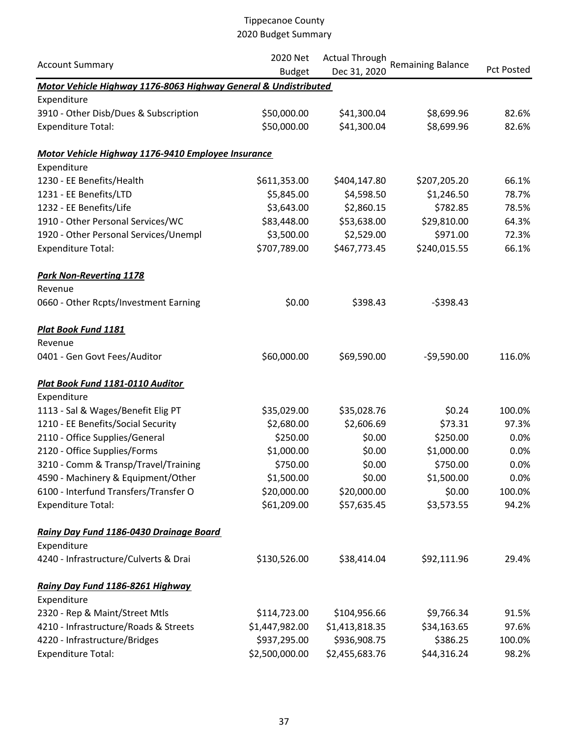|                                                                 | 2020 Net       | <b>Actual Through</b> |                          |                   |
|-----------------------------------------------------------------|----------------|-----------------------|--------------------------|-------------------|
| <b>Account Summary</b>                                          | <b>Budget</b>  | Dec 31, 2020          | <b>Remaining Balance</b> | <b>Pct Posted</b> |
| Motor Vehicle Highway 1176-8063 Highway General & Undistributed |                |                       |                          |                   |
| Expenditure                                                     |                |                       |                          |                   |
| 3910 - Other Disb/Dues & Subscription                           | \$50,000.00    | \$41,300.04           | \$8,699.96               | 82.6%             |
| <b>Expenditure Total:</b>                                       | \$50,000.00    | \$41,300.04           | \$8,699.96               | 82.6%             |
| Motor Vehicle Highway 1176-9410 Employee Insurance              |                |                       |                          |                   |
| Expenditure                                                     |                |                       |                          |                   |
| 1230 - EE Benefits/Health                                       | \$611,353.00   | \$404,147.80          | \$207,205.20             | 66.1%             |
| 1231 - EE Benefits/LTD                                          | \$5,845.00     | \$4,598.50            | \$1,246.50               | 78.7%             |
| 1232 - EE Benefits/Life                                         | \$3,643.00     | \$2,860.15            | \$782.85                 | 78.5%             |
| 1910 - Other Personal Services/WC                               | \$83,448.00    | \$53,638.00           | \$29,810.00              | 64.3%             |
| 1920 - Other Personal Services/Unempl                           | \$3,500.00     | \$2,529.00            | \$971.00                 | 72.3%             |
| <b>Expenditure Total:</b>                                       | \$707,789.00   | \$467,773.45          | \$240,015.55             | 66.1%             |
| <b>Park Non-Reverting 1178</b>                                  |                |                       |                          |                   |
| Revenue                                                         |                |                       |                          |                   |
| 0660 - Other Rcpts/Investment Earning                           | \$0.00         | \$398.43              | $-5398.43$               |                   |
| <b>Plat Book Fund 1181</b>                                      |                |                       |                          |                   |
| Revenue                                                         |                |                       |                          |                   |
| 0401 - Gen Govt Fees/Auditor                                    | \$60,000.00    | \$69,590.00           | $-59,590.00$             | 116.0%            |
| Plat Book Fund 1181-0110 Auditor                                |                |                       |                          |                   |
| Expenditure                                                     |                |                       |                          |                   |
| 1113 - Sal & Wages/Benefit Elig PT                              | \$35,029.00    | \$35,028.76           | \$0.24                   | 100.0%            |
| 1210 - EE Benefits/Social Security                              | \$2,680.00     | \$2,606.69            | \$73.31                  | 97.3%             |
| 2110 - Office Supplies/General                                  | \$250.00       | \$0.00                | \$250.00                 | 0.0%              |
| 2120 - Office Supplies/Forms                                    | \$1,000.00     | \$0.00                | \$1,000.00               | 0.0%              |
| 3210 - Comm & Transp/Travel/Training                            | \$750.00       | \$0.00                | \$750.00                 | 0.0%              |
| 4590 - Machinery & Equipment/Other                              | \$1,500.00     | \$0.00                | \$1,500.00               | 0.0%              |
| 6100 - Interfund Transfers/Transfer O                           | \$20,000.00    | \$20,000.00           | \$0.00                   | 100.0%            |
| <b>Expenditure Total:</b>                                       | \$61,209.00    | \$57,635.45           | \$3,573.55               | 94.2%             |
| Rainy Day Fund 1186-0430 Drainage Board                         |                |                       |                          |                   |
| Expenditure                                                     |                |                       |                          |                   |
| 4240 - Infrastructure/Culverts & Drai                           | \$130,526.00   | \$38,414.04           | \$92,111.96              | 29.4%             |
| Rainy Day Fund 1186-8261 Highway                                |                |                       |                          |                   |
| Expenditure                                                     |                |                       |                          |                   |
| 2320 - Rep & Maint/Street Mtls                                  | \$114,723.00   | \$104,956.66          | \$9,766.34               | 91.5%             |
| 4210 - Infrastructure/Roads & Streets                           | \$1,447,982.00 | \$1,413,818.35        | \$34,163.65              | 97.6%             |
| 4220 - Infrastructure/Bridges                                   | \$937,295.00   | \$936,908.75          | \$386.25                 | 100.0%            |
| <b>Expenditure Total:</b>                                       | \$2,500,000.00 | \$2,455,683.76        | \$44,316.24              | 98.2%             |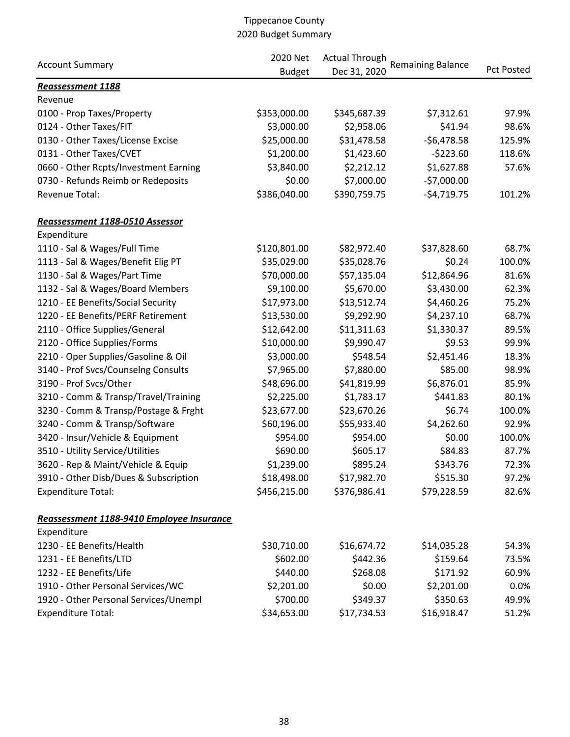|                                           | 2020 Net      | <b>Actual Through</b> |                          | Pct Posted |
|-------------------------------------------|---------------|-----------------------|--------------------------|------------|
| <b>Account Summary</b>                    | <b>Budget</b> | Dec 31, 2020          | <b>Remaining Balance</b> |            |
| Reassessment 1188                         |               |                       |                          |            |
| Revenue                                   |               |                       |                          |            |
| 0100 - Prop Taxes/Property                | \$353,000.00  | \$345,687.39          | \$7,312.61               | 97.9%      |
| 0124 - Other Taxes/FIT                    | \$3,000.00    | \$2,958.06            | \$41.94                  | 98.6%      |
| 0130 - Other Taxes/License Excise         | \$25,000.00   | \$31,478.58           | $-$6,478.58$             | 125.9%     |
| 0131 - Other Taxes/CVET                   | \$1,200.00    | \$1,423.60            | $-5223.60$               | 118.6%     |
| 0660 - Other Rcpts/Investment Earning     | \$3,840.00    | \$2,212.12            | \$1,627.88               | 57.6%      |
| 0730 - Refunds Reimb or Redeposits        | \$0.00        | \$7,000.00            | $-57,000.00$             |            |
| Revenue Total:                            | \$386,040.00  | \$390,759.75          | $-54,719.75$             | 101.2%     |
| Reassessment 1188-0510 Assessor           |               |                       |                          |            |
| Expenditure                               |               |                       |                          |            |
| 1110 - Sal & Wages/Full Time              | \$120,801.00  | \$82,972.40           | \$37,828.60              | 68.7%      |
| 1113 - Sal & Wages/Benefit Elig PT        | \$35,029.00   | \$35,028.76           | \$0.24                   | 100.0%     |
| 1130 - Sal & Wages/Part Time              | \$70,000.00   | \$57,135.04           | \$12,864.96              | 81.6%      |
| 1132 - Sal & Wages/Board Members          | \$9,100.00    | \$5,670.00            | \$3,430.00               | 62.3%      |
| 1210 - EE Benefits/Social Security        | \$17,973.00   | \$13,512.74           | \$4,460.26               | 75.2%      |
| 1220 - EE Benefits/PERF Retirement        | \$13,530.00   | \$9,292.90            | \$4,237.10               | 68.7%      |
| 2110 - Office Supplies/General            | \$12,642.00   | \$11,311.63           | \$1,330.37               | 89.5%      |
| 2120 - Office Supplies/Forms              | \$10,000.00   | \$9,990.47            | \$9.53                   | 99.9%      |
| 2210 - Oper Supplies/Gasoline & Oil       | \$3,000.00    | \$548.54              | \$2,451.46               | 18.3%      |
| 3140 - Prof Svcs/Counselng Consults       | \$7,965.00    | \$7,880.00            | \$85.00                  | 98.9%      |
| 3190 - Prof Svcs/Other                    | \$48,696.00   | \$41,819.99           | \$6,876.01               | 85.9%      |
| 3210 - Comm & Transp/Travel/Training      | \$2,225.00    | \$1,783.17            | \$441.83                 | 80.1%      |
| 3230 - Comm & Transp/Postage & Frght      | \$23,677.00   | \$23,670.26           | \$6.74                   | 100.0%     |
| 3240 - Comm & Transp/Software             | \$60,196.00   | \$55,933.40           | \$4,262.60               | 92.9%      |
| 3420 - Insur/Vehicle & Equipment          | \$954.00      | \$954.00              | \$0.00                   | 100.0%     |
| 3510 - Utility Service/Utilities          | \$690.00      | \$605.17              | \$84.83                  | 87.7%      |
| 3620 - Rep & Maint/Vehicle & Equip        | \$1,239.00    | \$895.24              | \$343.76                 | 72.3%      |
| 3910 - Other Disb/Dues & Subscription     | \$18,498.00   | \$17,982.70           | \$515.30                 | 97.2%      |
| <b>Expenditure Total:</b>                 | \$456,215.00  | \$376,986.41          | \$79,228.59              | 82.6%      |
| Reassessment 1188-9410 Employee Insurance |               |                       |                          |            |
| Expenditure                               |               |                       |                          |            |
| 1230 - EE Benefits/Health                 | \$30,710.00   | \$16,674.72           | \$14,035.28              | 54.3%      |
| 1231 - EE Benefits/LTD                    | \$602.00      | \$442.36              | \$159.64                 | 73.5%      |
| 1232 - EE Benefits/Life                   | \$440.00      | \$268.08              | \$171.92                 | 60.9%      |
| 1910 - Other Personal Services/WC         | \$2,201.00    | \$0.00                | \$2,201.00               | 0.0%       |
| 1920 - Other Personal Services/Unempl     | \$700.00      | \$349.37              | \$350.63                 | 49.9%      |
| <b>Expenditure Total:</b>                 | \$34,653.00   | \$17,734.53           | \$16,918.47              | 51.2%      |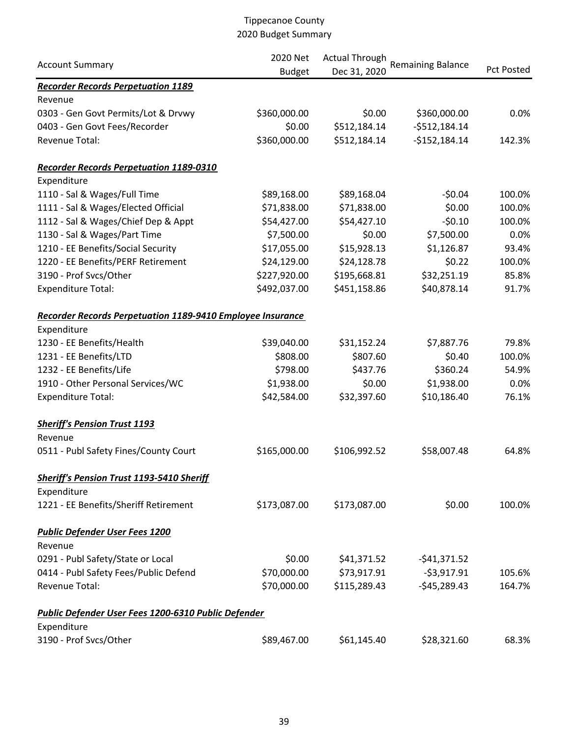|                                                            | 2020 Net      | <b>Actual Through</b><br><b>Remaining Balance</b> |                |            |
|------------------------------------------------------------|---------------|---------------------------------------------------|----------------|------------|
| <b>Account Summary</b>                                     | <b>Budget</b> | Dec 31, 2020                                      |                | Pct Posted |
| <b>Recorder Records Perpetuation 1189</b>                  |               |                                                   |                |            |
| Revenue                                                    |               |                                                   |                |            |
| 0303 - Gen Govt Permits/Lot & Drvwy                        | \$360,000.00  | \$0.00                                            | \$360,000.00   | 0.0%       |
| 0403 - Gen Govt Fees/Recorder                              | \$0.00        | \$512,184.14                                      | $-5512,184.14$ |            |
| Revenue Total:                                             | \$360,000.00  | \$512,184.14                                      | $-$152,184.14$ | 142.3%     |
| <b>Recorder Records Perpetuation 1189-0310</b>             |               |                                                   |                |            |
| Expenditure                                                |               |                                                   |                |            |
| 1110 - Sal & Wages/Full Time                               | \$89,168.00   | \$89,168.04                                       | $-50.04$       | 100.0%     |
| 1111 - Sal & Wages/Elected Official                        | \$71,838.00   | \$71,838.00                                       | \$0.00         | 100.0%     |
| 1112 - Sal & Wages/Chief Dep & Appt                        | \$54,427.00   | \$54,427.10                                       | $-50.10$       | 100.0%     |
| 1130 - Sal & Wages/Part Time                               | \$7,500.00    | \$0.00                                            | \$7,500.00     | 0.0%       |
| 1210 - EE Benefits/Social Security                         | \$17,055.00   | \$15,928.13                                       | \$1,126.87     | 93.4%      |
| 1220 - EE Benefits/PERF Retirement                         | \$24,129.00   | \$24,128.78                                       | \$0.22         | 100.0%     |
| 3190 - Prof Svcs/Other                                     | \$227,920.00  | \$195,668.81                                      | \$32,251.19    | 85.8%      |
| <b>Expenditure Total:</b>                                  | \$492,037.00  | \$451,158.86                                      | \$40,878.14    | 91.7%      |
| Recorder Records Perpetuation 1189-9410 Employee Insurance |               |                                                   |                |            |
| Expenditure                                                |               |                                                   |                |            |
| 1230 - EE Benefits/Health                                  | \$39,040.00   | \$31,152.24                                       | \$7,887.76     | 79.8%      |
| 1231 - EE Benefits/LTD                                     | \$808.00      | \$807.60                                          | \$0.40         | 100.0%     |
| 1232 - EE Benefits/Life                                    | \$798.00      | \$437.76                                          | \$360.24       | 54.9%      |
| 1910 - Other Personal Services/WC                          | \$1,938.00    | \$0.00                                            | \$1,938.00     | 0.0%       |
| <b>Expenditure Total:</b>                                  | \$42,584.00   | \$32,397.60                                       | \$10,186.40    | 76.1%      |
| <b>Sheriff's Pension Trust 1193</b>                        |               |                                                   |                |            |
| Revenue                                                    |               |                                                   |                |            |
| 0511 - Publ Safety Fines/County Court                      | \$165,000.00  | \$106,992.52                                      | \$58,007.48    | 64.8%      |
| <b>Sheriff's Pension Trust 1193-5410 Sheriff</b>           |               |                                                   |                |            |
| Expenditure                                                |               |                                                   |                |            |
| 1221 - EE Benefits/Sheriff Retirement                      | \$173,087.00  | \$173,087.00                                      | \$0.00         | 100.0%     |
| <b>Public Defender User Fees 1200</b>                      |               |                                                   |                |            |
| Revenue                                                    |               |                                                   |                |            |
| 0291 - Publ Safety/State or Local                          | \$0.00        | \$41,371.52                                       | $-541,371.52$  |            |
| 0414 - Publ Safety Fees/Public Defend                      | \$70,000.00   | \$73,917.91                                       | $-53,917.91$   | 105.6%     |
| Revenue Total:                                             | \$70,000.00   | \$115,289.43                                      | $-$45,289.43$  | 164.7%     |
| Public Defender User Fees 1200-6310 Public Defender        |               |                                                   |                |            |
| Expenditure                                                |               |                                                   |                |            |
| 3190 - Prof Svcs/Other                                     | \$89,467.00   | \$61,145.40                                       | \$28,321.60    | 68.3%      |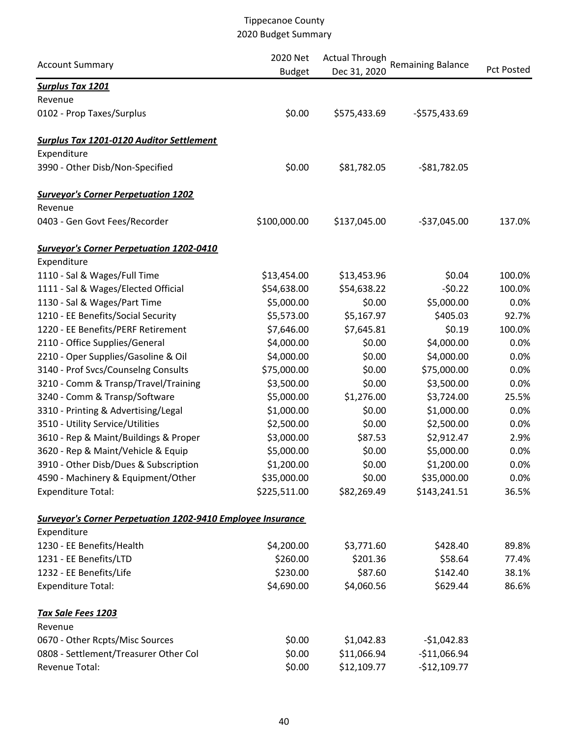|                                                             | 2020 Net      | <b>Actual Through</b> | <b>Remaining Balance</b> |                   |
|-------------------------------------------------------------|---------------|-----------------------|--------------------------|-------------------|
| <b>Account Summary</b>                                      | <b>Budget</b> | Dec 31, 2020          |                          | <b>Pct Posted</b> |
| <b>Surplus Tax 1201</b>                                     |               |                       |                          |                   |
| Revenue                                                     |               |                       |                          |                   |
| 0102 - Prop Taxes/Surplus                                   | \$0.00        | \$575,433.69          | $-$575,433.69$           |                   |
| <b>Surplus Tax 1201-0120 Auditor Settlement</b>             |               |                       |                          |                   |
| Expenditure                                                 |               |                       |                          |                   |
| 3990 - Other Disb/Non-Specified                             | \$0.00        | \$81,782.05           | $-581,782.05$            |                   |
| <b>Surveyor's Corner Perpetuation 1202</b>                  |               |                       |                          |                   |
| Revenue                                                     |               |                       |                          |                   |
| 0403 - Gen Govt Fees/Recorder                               | \$100,000.00  | \$137,045.00          | $-537,045.00$            | 137.0%            |
| <b>Surveyor's Corner Perpetuation 1202-0410</b>             |               |                       |                          |                   |
| Expenditure                                                 |               |                       |                          |                   |
| 1110 - Sal & Wages/Full Time                                | \$13,454.00   | \$13,453.96           | \$0.04                   | 100.0%            |
| 1111 - Sal & Wages/Elected Official                         | \$54,638.00   | \$54,638.22           | $-50.22$                 | 100.0%            |
| 1130 - Sal & Wages/Part Time                                | \$5,000.00    | \$0.00                | \$5,000.00               | 0.0%              |
| 1210 - EE Benefits/Social Security                          | \$5,573.00    | \$5,167.97            | \$405.03                 | 92.7%             |
| 1220 - EE Benefits/PERF Retirement                          | \$7,646.00    | \$7,645.81            | \$0.19                   | 100.0%            |
| 2110 - Office Supplies/General                              | \$4,000.00    | \$0.00                | \$4,000.00               | 0.0%              |
| 2210 - Oper Supplies/Gasoline & Oil                         | \$4,000.00    | \$0.00                | \$4,000.00               | 0.0%              |
| 3140 - Prof Svcs/Counselng Consults                         | \$75,000.00   | \$0.00                | \$75,000.00              | 0.0%              |
| 3210 - Comm & Transp/Travel/Training                        | \$3,500.00    | \$0.00                | \$3,500.00               | 0.0%              |
| 3240 - Comm & Transp/Software                               | \$5,000.00    | \$1,276.00            | \$3,724.00               | 25.5%             |
| 3310 - Printing & Advertising/Legal                         | \$1,000.00    | \$0.00                | \$1,000.00               | 0.0%              |
| 3510 - Utility Service/Utilities                            | \$2,500.00    | \$0.00                | \$2,500.00               | 0.0%              |
| 3610 - Rep & Maint/Buildings & Proper                       | \$3,000.00    | \$87.53               | \$2,912.47               | 2.9%              |
| 3620 - Rep & Maint/Vehicle & Equip                          | \$5,000.00    | \$0.00                | \$5,000.00               | 0.0%              |
| 3910 - Other Disb/Dues & Subscription                       | \$1,200.00    | \$0.00                | \$1,200.00               | 0.0%              |
| 4590 - Machinery & Equipment/Other                          | \$35,000.00   | \$0.00                | \$35,000.00              | 0.0%              |
| <b>Expenditure Total:</b>                                   | \$225,511.00  | \$82,269.49           | \$143,241.51             | 36.5%             |
| Surveyor's Corner Perpetuation 1202-9410 Employee Insurance |               |                       |                          |                   |
| Expenditure                                                 |               |                       |                          |                   |
| 1230 - EE Benefits/Health                                   | \$4,200.00    | \$3,771.60            | \$428.40                 | 89.8%             |
| 1231 - EE Benefits/LTD                                      | \$260.00      | \$201.36              | \$58.64                  | 77.4%             |
| 1232 - EE Benefits/Life                                     | \$230.00      | \$87.60               | \$142.40                 | 38.1%             |
| <b>Expenditure Total:</b>                                   | \$4,690.00    | \$4,060.56            | \$629.44                 | 86.6%             |
| Tax Sale Fees 1203                                          |               |                       |                          |                   |
| Revenue                                                     |               |                       |                          |                   |
| 0670 - Other Rcpts/Misc Sources                             | \$0.00        | \$1,042.83            | $-$1,042.83$             |                   |
| 0808 - Settlement/Treasurer Other Col                       | \$0.00        | \$11,066.94           | $-$11,066.94$            |                   |
| Revenue Total:                                              | \$0.00        | \$12,109.77           | $-$12,109.77$            |                   |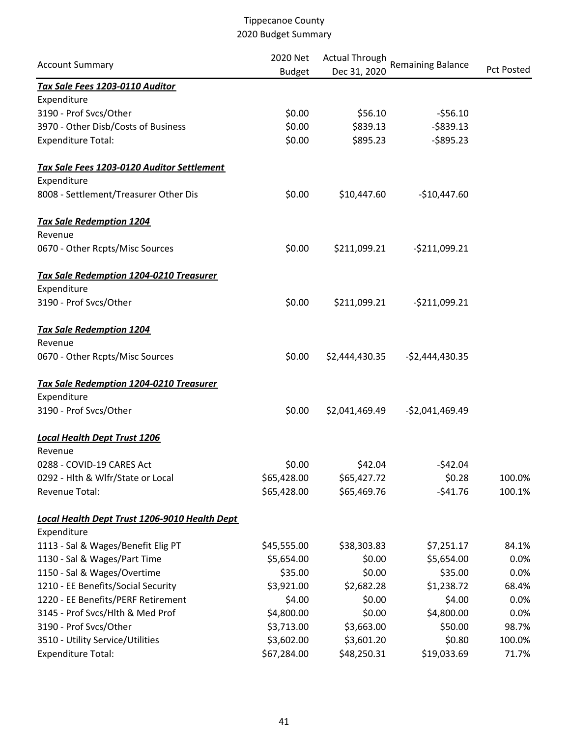|                                                | 2020 Net<br><b>Actual Through</b> |                |                          |                   |  |
|------------------------------------------------|-----------------------------------|----------------|--------------------------|-------------------|--|
| <b>Account Summary</b>                         | <b>Budget</b>                     | Dec 31, 2020   | <b>Remaining Balance</b> | <b>Pct Posted</b> |  |
| Tax Sale Fees 1203-0110 Auditor                |                                   |                |                          |                   |  |
| Expenditure                                    |                                   |                |                          |                   |  |
| 3190 - Prof Svcs/Other                         | \$0.00                            | \$56.10        | $-556.10$                |                   |  |
| 3970 - Other Disb/Costs of Business            | \$0.00                            | \$839.13       | $-5839.13$               |                   |  |
| <b>Expenditure Total:</b>                      | \$0.00                            | \$895.23       | $-5895.23$               |                   |  |
| Tax Sale Fees 1203-0120 Auditor Settlement     |                                   |                |                          |                   |  |
| Expenditure                                    |                                   |                |                          |                   |  |
| 8008 - Settlement/Treasurer Other Dis          | \$0.00                            | \$10,447.60    | $-$10,447.60$            |                   |  |
| <b>Tax Sale Redemption 1204</b>                |                                   |                |                          |                   |  |
| Revenue                                        |                                   |                |                          |                   |  |
| 0670 - Other Rcpts/Misc Sources                | \$0.00                            | \$211,099.21   | $-5211,099.21$           |                   |  |
| Tax Sale Redemption 1204-0210 Treasurer        |                                   |                |                          |                   |  |
| Expenditure                                    |                                   |                |                          |                   |  |
| 3190 - Prof Svcs/Other                         | \$0.00                            | \$211,099.21   | $-5211,099.21$           |                   |  |
| <b>Tax Sale Redemption 1204</b>                |                                   |                |                          |                   |  |
| Revenue                                        |                                   |                |                          |                   |  |
| 0670 - Other Rcpts/Misc Sources                | \$0.00                            | \$2,444,430.35 | $-52,444,430.35$         |                   |  |
| <b>Tax Sale Redemption 1204-0210 Treasurer</b> |                                   |                |                          |                   |  |
| Expenditure                                    |                                   |                |                          |                   |  |
| 3190 - Prof Svcs/Other                         | \$0.00                            | \$2,041,469.49 | $-52,041,469.49$         |                   |  |
| <b>Local Health Dept Trust 1206</b>            |                                   |                |                          |                   |  |
| Revenue                                        |                                   |                |                          |                   |  |
| 0288 - COVID-19 CARES Act                      | \$0.00                            | \$42.04        | $-542.04$                |                   |  |
| 0292 - Hlth & Wlfr/State or Local              | \$65,428.00                       | \$65,427.72    | \$0.28                   | 100.0%            |  |
| Revenue Total:                                 | \$65,428.00                       | \$65,469.76    | $-541.76$                | 100.1%            |  |
| Local Health Dept Trust 1206-9010 Health Dept  |                                   |                |                          |                   |  |
| Expenditure                                    |                                   |                |                          |                   |  |
| 1113 - Sal & Wages/Benefit Elig PT             | \$45,555.00                       | \$38,303.83    | \$7,251.17               | 84.1%             |  |
| 1130 - Sal & Wages/Part Time                   | \$5,654.00                        | \$0.00         | \$5,654.00               | 0.0%              |  |
| 1150 - Sal & Wages/Overtime                    | \$35.00                           | \$0.00         | \$35.00                  | 0.0%              |  |
| 1210 - EE Benefits/Social Security             | \$3,921.00                        | \$2,682.28     | \$1,238.72               | 68.4%             |  |
| 1220 - EE Benefits/PERF Retirement             | \$4.00                            | \$0.00         | \$4.00                   | 0.0%              |  |
| 3145 - Prof Svcs/Hlth & Med Prof               | \$4,800.00                        | \$0.00         | \$4,800.00               | 0.0%              |  |
| 3190 - Prof Svcs/Other                         | \$3,713.00                        | \$3,663.00     | \$50.00                  | 98.7%             |  |
| 3510 - Utility Service/Utilities               | \$3,602.00                        | \$3,601.20     | \$0.80                   | 100.0%            |  |
| <b>Expenditure Total:</b>                      | \$67,284.00                       | \$48,250.31    | \$19,033.69              | 71.7%             |  |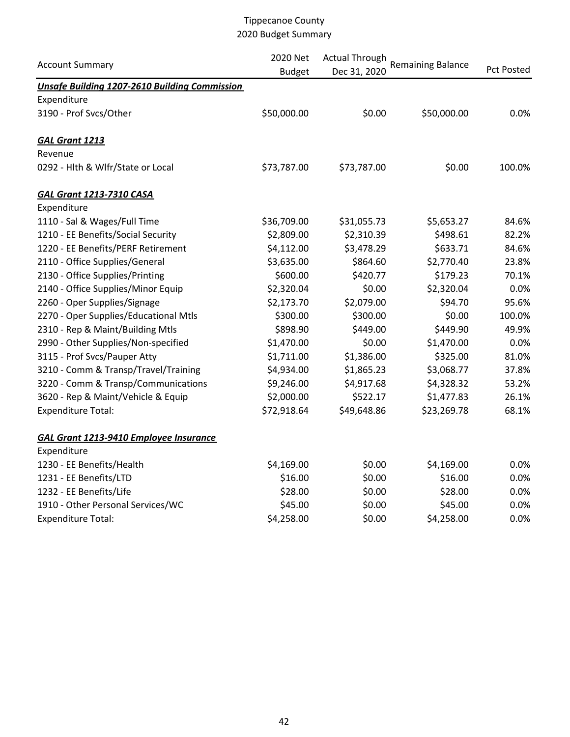| <b>Account Summary</b>                               | 2020 Net<br><b>Budget</b> | <b>Actual Through</b><br>Dec 31, 2020 | <b>Remaining Balance</b> | Pct Posted |
|------------------------------------------------------|---------------------------|---------------------------------------|--------------------------|------------|
| <b>Unsafe Building 1207-2610 Building Commission</b> |                           |                                       |                          |            |
| Expenditure                                          |                           |                                       |                          |            |
| 3190 - Prof Svcs/Other                               | \$50,000.00               | \$0.00                                | \$50,000.00              | 0.0%       |
| <b>GAL Grant 1213</b>                                |                           |                                       |                          |            |
| Revenue                                              |                           |                                       |                          |            |
| 0292 - Hlth & Wlfr/State or Local                    | \$73,787.00               | \$73,787.00                           | \$0.00                   | 100.0%     |
| <b>GAL Grant 1213-7310 CASA</b>                      |                           |                                       |                          |            |
| Expenditure                                          |                           |                                       |                          |            |
| 1110 - Sal & Wages/Full Time                         | \$36,709.00               | \$31,055.73                           | \$5,653.27               | 84.6%      |
| 1210 - EE Benefits/Social Security                   | \$2,809.00                | \$2,310.39                            | \$498.61                 | 82.2%      |
| 1220 - EE Benefits/PERF Retirement                   | \$4,112.00                | \$3,478.29                            | \$633.71                 | 84.6%      |
| 2110 - Office Supplies/General                       | \$3,635.00                | \$864.60                              | \$2,770.40               | 23.8%      |
| 2130 - Office Supplies/Printing                      | \$600.00                  | \$420.77                              | \$179.23                 | 70.1%      |
| 2140 - Office Supplies/Minor Equip                   | \$2,320.04                | \$0.00                                | \$2,320.04               | 0.0%       |
| 2260 - Oper Supplies/Signage                         | \$2,173.70                | \$2,079.00                            | \$94.70                  | 95.6%      |
| 2270 - Oper Supplies/Educational Mtls                | \$300.00                  | \$300.00                              | \$0.00                   | 100.0%     |
| 2310 - Rep & Maint/Building Mtls                     | \$898.90                  | \$449.00                              | \$449.90                 | 49.9%      |
| 2990 - Other Supplies/Non-specified                  | \$1,470.00                | \$0.00                                | \$1,470.00               | 0.0%       |
| 3115 - Prof Svcs/Pauper Atty                         | \$1,711.00                | \$1,386.00                            | \$325.00                 | 81.0%      |
| 3210 - Comm & Transp/Travel/Training                 | \$4,934.00                | \$1,865.23                            | \$3,068.77               | 37.8%      |
| 3220 - Comm & Transp/Communications                  | \$9,246.00                | \$4,917.68                            | \$4,328.32               | 53.2%      |
| 3620 - Rep & Maint/Vehicle & Equip                   | \$2,000.00                | \$522.17                              | \$1,477.83               | 26.1%      |
| <b>Expenditure Total:</b>                            | \$72,918.64               | \$49,648.86                           | \$23,269.78              | 68.1%      |
| <b>GAL Grant 1213-9410 Employee Insurance</b>        |                           |                                       |                          |            |
| Expenditure                                          |                           |                                       |                          |            |
| 1230 - EE Benefits/Health                            | \$4,169.00                | \$0.00                                | \$4,169.00               | 0.0%       |
| 1231 - EE Benefits/LTD                               | \$16.00                   | \$0.00                                | \$16.00                  | 0.0%       |
| 1232 - EE Benefits/Life                              | \$28.00                   | \$0.00                                | \$28.00                  | 0.0%       |
| 1910 - Other Personal Services/WC                    | \$45.00                   | \$0.00                                | \$45.00                  | 0.0%       |
| <b>Expenditure Total:</b>                            | \$4,258.00                | \$0.00                                | \$4,258.00               | 0.0%       |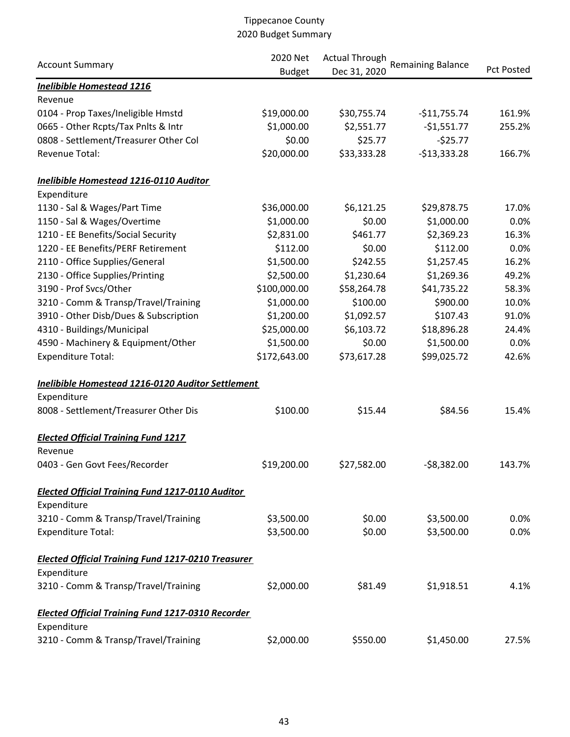|                                                           | 2020 Net      | <b>Actual Through</b> |                          |                   |  |
|-----------------------------------------------------------|---------------|-----------------------|--------------------------|-------------------|--|
| <b>Account Summary</b>                                    | <b>Budget</b> | Dec 31, 2020          | <b>Remaining Balance</b> | <b>Pct Posted</b> |  |
| <b>Inelibible Homestead 1216</b>                          |               |                       |                          |                   |  |
| Revenue                                                   |               |                       |                          |                   |  |
| 0104 - Prop Taxes/Ineligible Hmstd                        | \$19,000.00   | \$30,755.74           | $-$11,755.74$            | 161.9%            |  |
| 0665 - Other Rcpts/Tax Pnlts & Intr                       | \$1,000.00    | \$2,551.77            | $-$1,551.77$             | 255.2%            |  |
| 0808 - Settlement/Treasurer Other Col                     | \$0.00        | \$25.77               | $-525.77$                |                   |  |
| <b>Revenue Total:</b>                                     | \$20,000.00   | \$33,333.28           | $-$13,333.28$            | 166.7%            |  |
| <b>Inelibible Homestead 1216-0110 Auditor</b>             |               |                       |                          |                   |  |
| Expenditure                                               |               |                       |                          |                   |  |
| 1130 - Sal & Wages/Part Time                              | \$36,000.00   | \$6,121.25            | \$29,878.75              | 17.0%             |  |
| 1150 - Sal & Wages/Overtime                               | \$1,000.00    | \$0.00                | \$1,000.00               | 0.0%              |  |
| 1210 - EE Benefits/Social Security                        | \$2,831.00    | \$461.77              | \$2,369.23               | 16.3%             |  |
| 1220 - EE Benefits/PERF Retirement                        | \$112.00      | \$0.00                | \$112.00                 | 0.0%              |  |
| 2110 - Office Supplies/General                            | \$1,500.00    | \$242.55              | \$1,257.45               | 16.2%             |  |
| 2130 - Office Supplies/Printing                           | \$2,500.00    | \$1,230.64            | \$1,269.36               | 49.2%             |  |
| 3190 - Prof Svcs/Other                                    | \$100,000.00  | \$58,264.78           | \$41,735.22              | 58.3%             |  |
| 3210 - Comm & Transp/Travel/Training                      | \$1,000.00    | \$100.00              | \$900.00                 | 10.0%             |  |
| 3910 - Other Disb/Dues & Subscription                     | \$1,200.00    | \$1,092.57            | \$107.43                 | 91.0%             |  |
| 4310 - Buildings/Municipal                                | \$25,000.00   | \$6,103.72            | \$18,896.28              | 24.4%             |  |
| 4590 - Machinery & Equipment/Other                        | \$1,500.00    | \$0.00                | \$1,500.00               | 0.0%              |  |
| <b>Expenditure Total:</b>                                 | \$172,643.00  | \$73,617.28           | \$99,025.72              | 42.6%             |  |
| Inelibible Homestead 1216-0120 Auditor Settlement         |               |                       |                          |                   |  |
| Expenditure                                               |               |                       |                          |                   |  |
| 8008 - Settlement/Treasurer Other Dis                     | \$100.00      | \$15.44               | \$84.56                  | 15.4%             |  |
| <b>Elected Official Training Fund 1217</b>                |               |                       |                          |                   |  |
| Revenue                                                   |               |                       |                          |                   |  |
| 0403 - Gen Govt Fees/Recorder                             | \$19,200.00   | \$27,582.00           | $-58,382.00$             | 143.7%            |  |
| <b>Elected Official Training Fund 1217-0110 Auditor</b>   |               |                       |                          |                   |  |
| Expenditure                                               |               |                       |                          |                   |  |
| 3210 - Comm & Transp/Travel/Training                      | \$3,500.00    | \$0.00                | \$3,500.00               | 0.0%              |  |
| <b>Expenditure Total:</b>                                 | \$3,500.00    | \$0.00                | \$3,500.00               | 0.0%              |  |
| <b>Elected Official Training Fund 1217-0210 Treasurer</b> |               |                       |                          |                   |  |
| Expenditure                                               |               |                       |                          |                   |  |
| 3210 - Comm & Transp/Travel/Training                      | \$2,000.00    | \$81.49               | \$1,918.51               | 4.1%              |  |
| <b>Elected Official Training Fund 1217-0310 Recorder</b>  |               |                       |                          |                   |  |
| Expenditure                                               |               |                       |                          |                   |  |
| 3210 - Comm & Transp/Travel/Training                      | \$2,000.00    | \$550.00              | \$1,450.00               | 27.5%             |  |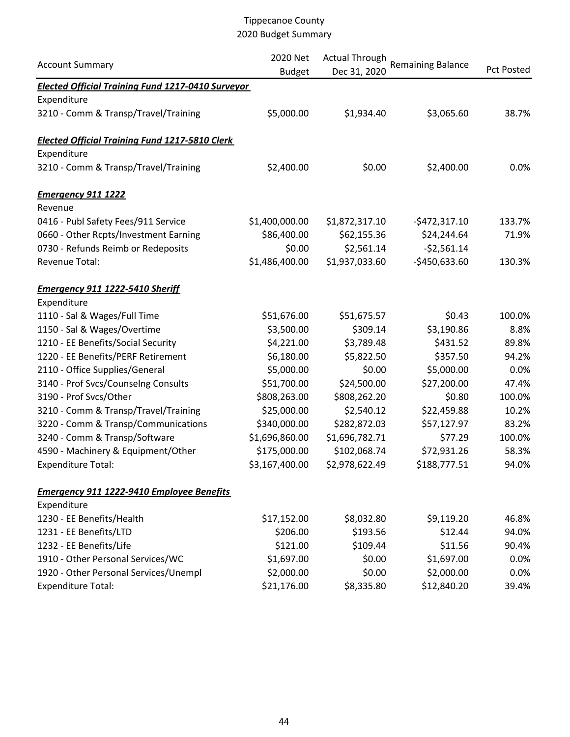| <b>Account Summary</b>                                   | 2020 Net<br><b>Budget</b> | <b>Actual Through</b><br>Dec 31, 2020 | <b>Remaining Balance</b> | <b>Pct Posted</b> |
|----------------------------------------------------------|---------------------------|---------------------------------------|--------------------------|-------------------|
| <b>Elected Official Training Fund 1217-0410 Surveyor</b> |                           |                                       |                          |                   |
| Expenditure                                              |                           |                                       |                          |                   |
| 3210 - Comm & Transp/Travel/Training                     | \$5,000.00                | \$1,934.40                            | \$3,065.60               | 38.7%             |
| <b>Elected Official Training Fund 1217-5810 Clerk</b>    |                           |                                       |                          |                   |
| Expenditure                                              |                           |                                       |                          |                   |
| 3210 - Comm & Transp/Travel/Training                     | \$2,400.00                | \$0.00                                | \$2,400.00               | 0.0%              |
| <b>Emergency 911 1222</b>                                |                           |                                       |                          |                   |
| Revenue                                                  |                           |                                       |                          |                   |
| 0416 - Publ Safety Fees/911 Service                      | \$1,400,000.00            | \$1,872,317.10                        | $-5472,317.10$           | 133.7%            |
| 0660 - Other Rcpts/Investment Earning                    | \$86,400.00               | \$62,155.36                           | \$24,244.64              | 71.9%             |
| 0730 - Refunds Reimb or Redeposits                       | \$0.00                    | \$2,561.14                            | $-52,561.14$             |                   |
| Revenue Total:                                           | \$1,486,400.00            | \$1,937,033.60                        | $-$450,633.60$           | 130.3%            |
| Emergency 911 1222-5410 Sheriff                          |                           |                                       |                          |                   |
| Expenditure                                              |                           |                                       |                          |                   |
| 1110 - Sal & Wages/Full Time                             | \$51,676.00               | \$51,675.57                           | \$0.43                   | 100.0%            |
| 1150 - Sal & Wages/Overtime                              | \$3,500.00                | \$309.14                              | \$3,190.86               | 8.8%              |
| 1210 - EE Benefits/Social Security                       | \$4,221.00                | \$3,789.48                            | \$431.52                 | 89.8%             |
| 1220 - EE Benefits/PERF Retirement                       | \$6,180.00                | \$5,822.50                            | \$357.50                 | 94.2%             |
| 2110 - Office Supplies/General                           | \$5,000.00                | \$0.00                                | \$5,000.00               | 0.0%              |
| 3140 - Prof Svcs/Counselng Consults                      | \$51,700.00               | \$24,500.00                           | \$27,200.00              | 47.4%             |
| 3190 - Prof Svcs/Other                                   | \$808,263.00              | \$808,262.20                          | \$0.80                   | 100.0%            |
| 3210 - Comm & Transp/Travel/Training                     | \$25,000.00               | \$2,540.12                            | \$22,459.88              | 10.2%             |
| 3220 - Comm & Transp/Communications                      | \$340,000.00              | \$282,872.03                          | \$57,127.97              | 83.2%             |
| 3240 - Comm & Transp/Software                            | \$1,696,860.00            | \$1,696,782.71                        | \$77.29                  | 100.0%            |
| 4590 - Machinery & Equipment/Other                       | \$175,000.00              | \$102,068.74                          | \$72,931.26              | 58.3%             |
| <b>Expenditure Total:</b>                                | \$3,167,400.00            | \$2,978,622.49                        | \$188,777.51             | 94.0%             |
| <b>Emergency 911 1222-9410 Employee Benefits</b>         |                           |                                       |                          |                   |
| Expenditure                                              |                           |                                       |                          |                   |
| 1230 - EE Benefits/Health                                | \$17,152.00               | \$8,032.80                            | \$9,119.20               | 46.8%             |
| 1231 - EE Benefits/LTD                                   | \$206.00                  | \$193.56                              | \$12.44                  | 94.0%             |
| 1232 - EE Benefits/Life                                  | \$121.00                  | \$109.44                              | \$11.56                  | 90.4%             |
| 1910 - Other Personal Services/WC                        | \$1,697.00                | \$0.00                                | \$1,697.00               | 0.0%              |
| 1920 - Other Personal Services/Unempl                    | \$2,000.00                | \$0.00                                | \$2,000.00               | 0.0%              |
| <b>Expenditure Total:</b>                                | \$21,176.00               | \$8,335.80                            | \$12,840.20              | 39.4%             |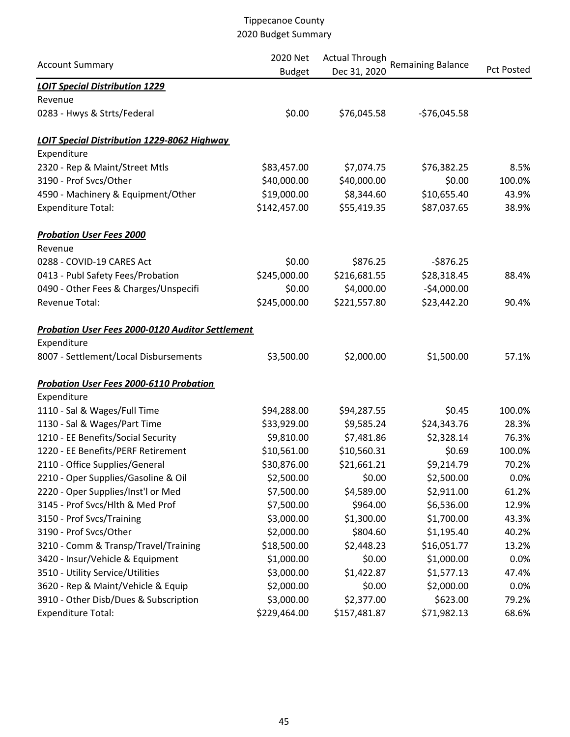|                                                         | 2020 Net      | <b>Actual Through</b> | <b>Remaining Balance</b> |                   |
|---------------------------------------------------------|---------------|-----------------------|--------------------------|-------------------|
| <b>Account Summary</b>                                  | <b>Budget</b> | Dec 31, 2020          |                          | <b>Pct Posted</b> |
| <b>LOIT Special Distribution 1229</b>                   |               |                       |                          |                   |
| Revenue                                                 |               |                       |                          |                   |
| 0283 - Hwys & Strts/Federal                             | \$0.00        | \$76,045.58           | $-576,045.58$            |                   |
| <b>LOIT Special Distribution 1229-8062 Highway</b>      |               |                       |                          |                   |
| Expenditure                                             |               |                       |                          |                   |
| 2320 - Rep & Maint/Street Mtls                          | \$83,457.00   | \$7,074.75            | \$76,382.25              | 8.5%              |
| 3190 - Prof Svcs/Other                                  | \$40,000.00   | \$40,000.00           | \$0.00                   | 100.0%            |
| 4590 - Machinery & Equipment/Other                      | \$19,000.00   | \$8,344.60            | \$10,655.40              | 43.9%             |
| <b>Expenditure Total:</b>                               | \$142,457.00  | \$55,419.35           | \$87,037.65              | 38.9%             |
| <b>Probation User Fees 2000</b>                         |               |                       |                          |                   |
| Revenue                                                 |               |                       |                          |                   |
| 0288 - COVID-19 CARES Act                               | \$0.00        | \$876.25              | $-$876.25$               |                   |
| 0413 - Publ Safety Fees/Probation                       | \$245,000.00  | \$216,681.55          | \$28,318.45              | 88.4%             |
| 0490 - Other Fees & Charges/Unspecifi                   | \$0.00        | \$4,000.00            | $-$4,000.00$             |                   |
| <b>Revenue Total:</b>                                   | \$245,000.00  | \$221,557.80          | \$23,442.20              | 90.4%             |
| <b>Probation User Fees 2000-0120 Auditor Settlement</b> |               |                       |                          |                   |
| Expenditure                                             |               |                       |                          |                   |
| 8007 - Settlement/Local Disbursements                   | \$3,500.00    | \$2,000.00            | \$1,500.00               | 57.1%             |
| <b>Probation User Fees 2000-6110 Probation</b>          |               |                       |                          |                   |
| Expenditure                                             |               |                       |                          |                   |
| 1110 - Sal & Wages/Full Time                            | \$94,288.00   | \$94,287.55           | \$0.45                   | 100.0%            |
| 1130 - Sal & Wages/Part Time                            | \$33,929.00   | \$9,585.24            | \$24,343.76              | 28.3%             |
| 1210 - EE Benefits/Social Security                      | \$9,810.00    | \$7,481.86            | \$2,328.14               | 76.3%             |
| 1220 - EE Benefits/PERF Retirement                      | \$10,561.00   | \$10,560.31           | \$0.69                   | 100.0%            |
| 2110 - Office Supplies/General                          | \$30,876.00   | \$21,661.21           | \$9,214.79               | 70.2%             |
| 2210 - Oper Supplies/Gasoline & Oil                     | \$2,500.00    | \$0.00                | \$2,500.00               | 0.0%              |
| 2220 - Oper Supplies/Inst'l or Med                      | \$7,500.00    | \$4,589.00            | \$2,911.00               | 61.2%             |
| 3145 - Prof Svcs/Hlth & Med Prof                        | \$7,500.00    | \$964.00              | \$6,536.00               | 12.9%             |
| 3150 - Prof Svcs/Training                               | \$3,000.00    | \$1,300.00            | \$1,700.00               | 43.3%             |
| 3190 - Prof Svcs/Other                                  | \$2,000.00    | \$804.60              | \$1,195.40               | 40.2%             |
| 3210 - Comm & Transp/Travel/Training                    | \$18,500.00   | \$2,448.23            | \$16,051.77              | 13.2%             |
| 3420 - Insur/Vehicle & Equipment                        | \$1,000.00    | \$0.00                | \$1,000.00               | 0.0%              |
| 3510 - Utility Service/Utilities                        | \$3,000.00    | \$1,422.87            | \$1,577.13               | 47.4%             |
| 3620 - Rep & Maint/Vehicle & Equip                      | \$2,000.00    | \$0.00                | \$2,000.00               | 0.0%              |
| 3910 - Other Disb/Dues & Subscription                   | \$3,000.00    | \$2,377.00            | \$623.00                 | 79.2%             |
| <b>Expenditure Total:</b>                               | \$229,464.00  | \$157,481.87          | \$71,982.13              | 68.6%             |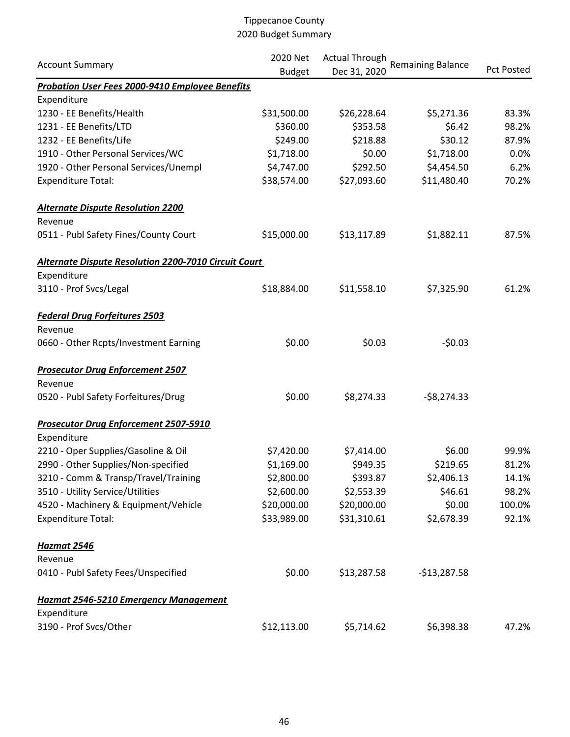|                                                        | 2020 Net      | <b>Actual Through</b><br><b>Remaining Balance</b> |               |            |  |
|--------------------------------------------------------|---------------|---------------------------------------------------|---------------|------------|--|
| <b>Account Summary</b>                                 | <b>Budget</b> | Dec 31, 2020                                      |               | Pct Posted |  |
| <b>Probation User Fees 2000-9410 Employee Benefits</b> |               |                                                   |               |            |  |
| Expenditure                                            |               |                                                   |               |            |  |
| 1230 - EE Benefits/Health                              | \$31,500.00   | \$26,228.64                                       | \$5,271.36    | 83.3%      |  |
| 1231 - EE Benefits/LTD                                 | \$360.00      | \$353.58                                          | \$6.42        | 98.2%      |  |
| 1232 - EE Benefits/Life                                | \$249.00      | \$218.88                                          | \$30.12       | 87.9%      |  |
| 1910 - Other Personal Services/WC                      | \$1,718.00    | \$0.00                                            | \$1,718.00    | 0.0%       |  |
| 1920 - Other Personal Services/Unempl                  | \$4,747.00    | \$292.50                                          | \$4,454.50    | 6.2%       |  |
| <b>Expenditure Total:</b>                              | \$38,574.00   | \$27,093.60                                       | \$11,480.40   | 70.2%      |  |
| <b>Alternate Dispute Resolution 2200</b>               |               |                                                   |               |            |  |
| Revenue                                                |               |                                                   |               |            |  |
| 0511 - Publ Safety Fines/County Court                  | \$15,000.00   | \$13,117.89                                       | \$1,882.11    | 87.5%      |  |
| Alternate Dispute Resolution 2200-7010 Circuit Court   |               |                                                   |               |            |  |
| Expenditure                                            |               |                                                   |               |            |  |
| 3110 - Prof Svcs/Legal                                 | \$18,884.00   | \$11,558.10                                       | \$7,325.90    | 61.2%      |  |
| <b>Federal Drug Forfeitures 2503</b>                   |               |                                                   |               |            |  |
| Revenue                                                |               |                                                   |               |            |  |
| 0660 - Other Rcpts/Investment Earning                  | \$0.00        | \$0.03                                            | $-50.03$      |            |  |
| <b>Prosecutor Drug Enforcement 2507</b>                |               |                                                   |               |            |  |
| Revenue                                                |               |                                                   |               |            |  |
| 0520 - Publ Safety Forfeitures/Drug                    | \$0.00        | \$8,274.33                                        | $-58,274.33$  |            |  |
| <b>Prosecutor Drug Enforcement 2507-5910</b>           |               |                                                   |               |            |  |
| Expenditure                                            |               |                                                   |               |            |  |
| 2210 - Oper Supplies/Gasoline & Oil                    | \$7,420.00    | \$7,414.00                                        | \$6.00        | 99.9%      |  |
| 2990 - Other Supplies/Non-specified                    | \$1,169.00    | \$949.35                                          | \$219.65      | 81.2%      |  |
| 3210 - Comm & Transp/Travel/Training                   | \$2,800.00    | \$393.87                                          | \$2,406.13    | 14.1%      |  |
| 3510 - Utility Service/Utilities                       | \$2,600.00    | \$2,553.39                                        | \$46.61       | 98.2%      |  |
| 4520 - Machinery & Equipment/Vehicle                   | \$20,000.00   | \$20,000.00                                       | \$0.00        | 100.0%     |  |
| <b>Expenditure Total:</b>                              | \$33,989.00   | \$31,310.61                                       | \$2,678.39    | 92.1%      |  |
| <b>Hazmat 2546</b>                                     |               |                                                   |               |            |  |
| Revenue                                                |               |                                                   |               |            |  |
| 0410 - Publ Safety Fees/Unspecified                    | \$0.00        | \$13,287.58                                       | $-$13,287.58$ |            |  |
| Hazmat 2546-5210 Emergency Management                  |               |                                                   |               |            |  |
| Expenditure                                            |               |                                                   |               |            |  |
| 3190 - Prof Svcs/Other                                 | \$12,113.00   | \$5,714.62                                        | \$6,398.38    | 47.2%      |  |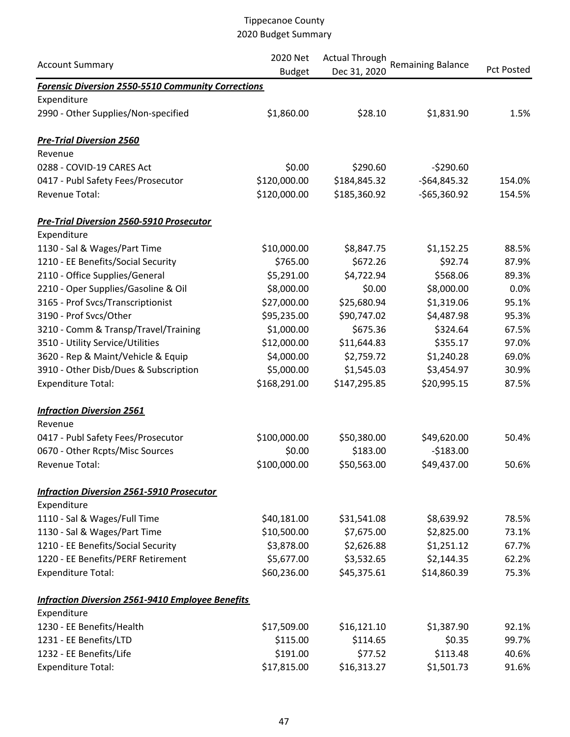|                                                           | 2020 Net      | <b>Actual Through</b> |                          |                   |
|-----------------------------------------------------------|---------------|-----------------------|--------------------------|-------------------|
| <b>Account Summary</b>                                    | <b>Budget</b> | Dec 31, 2020          | <b>Remaining Balance</b> | <b>Pct Posted</b> |
| <b>Forensic Diversion 2550-5510 Community Corrections</b> |               |                       |                          |                   |
| Expenditure                                               |               |                       |                          |                   |
| 2990 - Other Supplies/Non-specified                       | \$1,860.00    | \$28.10               | \$1,831.90               | 1.5%              |
| <b>Pre-Trial Diversion 2560</b>                           |               |                       |                          |                   |
| Revenue                                                   |               |                       |                          |                   |
| 0288 - COVID-19 CARES Act                                 | \$0.00        | \$290.60              | $-5290.60$               |                   |
| 0417 - Publ Safety Fees/Prosecutor                        | \$120,000.00  | \$184,845.32          | $-564,845.32$            | 154.0%            |
| Revenue Total:                                            | \$120,000.00  | \$185,360.92          | $-$65,360.92$            | 154.5%            |
| <b>Pre-Trial Diversion 2560-5910 Prosecutor</b>           |               |                       |                          |                   |
| Expenditure                                               |               |                       |                          |                   |
| 1130 - Sal & Wages/Part Time                              | \$10,000.00   | \$8,847.75            | \$1,152.25               | 88.5%             |
| 1210 - EE Benefits/Social Security                        | \$765.00      | \$672.26              | \$92.74                  | 87.9%             |
| 2110 - Office Supplies/General                            | \$5,291.00    | \$4,722.94            | \$568.06                 | 89.3%             |
| 2210 - Oper Supplies/Gasoline & Oil                       | \$8,000.00    | \$0.00                | \$8,000.00               | 0.0%              |
| 3165 - Prof Svcs/Transcriptionist                         | \$27,000.00   | \$25,680.94           | \$1,319.06               | 95.1%             |
| 3190 - Prof Svcs/Other                                    | \$95,235.00   | \$90,747.02           | \$4,487.98               | 95.3%             |
| 3210 - Comm & Transp/Travel/Training                      | \$1,000.00    | \$675.36              | \$324.64                 | 67.5%             |
| 3510 - Utility Service/Utilities                          | \$12,000.00   | \$11,644.83           | \$355.17                 | 97.0%             |
| 3620 - Rep & Maint/Vehicle & Equip                        | \$4,000.00    | \$2,759.72            | \$1,240.28               | 69.0%             |
| 3910 - Other Disb/Dues & Subscription                     | \$5,000.00    | \$1,545.03            | \$3,454.97               | 30.9%             |
| <b>Expenditure Total:</b>                                 | \$168,291.00  | \$147,295.85          | \$20,995.15              | 87.5%             |
| <b>Infraction Diversion 2561</b>                          |               |                       |                          |                   |
| Revenue                                                   |               |                       |                          |                   |
| 0417 - Publ Safety Fees/Prosecutor                        | \$100,000.00  | \$50,380.00           | \$49,620.00              | 50.4%             |
| 0670 - Other Rcpts/Misc Sources                           | \$0.00        | \$183.00              | $-5183.00$               |                   |
| Revenue Total:                                            | \$100,000.00  | \$50,563.00           | \$49,437.00              | 50.6%             |
| <b>Infraction Diversion 2561-5910 Prosecutor</b>          |               |                       |                          |                   |
| Expenditure                                               |               |                       |                          |                   |
| 1110 - Sal & Wages/Full Time                              | \$40,181.00   | \$31,541.08           | \$8,639.92               | 78.5%             |
| 1130 - Sal & Wages/Part Time                              | \$10,500.00   | \$7,675.00            | \$2,825.00               | 73.1%             |
| 1210 - EE Benefits/Social Security                        | \$3,878.00    | \$2,626.88            | \$1,251.12               | 67.7%             |
| 1220 - EE Benefits/PERF Retirement                        | \$5,677.00    | \$3,532.65            | \$2,144.35               | 62.2%             |
| <b>Expenditure Total:</b>                                 | \$60,236.00   | \$45,375.61           | \$14,860.39              | 75.3%             |
| <b>Infraction Diversion 2561-9410 Employee Benefits</b>   |               |                       |                          |                   |
| Expenditure                                               |               |                       |                          |                   |
| 1230 - EE Benefits/Health                                 | \$17,509.00   | \$16,121.10           | \$1,387.90               | 92.1%             |
| 1231 - EE Benefits/LTD                                    | \$115.00      | \$114.65              | \$0.35                   | 99.7%             |
| 1232 - EE Benefits/Life                                   | \$191.00      | \$77.52               | \$113.48                 | 40.6%             |
| <b>Expenditure Total:</b>                                 | \$17,815.00   | \$16,313.27           | \$1,501.73               | 91.6%             |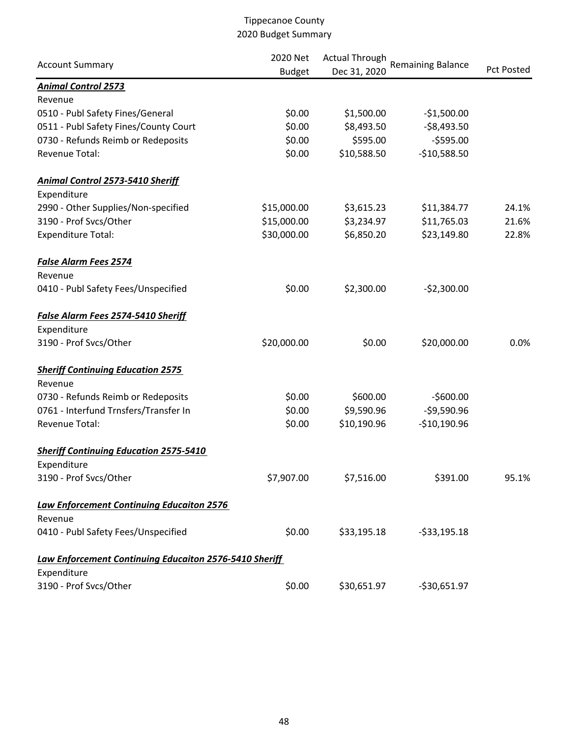| <b>Account Summary</b>                                 | 2020 Net      | <b>Actual Through</b><br>Dec 31, 2020 | <b>Remaining Balance</b> | Pct Posted |
|--------------------------------------------------------|---------------|---------------------------------------|--------------------------|------------|
| <b>Animal Control 2573</b>                             | <b>Budget</b> |                                       |                          |            |
| Revenue                                                |               |                                       |                          |            |
| 0510 - Publ Safety Fines/General                       | \$0.00        | \$1,500.00                            | $-$1,500.00$             |            |
| 0511 - Publ Safety Fines/County Court                  | \$0.00        | \$8,493.50                            | $-58,493.50$             |            |
| 0730 - Refunds Reimb or Redeposits                     | \$0.00        | \$595.00                              | $-$595.00$               |            |
| Revenue Total:                                         | \$0.00        | \$10,588.50                           | $-$10,588.50$            |            |
| <b>Animal Control 2573-5410 Sheriff</b>                |               |                                       |                          |            |
| Expenditure                                            |               |                                       |                          |            |
| 2990 - Other Supplies/Non-specified                    | \$15,000.00   | \$3,615.23                            | \$11,384.77              | 24.1%      |
| 3190 - Prof Svcs/Other                                 | \$15,000.00   | \$3,234.97                            | \$11,765.03              | 21.6%      |
| <b>Expenditure Total:</b>                              | \$30,000.00   | \$6,850.20                            | \$23,149.80              | 22.8%      |
| <b>False Alarm Fees 2574</b>                           |               |                                       |                          |            |
| Revenue                                                |               |                                       |                          |            |
| 0410 - Publ Safety Fees/Unspecified                    | \$0.00        | \$2,300.00                            | $-52,300.00$             |            |
| <b>False Alarm Fees 2574-5410 Sheriff</b>              |               |                                       |                          |            |
| Expenditure                                            |               |                                       |                          |            |
| 3190 - Prof Svcs/Other                                 | \$20,000.00   | \$0.00                                | \$20,000.00              | 0.0%       |
| <b>Sheriff Continuing Education 2575</b>               |               |                                       |                          |            |
| Revenue                                                |               |                                       |                          |            |
| 0730 - Refunds Reimb or Redeposits                     | \$0.00        | \$600.00                              | $-$600.00$               |            |
| 0761 - Interfund Trnsfers/Transfer In                  | \$0.00        | \$9,590.96                            | $-59,590.96$             |            |
| Revenue Total:                                         | \$0.00        | \$10,190.96                           | $-$10,190.96$            |            |
| <b>Sheriff Continuing Education 2575-5410</b>          |               |                                       |                          |            |
| Expenditure                                            |               |                                       |                          |            |
| 3190 - Prof Svcs/Other                                 | \$7,907.00    | \$7,516.00                            | \$391.00                 | 95.1%      |
| <b>Law Enforcement Continuing Educaiton 2576</b>       |               |                                       |                          |            |
| Revenue                                                |               |                                       |                          |            |
| 0410 - Publ Safety Fees/Unspecified                    | \$0.00        | \$33,195.18                           | $-533,195.18$            |            |
| Law Enforcement Continuing Educaiton 2576-5410 Sheriff |               |                                       |                          |            |
| Expenditure                                            |               |                                       |                          |            |
| 3190 - Prof Svcs/Other                                 | \$0.00        | \$30,651.97                           | $-530,651.97$            |            |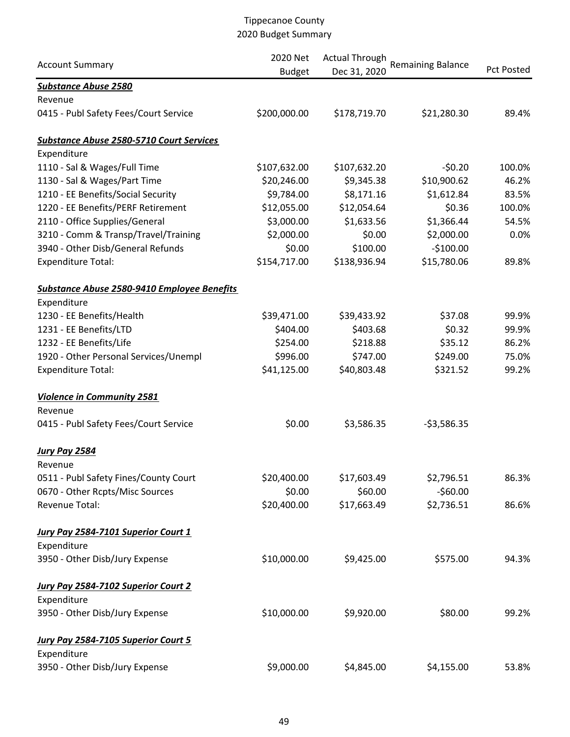|                                                 | 2020 Net      | <b>Actual Through</b> |                          |                   |  |
|-------------------------------------------------|---------------|-----------------------|--------------------------|-------------------|--|
| <b>Account Summary</b>                          | <b>Budget</b> | Dec 31, 2020          | <b>Remaining Balance</b> | <b>Pct Posted</b> |  |
| <b>Substance Abuse 2580</b>                     |               |                       |                          |                   |  |
| Revenue                                         |               |                       |                          |                   |  |
| 0415 - Publ Safety Fees/Court Service           | \$200,000.00  | \$178,719.70          | \$21,280.30              | 89.4%             |  |
| <b>Substance Abuse 2580-5710 Court Services</b> |               |                       |                          |                   |  |
| Expenditure                                     |               |                       |                          |                   |  |
| 1110 - Sal & Wages/Full Time                    | \$107,632.00  | \$107,632.20          | $-50.20$                 | 100.0%            |  |
| 1130 - Sal & Wages/Part Time                    | \$20,246.00   | \$9,345.38            | \$10,900.62              | 46.2%             |  |
| 1210 - EE Benefits/Social Security              | \$9,784.00    | \$8,171.16            | \$1,612.84               | 83.5%             |  |
| 1220 - EE Benefits/PERF Retirement              | \$12,055.00   | \$12,054.64           | \$0.36                   | 100.0%            |  |
| 2110 - Office Supplies/General                  | \$3,000.00    | \$1,633.56            | \$1,366.44               | 54.5%             |  |
| 3210 - Comm & Transp/Travel/Training            | \$2,000.00    | \$0.00                | \$2,000.00               | 0.0%              |  |
| 3940 - Other Disb/General Refunds               | \$0.00        | \$100.00              | $-$100.00$               |                   |  |
| <b>Expenditure Total:</b>                       | \$154,717.00  | \$138,936.94          | \$15,780.06              | 89.8%             |  |
| Substance Abuse 2580-9410 Employee Benefits     |               |                       |                          |                   |  |
| Expenditure                                     |               |                       |                          |                   |  |
| 1230 - EE Benefits/Health                       | \$39,471.00   | \$39,433.92           | \$37.08                  | 99.9%             |  |
| 1231 - EE Benefits/LTD                          | \$404.00      | \$403.68              | \$0.32                   | 99.9%             |  |
| 1232 - EE Benefits/Life                         | \$254.00      | \$218.88              | \$35.12                  | 86.2%             |  |
| 1920 - Other Personal Services/Unempl           | \$996.00      | \$747.00              | \$249.00                 | 75.0%             |  |
| <b>Expenditure Total:</b>                       | \$41,125.00   | \$40,803.48           | \$321.52                 | 99.2%             |  |
| <b>Violence in Community 2581</b>               |               |                       |                          |                   |  |
| Revenue                                         |               |                       |                          |                   |  |
| 0415 - Publ Safety Fees/Court Service           | \$0.00        | \$3,586.35            | $-53,586.35$             |                   |  |
| <b>Jury Pay 2584</b>                            |               |                       |                          |                   |  |
| Revenue                                         |               |                       |                          |                   |  |
| 0511 - Publ Safety Fines/County Court           | \$20,400.00   | \$17,603.49           | \$2,796.51               | 86.3%             |  |
| 0670 - Other Rcpts/Misc Sources                 | \$0.00        | \$60.00               | $-$60.00$                |                   |  |
| Revenue Total:                                  | \$20,400.00   | \$17,663.49           | \$2,736.51               | 86.6%             |  |
| Jury Pay 2584-7101 Superior Court 1             |               |                       |                          |                   |  |
| Expenditure                                     |               |                       |                          |                   |  |
| 3950 - Other Disb/Jury Expense                  | \$10,000.00   | \$9,425.00            | \$575.00                 | 94.3%             |  |
| <b>Jury Pay 2584-7102 Superior Court 2</b>      |               |                       |                          |                   |  |
| Expenditure                                     |               |                       |                          |                   |  |
| 3950 - Other Disb/Jury Expense                  | \$10,000.00   | \$9,920.00            | \$80.00                  | 99.2%             |  |
| Jury Pay 2584-7105 Superior Court 5             |               |                       |                          |                   |  |
| Expenditure                                     |               |                       |                          |                   |  |
| 3950 - Other Disb/Jury Expense                  | \$9,000.00    | \$4,845.00            | \$4,155.00               | 53.8%             |  |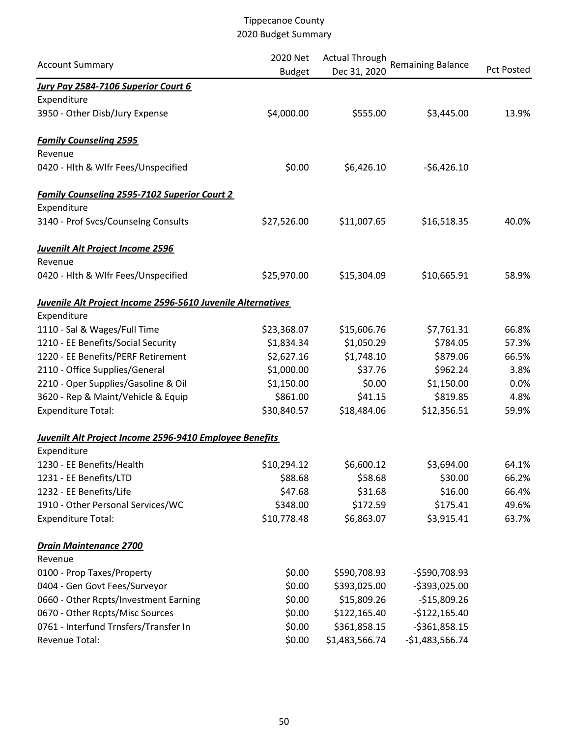| <b>Account Summary</b>                                      | 2020 Net      | <b>Actual Through</b> | <b>Remaining Balance</b> |            |
|-------------------------------------------------------------|---------------|-----------------------|--------------------------|------------|
|                                                             | <b>Budget</b> | Dec 31, 2020          |                          | Pct Posted |
| Jury Pay 2584-7106 Superior Court 6                         |               |                       |                          |            |
| Expenditure                                                 |               |                       |                          |            |
| 3950 - Other Disb/Jury Expense                              | \$4,000.00    | \$555.00              | \$3,445.00               | 13.9%      |
| <b>Family Counseling 2595</b>                               |               |                       |                          |            |
| Revenue                                                     |               |                       |                          |            |
| 0420 - Hlth & Wlfr Fees/Unspecified                         | \$0.00        | \$6,426.10            | $-56,426.10$             |            |
| <b>Family Counseling 2595-7102 Superior Court 2</b>         |               |                       |                          |            |
| Expenditure                                                 |               |                       |                          |            |
| 3140 - Prof Svcs/Counselng Consults                         | \$27,526.00   | \$11,007.65           | \$16,518.35              | 40.0%      |
| <b>Juvenilt Alt Project Income 2596</b>                     |               |                       |                          |            |
| Revenue                                                     |               |                       |                          |            |
| 0420 - Hlth & Wlfr Fees/Unspecified                         | \$25,970.00   | \$15,304.09           | \$10,665.91              | 58.9%      |
| Juvenile Alt Project Income 2596-5610 Juvenile Alternatives |               |                       |                          |            |
| Expenditure                                                 |               |                       |                          |            |
| 1110 - Sal & Wages/Full Time                                | \$23,368.07   | \$15,606.76           | \$7,761.31               | 66.8%      |
| 1210 - EE Benefits/Social Security                          | \$1,834.34    | \$1,050.29            | \$784.05                 | 57.3%      |
| 1220 - EE Benefits/PERF Retirement                          | \$2,627.16    | \$1,748.10            | \$879.06                 | 66.5%      |
| 2110 - Office Supplies/General                              | \$1,000.00    | \$37.76               | \$962.24                 | 3.8%       |
| 2210 - Oper Supplies/Gasoline & Oil                         | \$1,150.00    | \$0.00                | \$1,150.00               | 0.0%       |
| 3620 - Rep & Maint/Vehicle & Equip                          | \$861.00      | \$41.15               | \$819.85                 | 4.8%       |
| <b>Expenditure Total:</b>                                   | \$30,840.57   | \$18,484.06           | \$12,356.51              | 59.9%      |
| Juvenilt Alt Project Income 2596-9410 Employee Benefits     |               |                       |                          |            |
| Expenditure                                                 |               |                       |                          |            |
| 1230 - EE Benefits/Health                                   | \$10,294.12   | \$6,600.12            | \$3,694.00               | 64.1%      |
| 1231 - EE Benefits/LTD                                      | \$88.68       | \$58.68               | \$30.00                  | 66.2%      |
| 1232 - EE Benefits/Life                                     | \$47.68       | \$31.68               | \$16.00                  | 66.4%      |
| 1910 - Other Personal Services/WC                           | \$348.00      | \$172.59              | \$175.41                 | 49.6%      |
| <b>Expenditure Total:</b>                                   | \$10,778.48   | \$6,863.07            | \$3,915.41               | 63.7%      |
| <b>Drain Maintenance 2700</b>                               |               |                       |                          |            |
| Revenue                                                     |               |                       |                          |            |
| 0100 - Prop Taxes/Property                                  | \$0.00        | \$590,708.93          | $-$590,708.93$           |            |
| 0404 - Gen Govt Fees/Surveyor                               | \$0.00        | \$393,025.00          | -\$393,025.00            |            |
| 0660 - Other Rcpts/Investment Earning                       | \$0.00        | \$15,809.26           | $-$15,809.26$            |            |
| 0670 - Other Rcpts/Misc Sources                             | \$0.00        | \$122,165.40          | $-$122,165.40$           |            |
| 0761 - Interfund Trnsfers/Transfer In                       | \$0.00        | \$361,858.15          | $-5361,858.15$           |            |
| Revenue Total:                                              | \$0.00        | \$1,483,566.74        | $-$1,483,566.74$         |            |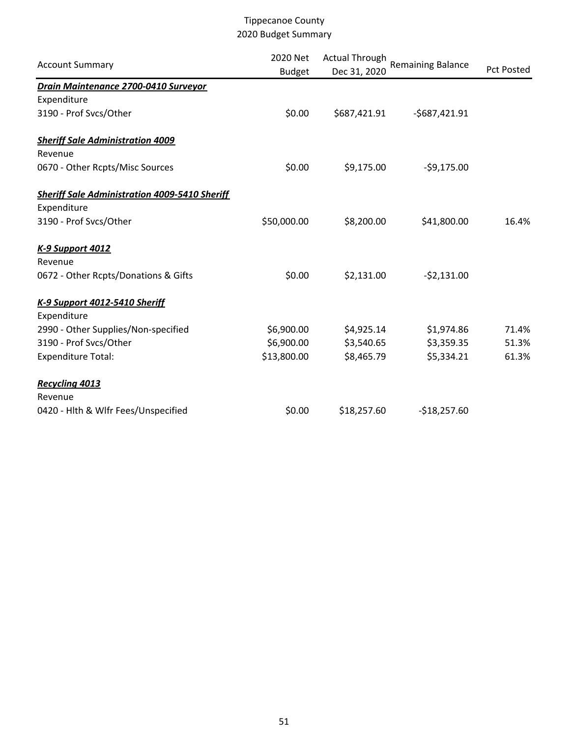| <b>Account Summary</b>                               | 2020 Net<br><b>Budget</b> | <b>Actual Through</b><br>Dec 31, 2020 | <b>Remaining Balance</b> | <b>Pct Posted</b> |
|------------------------------------------------------|---------------------------|---------------------------------------|--------------------------|-------------------|
| Drain Maintenance 2700-0410 Surveyor                 |                           |                                       |                          |                   |
| Expenditure                                          |                           |                                       |                          |                   |
| 3190 - Prof Svcs/Other                               | \$0.00                    | \$687,421.91                          | $-5687,421.91$           |                   |
| <b>Sheriff Sale Administration 4009</b>              |                           |                                       |                          |                   |
| Revenue                                              |                           |                                       |                          |                   |
| 0670 - Other Rcpts/Misc Sources                      | \$0.00                    | \$9,175.00                            | $-59,175.00$             |                   |
| <b>Sheriff Sale Administration 4009-5410 Sheriff</b> |                           |                                       |                          |                   |
| Expenditure                                          |                           |                                       |                          |                   |
| 3190 - Prof Svcs/Other                               | \$50,000.00               | \$8,200.00                            | \$41,800.00              | 16.4%             |
| <b>K-9 Support 4012</b>                              |                           |                                       |                          |                   |
| Revenue                                              |                           |                                       |                          |                   |
| 0672 - Other Rcpts/Donations & Gifts                 | \$0.00                    | \$2,131.00                            | $-52,131.00$             |                   |
| K-9 Support 4012-5410 Sheriff                        |                           |                                       |                          |                   |
| Expenditure                                          |                           |                                       |                          |                   |
| 2990 - Other Supplies/Non-specified                  | \$6,900.00                | \$4,925.14                            | \$1,974.86               | 71.4%             |
| 3190 - Prof Svcs/Other                               | \$6,900.00                | \$3,540.65                            | \$3,359.35               | 51.3%             |
| <b>Expenditure Total:</b>                            | \$13,800.00               | \$8,465.79                            | \$5,334.21               | 61.3%             |
| <b>Recycling 4013</b>                                |                           |                                       |                          |                   |
| Revenue                                              |                           |                                       |                          |                   |
| 0420 - Hlth & Wlfr Fees/Unspecified                  | \$0.00                    | \$18,257.60                           | $-$18,257.60$            |                   |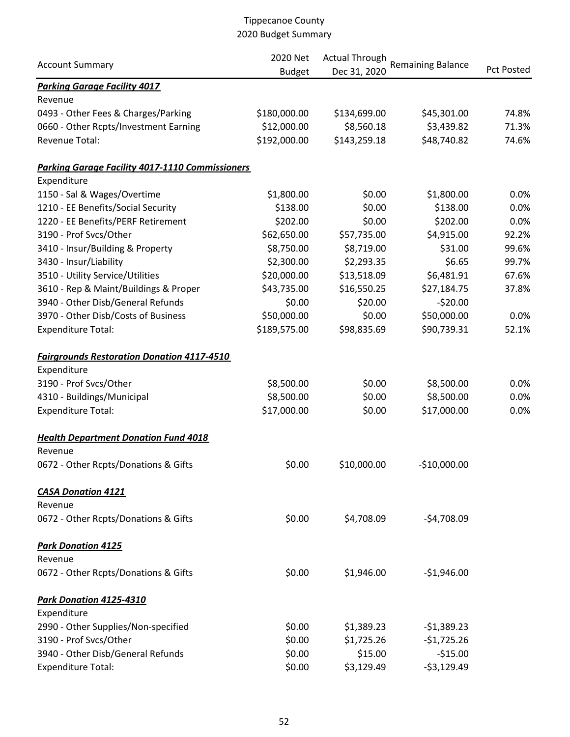|                                                        | 2020 Net      | <b>Actual Through</b> | <b>Remaining Balance</b> |                   |  |
|--------------------------------------------------------|---------------|-----------------------|--------------------------|-------------------|--|
| <b>Account Summary</b>                                 | <b>Budget</b> | Dec 31, 2020          |                          | <b>Pct Posted</b> |  |
| <b>Parking Garage Facility 4017</b>                    |               |                       |                          |                   |  |
| Revenue                                                |               |                       |                          |                   |  |
| 0493 - Other Fees & Charges/Parking                    | \$180,000.00  | \$134,699.00          | \$45,301.00              | 74.8%             |  |
| 0660 - Other Rcpts/Investment Earning                  | \$12,000.00   | \$8,560.18            | \$3,439.82               | 71.3%             |  |
| Revenue Total:                                         | \$192,000.00  | \$143,259.18          | \$48,740.82              | 74.6%             |  |
| <b>Parking Garage Facility 4017-1110 Commissioners</b> |               |                       |                          |                   |  |
| Expenditure                                            |               |                       |                          |                   |  |
| 1150 - Sal & Wages/Overtime                            | \$1,800.00    | \$0.00                | \$1,800.00               | 0.0%              |  |
| 1210 - EE Benefits/Social Security                     | \$138.00      | \$0.00                | \$138.00                 | 0.0%              |  |
| 1220 - EE Benefits/PERF Retirement                     | \$202.00      | \$0.00                | \$202.00                 | 0.0%              |  |
| 3190 - Prof Svcs/Other                                 | \$62,650.00   | \$57,735.00           | \$4,915.00               | 92.2%             |  |
| 3410 - Insur/Building & Property                       | \$8,750.00    | \$8,719.00            | \$31.00                  | 99.6%             |  |
| 3430 - Insur/Liability                                 | \$2,300.00    | \$2,293.35            | \$6.65                   | 99.7%             |  |
| 3510 - Utility Service/Utilities                       | \$20,000.00   | \$13,518.09           | \$6,481.91               | 67.6%             |  |
| 3610 - Rep & Maint/Buildings & Proper                  | \$43,735.00   | \$16,550.25           | \$27,184.75              | 37.8%             |  |
| 3940 - Other Disb/General Refunds                      | \$0.00        | \$20.00               | $-520.00$                |                   |  |
| 3970 - Other Disb/Costs of Business                    | \$50,000.00   | \$0.00                | \$50,000.00              | 0.0%              |  |
| <b>Expenditure Total:</b>                              | \$189,575.00  | \$98,835.69           | \$90,739.31              | 52.1%             |  |
| <b>Fairgrounds Restoration Donation 4117-4510</b>      |               |                       |                          |                   |  |
| Expenditure                                            |               |                       |                          |                   |  |
| 3190 - Prof Svcs/Other                                 | \$8,500.00    | \$0.00                | \$8,500.00               | 0.0%              |  |
| 4310 - Buildings/Municipal                             | \$8,500.00    | \$0.00                | \$8,500.00               | 0.0%              |  |
| <b>Expenditure Total:</b>                              | \$17,000.00   | \$0.00                | \$17,000.00              | 0.0%              |  |
| <b>Health Department Donation Fund 4018</b>            |               |                       |                          |                   |  |
| Revenue                                                |               |                       |                          |                   |  |
| 0672 - Other Rcpts/Donations & Gifts                   | \$0.00        | \$10,000.00           | $-$10,000.00$            |                   |  |
| <b>CASA Donation 4121</b>                              |               |                       |                          |                   |  |
| Revenue                                                |               |                       |                          |                   |  |
| 0672 - Other Rcpts/Donations & Gifts                   | \$0.00        | \$4,708.09            | $-54,708.09$             |                   |  |
| <b>Park Donation 4125</b>                              |               |                       |                          |                   |  |
| Revenue                                                |               |                       |                          |                   |  |
| 0672 - Other Rcpts/Donations & Gifts                   | \$0.00        | \$1,946.00            | $-$1,946.00$             |                   |  |
| Park Donation 4125-4310                                |               |                       |                          |                   |  |
| Expenditure                                            |               |                       |                          |                   |  |
| 2990 - Other Supplies/Non-specified                    | \$0.00        | \$1,389.23            | $-$1,389.23$             |                   |  |
| 3190 - Prof Svcs/Other                                 | \$0.00        | \$1,725.26            | $-$1,725.26$             |                   |  |
| 3940 - Other Disb/General Refunds                      | \$0.00        | \$15.00               | $-515.00$                |                   |  |
| <b>Expenditure Total:</b>                              | \$0.00        | \$3,129.49            | $-53,129.49$             |                   |  |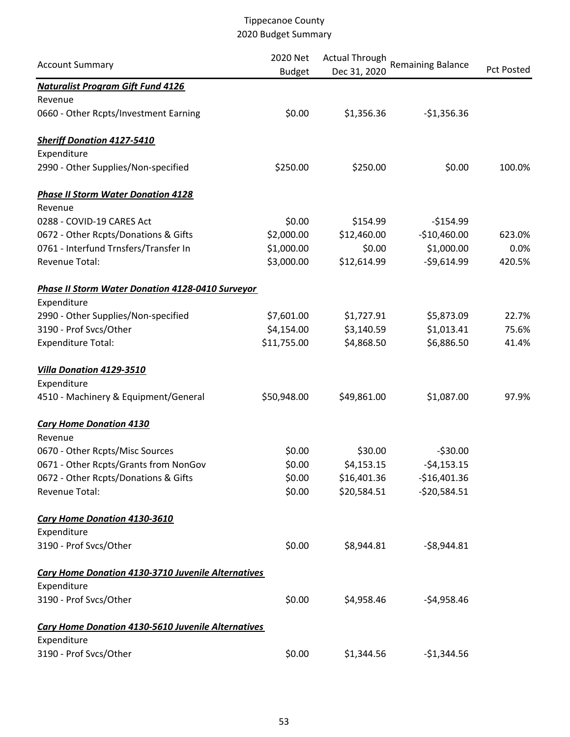| <b>Account Summary</b>                                    | 2020 Net      | <b>Actual Through</b> | <b>Remaining Balance</b> |                   |
|-----------------------------------------------------------|---------------|-----------------------|--------------------------|-------------------|
|                                                           | <b>Budget</b> | Dec 31, 2020          |                          | <b>Pct Posted</b> |
| <b>Naturalist Program Gift Fund 4126</b>                  |               |                       |                          |                   |
| Revenue                                                   |               |                       |                          |                   |
| 0660 - Other Rcpts/Investment Earning                     | \$0.00        | \$1,356.36            | $-$1,356.36$             |                   |
| <b>Sheriff Donation 4127-5410</b>                         |               |                       |                          |                   |
| Expenditure                                               |               |                       |                          |                   |
| 2990 - Other Supplies/Non-specified                       | \$250.00      | \$250.00              | \$0.00                   | 100.0%            |
| <b>Phase II Storm Water Donation 4128</b>                 |               |                       |                          |                   |
| Revenue                                                   |               |                       |                          |                   |
| 0288 - COVID-19 CARES Act                                 | \$0.00        | \$154.99              | $-5154.99$               |                   |
| 0672 - Other Rcpts/Donations & Gifts                      | \$2,000.00    | \$12,460.00           | $-$10,460.00$            | 623.0%            |
| 0761 - Interfund Trnsfers/Transfer In                     | \$1,000.00    | \$0.00                | \$1,000.00               | 0.0%              |
| Revenue Total:                                            | \$3,000.00    | \$12,614.99           | $-59,614.99$             | 420.5%            |
| <b>Phase II Storm Water Donation 4128-0410 Surveyor</b>   |               |                       |                          |                   |
| Expenditure                                               |               |                       |                          |                   |
| 2990 - Other Supplies/Non-specified                       | \$7,601.00    | \$1,727.91            | \$5,873.09               | 22.7%             |
| 3190 - Prof Svcs/Other                                    | \$4,154.00    | \$3,140.59            | \$1,013.41               | 75.6%             |
| <b>Expenditure Total:</b>                                 | \$11,755.00   | \$4,868.50            | \$6,886.50               | 41.4%             |
| Villa Donation 4129-3510                                  |               |                       |                          |                   |
| Expenditure                                               |               |                       |                          |                   |
| 4510 - Machinery & Equipment/General                      | \$50,948.00   | \$49,861.00           | \$1,087.00               | 97.9%             |
| <b>Cary Home Donation 4130</b>                            |               |                       |                          |                   |
| Revenue                                                   |               |                       |                          |                   |
| 0670 - Other Rcpts/Misc Sources                           | \$0.00        | \$30.00               | $-530.00$                |                   |
| 0671 - Other Rcpts/Grants from NonGov                     | \$0.00        | \$4,153.15            | $-54, 153.15$            |                   |
| 0672 - Other Rcpts/Donations & Gifts                      | \$0.00        | \$16,401.36           | $-$16,401.36$            |                   |
| Revenue Total:                                            | \$0.00        | \$20,584.51           | $-520,584.51$            |                   |
| Cary Home Donation 4130-3610                              |               |                       |                          |                   |
| Expenditure                                               |               |                       |                          |                   |
| 3190 - Prof Svcs/Other                                    | \$0.00        | \$8,944.81            | $-58,944.81$             |                   |
| Cary Home Donation 4130-3710 Juvenile Alternatives        |               |                       |                          |                   |
| Expenditure                                               |               |                       |                          |                   |
| 3190 - Prof Svcs/Other                                    | \$0.00        | \$4,958.46            | $-$4,958.46$             |                   |
| <b>Cary Home Donation 4130-5610 Juvenile Alternatives</b> |               |                       |                          |                   |
| Expenditure                                               |               |                       |                          |                   |
| 3190 - Prof Svcs/Other                                    | \$0.00        | \$1,344.56            | $-$1,344.56$             |                   |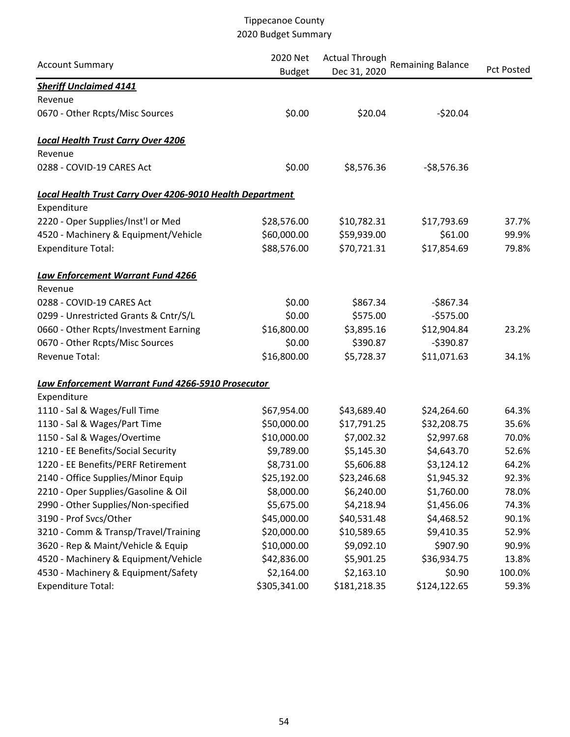| <b>Account Summary</b>                                           | 2020 Net<br><b>Budget</b> | <b>Actual Through</b><br>Dec 31, 2020 | <b>Remaining Balance</b> | <b>Pct Posted</b> |
|------------------------------------------------------------------|---------------------------|---------------------------------------|--------------------------|-------------------|
| <b>Sheriff Unclaimed 4141</b>                                    |                           |                                       |                          |                   |
| Revenue                                                          |                           |                                       |                          |                   |
| 0670 - Other Rcpts/Misc Sources                                  | \$0.00                    | \$20.04                               | $-520.04$                |                   |
| <b>Local Health Trust Carry Over 4206</b>                        |                           |                                       |                          |                   |
| Revenue                                                          |                           |                                       |                          |                   |
| 0288 - COVID-19 CARES Act                                        | \$0.00                    | \$8,576.36                            | $-58,576.36$             |                   |
| <b>Local Health Trust Carry Over 4206-9010 Health Department</b> |                           |                                       |                          |                   |
| Expenditure                                                      |                           |                                       |                          |                   |
| 2220 - Oper Supplies/Inst'l or Med                               | \$28,576.00               | \$10,782.31                           | \$17,793.69              | 37.7%             |
| 4520 - Machinery & Equipment/Vehicle                             | \$60,000.00               | \$59,939.00                           | \$61.00                  | 99.9%             |
| <b>Expenditure Total:</b>                                        | \$88,576.00               | \$70,721.31                           | \$17,854.69              | 79.8%             |
| Law Enforcement Warrant Fund 4266                                |                           |                                       |                          |                   |
| Revenue                                                          |                           |                                       |                          |                   |
| 0288 - COVID-19 CARES Act                                        | \$0.00                    | \$867.34                              | $-$867.34$               |                   |
| 0299 - Unrestricted Grants & Cntr/S/L                            | \$0.00                    | \$575.00                              | $-5575.00$               |                   |
| 0660 - Other Rcpts/Investment Earning                            | \$16,800.00               | \$3,895.16                            | \$12,904.84              | 23.2%             |
| 0670 - Other Rcpts/Misc Sources                                  | \$0.00                    | \$390.87                              | $-$390.87$               |                   |
| Revenue Total:                                                   | \$16,800.00               | \$5,728.37                            | \$11,071.63              | 34.1%             |
| Law Enforcement Warrant Fund 4266-5910 Prosecutor                |                           |                                       |                          |                   |
| Expenditure                                                      |                           |                                       |                          |                   |
| 1110 - Sal & Wages/Full Time                                     | \$67,954.00               | \$43,689.40                           | \$24,264.60              | 64.3%             |
| 1130 - Sal & Wages/Part Time                                     | \$50,000.00               | \$17,791.25                           | \$32,208.75              | 35.6%             |
| 1150 - Sal & Wages/Overtime                                      | \$10,000.00               | \$7,002.32                            | \$2,997.68               | 70.0%             |
| 1210 - EE Benefits/Social Security                               | \$9,789.00                | \$5,145.30                            | \$4,643.70               | 52.6%             |
| 1220 - EE Benefits/PERF Retirement                               | \$8,731.00                | \$5,606.88                            | \$3,124.12               | 64.2%             |
| 2140 - Office Supplies/Minor Equip                               | \$25,192.00               | \$23,246.68                           | \$1,945.32               | 92.3%             |
| 2210 - Oper Supplies/Gasoline & Oil                              | \$8,000.00                | \$6,240.00                            | \$1,760.00               | 78.0%             |
| 2990 - Other Supplies/Non-specified                              | \$5,675.00                | \$4,218.94                            | \$1,456.06               | 74.3%             |
| 3190 - Prof Svcs/Other                                           | \$45,000.00               | \$40,531.48                           | \$4,468.52               | 90.1%             |
| 3210 - Comm & Transp/Travel/Training                             | \$20,000.00               | \$10,589.65                           | \$9,410.35               | 52.9%             |
| 3620 - Rep & Maint/Vehicle & Equip                               | \$10,000.00               | \$9,092.10                            | \$907.90                 | 90.9%             |
| 4520 - Machinery & Equipment/Vehicle                             | \$42,836.00               | \$5,901.25                            | \$36,934.75              | 13.8%             |
| 4530 - Machinery & Equipment/Safety                              | \$2,164.00                | \$2,163.10                            | \$0.90                   | 100.0%            |
| <b>Expenditure Total:</b>                                        | \$305,341.00              | \$181,218.35                          | \$124,122.65             | 59.3%             |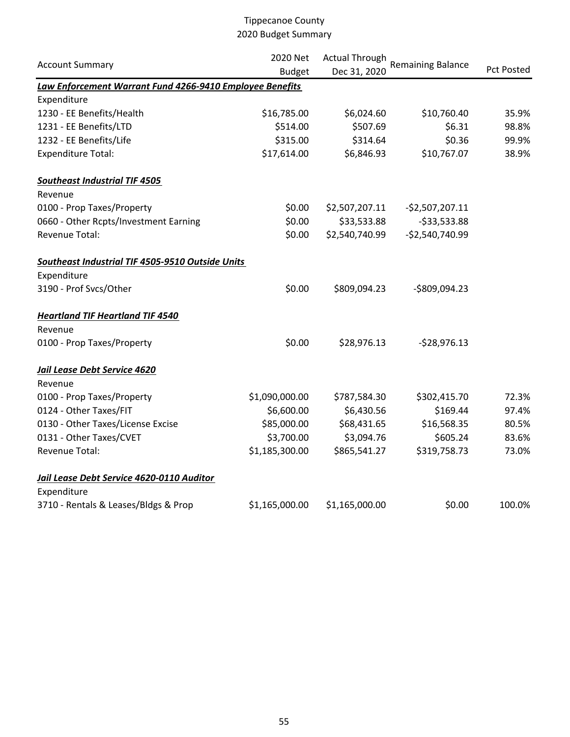| <b>Account Summary</b>                                   | 2020 Net       | <b>Actual Through</b> | <b>Remaining Balance</b> |                   |  |
|----------------------------------------------------------|----------------|-----------------------|--------------------------|-------------------|--|
|                                                          | <b>Budget</b>  | Dec 31, 2020          |                          | <b>Pct Posted</b> |  |
| Law Enforcement Warrant Fund 4266-9410 Employee Benefits |                |                       |                          |                   |  |
| Expenditure                                              |                |                       |                          |                   |  |
| 1230 - EE Benefits/Health                                | \$16,785.00    | \$6,024.60            | \$10,760.40              | 35.9%             |  |
| 1231 - EE Benefits/LTD                                   | \$514.00       | \$507.69              | \$6.31                   | 98.8%             |  |
| 1232 - EE Benefits/Life                                  | \$315.00       | \$314.64              | \$0.36                   | 99.9%             |  |
| <b>Expenditure Total:</b>                                | \$17,614.00    | \$6,846.93            | \$10,767.07              | 38.9%             |  |
| <b>Southeast Industrial TIF 4505</b>                     |                |                       |                          |                   |  |
| Revenue                                                  |                |                       |                          |                   |  |
| 0100 - Prop Taxes/Property                               | \$0.00         | \$2,507,207.11        | $-52,507,207.11$         |                   |  |
| 0660 - Other Rcpts/Investment Earning                    | \$0.00         | \$33,533.88           | $-533,533.88$            |                   |  |
| Revenue Total:                                           | \$0.00         | \$2,540,740.99        | $-52,540,740.99$         |                   |  |
| Southeast Industrial TIF 4505-9510 Outside Units         |                |                       |                          |                   |  |
| Expenditure                                              |                |                       |                          |                   |  |
| 3190 - Prof Svcs/Other                                   | \$0.00         | \$809,094.23          | -\$809,094.23            |                   |  |
| <b>Heartland TIF Heartland TIF 4540</b>                  |                |                       |                          |                   |  |
| Revenue                                                  |                |                       |                          |                   |  |
| 0100 - Prop Taxes/Property                               | \$0.00         | \$28,976.13           | $-528,976.13$            |                   |  |
| Jail Lease Debt Service 4620                             |                |                       |                          |                   |  |
| Revenue                                                  |                |                       |                          |                   |  |
| 0100 - Prop Taxes/Property                               | \$1,090,000.00 | \$787,584.30          | \$302,415.70             | 72.3%             |  |
| 0124 - Other Taxes/FIT                                   | \$6,600.00     | \$6,430.56            | \$169.44                 | 97.4%             |  |
| 0130 - Other Taxes/License Excise                        | \$85,000.00    | \$68,431.65           | \$16,568.35              | 80.5%             |  |
| 0131 - Other Taxes/CVET                                  | \$3,700.00     | \$3,094.76            | \$605.24                 | 83.6%             |  |
| Revenue Total:                                           | \$1,185,300.00 | \$865,541.27          | \$319,758.73             | 73.0%             |  |
| Jail Lease Debt Service 4620-0110 Auditor                |                |                       |                          |                   |  |
| Expenditure                                              |                |                       |                          |                   |  |
| 3710 - Rentals & Leases/Bldgs & Prop                     | \$1,165,000.00 | \$1,165,000.00        | \$0.00                   | 100.0%            |  |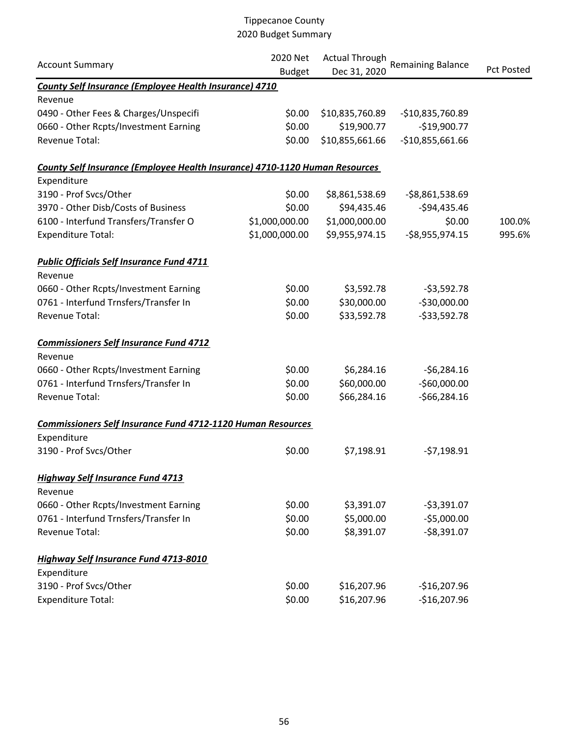| <b>Account Summary</b>                                                             | 2020 Net<br><b>Budget</b> | <b>Actual Through</b><br>Dec 31, 2020 | <b>Remaining Balance</b>       | <b>Pct Posted</b> |
|------------------------------------------------------------------------------------|---------------------------|---------------------------------------|--------------------------------|-------------------|
| County Self Insurance (Employee Health Insurance) 4710                             |                           |                                       |                                |                   |
| Revenue                                                                            |                           |                                       |                                |                   |
| 0490 - Other Fees & Charges/Unspecifi                                              | \$0.00                    | \$10,835,760.89                       | -\$10,835,760.89               |                   |
| 0660 - Other Rcpts/Investment Earning                                              | \$0.00                    | \$19,900.77                           | $-$19,900.77$                  |                   |
| Revenue Total:                                                                     | \$0.00                    | \$10,855,661.66                       | $-$10,855,661.66$              |                   |
| <b>County Self Insurance (Employee Health Insurance) 4710-1120 Human Resources</b> |                           |                                       |                                |                   |
| Expenditure                                                                        |                           |                                       |                                |                   |
| 3190 - Prof Svcs/Other                                                             | \$0.00                    | \$8,861,538.69                        | $-58,861,538.69$               |                   |
| 3970 - Other Disb/Costs of Business                                                | \$0.00                    | \$94,435.46                           | $-594,435.46$                  |                   |
| 6100 - Interfund Transfers/Transfer O                                              | \$1,000,000.00            | \$1,000,000.00                        | \$0.00                         | 100.0%            |
| <b>Expenditure Total:</b>                                                          | \$1,000,000.00            | \$9,955,974.15                        | $-58,955,974.15$               | 995.6%            |
| <b>Public Officials Self Insurance Fund 4711</b><br>Revenue                        |                           |                                       |                                |                   |
| 0660 - Other Rcpts/Investment Earning                                              | \$0.00                    | \$3,592.78                            | $-53,592.78$                   |                   |
| 0761 - Interfund Trnsfers/Transfer In                                              | \$0.00                    | \$30,000.00                           | $-530,000.00$                  |                   |
| Revenue Total:                                                                     | \$0.00                    | \$33,592.78                           | $-533,592.78$                  |                   |
| <b>Commissioners Self Insurance Fund 4712</b>                                      |                           |                                       |                                |                   |
| Revenue                                                                            |                           |                                       |                                |                   |
| 0660 - Other Rcpts/Investment Earning                                              | \$0.00                    | \$6,284.16                            | $-56,284.16$                   |                   |
| 0761 - Interfund Trnsfers/Transfer In<br>Revenue Total:                            | \$0.00<br>\$0.00          | \$60,000.00<br>\$66,284.16            | $-$60,000.00$<br>$-566,284.16$ |                   |
|                                                                                    |                           |                                       |                                |                   |
| <b>Commissioners Self Insurance Fund 4712-1120 Human Resources</b>                 |                           |                                       |                                |                   |
| Expenditure<br>3190 - Prof Svcs/Other                                              | \$0.00                    | \$7,198.91                            | $-57,198.91$                   |                   |
| <b>Highway Self Insurance Fund 4713</b><br>Revenue                                 |                           |                                       |                                |                   |
| 0660 - Other Rcpts/Investment Earning                                              | \$0.00                    | \$3,391.07                            | $-53,391.07$                   |                   |
| 0761 - Interfund Trnsfers/Transfer In                                              | \$0.00                    | \$5,000.00                            | $-55,000.00$                   |                   |
| Revenue Total:                                                                     | \$0.00                    | \$8,391.07                            | $-$8,391.07$                   |                   |
| <b>Highway Self Insurance Fund 4713-8010</b>                                       |                           |                                       |                                |                   |
| Expenditure                                                                        |                           |                                       |                                |                   |
| 3190 - Prof Svcs/Other                                                             | \$0.00                    | \$16,207.96                           | $-$16,207.96$                  |                   |
| <b>Expenditure Total:</b>                                                          | \$0.00                    | \$16,207.96                           | $-$16,207.96$                  |                   |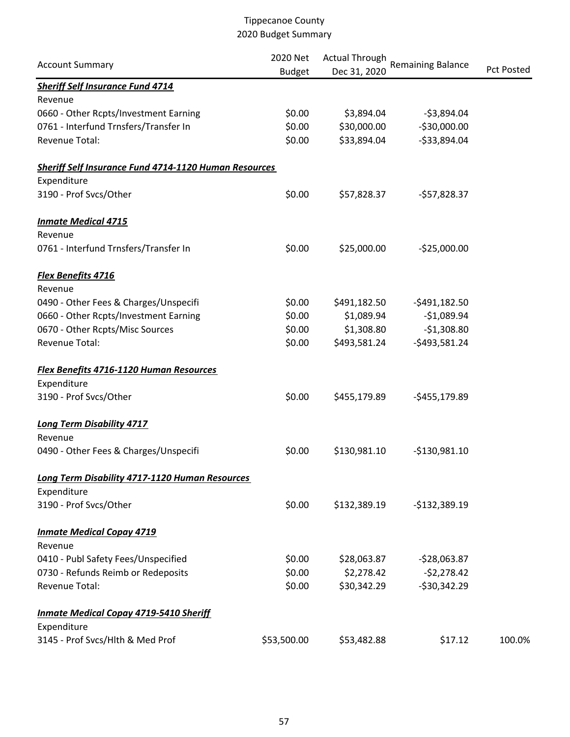|                                                              | 2020 Net      | <b>Actual Through</b> | <b>Remaining Balance</b> |                   |  |
|--------------------------------------------------------------|---------------|-----------------------|--------------------------|-------------------|--|
| <b>Account Summary</b>                                       | <b>Budget</b> | Dec 31, 2020          |                          | <b>Pct Posted</b> |  |
| <b>Sheriff Self Insurance Fund 4714</b>                      |               |                       |                          |                   |  |
| Revenue                                                      |               |                       |                          |                   |  |
| 0660 - Other Rcpts/Investment Earning                        | \$0.00        | \$3,894.04            | $-53,894.04$             |                   |  |
| 0761 - Interfund Trnsfers/Transfer In                        | \$0.00        | \$30,000.00           | $-530,000.00$            |                   |  |
| <b>Revenue Total:</b>                                        | \$0.00        | \$33,894.04           | $-533,894.04$            |                   |  |
| <b>Sheriff Self Insurance Fund 4714-1120 Human Resources</b> |               |                       |                          |                   |  |
| Expenditure                                                  |               |                       |                          |                   |  |
| 3190 - Prof Svcs/Other                                       | \$0.00        | \$57,828.37           | $-557,828.37$            |                   |  |
| <b>Inmate Medical 4715</b>                                   |               |                       |                          |                   |  |
| Revenue                                                      |               |                       |                          |                   |  |
| 0761 - Interfund Trnsfers/Transfer In                        | \$0.00        | \$25,000.00           | $-525,000.00$            |                   |  |
| <b>Flex Benefits 4716</b>                                    |               |                       |                          |                   |  |
| Revenue                                                      |               |                       |                          |                   |  |
| 0490 - Other Fees & Charges/Unspecifi                        | \$0.00        | \$491,182.50          | $-5491,182.50$           |                   |  |
| 0660 - Other Rcpts/Investment Earning                        | \$0.00        | \$1,089.94            | $-$1,089.94$             |                   |  |
| 0670 - Other Rcpts/Misc Sources                              | \$0.00        | \$1,308.80            | $-51,308.80$             |                   |  |
| <b>Revenue Total:</b>                                        | \$0.00        | \$493,581.24          | $-5493,581.24$           |                   |  |
| <b>Flex Benefits 4716-1120 Human Resources</b>               |               |                       |                          |                   |  |
| Expenditure                                                  |               |                       |                          |                   |  |
| 3190 - Prof Svcs/Other                                       | \$0.00        | \$455,179.89          | $-5455,179.89$           |                   |  |
| <b>Long Term Disability 4717</b>                             |               |                       |                          |                   |  |
| Revenue                                                      |               |                       |                          |                   |  |
| 0490 - Other Fees & Charges/Unspecifi                        | \$0.00        | \$130,981.10          | $-$130,981.10$           |                   |  |
| Long Term Disability 4717-1120 Human Resources               |               |                       |                          |                   |  |
| Expenditure                                                  |               |                       |                          |                   |  |
| 3190 - Prof Svcs/Other                                       | \$0.00        | \$132,389.19          | $-$132,389.19$           |                   |  |
| <b>Inmate Medical Copay 4719</b>                             |               |                       |                          |                   |  |
| Revenue                                                      |               |                       |                          |                   |  |
| 0410 - Publ Safety Fees/Unspecified                          | \$0.00        | \$28,063.87           | $-528,063.87$            |                   |  |
| 0730 - Refunds Reimb or Redeposits                           | \$0.00        | \$2,278.42            | $-52,278.42$             |                   |  |
| <b>Revenue Total:</b>                                        | \$0.00        | \$30,342.29           | $-530,342.29$            |                   |  |
| <b>Inmate Medical Copay 4719-5410 Sheriff</b>                |               |                       |                          |                   |  |
| Expenditure                                                  |               |                       |                          |                   |  |
| 3145 - Prof Svcs/Hlth & Med Prof                             | \$53,500.00   | \$53,482.88           | \$17.12                  | 100.0%            |  |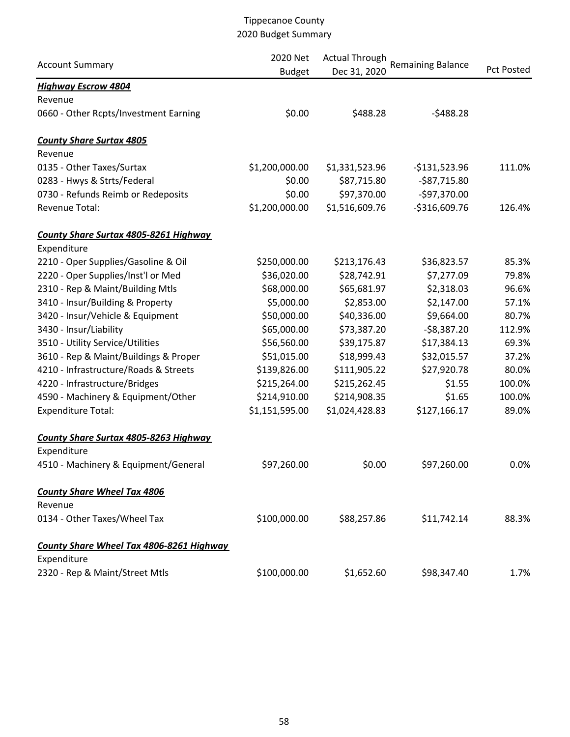| <b>Account Summary</b>                          | 2020 Net<br><b>Budget</b> | <b>Actual Through</b><br>Dec 31, 2020 | <b>Remaining Balance</b> | Pct Posted |
|-------------------------------------------------|---------------------------|---------------------------------------|--------------------------|------------|
| <b>Highway Escrow 4804</b>                      |                           |                                       |                          |            |
| Revenue                                         |                           |                                       |                          |            |
| 0660 - Other Rcpts/Investment Earning           | \$0.00                    | \$488.28                              | $-5488.28$               |            |
| <b>County Share Surtax 4805</b>                 |                           |                                       |                          |            |
| Revenue                                         |                           |                                       |                          |            |
| 0135 - Other Taxes/Surtax                       | \$1,200,000.00            | \$1,331,523.96                        | $-$131,523.96$           | 111.0%     |
| 0283 - Hwys & Strts/Federal                     | \$0.00                    | \$87,715.80                           | $-587,715.80$            |            |
| 0730 - Refunds Reimb or Redeposits              | \$0.00                    | \$97,370.00                           | -\$97,370.00             |            |
| Revenue Total:                                  | \$1,200,000.00            | \$1,516,609.76                        | $-$316,609.76$           | 126.4%     |
| County Share Surtax 4805-8261 Highway           |                           |                                       |                          |            |
| Expenditure                                     |                           |                                       |                          |            |
| 2210 - Oper Supplies/Gasoline & Oil             | \$250,000.00              | \$213,176.43                          | \$36,823.57              | 85.3%      |
| 2220 - Oper Supplies/Inst'l or Med              | \$36,020.00               | \$28,742.91                           | \$7,277.09               | 79.8%      |
| 2310 - Rep & Maint/Building Mtls                | \$68,000.00               | \$65,681.97                           | \$2,318.03               | 96.6%      |
| 3410 - Insur/Building & Property                | \$5,000.00                | \$2,853.00                            | \$2,147.00               | 57.1%      |
| 3420 - Insur/Vehicle & Equipment                | \$50,000.00               | \$40,336.00                           | \$9,664.00               | 80.7%      |
| 3430 - Insur/Liability                          | \$65,000.00               | \$73,387.20                           | $-58,387.20$             | 112.9%     |
| 3510 - Utility Service/Utilities                | \$56,560.00               | \$39,175.87                           | \$17,384.13              | 69.3%      |
| 3610 - Rep & Maint/Buildings & Proper           | \$51,015.00               | \$18,999.43                           | \$32,015.57              | 37.2%      |
| 4210 - Infrastructure/Roads & Streets           | \$139,826.00              | \$111,905.22                          | \$27,920.78              | 80.0%      |
| 4220 - Infrastructure/Bridges                   | \$215,264.00              | \$215,262.45                          | \$1.55                   | 100.0%     |
| 4590 - Machinery & Equipment/Other              | \$214,910.00              | \$214,908.35                          | \$1.65                   | 100.0%     |
| <b>Expenditure Total:</b>                       | \$1,151,595.00            | \$1,024,428.83                        | \$127,166.17             | 89.0%      |
| <b>County Share Surtax 4805-8263 Highway</b>    |                           |                                       |                          |            |
| Expenditure                                     |                           |                                       |                          |            |
| 4510 - Machinery & Equipment/General            | \$97,260.00               | \$0.00                                | \$97,260.00              | 0.0%       |
| <b>County Share Wheel Tax 4806</b>              |                           |                                       |                          |            |
| Revenue                                         |                           |                                       |                          |            |
| 0134 - Other Taxes/Wheel Tax                    | \$100,000.00              | \$88,257.86                           | \$11,742.14              | 88.3%      |
| <b>County Share Wheel Tax 4806-8261 Highway</b> |                           |                                       |                          |            |
| Expenditure                                     |                           |                                       |                          |            |
| 2320 - Rep & Maint/Street Mtls                  | \$100,000.00              | \$1,652.60                            | \$98,347.40              | 1.7%       |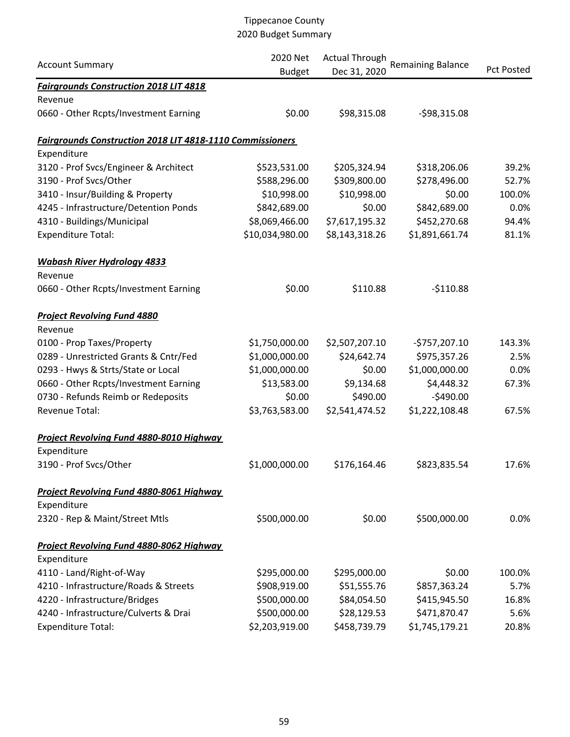| <b>Account Summary</b>                                           | 2020 Net<br><b>Budget</b> | <b>Actual Through</b><br>Dec 31, 2020 | <b>Remaining Balance</b> | <b>Pct Posted</b> |
|------------------------------------------------------------------|---------------------------|---------------------------------------|--------------------------|-------------------|
| <b>Fairgrounds Construction 2018 LIT 4818</b>                    |                           |                                       |                          |                   |
| Revenue                                                          |                           |                                       |                          |                   |
| 0660 - Other Rcpts/Investment Earning                            | \$0.00                    | \$98,315.08                           | $-598,315.08$            |                   |
| <b>Fairgrounds Construction 2018 LIT 4818-1110 Commissioners</b> |                           |                                       |                          |                   |
| Expenditure                                                      |                           |                                       |                          |                   |
| 3120 - Prof Svcs/Engineer & Architect                            | \$523,531.00              | \$205,324.94                          | \$318,206.06             | 39.2%             |
| 3190 - Prof Svcs/Other                                           | \$588,296.00              | \$309,800.00                          | \$278,496.00             | 52.7%             |
| 3410 - Insur/Building & Property                                 | \$10,998.00               | \$10,998.00                           | \$0.00                   | 100.0%            |
| 4245 - Infrastructure/Detention Ponds                            | \$842,689.00              | \$0.00                                | \$842,689.00             | 0.0%              |
| 4310 - Buildings/Municipal                                       | \$8,069,466.00            | \$7,617,195.32                        | \$452,270.68             | 94.4%             |
| <b>Expenditure Total:</b>                                        | \$10,034,980.00           | \$8,143,318.26                        | \$1,891,661.74           | 81.1%             |
| <b>Wabash River Hydrology 4833</b>                               |                           |                                       |                          |                   |
| Revenue                                                          |                           |                                       |                          |                   |
| 0660 - Other Rcpts/Investment Earning                            | \$0.00                    | \$110.88                              | $-5110.88$               |                   |
| <b>Project Revolving Fund 4880</b>                               |                           |                                       |                          |                   |
| Revenue                                                          |                           |                                       |                          |                   |
| 0100 - Prop Taxes/Property                                       | \$1,750,000.00            | \$2,507,207.10                        | -\$757,207.10            | 143.3%            |
| 0289 - Unrestricted Grants & Cntr/Fed                            | \$1,000,000.00            | \$24,642.74                           | \$975,357.26             | 2.5%              |
| 0293 - Hwys & Strts/State or Local                               | \$1,000,000.00            | \$0.00                                | \$1,000,000.00           | 0.0%              |
| 0660 - Other Rcpts/Investment Earning                            | \$13,583.00               | \$9,134.68                            | \$4,448.32               | 67.3%             |
| 0730 - Refunds Reimb or Redeposits                               | \$0.00                    | \$490.00                              | $-5490.00$               |                   |
| Revenue Total:                                                   | \$3,763,583.00            | \$2,541,474.52                        | \$1,222,108.48           | 67.5%             |
| Project Revolving Fund 4880-8010 Highway                         |                           |                                       |                          |                   |
| Expenditure                                                      |                           |                                       |                          |                   |
| 3190 - Prof Svcs/Other                                           | \$1,000,000.00            | \$176,164.46                          | \$823,835.54             | 17.6%             |
| <b>Project Revolving Fund 4880-8061 Highway</b>                  |                           |                                       |                          |                   |
| Expenditure                                                      |                           |                                       |                          |                   |
| 2320 - Rep & Maint/Street Mtls                                   | \$500,000.00              | \$0.00                                | \$500,000.00             | 0.0%              |
| Project Revolving Fund 4880-8062 Highway                         |                           |                                       |                          |                   |
| Expenditure                                                      |                           |                                       |                          |                   |
| 4110 - Land/Right-of-Way                                         | \$295,000.00              | \$295,000.00                          | \$0.00                   | 100.0%            |
| 4210 - Infrastructure/Roads & Streets                            | \$908,919.00              | \$51,555.76                           | \$857,363.24             | 5.7%              |
| 4220 - Infrastructure/Bridges                                    | \$500,000.00              | \$84,054.50                           | \$415,945.50             | 16.8%             |
| 4240 - Infrastructure/Culverts & Drai                            | \$500,000.00              | \$28,129.53                           | \$471,870.47             | 5.6%              |
| <b>Expenditure Total:</b>                                        | \$2,203,919.00            | \$458,739.79                          | \$1,745,179.21           | 20.8%             |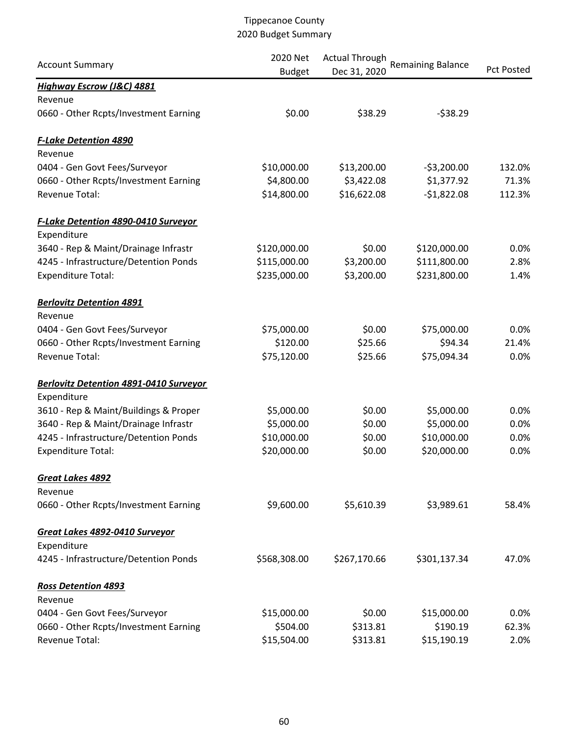|                                               | 2020 Net      | <b>Actual Through</b> |                          |                   |
|-----------------------------------------------|---------------|-----------------------|--------------------------|-------------------|
| <b>Account Summary</b>                        | <b>Budget</b> | Dec 31, 2020          | <b>Remaining Balance</b> | <b>Pct Posted</b> |
| <b>Highway Escrow (J&amp;C) 4881</b>          |               |                       |                          |                   |
| Revenue                                       |               |                       |                          |                   |
| 0660 - Other Rcpts/Investment Earning         | \$0.00        | \$38.29               | $-538.29$                |                   |
| <b>F-Lake Detention 4890</b>                  |               |                       |                          |                   |
| Revenue                                       |               |                       |                          |                   |
| 0404 - Gen Govt Fees/Surveyor                 | \$10,000.00   | \$13,200.00           | $-53,200.00$             | 132.0%            |
| 0660 - Other Rcpts/Investment Earning         | \$4,800.00    | \$3,422.08            | \$1,377.92               | 71.3%             |
| Revenue Total:                                | \$14,800.00   | \$16,622.08           | $-$1,822.08$             | 112.3%            |
| <b>F-Lake Detention 4890-0410 Surveyor</b>    |               |                       |                          |                   |
| Expenditure                                   |               |                       |                          |                   |
| 3640 - Rep & Maint/Drainage Infrastr          | \$120,000.00  | \$0.00                | \$120,000.00             | 0.0%              |
| 4245 - Infrastructure/Detention Ponds         | \$115,000.00  | \$3,200.00            | \$111,800.00             | 2.8%              |
| <b>Expenditure Total:</b>                     | \$235,000.00  | \$3,200.00            | \$231,800.00             | 1.4%              |
| <b>Berlovitz Detention 4891</b>               |               |                       |                          |                   |
| Revenue                                       |               |                       |                          |                   |
| 0404 - Gen Govt Fees/Surveyor                 | \$75,000.00   | \$0.00                | \$75,000.00              | 0.0%              |
| 0660 - Other Rcpts/Investment Earning         | \$120.00      | \$25.66               | \$94.34                  | 21.4%             |
| Revenue Total:                                | \$75,120.00   | \$25.66               | \$75,094.34              | 0.0%              |
| <b>Berlovitz Detention 4891-0410 Surveyor</b> |               |                       |                          |                   |
| Expenditure                                   |               |                       |                          |                   |
| 3610 - Rep & Maint/Buildings & Proper         | \$5,000.00    | \$0.00                | \$5,000.00               | 0.0%              |
| 3640 - Rep & Maint/Drainage Infrastr          | \$5,000.00    | \$0.00                | \$5,000.00               | 0.0%              |
| 4245 - Infrastructure/Detention Ponds         | \$10,000.00   | \$0.00                | \$10,000.00              | 0.0%              |
| <b>Expenditure Total:</b>                     | \$20,000.00   | \$0.00                | \$20,000.00              | 0.0%              |
| Great Lakes 4892                              |               |                       |                          |                   |
| Revenue                                       |               |                       |                          |                   |
| 0660 - Other Rcpts/Investment Earning         | \$9,600.00    | \$5,610.39            | \$3,989.61               | 58.4%             |
| Great Lakes 4892-0410 Surveyor                |               |                       |                          |                   |
| Expenditure                                   |               |                       |                          |                   |
| 4245 - Infrastructure/Detention Ponds         | \$568,308.00  | \$267,170.66          | \$301,137.34             | 47.0%             |
| <b>Ross Detention 4893</b>                    |               |                       |                          |                   |
| Revenue                                       |               |                       |                          |                   |
| 0404 - Gen Govt Fees/Surveyor                 | \$15,000.00   | \$0.00                | \$15,000.00              | 0.0%              |
| 0660 - Other Rcpts/Investment Earning         | \$504.00      | \$313.81              | \$190.19                 | 62.3%             |
| Revenue Total:                                | \$15,504.00   | \$313.81              | \$15,190.19              | 2.0%              |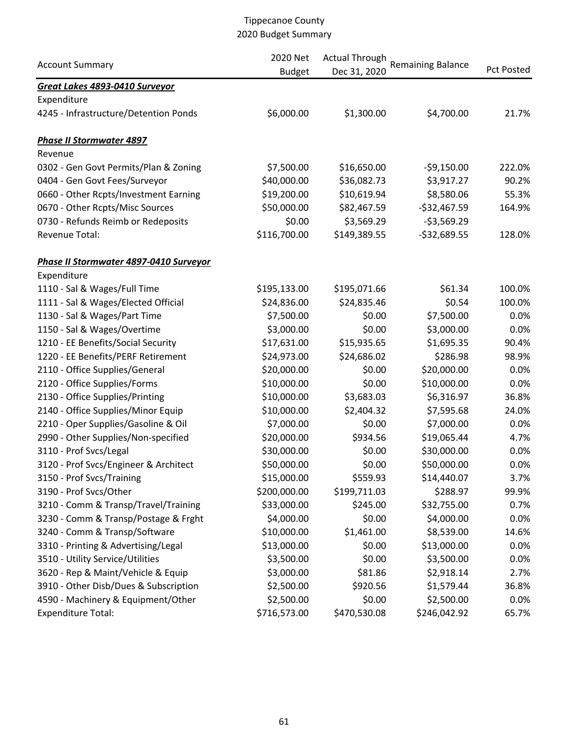| <b>Account Summary</b>                 | 2020 Net<br><b>Actual Through</b> |              | <b>Remaining Balance</b> |                   |
|----------------------------------------|-----------------------------------|--------------|--------------------------|-------------------|
|                                        | <b>Budget</b>                     | Dec 31, 2020 |                          | <b>Pct Posted</b> |
| Great Lakes 4893-0410 Surveyor         |                                   |              |                          |                   |
| Expenditure                            |                                   |              |                          |                   |
| 4245 - Infrastructure/Detention Ponds  | \$6,000.00                        | \$1,300.00   | \$4,700.00               | 21.7%             |
| <b>Phase II Stormwater 4897</b>        |                                   |              |                          |                   |
| Revenue                                |                                   |              |                          |                   |
| 0302 - Gen Govt Permits/Plan & Zoning  | \$7,500.00                        | \$16,650.00  | $-59,150.00$             | 222.0%            |
| 0404 - Gen Govt Fees/Surveyor          | \$40,000.00                       | \$36,082.73  | \$3,917.27               | 90.2%             |
| 0660 - Other Rcpts/Investment Earning  | \$19,200.00                       | \$10,619.94  | \$8,580.06               | 55.3%             |
| 0670 - Other Rcpts/Misc Sources        | \$50,000.00                       | \$82,467.59  | $-$32,467.59$            | 164.9%            |
| 0730 - Refunds Reimb or Redeposits     | \$0.00                            | \$3,569.29   | $-53,569.29$             |                   |
| Revenue Total:                         | \$116,700.00                      | \$149,389.55 | $-532,689.55$            | 128.0%            |
| Phase II Stormwater 4897-0410 Surveyor |                                   |              |                          |                   |
| Expenditure                            |                                   |              |                          |                   |
| 1110 - Sal & Wages/Full Time           | \$195,133.00                      | \$195,071.66 | \$61.34                  | 100.0%            |
| 1111 - Sal & Wages/Elected Official    | \$24,836.00                       | \$24,835.46  | \$0.54                   | 100.0%            |
| 1130 - Sal & Wages/Part Time           | \$7,500.00                        | \$0.00       | \$7,500.00               | 0.0%              |
| 1150 - Sal & Wages/Overtime            | \$3,000.00                        | \$0.00       | \$3,000.00               | 0.0%              |
| 1210 - EE Benefits/Social Security     | \$17,631.00                       | \$15,935.65  | \$1,695.35               | 90.4%             |
| 1220 - EE Benefits/PERF Retirement     | \$24,973.00                       | \$24,686.02  | \$286.98                 | 98.9%             |
| 2110 - Office Supplies/General         | \$20,000.00                       | \$0.00       | \$20,000.00              | 0.0%              |
| 2120 - Office Supplies/Forms           | \$10,000.00                       | \$0.00       | \$10,000.00              | 0.0%              |
| 2130 - Office Supplies/Printing        | \$10,000.00                       | \$3,683.03   | \$6,316.97               | 36.8%             |
| 2140 - Office Supplies/Minor Equip     | \$10,000.00                       | \$2,404.32   | \$7,595.68               | 24.0%             |
| 2210 - Oper Supplies/Gasoline & Oil    | \$7,000.00                        | \$0.00       | \$7,000.00               | 0.0%              |
| 2990 - Other Supplies/Non-specified    | \$20,000.00                       | \$934.56     | \$19,065.44              | 4.7%              |
| 3110 - Prof Svcs/Legal                 | \$30,000.00                       | \$0.00       | \$30,000.00              | 0.0%              |
| 3120 - Prof Svcs/Engineer & Architect  | \$50,000.00                       | \$0.00       | \$50,000.00              | 0.0%              |
| 3150 - Prof Svcs/Training              | \$15,000.00                       | \$559.93     | \$14,440.07              | 3.7%              |
| 3190 - Prof Svcs/Other                 | \$200,000.00                      | \$199,711.03 | \$288.97                 | 99.9%             |
| 3210 - Comm & Transp/Travel/Training   | \$33,000.00                       | \$245.00     | \$32,755.00              | 0.7%              |
| 3230 - Comm & Transp/Postage & Frght   | \$4,000.00                        | \$0.00       | \$4,000.00               | 0.0%              |
| 3240 - Comm & Transp/Software          | \$10,000.00                       | \$1,461.00   | \$8,539.00               | 14.6%             |
| 3310 - Printing & Advertising/Legal    | \$13,000.00                       | \$0.00       | \$13,000.00              | 0.0%              |
| 3510 - Utility Service/Utilities       | \$3,500.00                        | \$0.00       | \$3,500.00               | 0.0%              |
| 3620 - Rep & Maint/Vehicle & Equip     | \$3,000.00                        | \$81.86      | \$2,918.14               | 2.7%              |
| 3910 - Other Disb/Dues & Subscription  | \$2,500.00                        | \$920.56     | \$1,579.44               | 36.8%             |
| 4590 - Machinery & Equipment/Other     | \$2,500.00                        | \$0.00       | \$2,500.00               | 0.0%              |
| <b>Expenditure Total:</b>              | \$716,573.00                      | \$470,530.08 | \$246,042.92             | 65.7%             |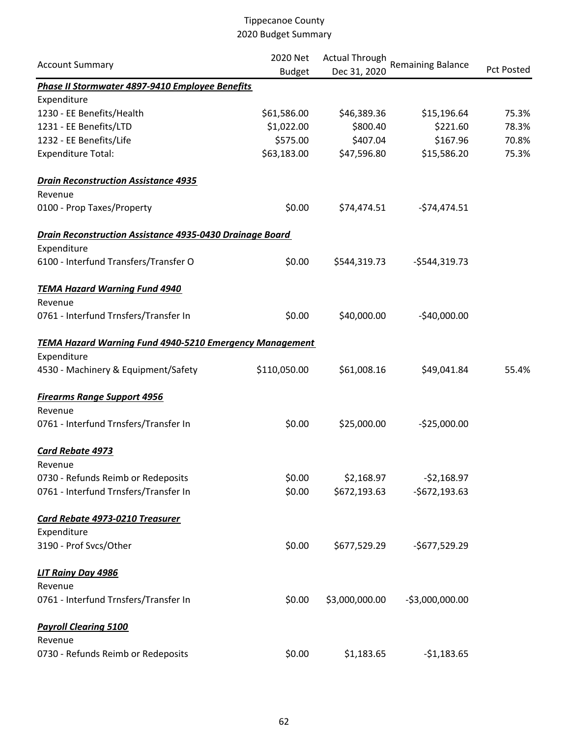|                                                                | 2020 Net      | <b>Actual Through</b> |                          |            |  |
|----------------------------------------------------------------|---------------|-----------------------|--------------------------|------------|--|
| <b>Account Summary</b>                                         | <b>Budget</b> | Dec 31, 2020          | <b>Remaining Balance</b> | Pct Posted |  |
| Phase II Stormwater 4897-9410 Employee Benefits                |               |                       |                          |            |  |
| Expenditure                                                    |               |                       |                          |            |  |
| 1230 - EE Benefits/Health                                      | \$61,586.00   | \$46,389.36           | \$15,196.64              | 75.3%      |  |
| 1231 - EE Benefits/LTD                                         | \$1,022.00    | \$800.40              | \$221.60                 | 78.3%      |  |
| 1232 - EE Benefits/Life                                        | \$575.00      | \$407.04              | \$167.96                 | 70.8%      |  |
| <b>Expenditure Total:</b>                                      | \$63,183.00   | \$47,596.80           | \$15,586.20              | 75.3%      |  |
| <b>Drain Reconstruction Assistance 4935</b>                    |               |                       |                          |            |  |
| Revenue                                                        |               |                       |                          |            |  |
| 0100 - Prop Taxes/Property                                     | \$0.00        | \$74,474.51           | $-574,474.51$            |            |  |
| Drain Reconstruction Assistance 4935-0430 Drainage Board       |               |                       |                          |            |  |
| Expenditure                                                    |               |                       |                          |            |  |
| 6100 - Interfund Transfers/Transfer O                          | \$0.00        | \$544,319.73          | $-$544,319.73$           |            |  |
| <b>TEMA Hazard Warning Fund 4940</b>                           |               |                       |                          |            |  |
| Revenue                                                        |               |                       |                          |            |  |
| 0761 - Interfund Trnsfers/Transfer In                          | \$0.00        | \$40,000.00           | $-$40,000.00$            |            |  |
| <b>TEMA Hazard Warning Fund 4940-5210 Emergency Management</b> |               |                       |                          |            |  |
| Expenditure                                                    |               |                       |                          |            |  |
| 4530 - Machinery & Equipment/Safety                            | \$110,050.00  | \$61,008.16           | \$49,041.84              | 55.4%      |  |
| <b>Firearms Range Support 4956</b>                             |               |                       |                          |            |  |
| Revenue                                                        |               |                       |                          |            |  |
| 0761 - Interfund Trnsfers/Transfer In                          | \$0.00        | \$25,000.00           | $-525,000.00$            |            |  |
| Card Rebate 4973                                               |               |                       |                          |            |  |
| Revenue                                                        |               |                       |                          |            |  |
| 0730 - Refunds Reimb or Redeposits                             | \$0.00        | \$2,168.97            | $-52,168.97$             |            |  |
| 0761 - Interfund Trnsfers/Transfer In                          | \$0.00        | \$672,193.63          | $-$672,193.63$           |            |  |
| Card Rebate 4973-0210 Treasurer                                |               |                       |                          |            |  |
| Expenditure                                                    |               |                       |                          |            |  |
| 3190 - Prof Svcs/Other                                         | \$0.00        | \$677,529.29          | -\$677,529.29            |            |  |
| LIT Rainy Day 4986                                             |               |                       |                          |            |  |
| Revenue                                                        |               |                       |                          |            |  |
| 0761 - Interfund Trnsfers/Transfer In                          | \$0.00        | \$3,000,000.00        | $-53,000,000.00$         |            |  |
| <b>Payroll Clearing 5100</b>                                   |               |                       |                          |            |  |
| Revenue                                                        |               |                       |                          |            |  |
| 0730 - Refunds Reimb or Redeposits                             | \$0.00        | \$1,183.65            | $-51,183.65$             |            |  |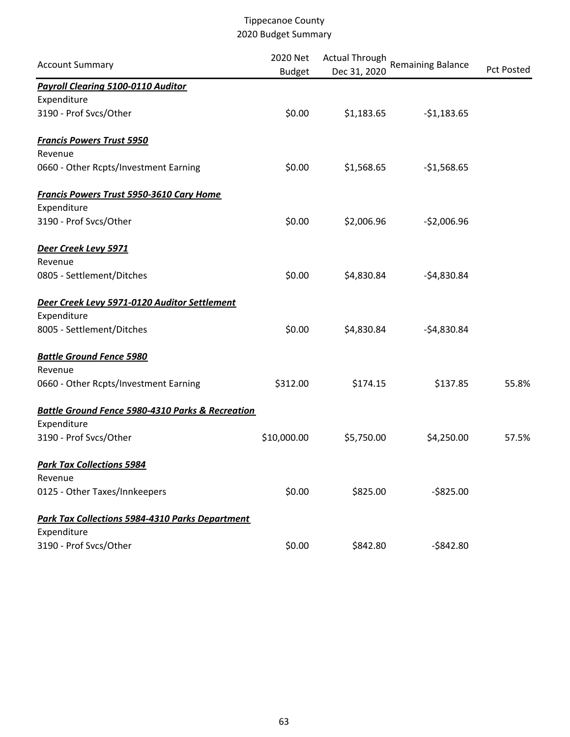| <b>Account Summary</b>                                      | 2020 Net<br><b>Budget</b> | <b>Actual Through</b><br>Dec 31, 2020 | <b>Remaining Balance</b> | <b>Pct Posted</b> |
|-------------------------------------------------------------|---------------------------|---------------------------------------|--------------------------|-------------------|
| <b>Payroll Clearing 5100-0110 Auditor</b>                   |                           |                                       |                          |                   |
| Expenditure                                                 |                           |                                       |                          |                   |
| 3190 - Prof Svcs/Other                                      | \$0.00                    | \$1,183.65                            | $-51,183.65$             |                   |
| <b>Francis Powers Trust 5950</b>                            |                           |                                       |                          |                   |
| Revenue                                                     |                           |                                       |                          |                   |
| 0660 - Other Rcpts/Investment Earning                       | \$0.00                    | \$1,568.65                            | $-$1,568.65$             |                   |
| <b>Francis Powers Trust 5950-3610 Cary Home</b>             |                           |                                       |                          |                   |
| Expenditure                                                 |                           |                                       |                          |                   |
| 3190 - Prof Svcs/Other                                      | \$0.00                    | \$2,006.96                            | $-52,006.96$             |                   |
| Deer Creek Levy 5971                                        |                           |                                       |                          |                   |
| Revenue                                                     |                           |                                       |                          |                   |
| 0805 - Settlement/Ditches                                   | \$0.00                    | \$4,830.84                            | $-54,830.84$             |                   |
| Deer Creek Levy 5971-0120 Auditor Settlement                |                           |                                       |                          |                   |
| Expenditure                                                 |                           |                                       |                          |                   |
| 8005 - Settlement/Ditches                                   | \$0.00                    | \$4,830.84                            | $-54,830.84$             |                   |
| <b>Battle Ground Fence 5980</b>                             |                           |                                       |                          |                   |
| Revenue                                                     |                           |                                       |                          |                   |
| 0660 - Other Rcpts/Investment Earning                       | \$312.00                  | \$174.15                              | \$137.85                 | 55.8%             |
| <b>Battle Ground Fence 5980-4310 Parks &amp; Recreation</b> |                           |                                       |                          |                   |
| Expenditure                                                 |                           |                                       |                          |                   |
| 3190 - Prof Svcs/Other                                      | \$10,000.00               | \$5,750.00                            | \$4,250.00               | 57.5%             |
| <b>Park Tax Collections 5984</b>                            |                           |                                       |                          |                   |
| Revenue                                                     |                           |                                       |                          |                   |
| 0125 - Other Taxes/Innkeepers                               | \$0.00                    | \$825.00                              | $-$ \$825.00             |                   |
| <b>Park Tax Collections 5984-4310 Parks Department</b>      |                           |                                       |                          |                   |
| Expenditure                                                 |                           |                                       |                          |                   |
| 3190 - Prof Svcs/Other                                      | \$0.00                    | \$842.80                              | $-$842.80$               |                   |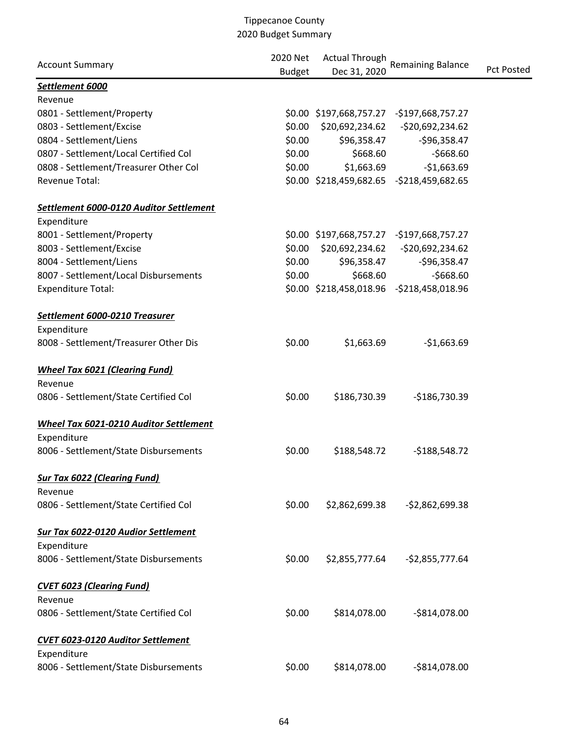| <b>Account Summary</b>                        | 2020 Net<br><b>Budget</b> | <b>Actual Through</b><br>Dec 31, 2020 | <b>Remaining Balance</b>                  | <b>Pct Posted</b> |
|-----------------------------------------------|---------------------------|---------------------------------------|-------------------------------------------|-------------------|
| Settlement 6000                               |                           |                                       |                                           |                   |
| Revenue                                       |                           |                                       |                                           |                   |
| 0801 - Settlement/Property                    |                           |                                       | \$0.00 \$197,668,757.27 -\$197,668,757.27 |                   |
| 0803 - Settlement/Excise                      | \$0.00                    |                                       | \$20,692,234.62 - \$20,692,234.62         |                   |
| 0804 - Settlement/Liens                       | \$0.00                    | \$96,358.47                           | $-596,358.47$                             |                   |
| 0807 - Settlement/Local Certified Col         | \$0.00                    | \$668.60                              | $-$668.60$                                |                   |
| 0808 - Settlement/Treasurer Other Col         | \$0.00                    | \$1,663.69                            | $-$1,663.69$                              |                   |
| Revenue Total:                                |                           |                                       | \$0.00 \$218,459,682.65 -\$218,459,682.65 |                   |
| Settlement 6000-0120 Auditor Settlement       |                           |                                       |                                           |                   |
| Expenditure                                   |                           |                                       |                                           |                   |
| 8001 - Settlement/Property                    |                           |                                       | \$0.00 \$197,668,757.27 -\$197,668,757.27 |                   |
| 8003 - Settlement/Excise                      | \$0.00                    | \$20,692,234.62                       | -\$20,692,234.62                          |                   |
| 8004 - Settlement/Liens                       | \$0.00                    | \$96,358.47                           | $-596,358.47$                             |                   |
| 8007 - Settlement/Local Disbursements         | \$0.00                    | \$668.60                              | $-$668.60$                                |                   |
| <b>Expenditure Total:</b>                     |                           |                                       | \$0.00 \$218,458,018.96 -\$218,458,018.96 |                   |
| Settlement 6000-0210 Treasurer                |                           |                                       |                                           |                   |
| Expenditure                                   |                           |                                       |                                           |                   |
| 8008 - Settlement/Treasurer Other Dis         | \$0.00                    | \$1,663.69                            | $-$1,663.69$                              |                   |
| <b>Wheel Tax 6021 (Clearing Fund)</b>         |                           |                                       |                                           |                   |
| Revenue                                       |                           |                                       |                                           |                   |
| 0806 - Settlement/State Certified Col         | \$0.00                    | \$186,730.39                          | -\$186,730.39                             |                   |
| <b>Wheel Tax 6021-0210 Auditor Settlement</b> |                           |                                       |                                           |                   |
| Expenditure                                   |                           |                                       |                                           |                   |
| 8006 - Settlement/State Disbursements         | \$0.00                    | \$188,548.72                          | $-$188,548.72$                            |                   |
| <b>Sur Tax 6022 (Clearing Fund)</b>           |                           |                                       |                                           |                   |
| Revenue                                       |                           |                                       |                                           |                   |
| 0806 - Settlement/State Certified Col         | \$0.00                    | \$2,862,699.38                        | $-52,862,699.38$                          |                   |
| Sur Tax 6022-0120 Audior Settlement           |                           |                                       |                                           |                   |
| Expenditure                                   |                           |                                       |                                           |                   |
| 8006 - Settlement/State Disbursements         | \$0.00                    | \$2,855,777.64                        | $-$2,855,777.64$                          |                   |
| <b>CVET 6023 (Clearing Fund)</b>              |                           |                                       |                                           |                   |
| Revenue                                       |                           |                                       |                                           |                   |
| 0806 - Settlement/State Certified Col         | \$0.00                    | \$814,078.00                          | $-$814,078.00$                            |                   |
| CVET 6023-0120 Auditor Settlement             |                           |                                       |                                           |                   |
| Expenditure                                   |                           |                                       |                                           |                   |
| 8006 - Settlement/State Disbursements         | \$0.00                    | \$814,078.00                          | $-$814,078.00$                            |                   |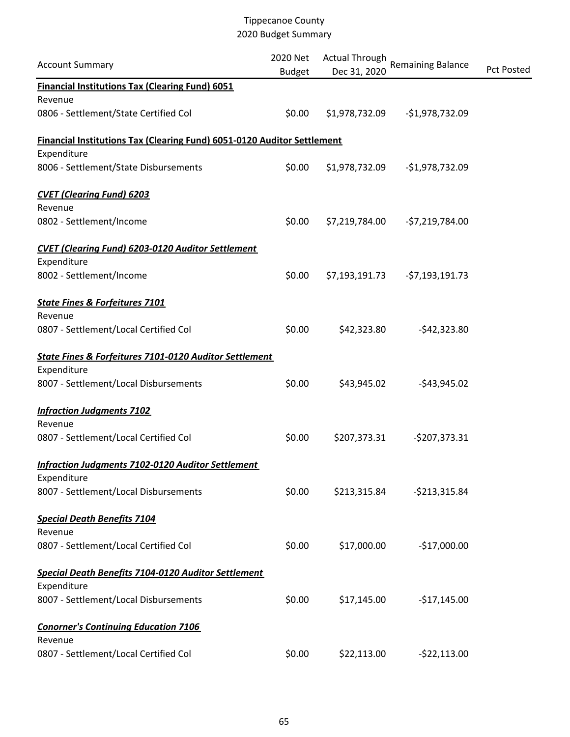| <b>Account Summary</b>                                                                        | 2020 Net<br><b>Budget</b> | <b>Actual Through</b><br>Dec 31, 2020 | <b>Remaining Balance</b> | <b>Pct Posted</b> |
|-----------------------------------------------------------------------------------------------|---------------------------|---------------------------------------|--------------------------|-------------------|
| <b>Financial Institutions Tax (Clearing Fund) 6051</b>                                        |                           |                                       |                          |                   |
| Revenue                                                                                       |                           |                                       |                          |                   |
| 0806 - Settlement/State Certified Col                                                         | \$0.00                    | \$1,978,732.09                        | $-$1,978,732.09$         |                   |
| <b>Financial Institutions Tax (Clearing Fund) 6051-0120 Auditor Settlement</b><br>Expenditure |                           |                                       |                          |                   |
| 8006 - Settlement/State Disbursements                                                         | \$0.00                    | \$1,978,732.09                        | $-$1,978,732.09$         |                   |
| <b>CVET (Clearing Fund) 6203</b>                                                              |                           |                                       |                          |                   |
| Revenue                                                                                       |                           |                                       |                          |                   |
| 0802 - Settlement/Income                                                                      | \$0.00                    | \$7,219,784.00                        | $-57,219,784.00$         |                   |
| <b>CVET (Clearing Fund) 6203-0120 Auditor Settlement</b>                                      |                           |                                       |                          |                   |
| Expenditure                                                                                   |                           |                                       |                          |                   |
| 8002 - Settlement/Income                                                                      | \$0.00                    | \$7,193,191.73                        | $-57,193,191.73$         |                   |
| <b>State Fines &amp; Forfeitures 7101</b>                                                     |                           |                                       |                          |                   |
| Revenue                                                                                       |                           |                                       |                          |                   |
| 0807 - Settlement/Local Certified Col                                                         | \$0.00                    | \$42,323.80                           | $-542,323.80$            |                   |
| State Fines & Forfeitures 7101-0120 Auditor Settlement                                        |                           |                                       |                          |                   |
| Expenditure                                                                                   |                           |                                       |                          |                   |
| 8007 - Settlement/Local Disbursements                                                         | \$0.00                    | \$43,945.02                           | $-$43,945.02$            |                   |
| <b>Infraction Judgments 7102</b>                                                              |                           |                                       |                          |                   |
| Revenue                                                                                       |                           |                                       |                          |                   |
| 0807 - Settlement/Local Certified Col                                                         | \$0.00                    | \$207,373.31                          | $-5207,373.31$           |                   |
| <b>Infraction Judgments 7102-0120 Auditor Settlement</b>                                      |                           |                                       |                          |                   |
| Expenditure                                                                                   |                           |                                       |                          |                   |
| 8007 - Settlement/Local Disbursements                                                         | \$0.00                    | \$213,315.84                          | $-$213,315.84$           |                   |
| <b>Special Death Benefits 7104</b>                                                            |                           |                                       |                          |                   |
| Revenue                                                                                       |                           |                                       |                          |                   |
| 0807 - Settlement/Local Certified Col                                                         | \$0.00                    | \$17,000.00                           | $-$17,000.00$            |                   |
| <b>Special Death Benefits 7104-0120 Auditor Settlement</b>                                    |                           |                                       |                          |                   |
| Expenditure                                                                                   |                           |                                       |                          |                   |
| 8007 - Settlement/Local Disbursements                                                         | \$0.00                    | \$17,145.00                           | $-$17,145.00$            |                   |
| <b>Conorner's Continuing Education 7106</b>                                                   |                           |                                       |                          |                   |
| Revenue                                                                                       |                           |                                       |                          |                   |
| 0807 - Settlement/Local Certified Col                                                         | \$0.00                    | \$22,113.00                           | $-522,113.00$            |                   |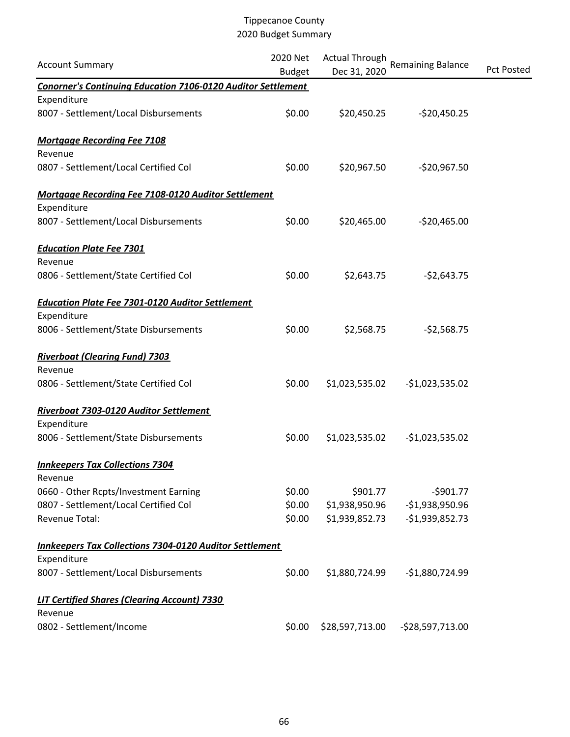| <b>Account Summary</b>                                              | 2020 Net<br><b>Budget</b> | <b>Actual Through</b><br>Dec 31, 2020 | <b>Remaining Balance</b> | <b>Pct Posted</b> |
|---------------------------------------------------------------------|---------------------------|---------------------------------------|--------------------------|-------------------|
| <b>Conorner's Continuing Education 7106-0120 Auditor Settlement</b> |                           |                                       |                          |                   |
| Expenditure                                                         |                           |                                       |                          |                   |
| 8007 - Settlement/Local Disbursements                               | \$0.00                    | \$20,450.25                           | $-520,450.25$            |                   |
| <b>Mortgage Recording Fee 7108</b>                                  |                           |                                       |                          |                   |
| Revenue                                                             |                           |                                       |                          |                   |
| 0807 - Settlement/Local Certified Col                               | \$0.00                    | \$20,967.50                           | $-520,967.50$            |                   |
| Mortgage Recording Fee 7108-0120 Auditor Settlement                 |                           |                                       |                          |                   |
| Expenditure                                                         |                           |                                       |                          |                   |
| 8007 - Settlement/Local Disbursements                               | \$0.00                    | \$20,465.00                           | $-520,465.00$            |                   |
| <b>Education Plate Fee 7301</b>                                     |                           |                                       |                          |                   |
| Revenue                                                             |                           |                                       |                          |                   |
| 0806 - Settlement/State Certified Col                               | \$0.00                    | \$2,643.75                            | $-52,643.75$             |                   |
| <b>Education Plate Fee 7301-0120 Auditor Settlement</b>             |                           |                                       |                          |                   |
| Expenditure                                                         |                           |                                       |                          |                   |
| 8006 - Settlement/State Disbursements                               | \$0.00                    | \$2,568.75                            | $-52,568.75$             |                   |
| <b>Riverboat (Clearing Fund) 7303</b>                               |                           |                                       |                          |                   |
| Revenue                                                             |                           |                                       |                          |                   |
| 0806 - Settlement/State Certified Col                               | \$0.00                    | \$1,023,535.02                        | $-$1,023,535.02$         |                   |
| Riverboat 7303-0120 Auditor Settlement                              |                           |                                       |                          |                   |
| Expenditure                                                         |                           |                                       |                          |                   |
| 8006 - Settlement/State Disbursements                               | \$0.00                    | \$1,023,535.02                        | $-$1,023,535.02$         |                   |
| <b>Innkeepers Tax Collections 7304</b>                              |                           |                                       |                          |                   |
| Revenue                                                             |                           |                                       |                          |                   |
| 0660 - Other Rcpts/Investment Earning                               | \$0.00                    | \$901.77                              | $-5901.77$               |                   |
| 0807 - Settlement/Local Certified Col                               | \$0.00                    | \$1,938,950.96                        | $-$1,938,950.96$         |                   |
| Revenue Total:                                                      | \$0.00                    | \$1,939,852.73                        | $-$1,939,852.73$         |                   |
| <b>Innkeepers Tax Collections 7304-0120 Auditor Settlement</b>      |                           |                                       |                          |                   |
| Expenditure                                                         |                           |                                       |                          |                   |
| 8007 - Settlement/Local Disbursements                               | \$0.00                    | \$1,880,724.99                        | -\$1,880,724.99          |                   |
| <b>LIT Certified Shares (Clearing Account) 7330</b>                 |                           |                                       |                          |                   |
| Revenue                                                             |                           |                                       |                          |                   |
| 0802 - Settlement/Income                                            | \$0.00                    | \$28,597,713.00                       | $-528,597,713.00$        |                   |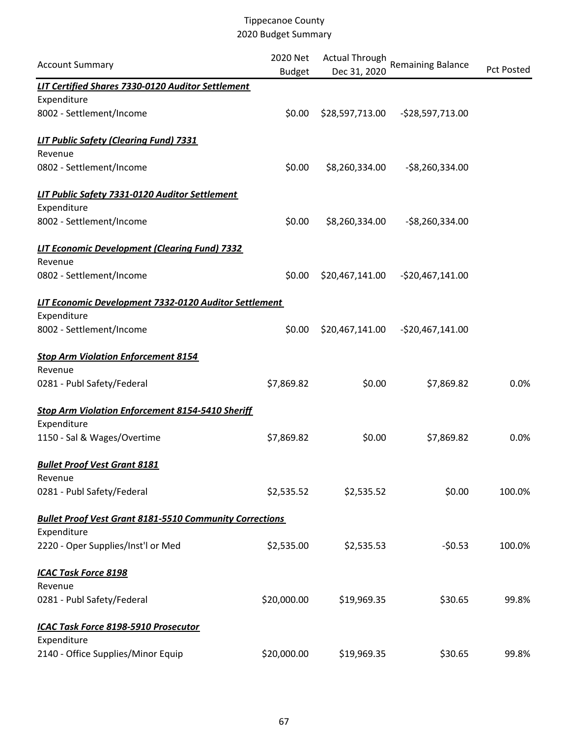| <b>Account Summary</b>                                         | 2020 Net<br><b>Budget</b> | <b>Actual Through</b><br>Dec 31, 2020 | Remaining Balance  | <b>Pct Posted</b> |
|----------------------------------------------------------------|---------------------------|---------------------------------------|--------------------|-------------------|
| <b>LIT Certified Shares 7330-0120 Auditor Settlement</b>       |                           |                                       |                    |                   |
| Expenditure                                                    |                           |                                       |                    |                   |
| 8002 - Settlement/Income                                       | \$0.00                    | \$28,597,713.00                       | -\$28,597,713.00   |                   |
| <b>LIT Public Safety (Clearing Fund) 7331</b>                  |                           |                                       |                    |                   |
| Revenue                                                        |                           |                                       |                    |                   |
| 0802 - Settlement/Income                                       | \$0.00                    | \$8,260,334.00                        | $-$ \$8,260,334.00 |                   |
| LIT Public Safety 7331-0120 Auditor Settlement                 |                           |                                       |                    |                   |
| Expenditure                                                    |                           |                                       |                    |                   |
| 8002 - Settlement/Income                                       | \$0.00                    | \$8,260,334.00                        | $-58,260,334.00$   |                   |
| <b>LIT Economic Development (Clearing Fund) 7332</b>           |                           |                                       |                    |                   |
| Revenue                                                        |                           |                                       |                    |                   |
| 0802 - Settlement/Income                                       | \$0.00                    | \$20,467,141.00                       | -\$20,467,141.00   |                   |
| LIT Economic Development 7332-0120 Auditor Settlement          |                           |                                       |                    |                   |
| Expenditure                                                    |                           |                                       |                    |                   |
| 8002 - Settlement/Income                                       | \$0.00                    | \$20,467,141.00                       | $-520,467,141.00$  |                   |
| <b>Stop Arm Violation Enforcement 8154</b>                     |                           |                                       |                    |                   |
| Revenue                                                        |                           |                                       |                    |                   |
| 0281 - Publ Safety/Federal                                     | \$7,869.82                | \$0.00                                | \$7,869.82         | 0.0%              |
| <b>Stop Arm Violation Enforcement 8154-5410 Sheriff</b>        |                           |                                       |                    |                   |
| Expenditure                                                    |                           |                                       |                    |                   |
| 1150 - Sal & Wages/Overtime                                    | \$7,869.82                | \$0.00                                | \$7,869.82         | 0.0%              |
| <b>Bullet Proof Vest Grant 8181</b>                            |                           |                                       |                    |                   |
| Revenue                                                        |                           |                                       |                    |                   |
| 0281 - Publ Safety/Federal                                     | \$2,535.52                | \$2,535.52                            | \$0.00             | 100.0%            |
| <b>Bullet Proof Vest Grant 8181-5510 Community Corrections</b> |                           |                                       |                    |                   |
| Expenditure                                                    |                           |                                       |                    |                   |
| 2220 - Oper Supplies/Inst'l or Med                             | \$2,535.00                | \$2,535.53                            | $-50.53$           | 100.0%            |
| <b>ICAC Task Force 8198</b>                                    |                           |                                       |                    |                   |
| Revenue                                                        |                           |                                       |                    |                   |
| 0281 - Publ Safety/Federal                                     | \$20,000.00               | \$19,969.35                           | \$30.65            | 99.8%             |
| ICAC Task Force 8198-5910 Prosecutor                           |                           |                                       |                    |                   |
| Expenditure                                                    |                           |                                       |                    |                   |
| 2140 - Office Supplies/Minor Equip                             | \$20,000.00               | \$19,969.35                           | \$30.65            | 99.8%             |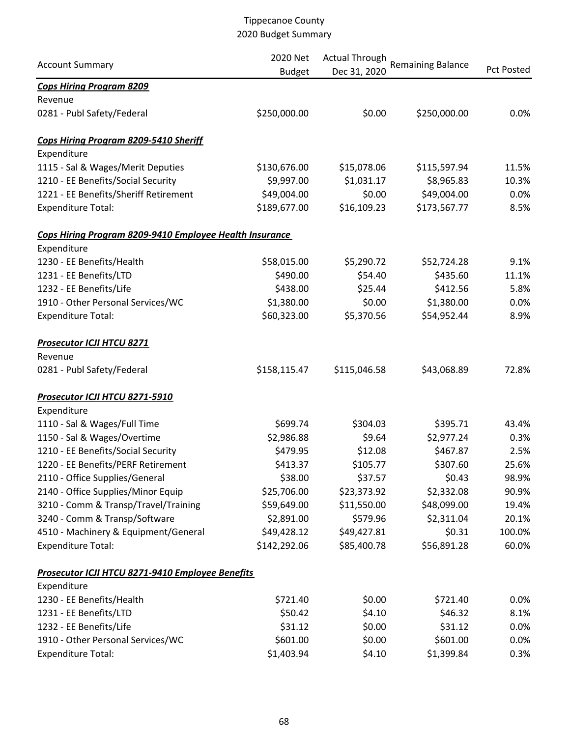|                                                         | 2020 Net      | <b>Actual Through</b><br><b>Remaining Balance</b> |              |            |  |
|---------------------------------------------------------|---------------|---------------------------------------------------|--------------|------------|--|
| <b>Account Summary</b>                                  | <b>Budget</b> | Dec 31, 2020                                      |              | Pct Posted |  |
| <b>Cops Hiring Program 8209</b>                         |               |                                                   |              |            |  |
| Revenue                                                 |               |                                                   |              |            |  |
| 0281 - Publ Safety/Federal                              | \$250,000.00  | \$0.00                                            | \$250,000.00 | 0.0%       |  |
| Cops Hiring Program 8209-5410 Sheriff                   |               |                                                   |              |            |  |
| Expenditure                                             |               |                                                   |              |            |  |
| 1115 - Sal & Wages/Merit Deputies                       | \$130,676.00  | \$15,078.06                                       | \$115,597.94 | 11.5%      |  |
| 1210 - EE Benefits/Social Security                      | \$9,997.00    | \$1,031.17                                        | \$8,965.83   | 10.3%      |  |
| 1221 - EE Benefits/Sheriff Retirement                   | \$49,004.00   | \$0.00                                            | \$49,004.00  | 0.0%       |  |
| <b>Expenditure Total:</b>                               | \$189,677.00  | \$16,109.23                                       | \$173,567.77 | 8.5%       |  |
| Cops Hiring Program 8209-9410 Employee Health Insurance |               |                                                   |              |            |  |
| Expenditure                                             |               |                                                   |              |            |  |
| 1230 - EE Benefits/Health                               | \$58,015.00   | \$5,290.72                                        | \$52,724.28  | 9.1%       |  |
| 1231 - EE Benefits/LTD                                  | \$490.00      | \$54.40                                           | \$435.60     | 11.1%      |  |
| 1232 - EE Benefits/Life                                 | \$438.00      | \$25.44                                           | \$412.56     | 5.8%       |  |
| 1910 - Other Personal Services/WC                       | \$1,380.00    | \$0.00                                            | \$1,380.00   | 0.0%       |  |
| <b>Expenditure Total:</b>                               | \$60,323.00   | \$5,370.56                                        | \$54,952.44  | 8.9%       |  |
| <b>Prosecutor ICJI HTCU 8271</b>                        |               |                                                   |              |            |  |
| Revenue                                                 |               |                                                   |              |            |  |
| 0281 - Publ Safety/Federal                              | \$158,115.47  | \$115,046.58                                      | \$43,068.89  | 72.8%      |  |
| Prosecutor ICJI HTCU 8271-5910                          |               |                                                   |              |            |  |
| Expenditure                                             |               |                                                   |              |            |  |
| 1110 - Sal & Wages/Full Time                            | \$699.74      | \$304.03                                          | \$395.71     | 43.4%      |  |
| 1150 - Sal & Wages/Overtime                             | \$2,986.88    | \$9.64                                            | \$2,977.24   | 0.3%       |  |
| 1210 - EE Benefits/Social Security                      | \$479.95      | \$12.08                                           | \$467.87     | 2.5%       |  |
| 1220 - EE Benefits/PERF Retirement                      | \$413.37      | \$105.77                                          | \$307.60     | 25.6%      |  |
| 2110 - Office Supplies/General                          | \$38.00       | \$37.57                                           | \$0.43       | 98.9%      |  |
| 2140 - Office Supplies/Minor Equip                      | \$25,706.00   | \$23,373.92                                       | \$2,332.08   | 90.9%      |  |
| 3210 - Comm & Transp/Travel/Training                    | \$59,649.00   | \$11,550.00                                       | \$48,099.00  | 19.4%      |  |
| 3240 - Comm & Transp/Software                           | \$2,891.00    | \$579.96                                          | \$2,311.04   | 20.1%      |  |
| 4510 - Machinery & Equipment/General                    | \$49,428.12   | \$49,427.81                                       | \$0.31       | 100.0%     |  |
| <b>Expenditure Total:</b>                               | \$142,292.06  | \$85,400.78                                       | \$56,891.28  | 60.0%      |  |
| Prosecutor ICJI HTCU 8271-9410 Employee Benefits        |               |                                                   |              |            |  |
| Expenditure                                             |               |                                                   |              |            |  |
| 1230 - EE Benefits/Health                               | \$721.40      | \$0.00                                            | \$721.40     | 0.0%       |  |
| 1231 - EE Benefits/LTD                                  | \$50.42       | \$4.10                                            | \$46.32      | 8.1%       |  |
| 1232 - EE Benefits/Life                                 | \$31.12       | \$0.00                                            | \$31.12      | 0.0%       |  |
| 1910 - Other Personal Services/WC                       | \$601.00      | \$0.00                                            | \$601.00     | 0.0%       |  |
| <b>Expenditure Total:</b>                               | \$1,403.94    | \$4.10                                            | \$1,399.84   | 0.3%       |  |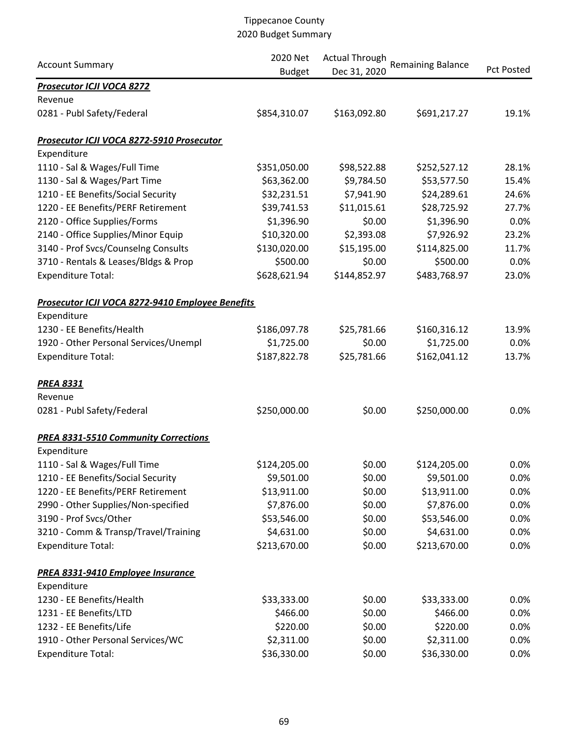|                                                  | 2020 Net      | <b>Actual Through</b> |                          |                   |
|--------------------------------------------------|---------------|-----------------------|--------------------------|-------------------|
| <b>Account Summary</b>                           | <b>Budget</b> | Dec 31, 2020          | <b>Remaining Balance</b> | <b>Pct Posted</b> |
| <b>Prosecutor ICJI VOCA 8272</b>                 |               |                       |                          |                   |
| Revenue                                          |               |                       |                          |                   |
| 0281 - Publ Safety/Federal                       | \$854,310.07  | \$163,092.80          | \$691,217.27             | 19.1%             |
| Prosecutor ICJI VOCA 8272-5910 Prosecutor        |               |                       |                          |                   |
| Expenditure                                      |               |                       |                          |                   |
| 1110 - Sal & Wages/Full Time                     | \$351,050.00  | \$98,522.88           | \$252,527.12             | 28.1%             |
| 1130 - Sal & Wages/Part Time                     | \$63,362.00   | \$9,784.50            | \$53,577.50              | 15.4%             |
| 1210 - EE Benefits/Social Security               | \$32,231.51   | \$7,941.90            | \$24,289.61              | 24.6%             |
| 1220 - EE Benefits/PERF Retirement               | \$39,741.53   | \$11,015.61           | \$28,725.92              | 27.7%             |
| 2120 - Office Supplies/Forms                     | \$1,396.90    | \$0.00                | \$1,396.90               | 0.0%              |
| 2140 - Office Supplies/Minor Equip               | \$10,320.00   | \$2,393.08            | \$7,926.92               | 23.2%             |
| 3140 - Prof Svcs/Counselng Consults              | \$130,020.00  | \$15,195.00           | \$114,825.00             | 11.7%             |
| 3710 - Rentals & Leases/Bldgs & Prop             | \$500.00      | \$0.00                | \$500.00                 | 0.0%              |
| <b>Expenditure Total:</b>                        | \$628,621.94  | \$144,852.97          | \$483,768.97             | 23.0%             |
| Prosecutor ICJI VOCA 8272-9410 Employee Benefits |               |                       |                          |                   |
| Expenditure                                      |               |                       |                          |                   |
| 1230 - EE Benefits/Health                        | \$186,097.78  | \$25,781.66           | \$160,316.12             | 13.9%             |
| 1920 - Other Personal Services/Unempl            | \$1,725.00    | \$0.00                | \$1,725.00               | 0.0%              |
| <b>Expenditure Total:</b>                        | \$187,822.78  | \$25,781.66           | \$162,041.12             | 13.7%             |
| <b>PREA 8331</b>                                 |               |                       |                          |                   |
| Revenue                                          |               |                       |                          |                   |
| 0281 - Publ Safety/Federal                       | \$250,000.00  | \$0.00                | \$250,000.00             | 0.0%              |
| <b>PREA 8331-5510 Community Corrections</b>      |               |                       |                          |                   |
| Expenditure                                      |               |                       |                          |                   |
| 1110 - Sal & Wages/Full Time                     | \$124,205.00  | \$0.00                | \$124,205.00             | 0.0%              |
| 1210 - EE Benefits/Social Security               | \$9,501.00    | \$0.00                | \$9,501.00               | 0.0%              |
| 1220 - EE Benefits/PERF Retirement               | \$13,911.00   | \$0.00                | \$13,911.00              | 0.0%              |
| 2990 - Other Supplies/Non-specified              | \$7,876.00    | \$0.00                | \$7,876.00               | 0.0%              |
| 3190 - Prof Svcs/Other                           | \$53,546.00   | \$0.00                | \$53,546.00              | 0.0%              |
| 3210 - Comm & Transp/Travel/Training             | \$4,631.00    | \$0.00                | \$4,631.00               | 0.0%              |
| <b>Expenditure Total:</b>                        | \$213,670.00  | \$0.00                | \$213,670.00             | 0.0%              |
| PREA 8331-9410 Employee Insurance                |               |                       |                          |                   |
| Expenditure                                      |               |                       |                          |                   |
| 1230 - EE Benefits/Health                        | \$33,333.00   | \$0.00                | \$33,333.00              | 0.0%              |
| 1231 - EE Benefits/LTD                           | \$466.00      | \$0.00                | \$466.00                 | 0.0%              |
| 1232 - EE Benefits/Life                          | \$220.00      | \$0.00                | \$220.00                 | 0.0%              |
| 1910 - Other Personal Services/WC                | \$2,311.00    | \$0.00                | \$2,311.00               | 0.0%              |
| <b>Expenditure Total:</b>                        | \$36,330.00   | \$0.00                | \$36,330.00              | 0.0%              |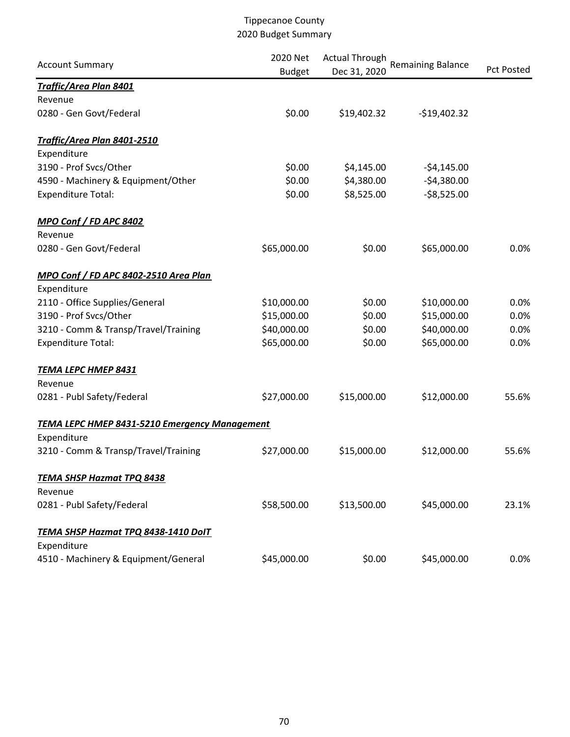| <b>Account Summary</b>                               | 2020 Net<br><b>Budget</b> | <b>Actual Through</b><br>Dec 31, 2020 | <b>Remaining Balance</b> | <b>Pct Posted</b> |
|------------------------------------------------------|---------------------------|---------------------------------------|--------------------------|-------------------|
| <b>Traffic/Area Plan 8401</b>                        |                           |                                       |                          |                   |
| Revenue                                              |                           |                                       |                          |                   |
| 0280 - Gen Govt/Federal                              | \$0.00                    | \$19,402.32                           | $-$19,402.32$            |                   |
| Traffic/Area Plan 8401-2510                          |                           |                                       |                          |                   |
| Expenditure                                          |                           |                                       |                          |                   |
| 3190 - Prof Svcs/Other                               | \$0.00                    | \$4,145.00                            | $-54,145.00$             |                   |
| 4590 - Machinery & Equipment/Other                   | \$0.00                    | \$4,380.00                            | $-$4,380.00$             |                   |
| <b>Expenditure Total:</b>                            | \$0.00                    | \$8,525.00                            | $-58,525.00$             |                   |
| MPO Conf / FD APC 8402                               |                           |                                       |                          |                   |
| Revenue                                              |                           |                                       |                          |                   |
| 0280 - Gen Govt/Federal                              | \$65,000.00               | \$0.00                                | \$65,000.00              | 0.0%              |
| MPO Conf / FD APC 8402-2510 Area Plan                |                           |                                       |                          |                   |
| Expenditure                                          |                           |                                       |                          |                   |
| 2110 - Office Supplies/General                       | \$10,000.00               | \$0.00                                | \$10,000.00              | 0.0%              |
| 3190 - Prof Svcs/Other                               | \$15,000.00               | \$0.00                                | \$15,000.00              | 0.0%              |
| 3210 - Comm & Transp/Travel/Training                 | \$40,000.00               | \$0.00                                | \$40,000.00              | 0.0%              |
| <b>Expenditure Total:</b>                            | \$65,000.00               | \$0.00                                | \$65,000.00              | 0.0%              |
| <b>TEMA LEPC HMEP 8431</b>                           |                           |                                       |                          |                   |
| Revenue                                              |                           |                                       |                          |                   |
| 0281 - Publ Safety/Federal                           | \$27,000.00               | \$15,000.00                           | \$12,000.00              | 55.6%             |
| <b>TEMA LEPC HMEP 8431-5210 Emergency Management</b> |                           |                                       |                          |                   |
| Expenditure                                          |                           |                                       |                          |                   |
| 3210 - Comm & Transp/Travel/Training                 | \$27,000.00               | \$15,000.00                           | \$12,000.00              | 55.6%             |
| <b>TEMA SHSP Hazmat TPQ 8438</b>                     |                           |                                       |                          |                   |
| Revenue                                              |                           |                                       |                          |                   |
| 0281 - Publ Safety/Federal                           | \$58,500.00               | \$13,500.00                           | \$45,000.00              | 23.1%             |
| TEMA SHSP Hazmat TPQ 8438-1410 DolT                  |                           |                                       |                          |                   |
| Expenditure                                          |                           |                                       |                          |                   |
| 4510 - Machinery & Equipment/General                 | \$45,000.00               | \$0.00                                | \$45,000.00              | 0.0%              |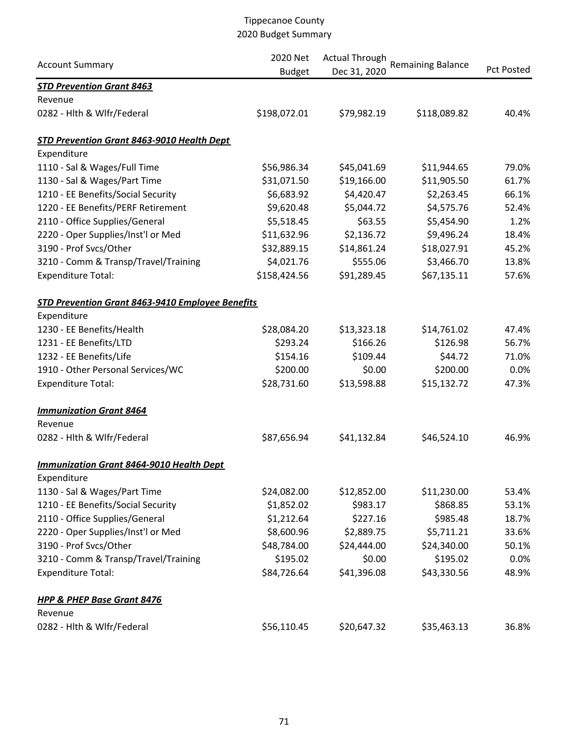|                                                  | 2020 Net      | <b>Actual Through</b> | <b>Remaining Balance</b> |                   |
|--------------------------------------------------|---------------|-----------------------|--------------------------|-------------------|
| <b>Account Summary</b>                           | <b>Budget</b> | Dec 31, 2020          |                          | <b>Pct Posted</b> |
| <b>STD Prevention Grant 8463</b>                 |               |                       |                          |                   |
| Revenue                                          |               |                       |                          |                   |
| 0282 - Hlth & Wlfr/Federal                       | \$198,072.01  | \$79,982.19           | \$118,089.82             | 40.4%             |
| STD Prevention Grant 8463-9010 Health Dept       |               |                       |                          |                   |
| Expenditure                                      |               |                       |                          |                   |
| 1110 - Sal & Wages/Full Time                     | \$56,986.34   | \$45,041.69           | \$11,944.65              | 79.0%             |
| 1130 - Sal & Wages/Part Time                     | \$31,071.50   | \$19,166.00           | \$11,905.50              | 61.7%             |
| 1210 - EE Benefits/Social Security               | \$6,683.92    | \$4,420.47            | \$2,263.45               | 66.1%             |
| 1220 - EE Benefits/PERF Retirement               | \$9,620.48    | \$5,044.72            | \$4,575.76               | 52.4%             |
| 2110 - Office Supplies/General                   | \$5,518.45    | \$63.55               | \$5,454.90               | 1.2%              |
| 2220 - Oper Supplies/Inst'l or Med               | \$11,632.96   | \$2,136.72            | \$9,496.24               | 18.4%             |
| 3190 - Prof Svcs/Other                           | \$32,889.15   | \$14,861.24           | \$18,027.91              | 45.2%             |
| 3210 - Comm & Transp/Travel/Training             | \$4,021.76    | \$555.06              | \$3,466.70               | 13.8%             |
| <b>Expenditure Total:</b>                        | \$158,424.56  | \$91,289.45           | \$67,135.11              | 57.6%             |
| STD Prevention Grant 8463-9410 Employee Benefits |               |                       |                          |                   |
| Expenditure                                      |               |                       |                          |                   |
| 1230 - EE Benefits/Health                        | \$28,084.20   | \$13,323.18           | \$14,761.02              | 47.4%             |
| 1231 - EE Benefits/LTD                           | \$293.24      | \$166.26              | \$126.98                 | 56.7%             |
| 1232 - EE Benefits/Life                          | \$154.16      | \$109.44              | \$44.72                  | 71.0%             |
| 1910 - Other Personal Services/WC                | \$200.00      | \$0.00                | \$200.00                 | 0.0%              |
| <b>Expenditure Total:</b>                        | \$28,731.60   | \$13,598.88           | \$15,132.72              | 47.3%             |
| <b>Immunization Grant 8464</b>                   |               |                       |                          |                   |
| Revenue                                          |               |                       |                          |                   |
| 0282 - Hlth & Wlfr/Federal                       | \$87,656.94   | \$41,132.84           | \$46,524.10              | 46.9%             |
| <b>Immunization Grant 8464-9010 Health Dept</b>  |               |                       |                          |                   |
| Expenditure                                      |               |                       |                          |                   |
| 1130 - Sal & Wages/Part Time                     | \$24,082.00   | \$12,852.00           | \$11,230.00              | 53.4%             |
| 1210 - EE Benefits/Social Security               | \$1,852.02    | \$983.17              | \$868.85                 | 53.1%             |
| 2110 - Office Supplies/General                   | \$1,212.64    | \$227.16              | \$985.48                 | 18.7%             |
| 2220 - Oper Supplies/Inst'l or Med               | \$8,600.96    | \$2,889.75            | \$5,711.21               | 33.6%             |
| 3190 - Prof Svcs/Other                           | \$48,784.00   | \$24,444.00           | \$24,340.00              | 50.1%             |
| 3210 - Comm & Transp/Travel/Training             | \$195.02      | \$0.00                | \$195.02                 | 0.0%              |
| <b>Expenditure Total:</b>                        | \$84,726.64   | \$41,396.08           | \$43,330.56              | 48.9%             |
| <b>HPP &amp; PHEP Base Grant 8476</b>            |               |                       |                          |                   |
| Revenue                                          |               |                       |                          |                   |
| 0282 - Hlth & Wlfr/Federal                       | \$56,110.45   | \$20,647.32           | \$35,463.13              | 36.8%             |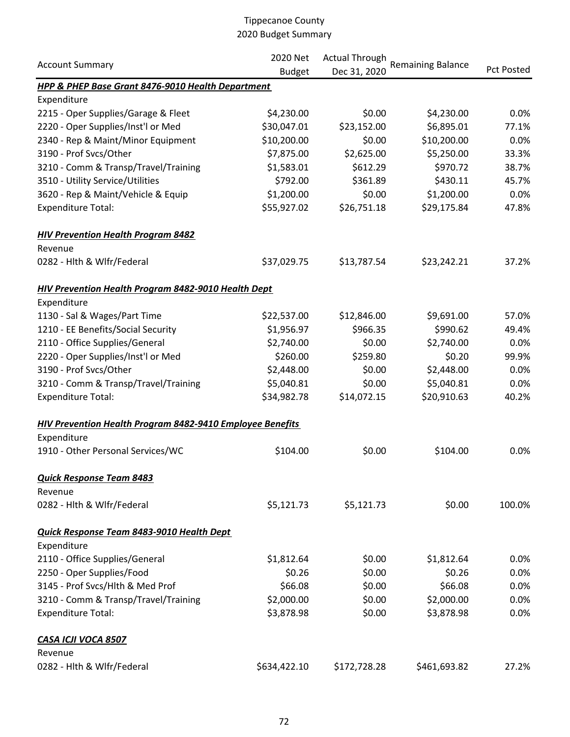|                                                            | 2020 Net<br><b>Actual Through</b> |              |                          |            |
|------------------------------------------------------------|-----------------------------------|--------------|--------------------------|------------|
| <b>Account Summary</b>                                     | <b>Budget</b>                     | Dec 31, 2020 | <b>Remaining Balance</b> | Pct Posted |
| HPP & PHEP Base Grant 8476-9010 Health Department          |                                   |              |                          |            |
| Expenditure                                                |                                   |              |                          |            |
| 2215 - Oper Supplies/Garage & Fleet                        | \$4,230.00                        | \$0.00       | \$4,230.00               | 0.0%       |
| 2220 - Oper Supplies/Inst'l or Med                         | \$30,047.01                       | \$23,152.00  | \$6,895.01               | 77.1%      |
| 2340 - Rep & Maint/Minor Equipment                         | \$10,200.00                       | \$0.00       | \$10,200.00              | 0.0%       |
| 3190 - Prof Svcs/Other                                     | \$7,875.00                        | \$2,625.00   | \$5,250.00               | 33.3%      |
| 3210 - Comm & Transp/Travel/Training                       | \$1,583.01                        | \$612.29     | \$970.72                 | 38.7%      |
| 3510 - Utility Service/Utilities                           | \$792.00                          | \$361.89     | \$430.11                 | 45.7%      |
| 3620 - Rep & Maint/Vehicle & Equip                         | \$1,200.00                        | \$0.00       | \$1,200.00               | 0.0%       |
| <b>Expenditure Total:</b>                                  | \$55,927.02                       | \$26,751.18  | \$29,175.84              | 47.8%      |
| <b>HIV Prevention Health Program 8482</b>                  |                                   |              |                          |            |
| Revenue                                                    |                                   |              |                          |            |
| 0282 - Hith & Wifr/Federal                                 | \$37,029.75                       | \$13,787.54  | \$23,242.21              | 37.2%      |
| <b>HIV Prevention Health Program 8482-9010 Health Dept</b> |                                   |              |                          |            |
| Expenditure                                                |                                   |              |                          |            |
| 1130 - Sal & Wages/Part Time                               | \$22,537.00                       | \$12,846.00  | \$9,691.00               | 57.0%      |
| 1210 - EE Benefits/Social Security                         | \$1,956.97                        | \$966.35     | \$990.62                 | 49.4%      |
| 2110 - Office Supplies/General                             | \$2,740.00                        | \$0.00       | \$2,740.00               | 0.0%       |
| 2220 - Oper Supplies/Inst'l or Med                         | \$260.00                          | \$259.80     | \$0.20                   | 99.9%      |
| 3190 - Prof Svcs/Other                                     | \$2,448.00                        | \$0.00       | \$2,448.00               | 0.0%       |
| 3210 - Comm & Transp/Travel/Training                       | \$5,040.81                        | \$0.00       | \$5,040.81               | 0.0%       |
| <b>Expenditure Total:</b>                                  | \$34,982.78                       | \$14,072.15  | \$20,910.63              | 40.2%      |
| HIV Prevention Health Program 8482-9410 Employee Benefits  |                                   |              |                          |            |
| Expenditure                                                |                                   |              |                          |            |
| 1910 - Other Personal Services/WC                          | \$104.00                          | \$0.00       | \$104.00                 | 0.0%       |
| <b>Quick Response Team 8483</b>                            |                                   |              |                          |            |
| Revenue                                                    |                                   |              |                          |            |
| 0282 - Hlth & Wlfr/Federal                                 | \$5,121.73                        | \$5,121.73   | \$0.00                   | 100.0%     |
| Quick Response Team 8483-9010 Health Dept                  |                                   |              |                          |            |
| Expenditure                                                |                                   |              |                          |            |
| 2110 - Office Supplies/General                             | \$1,812.64                        | \$0.00       | \$1,812.64               | 0.0%       |
| 2250 - Oper Supplies/Food                                  | \$0.26                            | \$0.00       | \$0.26                   | 0.0%       |
| 3145 - Prof Svcs/Hlth & Med Prof                           | \$66.08                           | \$0.00       | \$66.08                  | 0.0%       |
| 3210 - Comm & Transp/Travel/Training                       | \$2,000.00                        | \$0.00       | \$2,000.00               | 0.0%       |
| <b>Expenditure Total:</b>                                  | \$3,878.98                        | \$0.00       | \$3,878.98               | 0.0%       |
| CASA ICJI VOCA 8507                                        |                                   |              |                          |            |
| Revenue                                                    |                                   |              |                          |            |
| 0282 - Hlth & Wlfr/Federal                                 | \$634,422.10                      | \$172,728.28 | \$461,693.82             | 27.2%      |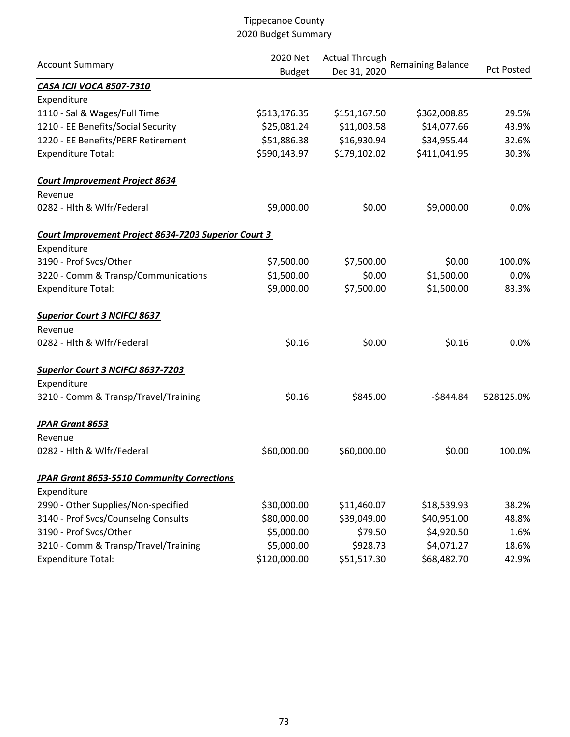|                                                      | 2020 Net      | <b>Actual Through</b> | <b>Remaining Balance</b> |                   |
|------------------------------------------------------|---------------|-----------------------|--------------------------|-------------------|
| <b>Account Summary</b>                               | <b>Budget</b> | Dec 31, 2020          |                          | <b>Pct Posted</b> |
| CASA ICJI VOCA 8507-7310                             |               |                       |                          |                   |
| Expenditure                                          |               |                       |                          |                   |
| 1110 - Sal & Wages/Full Time                         | \$513,176.35  | \$151,167.50          | \$362,008.85             | 29.5%             |
| 1210 - EE Benefits/Social Security                   | \$25,081.24   | \$11,003.58           | \$14,077.66              | 43.9%             |
| 1220 - EE Benefits/PERF Retirement                   | \$51,886.38   | \$16,930.94           | \$34,955.44              | 32.6%             |
| <b>Expenditure Total:</b>                            | \$590,143.97  | \$179,102.02          | \$411,041.95             | 30.3%             |
| <b>Court Improvement Project 8634</b><br>Revenue     |               |                       |                          |                   |
| 0282 - Hith & Wifr/Federal                           | \$9,000.00    | \$0.00                | \$9,000.00               | 0.0%              |
| Court Improvement Project 8634-7203 Superior Court 3 |               |                       |                          |                   |
| Expenditure                                          |               |                       |                          |                   |
| 3190 - Prof Svcs/Other                               | \$7,500.00    | \$7,500.00            | \$0.00                   | 100.0%            |
| 3220 - Comm & Transp/Communications                  | \$1,500.00    | \$0.00                | \$1,500.00               | 0.0%              |
| <b>Expenditure Total:</b>                            | \$9,000.00    | \$7,500.00            | \$1,500.00               | 83.3%             |
| <b>Superior Court 3 NCIFCJ 8637</b>                  |               |                       |                          |                   |
| Revenue                                              |               |                       |                          |                   |
| 0282 - Hlth & Wlfr/Federal                           | \$0.16        | \$0.00                | \$0.16                   | 0.0%              |
| <b>Superior Court 3 NCIFCJ 8637-7203</b>             |               |                       |                          |                   |
| Expenditure                                          |               |                       |                          |                   |
| 3210 - Comm & Transp/Travel/Training                 | \$0.16        | \$845.00              | $-$ \$844.84             | 528125.0%         |
| <b>JPAR Grant 8653</b>                               |               |                       |                          |                   |
| Revenue                                              |               |                       |                          |                   |
| 0282 - Hlth & Wlfr/Federal                           | \$60,000.00   | \$60,000.00           | \$0.00                   | 100.0%            |
| JPAR Grant 8653-5510 Community Corrections           |               |                       |                          |                   |
| Expenditure                                          |               |                       |                          |                   |
| 2990 - Other Supplies/Non-specified                  | \$30,000.00   | \$11,460.07           | \$18,539.93              | 38.2%             |
| 3140 - Prof Svcs/Counselng Consults                  | \$80,000.00   | \$39,049.00           | \$40,951.00              | 48.8%             |
| 3190 - Prof Svcs/Other                               | \$5,000.00    | \$79.50               | \$4,920.50               | 1.6%              |
| 3210 - Comm & Transp/Travel/Training                 | \$5,000.00    | \$928.73              | \$4,071.27               | 18.6%             |
| <b>Expenditure Total:</b>                            | \$120,000.00  | \$51,517.30           | \$68,482.70              | 42.9%             |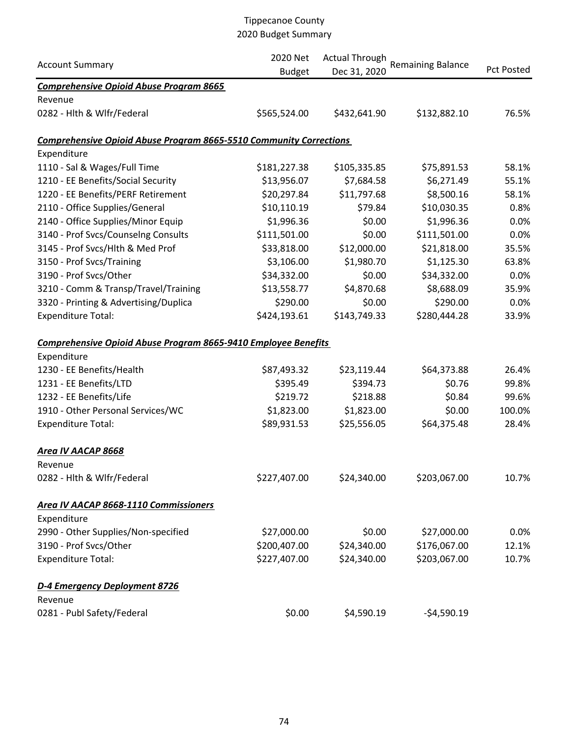|                                                                           | 2020 Net      | <b>Actual Through</b> |                          |            |
|---------------------------------------------------------------------------|---------------|-----------------------|--------------------------|------------|
| <b>Account Summary</b>                                                    | <b>Budget</b> | Dec 31, 2020          | <b>Remaining Balance</b> | Pct Posted |
| <b>Comprehensive Opioid Abuse Program 8665</b>                            |               |                       |                          |            |
| Revenue                                                                   |               |                       |                          |            |
| 0282 - Hlth & Wlfr/Federal                                                | \$565,524.00  | \$432,641.90          | \$132,882.10             | 76.5%      |
| <b>Comprehensive Opioid Abuse Program 8665-5510 Community Corrections</b> |               |                       |                          |            |
| Expenditure                                                               |               |                       |                          |            |
| 1110 - Sal & Wages/Full Time                                              | \$181,227.38  | \$105,335.85          | \$75,891.53              | 58.1%      |
| 1210 - EE Benefits/Social Security                                        | \$13,956.07   | \$7,684.58            | \$6,271.49               | 55.1%      |
| 1220 - EE Benefits/PERF Retirement                                        | \$20,297.84   | \$11,797.68           | \$8,500.16               | 58.1%      |
| 2110 - Office Supplies/General                                            | \$10,110.19   | \$79.84               | \$10,030.35              | 0.8%       |
| 2140 - Office Supplies/Minor Equip                                        | \$1,996.36    | \$0.00                | \$1,996.36               | 0.0%       |
| 3140 - Prof Svcs/Counselng Consults                                       | \$111,501.00  | \$0.00                | \$111,501.00             | 0.0%       |
| 3145 - Prof Svcs/Hlth & Med Prof                                          | \$33,818.00   | \$12,000.00           | \$21,818.00              | 35.5%      |
| 3150 - Prof Svcs/Training                                                 | \$3,106.00    | \$1,980.70            | \$1,125.30               | 63.8%      |
| 3190 - Prof Svcs/Other                                                    | \$34,332.00   | \$0.00                | \$34,332.00              | 0.0%       |
| 3210 - Comm & Transp/Travel/Training                                      | \$13,558.77   | \$4,870.68            | \$8,688.09               | 35.9%      |
| 3320 - Printing & Advertising/Duplica                                     | \$290.00      | \$0.00                | \$290.00                 | 0.0%       |
| <b>Expenditure Total:</b>                                                 | \$424,193.61  | \$143,749.33          | \$280,444.28             | 33.9%      |
| <b>Comprehensive Opioid Abuse Program 8665-9410 Employee Benefits</b>     |               |                       |                          |            |
| Expenditure                                                               |               |                       |                          |            |
| 1230 - EE Benefits/Health                                                 | \$87,493.32   | \$23,119.44           | \$64,373.88              | 26.4%      |
| 1231 - EE Benefits/LTD                                                    | \$395.49      | \$394.73              | \$0.76                   | 99.8%      |
| 1232 - EE Benefits/Life                                                   | \$219.72      | \$218.88              | \$0.84                   | 99.6%      |
| 1910 - Other Personal Services/WC                                         | \$1,823.00    | \$1,823.00            | \$0.00                   | 100.0%     |
| <b>Expenditure Total:</b>                                                 | \$89,931.53   | \$25,556.05           | \$64,375.48              | 28.4%      |
| <b>Area IV AACAP 8668</b>                                                 |               |                       |                          |            |
| Revenue                                                                   |               |                       |                          |            |
| 0282 - Hlth & Wlfr/Federal                                                | \$227,407.00  | \$24,340.00           | \$203,067.00             | 10.7%      |
| Area IV AACAP 8668-1110 Commissioners                                     |               |                       |                          |            |
| Expenditure                                                               |               |                       |                          |            |
| 2990 - Other Supplies/Non-specified                                       | \$27,000.00   | \$0.00                | \$27,000.00              | 0.0%       |
| 3190 - Prof Svcs/Other                                                    | \$200,407.00  | \$24,340.00           | \$176,067.00             | 12.1%      |
| <b>Expenditure Total:</b>                                                 | \$227,407.00  | \$24,340.00           | \$203,067.00             | 10.7%      |
| D-4 Emergency Deployment 8726                                             |               |                       |                          |            |
| Revenue                                                                   |               |                       |                          |            |
| 0281 - Publ Safety/Federal                                                | \$0.00        | \$4,590.19            | $-54,590.19$             |            |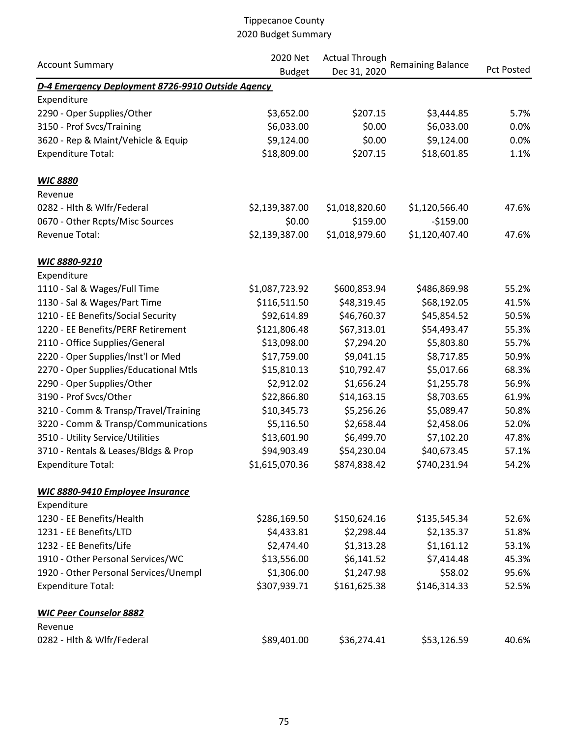|                                                   | 2020 Net       | <b>Actual Through</b> |                          |                   |
|---------------------------------------------------|----------------|-----------------------|--------------------------|-------------------|
| <b>Account Summary</b>                            | <b>Budget</b>  | Dec 31, 2020          | <b>Remaining Balance</b> | <b>Pct Posted</b> |
| D-4 Emergency Deployment 8726-9910 Outside Agency |                |                       |                          |                   |
| Expenditure                                       |                |                       |                          |                   |
| 2290 - Oper Supplies/Other                        | \$3,652.00     | \$207.15              | \$3,444.85               | 5.7%              |
| 3150 - Prof Svcs/Training                         | \$6,033.00     | \$0.00                | \$6,033.00               | 0.0%              |
| 3620 - Rep & Maint/Vehicle & Equip                | \$9,124.00     | \$0.00                | \$9,124.00               | 0.0%              |
| <b>Expenditure Total:</b>                         | \$18,809.00    | \$207.15              | \$18,601.85              | 1.1%              |
| <b>WIC 8880</b>                                   |                |                       |                          |                   |
| Revenue                                           |                |                       |                          |                   |
| 0282 - Hlth & Wlfr/Federal                        | \$2,139,387.00 | \$1,018,820.60        | \$1,120,566.40           | 47.6%             |
| 0670 - Other Rcpts/Misc Sources                   | \$0.00         | \$159.00              | $-5159.00$               |                   |
| <b>Revenue Total:</b>                             | \$2,139,387.00 | \$1,018,979.60        | \$1,120,407.40           | 47.6%             |
| WIC 8880-9210                                     |                |                       |                          |                   |
| Expenditure                                       |                |                       |                          |                   |
| 1110 - Sal & Wages/Full Time                      | \$1,087,723.92 | \$600,853.94          | \$486,869.98             | 55.2%             |
| 1130 - Sal & Wages/Part Time                      | \$116,511.50   | \$48,319.45           | \$68,192.05              | 41.5%             |
| 1210 - EE Benefits/Social Security                | \$92,614.89    | \$46,760.37           | \$45,854.52              | 50.5%             |
| 1220 - EE Benefits/PERF Retirement                | \$121,806.48   | \$67,313.01           | \$54,493.47              | 55.3%             |
| 2110 - Office Supplies/General                    | \$13,098.00    | \$7,294.20            | \$5,803.80               | 55.7%             |
| 2220 - Oper Supplies/Inst'l or Med                | \$17,759.00    | \$9,041.15            | \$8,717.85               | 50.9%             |
| 2270 - Oper Supplies/Educational Mtls             | \$15,810.13    | \$10,792.47           | \$5,017.66               | 68.3%             |
| 2290 - Oper Supplies/Other                        | \$2,912.02     | \$1,656.24            | \$1,255.78               | 56.9%             |
| 3190 - Prof Svcs/Other                            | \$22,866.80    | \$14,163.15           | \$8,703.65               | 61.9%             |
| 3210 - Comm & Transp/Travel/Training              | \$10,345.73    | \$5,256.26            | \$5,089.47               | 50.8%             |
| 3220 - Comm & Transp/Communications               | \$5,116.50     | \$2,658.44            | \$2,458.06               | 52.0%             |
| 3510 - Utility Service/Utilities                  | \$13,601.90    | \$6,499.70            | \$7,102.20               | 47.8%             |
| 3710 - Rentals & Leases/Bldgs & Prop              | \$94,903.49    | \$54,230.04           | \$40,673.45              | 57.1%             |
| <b>Expenditure Total:</b>                         | \$1,615,070.36 | \$874,838.42          | \$740,231.94             | 54.2%             |
| WIC 8880-9410 Employee Insurance                  |                |                       |                          |                   |
| Expenditure                                       |                |                       |                          |                   |
| 1230 - EE Benefits/Health                         | \$286,169.50   | \$150,624.16          | \$135,545.34             | 52.6%             |
| 1231 - EE Benefits/LTD                            | \$4,433.81     | \$2,298.44            | \$2,135.37               | 51.8%             |
| 1232 - EE Benefits/Life                           | \$2,474.40     | \$1,313.28            | \$1,161.12               | 53.1%             |
| 1910 - Other Personal Services/WC                 | \$13,556.00    | \$6,141.52            | \$7,414.48               | 45.3%             |
| 1920 - Other Personal Services/Unempl             | \$1,306.00     | \$1,247.98            | \$58.02                  | 95.6%             |
| <b>Expenditure Total:</b>                         | \$307,939.71   | \$161,625.38          | \$146,314.33             | 52.5%             |
| <b>WIC Peer Counselor 8882</b>                    |                |                       |                          |                   |
| Revenue                                           |                |                       |                          |                   |
| 0282 - Hlth & Wlfr/Federal                        | \$89,401.00    | \$36,274.41           | \$53,126.59              | 40.6%             |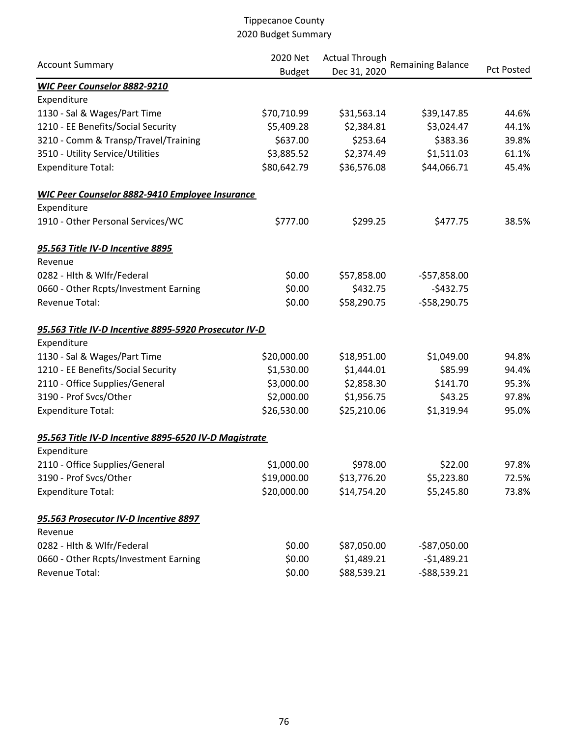| <b>Account Summary</b>                                 | 2020 Net<br><b>Budget</b> | <b>Actual Through</b><br>Dec 31, 2020 | <b>Remaining Balance</b> | <b>Pct Posted</b> |
|--------------------------------------------------------|---------------------------|---------------------------------------|--------------------------|-------------------|
| WIC Peer Counselor 8882-9210                           |                           |                                       |                          |                   |
| Expenditure                                            |                           |                                       |                          |                   |
| 1130 - Sal & Wages/Part Time                           | \$70,710.99               | \$31,563.14                           | \$39,147.85              | 44.6%             |
| 1210 - EE Benefits/Social Security                     | \$5,409.28                | \$2,384.81                            | \$3,024.47               | 44.1%             |
| 3210 - Comm & Transp/Travel/Training                   | \$637.00                  | \$253.64                              | \$383.36                 | 39.8%             |
| 3510 - Utility Service/Utilities                       | \$3,885.52                | \$2,374.49                            | \$1,511.03               | 61.1%             |
| <b>Expenditure Total:</b>                              | \$80,642.79               | \$36,576.08                           | \$44,066.71              | 45.4%             |
| <b>WIC Peer Counselor 8882-9410 Employee Insurance</b> |                           |                                       |                          |                   |
| Expenditure                                            |                           |                                       |                          |                   |
| 1910 - Other Personal Services/WC                      | \$777.00                  | \$299.25                              | \$477.75                 | 38.5%             |
| 95.563 Title IV-D Incentive 8895                       |                           |                                       |                          |                   |
| Revenue                                                |                           |                                       |                          |                   |
| 0282 - Hlth & Wlfr/Federal                             | \$0.00                    | \$57,858.00                           | $-$57,858.00$            |                   |
| 0660 - Other Rcpts/Investment Earning                  | \$0.00                    | \$432.75                              | $-5432.75$               |                   |
| <b>Revenue Total:</b>                                  | \$0.00                    | \$58,290.75                           | $-558,290.75$            |                   |
| 95.563 Title IV-D Incentive 8895-5920 Prosecutor IV-D  |                           |                                       |                          |                   |
| Expenditure                                            |                           |                                       |                          |                   |
| 1130 - Sal & Wages/Part Time                           | \$20,000.00               | \$18,951.00                           | \$1,049.00               | 94.8%             |
| 1210 - EE Benefits/Social Security                     | \$1,530.00                | \$1,444.01                            | \$85.99                  | 94.4%             |
| 2110 - Office Supplies/General                         | \$3,000.00                | \$2,858.30                            | \$141.70                 | 95.3%             |
| 3190 - Prof Svcs/Other                                 | \$2,000.00                | \$1,956.75                            | \$43.25                  | 97.8%             |
| <b>Expenditure Total:</b>                              | \$26,530.00               | \$25,210.06                           | \$1,319.94               | 95.0%             |
| 95.563 Title IV-D Incentive 8895-6520 IV-D Magistrate  |                           |                                       |                          |                   |
| Expenditure                                            |                           |                                       |                          |                   |
| 2110 - Office Supplies/General                         | \$1,000.00                | \$978.00                              | \$22.00                  | 97.8%             |
| 3190 - Prof Svcs/Other                                 | \$19,000.00               | \$13,776.20                           | \$5,223.80               | 72.5%             |
| <b>Expenditure Total:</b>                              | \$20,000.00               | \$14,754.20                           | \$5,245.80               | 73.8%             |
| 95.563 Prosecutor IV-D Incentive 8897                  |                           |                                       |                          |                   |
| Revenue                                                |                           |                                       |                          |                   |
| 0282 - Hlth & Wlfr/Federal                             | \$0.00                    | \$87,050.00                           | $-$87,050.00$            |                   |
| 0660 - Other Rcpts/Investment Earning                  | \$0.00                    | \$1,489.21                            | $-$1,489.21$             |                   |
| <b>Revenue Total:</b>                                  | \$0.00                    | \$88,539.21                           | $-588,539.21$            |                   |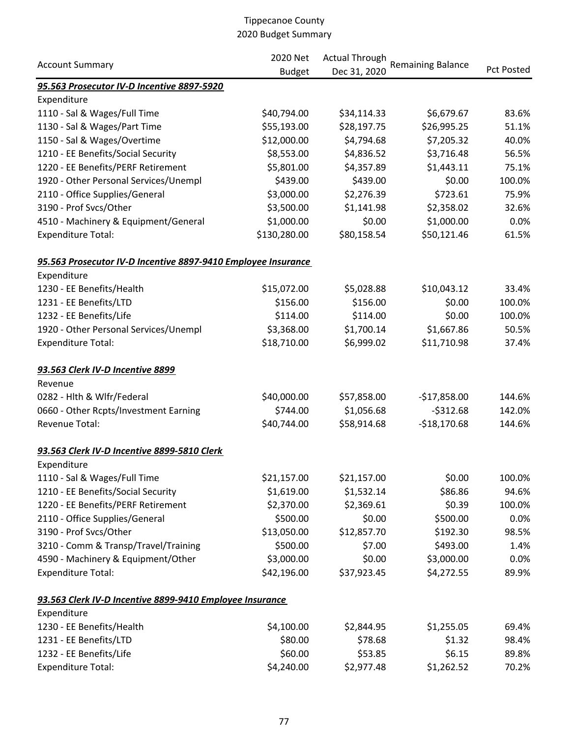| <b>Account Summary</b>                                        | 2020 Net      | <b>Actual Through</b> |                          |                   |  |
|---------------------------------------------------------------|---------------|-----------------------|--------------------------|-------------------|--|
|                                                               | <b>Budget</b> | Dec 31, 2020          | <b>Remaining Balance</b> | <b>Pct Posted</b> |  |
| 95.563 Prosecutor IV-D Incentive 8897-5920                    |               |                       |                          |                   |  |
| Expenditure                                                   |               |                       |                          |                   |  |
| 1110 - Sal & Wages/Full Time                                  | \$40,794.00   | \$34,114.33           | \$6,679.67               | 83.6%             |  |
| 1130 - Sal & Wages/Part Time                                  | \$55,193.00   | \$28,197.75           | \$26,995.25              | 51.1%             |  |
| 1150 - Sal & Wages/Overtime                                   | \$12,000.00   | \$4,794.68            | \$7,205.32               | 40.0%             |  |
| 1210 - EE Benefits/Social Security                            | \$8,553.00    | \$4,836.52            | \$3,716.48               | 56.5%             |  |
| 1220 - EE Benefits/PERF Retirement                            | \$5,801.00    | \$4,357.89            | \$1,443.11               | 75.1%             |  |
| 1920 - Other Personal Services/Unempl                         | \$439.00      | \$439.00              | \$0.00                   | 100.0%            |  |
| 2110 - Office Supplies/General                                | \$3,000.00    | \$2,276.39            | \$723.61                 | 75.9%             |  |
| 3190 - Prof Svcs/Other                                        | \$3,500.00    | \$1,141.98            | \$2,358.02               | 32.6%             |  |
| 4510 - Machinery & Equipment/General                          | \$1,000.00    | \$0.00                | \$1,000.00               | 0.0%              |  |
| <b>Expenditure Total:</b>                                     | \$130,280.00  | \$80,158.54           | \$50,121.46              | 61.5%             |  |
| 95.563 Prosecutor IV-D Incentive 8897-9410 Employee Insurance |               |                       |                          |                   |  |
| Expenditure                                                   |               |                       |                          |                   |  |
| 1230 - EE Benefits/Health                                     | \$15,072.00   | \$5,028.88            | \$10,043.12              | 33.4%             |  |
| 1231 - EE Benefits/LTD                                        | \$156.00      | \$156.00              | \$0.00                   | 100.0%            |  |
| 1232 - EE Benefits/Life                                       | \$114.00      | \$114.00              | \$0.00                   | 100.0%            |  |
| 1920 - Other Personal Services/Unempl                         | \$3,368.00    | \$1,700.14            | \$1,667.86               | 50.5%             |  |
| <b>Expenditure Total:</b>                                     | \$18,710.00   | \$6,999.02            | \$11,710.98              | 37.4%             |  |
| 93.563 Clerk IV-D Incentive 8899                              |               |                       |                          |                   |  |
| Revenue                                                       |               |                       |                          |                   |  |
| 0282 - Hlth & Wlfr/Federal                                    | \$40,000.00   | \$57,858.00           | $-$17,858.00$            | 144.6%            |  |
| 0660 - Other Rcpts/Investment Earning                         | \$744.00      | \$1,056.68            | $-5312.68$               | 142.0%            |  |
| Revenue Total:                                                | \$40,744.00   | \$58,914.68           | $-$18,170.68$            | 144.6%            |  |
| 93.563 Clerk IV-D Incentive 8899-5810 Clerk                   |               |                       |                          |                   |  |
| Expenditure                                                   |               |                       |                          |                   |  |
| 1110 - Sal & Wages/Full Time                                  | \$21,157.00   | \$21,157.00           | \$0.00                   | 100.0%            |  |
| 1210 - EE Benefits/Social Security                            | \$1,619.00    | \$1,532.14            | \$86.86                  | 94.6%             |  |
| 1220 - EE Benefits/PERF Retirement                            | \$2,370.00    | \$2,369.61            | \$0.39                   | 100.0%            |  |
| 2110 - Office Supplies/General                                | \$500.00      | \$0.00                | \$500.00                 | 0.0%              |  |
| 3190 - Prof Svcs/Other                                        | \$13,050.00   | \$12,857.70           | \$192.30                 | 98.5%             |  |
| 3210 - Comm & Transp/Travel/Training                          | \$500.00      | \$7.00                | \$493.00                 | 1.4%              |  |
| 4590 - Machinery & Equipment/Other                            | \$3,000.00    | \$0.00                | \$3,000.00               | 0.0%              |  |
| <b>Expenditure Total:</b>                                     | \$42,196.00   | \$37,923.45           | \$4,272.55               | 89.9%             |  |
| 93.563 Clerk IV-D Incentive 8899-9410 Employee Insurance      |               |                       |                          |                   |  |
| Expenditure                                                   |               |                       |                          |                   |  |
| 1230 - EE Benefits/Health                                     | \$4,100.00    | \$2,844.95            | \$1,255.05               | 69.4%             |  |
| 1231 - EE Benefits/LTD                                        | \$80.00       | \$78.68               | \$1.32                   | 98.4%             |  |
| 1232 - EE Benefits/Life                                       | \$60.00       | \$53.85               | \$6.15                   | 89.8%             |  |
| <b>Expenditure Total:</b>                                     | \$4,240.00    | \$2,977.48            | \$1,262.52               | 70.2%             |  |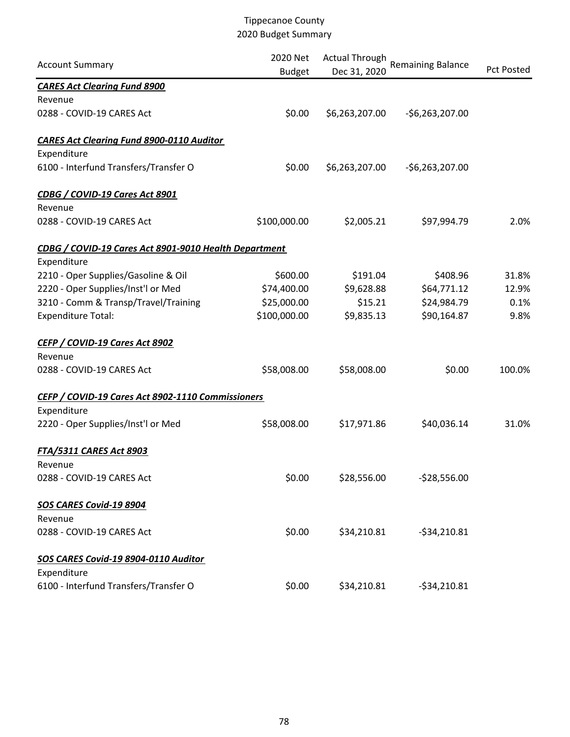| <b>Account Summary</b>                                | 2020 Net<br><b>Budget</b> | <b>Actual Through</b><br>Dec 31, 2020 | <b>Remaining Balance</b> | <b>Pct Posted</b> |
|-------------------------------------------------------|---------------------------|---------------------------------------|--------------------------|-------------------|
| <b>CARES Act Clearing Fund 8900</b>                   |                           |                                       |                          |                   |
| Revenue                                               |                           |                                       |                          |                   |
| 0288 - COVID-19 CARES Act                             | \$0.00                    | \$6,263,207.00                        | $-56,263,207.00$         |                   |
| <b>CARES Act Clearing Fund 8900-0110 Auditor</b>      |                           |                                       |                          |                   |
| Expenditure                                           |                           |                                       |                          |                   |
| 6100 - Interfund Transfers/Transfer O                 | \$0.00                    | \$6,263,207.00                        | $-56,263,207.00$         |                   |
| CDBG / COVID-19 Cares Act 8901                        |                           |                                       |                          |                   |
| Revenue                                               |                           |                                       |                          |                   |
| 0288 - COVID-19 CARES Act                             | \$100,000.00              | \$2,005.21                            | \$97,994.79              | 2.0%              |
| CDBG / COVID-19 Cares Act 8901-9010 Health Department |                           |                                       |                          |                   |
| Expenditure                                           |                           |                                       |                          |                   |
| 2210 - Oper Supplies/Gasoline & Oil                   | \$600.00                  | \$191.04                              | \$408.96                 | 31.8%             |
| 2220 - Oper Supplies/Inst'l or Med                    | \$74,400.00               | \$9,628.88                            | \$64,771.12              | 12.9%             |
| 3210 - Comm & Transp/Travel/Training                  | \$25,000.00               | \$15.21                               | \$24,984.79              | 0.1%              |
| <b>Expenditure Total:</b>                             | \$100,000.00              | \$9,835.13                            | \$90,164.87              | 9.8%              |
| CEFP / COVID-19 Cares Act 8902                        |                           |                                       |                          |                   |
| Revenue                                               |                           |                                       |                          |                   |
| 0288 - COVID-19 CARES Act                             | \$58,008.00               | \$58,008.00                           | \$0.00                   | 100.0%            |
| CEFP / COVID-19 Cares Act 8902-1110 Commissioners     |                           |                                       |                          |                   |
| Expenditure                                           |                           |                                       |                          |                   |
| 2220 - Oper Supplies/Inst'l or Med                    | \$58,008.00               | \$17,971.86                           | \$40,036.14              | 31.0%             |
| <b>FTA/5311 CARES Act 8903</b>                        |                           |                                       |                          |                   |
| Revenue                                               |                           |                                       |                          |                   |
| 0288 - COVID-19 CARES Act                             | \$0.00                    | \$28,556.00                           | $-528,556.00$            |                   |
| SOS CARES Covid-19 8904<br>Revenue                    |                           |                                       |                          |                   |
| 0288 - COVID-19 CARES Act                             | \$0.00                    | \$34,210.81                           | $-534,210.81$            |                   |
| SOS CARES Covid-19 8904-0110 Auditor                  |                           |                                       |                          |                   |
| Expenditure                                           |                           |                                       |                          |                   |
| 6100 - Interfund Transfers/Transfer O                 | \$0.00                    | \$34,210.81                           | $-534,210.81$            |                   |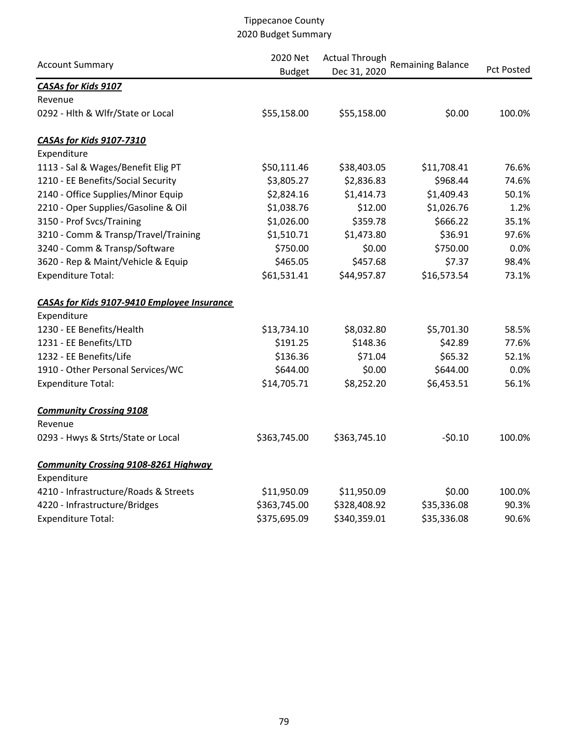| <b>Account Summary</b>                      | 2020 Net<br><b>Budget</b> | <b>Actual Through</b><br>Dec 31, 2020 | <b>Remaining Balance</b> | <b>Pct Posted</b> |
|---------------------------------------------|---------------------------|---------------------------------------|--------------------------|-------------------|
| <b>CASAs for Kids 9107</b>                  |                           |                                       |                          |                   |
| Revenue                                     |                           |                                       |                          |                   |
| 0292 - Hlth & Wlfr/State or Local           | \$55,158.00               | \$55,158.00                           | \$0.00                   | 100.0%            |
| <b>CASAs for Kids 9107-7310</b>             |                           |                                       |                          |                   |
| Expenditure                                 |                           |                                       |                          |                   |
| 1113 - Sal & Wages/Benefit Elig PT          | \$50,111.46               | \$38,403.05                           | \$11,708.41              | 76.6%             |
| 1210 - EE Benefits/Social Security          | \$3,805.27                | \$2,836.83                            | \$968.44                 | 74.6%             |
| 2140 - Office Supplies/Minor Equip          | \$2,824.16                | \$1,414.73                            | \$1,409.43               | 50.1%             |
| 2210 - Oper Supplies/Gasoline & Oil         | \$1,038.76                | \$12.00                               | \$1,026.76               | 1.2%              |
| 3150 - Prof Svcs/Training                   | \$1,026.00                | \$359.78                              | \$666.22                 | 35.1%             |
| 3210 - Comm & Transp/Travel/Training        | \$1,510.71                | \$1,473.80                            | \$36.91                  | 97.6%             |
| 3240 - Comm & Transp/Software               | \$750.00                  | \$0.00                                | \$750.00                 | 0.0%              |
| 3620 - Rep & Maint/Vehicle & Equip          | \$465.05                  | \$457.68                              | \$7.37                   | 98.4%             |
| <b>Expenditure Total:</b>                   | \$61,531.41               | \$44,957.87                           | \$16,573.54              | 73.1%             |
| CASAs for Kids 9107-9410 Employee Insurance |                           |                                       |                          |                   |
| Expenditure                                 |                           |                                       |                          |                   |
| 1230 - EE Benefits/Health                   | \$13,734.10               | \$8,032.80                            | \$5,701.30               | 58.5%             |
| 1231 - EE Benefits/LTD                      | \$191.25                  | \$148.36                              | \$42.89                  | 77.6%             |
| 1232 - EE Benefits/Life                     | \$136.36                  | \$71.04                               | \$65.32                  | 52.1%             |
| 1910 - Other Personal Services/WC           | \$644.00                  | \$0.00                                | \$644.00                 | 0.0%              |
| <b>Expenditure Total:</b>                   | \$14,705.71               | \$8,252.20                            | \$6,453.51               | 56.1%             |
| <b>Community Crossing 9108</b>              |                           |                                       |                          |                   |
| Revenue                                     |                           |                                       |                          |                   |
| 0293 - Hwys & Strts/State or Local          | \$363,745.00              | \$363,745.10                          | $-50.10$                 | 100.0%            |
| <b>Community Crossing 9108-8261 Highway</b> |                           |                                       |                          |                   |
| Expenditure                                 |                           |                                       |                          |                   |
| 4210 - Infrastructure/Roads & Streets       | \$11,950.09               | \$11,950.09                           | \$0.00                   | 100.0%            |
| 4220 - Infrastructure/Bridges               | \$363,745.00              | \$328,408.92                          | \$35,336.08              | 90.3%             |
| <b>Expenditure Total:</b>                   | \$375,695.09              | \$340,359.01                          | \$35,336.08              | 90.6%             |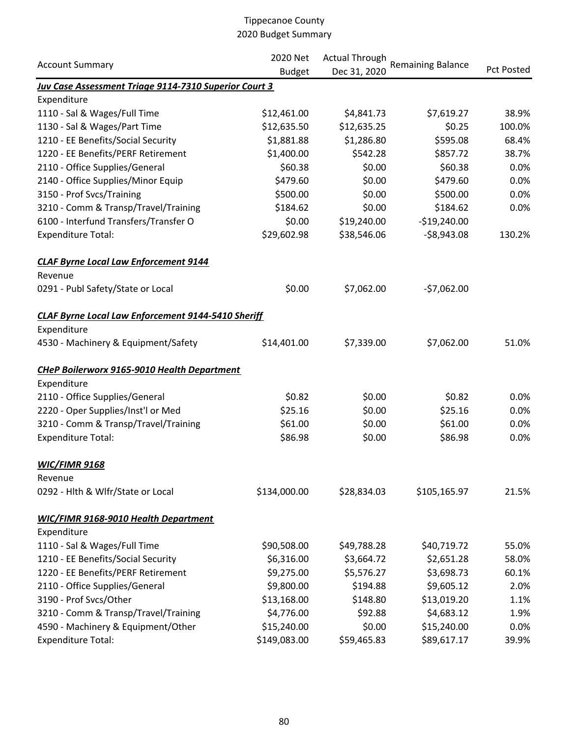| <b>Account Summary</b>                                       | 2020 Net      | <b>Actual Through</b> |                          |                   |
|--------------------------------------------------------------|---------------|-----------------------|--------------------------|-------------------|
|                                                              | <b>Budget</b> | Dec 31, 2020          | <b>Remaining Balance</b> | <b>Pct Posted</b> |
| <b>Juv Case Assessment Triage 9114-7310 Superior Court 3</b> |               |                       |                          |                   |
| Expenditure                                                  |               |                       |                          |                   |
| 1110 - Sal & Wages/Full Time                                 | \$12,461.00   | \$4,841.73            | \$7,619.27               | 38.9%             |
| 1130 - Sal & Wages/Part Time                                 | \$12,635.50   | \$12,635.25           | \$0.25                   | 100.0%            |
| 1210 - EE Benefits/Social Security                           | \$1,881.88    | \$1,286.80            | \$595.08                 | 68.4%             |
| 1220 - EE Benefits/PERF Retirement                           | \$1,400.00    | \$542.28              | \$857.72                 | 38.7%             |
| 2110 - Office Supplies/General                               | \$60.38       | \$0.00                | \$60.38                  | 0.0%              |
| 2140 - Office Supplies/Minor Equip                           | \$479.60      | \$0.00                | \$479.60                 | 0.0%              |
| 3150 - Prof Svcs/Training                                    | \$500.00      | \$0.00                | \$500.00                 | 0.0%              |
| 3210 - Comm & Transp/Travel/Training                         | \$184.62      | \$0.00                | \$184.62                 | 0.0%              |
| 6100 - Interfund Transfers/Transfer O                        | \$0.00        | \$19,240.00           | $-$19,240.00$            |                   |
| <b>Expenditure Total:</b>                                    | \$29,602.98   | \$38,546.06           | $-58,943.08$             | 130.2%            |
| <b>CLAF Byrne Local Law Enforcement 9144</b>                 |               |                       |                          |                   |
| Revenue                                                      |               |                       |                          |                   |
| 0291 - Publ Safety/State or Local                            | \$0.00        | \$7,062.00            | $-57,062.00$             |                   |
| <b>CLAF Byrne Local Law Enforcement 9144-5410 Sheriff</b>    |               |                       |                          |                   |
| Expenditure                                                  |               |                       |                          |                   |
| 4530 - Machinery & Equipment/Safety                          | \$14,401.00   | \$7,339.00            | \$7,062.00               | 51.0%             |
| <b>CHeP Boilerworx 9165-9010 Health Department</b>           |               |                       |                          |                   |
| Expenditure                                                  |               |                       |                          |                   |
| 2110 - Office Supplies/General                               | \$0.82        | \$0.00                | \$0.82                   | 0.0%              |
| 2220 - Oper Supplies/Inst'l or Med                           | \$25.16       | \$0.00                | \$25.16                  | 0.0%              |
| 3210 - Comm & Transp/Travel/Training                         | \$61.00       | \$0.00                | \$61.00                  | 0.0%              |
| <b>Expenditure Total:</b>                                    | \$86.98       | \$0.00                | \$86.98                  | 0.0%              |
| <b>WIC/FIMR 9168</b>                                         |               |                       |                          |                   |
| Revenue                                                      |               |                       |                          |                   |
| 0292 - Hlth & Wlfr/State or Local                            | \$134,000.00  | \$28,834.03           | \$105,165.97             | 21.5%             |
| <b>WIC/FIMR 9168-9010 Health Department</b>                  |               |                       |                          |                   |
| Expenditure                                                  |               |                       |                          |                   |
| 1110 - Sal & Wages/Full Time                                 | \$90,508.00   | \$49,788.28           | \$40,719.72              | 55.0%             |
| 1210 - EE Benefits/Social Security                           | \$6,316.00    | \$3,664.72            | \$2,651.28               | 58.0%             |
| 1220 - EE Benefits/PERF Retirement                           | \$9,275.00    | \$5,576.27            | \$3,698.73               | 60.1%             |
| 2110 - Office Supplies/General                               | \$9,800.00    | \$194.88              | \$9,605.12               | 2.0%              |
| 3190 - Prof Svcs/Other                                       | \$13,168.00   | \$148.80              | \$13,019.20              | 1.1%              |
| 3210 - Comm & Transp/Travel/Training                         | \$4,776.00    | \$92.88               | \$4,683.12               | 1.9%              |
| 4590 - Machinery & Equipment/Other                           | \$15,240.00   | \$0.00                | \$15,240.00              | 0.0%              |
| <b>Expenditure Total:</b>                                    | \$149,083.00  | \$59,465.83           | \$89,617.17              | 39.9%             |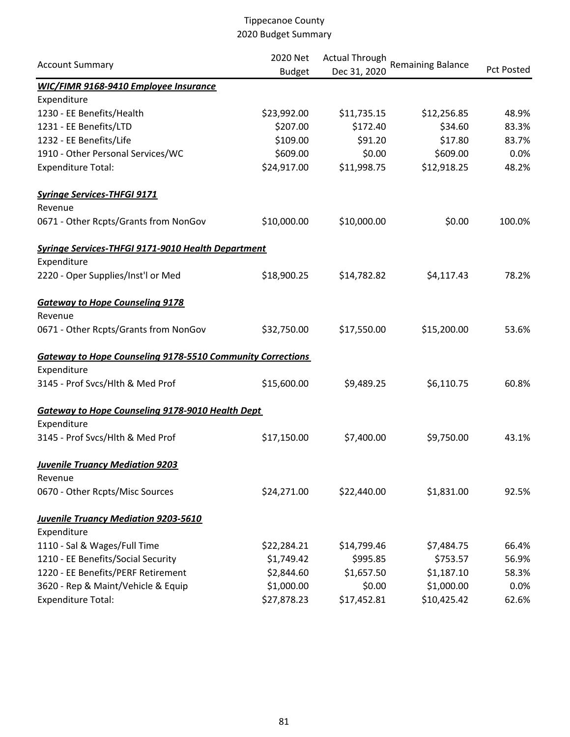| <b>Account Summary</b>                                            | 2020 Net      | <b>Actual Through</b> | <b>Remaining Balance</b> | <b>Pct Posted</b> |
|-------------------------------------------------------------------|---------------|-----------------------|--------------------------|-------------------|
|                                                                   | <b>Budget</b> | Dec 31, 2020          |                          |                   |
| <b>WIC/FIMR 9168-9410 Employee Insurance</b><br>Expenditure       |               |                       |                          |                   |
| 1230 - EE Benefits/Health                                         | \$23,992.00   | \$11,735.15           | \$12,256.85              | 48.9%             |
| 1231 - EE Benefits/LTD                                            | \$207.00      | \$172.40              | \$34.60                  | 83.3%             |
| 1232 - EE Benefits/Life                                           | \$109.00      | \$91.20               | \$17.80                  | 83.7%             |
| 1910 - Other Personal Services/WC                                 | \$609.00      | \$0.00                | \$609.00                 | 0.0%              |
| <b>Expenditure Total:</b>                                         | \$24,917.00   | \$11,998.75           | \$12,918.25              | 48.2%             |
| <b>Syringe Services-THFGI 9171</b>                                |               |                       |                          |                   |
| Revenue                                                           |               |                       |                          |                   |
| 0671 - Other Rcpts/Grants from NonGov                             | \$10,000.00   | \$10,000.00           | \$0.00                   | 100.0%            |
| <b>Syringe Services-THFGI 9171-9010 Health Department</b>         |               |                       |                          |                   |
| Expenditure                                                       |               |                       |                          |                   |
| 2220 - Oper Supplies/Inst'l or Med                                | \$18,900.25   | \$14,782.82           | \$4,117.43               | 78.2%             |
| <b>Gateway to Hope Counseling 9178</b>                            |               |                       |                          |                   |
| Revenue                                                           |               |                       |                          |                   |
| 0671 - Other Rcpts/Grants from NonGov                             | \$32,750.00   | \$17,550.00           | \$15,200.00              | 53.6%             |
| <b>Gateway to Hope Counseling 9178-5510 Community Corrections</b> |               |                       |                          |                   |
| Expenditure                                                       |               |                       |                          |                   |
| 3145 - Prof Svcs/Hlth & Med Prof                                  | \$15,600.00   | \$9,489.25            | \$6,110.75               | 60.8%             |
| <b>Gateway to Hope Counseling 9178-9010 Health Dept</b>           |               |                       |                          |                   |
| Expenditure                                                       |               |                       |                          |                   |
| 3145 - Prof Svcs/Hlth & Med Prof                                  | \$17,150.00   | \$7,400.00            | \$9,750.00               | 43.1%             |
| <b>Juvenile Truancy Mediation 9203</b>                            |               |                       |                          |                   |
| Revenue                                                           |               |                       |                          |                   |
| 0670 - Other Rcpts/Misc Sources                                   | \$24,271.00   | \$22,440.00           | \$1,831.00               | 92.5%             |
| <b>Juvenile Truancy Mediation 9203-5610</b>                       |               |                       |                          |                   |
| Expenditure                                                       |               |                       |                          |                   |
| 1110 - Sal & Wages/Full Time                                      | \$22,284.21   | \$14,799.46           | \$7,484.75               | 66.4%             |
| 1210 - EE Benefits/Social Security                                | \$1,749.42    | \$995.85              | \$753.57                 | 56.9%             |
| 1220 - EE Benefits/PERF Retirement                                | \$2,844.60    | \$1,657.50            | \$1,187.10               | 58.3%             |
| 3620 - Rep & Maint/Vehicle & Equip                                | \$1,000.00    | \$0.00                | \$1,000.00               | 0.0%              |
| <b>Expenditure Total:</b>                                         | \$27,878.23   | \$17,452.81           | \$10,425.42              | 62.6%             |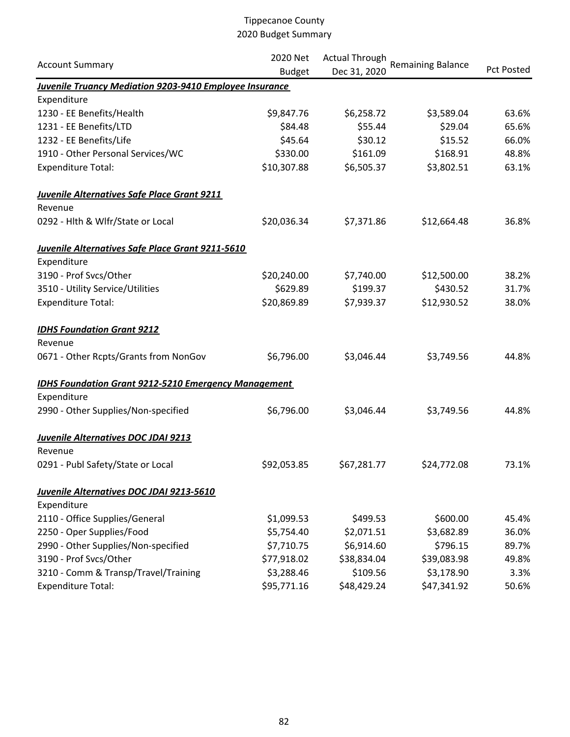|                                                             | 2020 Net      | <b>Actual Through</b> |                          |                   |  |
|-------------------------------------------------------------|---------------|-----------------------|--------------------------|-------------------|--|
| <b>Account Summary</b>                                      | <b>Budget</b> | Dec 31, 2020          | <b>Remaining Balance</b> | <b>Pct Posted</b> |  |
| Juvenile Truancy Mediation 9203-9410 Employee Insurance     |               |                       |                          |                   |  |
| Expenditure                                                 |               |                       |                          |                   |  |
| 1230 - EE Benefits/Health                                   | \$9,847.76    | \$6,258.72            | \$3,589.04               | 63.6%             |  |
| 1231 - EE Benefits/LTD                                      | \$84.48       | \$55.44               | \$29.04                  | 65.6%             |  |
| 1232 - EE Benefits/Life                                     | \$45.64       | \$30.12               | \$15.52                  | 66.0%             |  |
| 1910 - Other Personal Services/WC                           | \$330.00      | \$161.09              | \$168.91                 | 48.8%             |  |
| <b>Expenditure Total:</b>                                   | \$10,307.88   | \$6,505.37            | \$3,802.51               | 63.1%             |  |
| <b>Juvenile Alternatives Safe Place Grant 9211</b>          |               |                       |                          |                   |  |
| Revenue                                                     |               |                       |                          |                   |  |
| 0292 - Hlth & Wlfr/State or Local                           | \$20,036.34   | \$7,371.86            | \$12,664.48              | 36.8%             |  |
| <u>Juvenile Alternatives Safe Place Grant 9211-5610</u>     |               |                       |                          |                   |  |
| Expenditure                                                 |               |                       |                          |                   |  |
| 3190 - Prof Svcs/Other                                      | \$20,240.00   | \$7,740.00            | \$12,500.00              | 38.2%             |  |
| 3510 - Utility Service/Utilities                            | \$629.89      | \$199.37              | \$430.52                 | 31.7%             |  |
| <b>Expenditure Total:</b>                                   | \$20,869.89   | \$7,939.37            | \$12,930.52              | 38.0%             |  |
| <b>IDHS Foundation Grant 9212</b>                           |               |                       |                          |                   |  |
| Revenue                                                     |               |                       |                          |                   |  |
| 0671 - Other Rcpts/Grants from NonGov                       | \$6,796.00    | \$3,046.44            | \$3,749.56               | 44.8%             |  |
| <b>IDHS Foundation Grant 9212-5210 Emergency Management</b> |               |                       |                          |                   |  |
| Expenditure                                                 |               |                       |                          |                   |  |
| 2990 - Other Supplies/Non-specified                         | \$6,796.00    | \$3,046.44            | \$3,749.56               | 44.8%             |  |
| Juvenile Alternatives DOC JDAI 9213                         |               |                       |                          |                   |  |
| Revenue                                                     |               |                       |                          |                   |  |
| 0291 - Publ Safety/State or Local                           | \$92,053.85   | \$67,281.77           | \$24,772.08              | 73.1%             |  |
| Juvenile Alternatives DOC JDAI 9213-5610                    |               |                       |                          |                   |  |
| Expenditure                                                 |               |                       |                          |                   |  |
| 2110 - Office Supplies/General                              | \$1,099.53    | \$499.53              | \$600.00                 | 45.4%             |  |
| 2250 - Oper Supplies/Food                                   | \$5,754.40    | \$2,071.51            | \$3,682.89               | 36.0%             |  |
| 2990 - Other Supplies/Non-specified                         | \$7,710.75    | \$6,914.60            | \$796.15                 | 89.7%             |  |
| 3190 - Prof Svcs/Other                                      | \$77,918.02   | \$38,834.04           | \$39,083.98              | 49.8%             |  |
| 3210 - Comm & Transp/Travel/Training                        | \$3,288.46    | \$109.56              | \$3,178.90               | 3.3%              |  |
| <b>Expenditure Total:</b>                                   | \$95,771.16   | \$48,429.24           | \$47,341.92              | 50.6%             |  |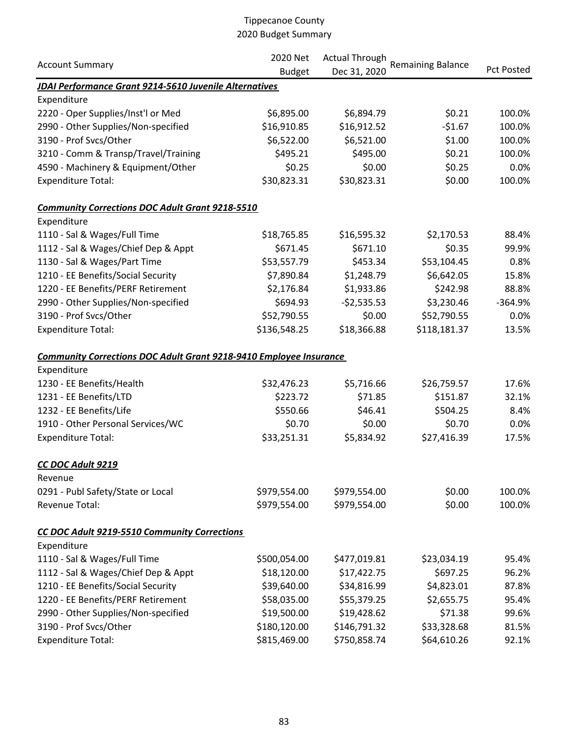| <b>Account Summary</b>                                                    | 2020 Net      | <b>Actual Through</b> |                          |                   |
|---------------------------------------------------------------------------|---------------|-----------------------|--------------------------|-------------------|
|                                                                           | <b>Budget</b> | Dec 31, 2020          | <b>Remaining Balance</b> | <b>Pct Posted</b> |
| JDAI Performance Grant 9214-5610 Juvenile Alternatives                    |               |                       |                          |                   |
| Expenditure                                                               |               |                       |                          |                   |
| 2220 - Oper Supplies/Inst'l or Med                                        | \$6,895.00    | \$6,894.79            | \$0.21                   | 100.0%            |
| 2990 - Other Supplies/Non-specified                                       | \$16,910.85   | \$16,912.52           | $-51.67$                 | 100.0%            |
| 3190 - Prof Svcs/Other                                                    | \$6,522.00    | \$6,521.00            | \$1.00                   | 100.0%            |
| 3210 - Comm & Transp/Travel/Training                                      | \$495.21      | \$495.00              | \$0.21                   | 100.0%            |
| 4590 - Machinery & Equipment/Other                                        | \$0.25        | \$0.00                | \$0.25                   | 0.0%              |
| <b>Expenditure Total:</b>                                                 | \$30,823.31   | \$30,823.31           | \$0.00                   | 100.0%            |
| <b>Community Corrections DOC Adult Grant 9218-5510</b>                    |               |                       |                          |                   |
| Expenditure                                                               |               |                       |                          |                   |
| 1110 - Sal & Wages/Full Time                                              | \$18,765.85   | \$16,595.32           | \$2,170.53               | 88.4%             |
| 1112 - Sal & Wages/Chief Dep & Appt                                       | \$671.45      | \$671.10              | \$0.35                   | 99.9%             |
| 1130 - Sal & Wages/Part Time                                              | \$53,557.79   | \$453.34              | \$53,104.45              | 0.8%              |
| 1210 - EE Benefits/Social Security                                        | \$7,890.84    | \$1,248.79            | \$6,642.05               | 15.8%             |
| 1220 - EE Benefits/PERF Retirement                                        | \$2,176.84    | \$1,933.86            | \$242.98                 | 88.8%             |
| 2990 - Other Supplies/Non-specified                                       | \$694.93      | $-$2,535.53$          | \$3,230.46               | $-364.9%$         |
| 3190 - Prof Svcs/Other                                                    | \$52,790.55   | \$0.00                | \$52,790.55              | 0.0%              |
| <b>Expenditure Total:</b>                                                 | \$136,548.25  | \$18,366.88           | \$118,181.37             | 13.5%             |
| <b>Community Corrections DOC Adult Grant 9218-9410 Employee Insurance</b> |               |                       |                          |                   |
| Expenditure                                                               |               |                       |                          |                   |
| 1230 - EE Benefits/Health                                                 | \$32,476.23   | \$5,716.66            | \$26,759.57              | 17.6%             |
| 1231 - EE Benefits/LTD                                                    | \$223.72      | \$71.85               | \$151.87                 | 32.1%             |
| 1232 - EE Benefits/Life                                                   | \$550.66      | \$46.41               | \$504.25                 | 8.4%              |
| 1910 - Other Personal Services/WC                                         | \$0.70        | \$0.00                | \$0.70                   | 0.0%              |
| <b>Expenditure Total:</b>                                                 | \$33,251.31   | \$5,834.92            | \$27,416.39              | 17.5%             |
| CC DOC Adult 9219                                                         |               |                       |                          |                   |
| Revenue                                                                   |               |                       |                          |                   |
| 0291 - Publ Safety/State or Local                                         | \$979,554.00  | \$979,554.00          | \$0.00                   | 100.0%            |
| Revenue Total:                                                            | \$979,554.00  | \$979,554.00          | \$0.00                   | 100.0%            |
| CC DOC Adult 9219-5510 Community Corrections                              |               |                       |                          |                   |
| Expenditure                                                               |               |                       |                          |                   |
| 1110 - Sal & Wages/Full Time                                              | \$500,054.00  | \$477,019.81          | \$23,034.19              | 95.4%             |
| 1112 - Sal & Wages/Chief Dep & Appt                                       | \$18,120.00   | \$17,422.75           | \$697.25                 | 96.2%             |
| 1210 - EE Benefits/Social Security                                        | \$39,640.00   | \$34,816.99           | \$4,823.01               | 87.8%             |
| 1220 - EE Benefits/PERF Retirement                                        | \$58,035.00   | \$55,379.25           | \$2,655.75               | 95.4%             |
| 2990 - Other Supplies/Non-specified                                       | \$19,500.00   | \$19,428.62           | \$71.38                  | 99.6%             |
| 3190 - Prof Svcs/Other                                                    | \$180,120.00  | \$146,791.32          | \$33,328.68              | 81.5%             |
| <b>Expenditure Total:</b>                                                 | \$815,469.00  | \$750,858.74          | \$64,610.26              | 92.1%             |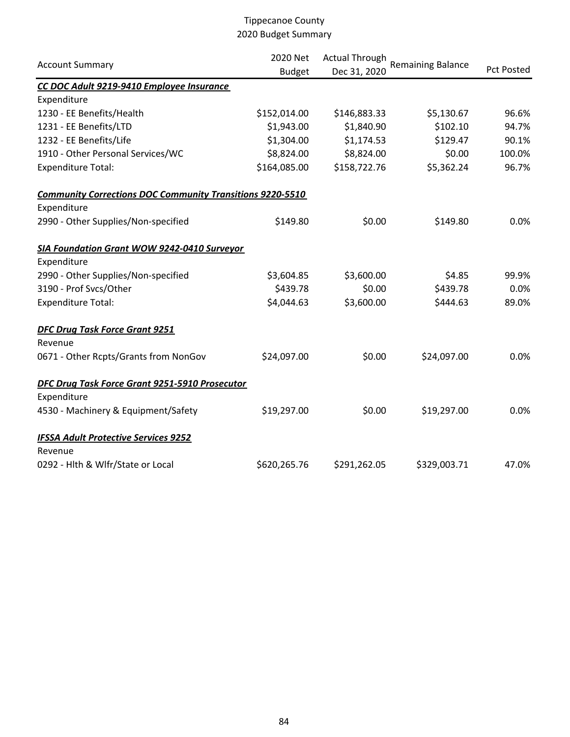| <b>Account Summary</b>                                           | 2020 Net<br><b>Budget</b> | <b>Actual Through</b><br>Dec 31, 2020 | <b>Remaining Balance</b> | <b>Pct Posted</b> |
|------------------------------------------------------------------|---------------------------|---------------------------------------|--------------------------|-------------------|
| CC DOC Adult 9219-9410 Employee Insurance                        |                           |                                       |                          |                   |
| Expenditure                                                      |                           |                                       |                          |                   |
| 1230 - EE Benefits/Health                                        | \$152,014.00              | \$146,883.33                          | \$5,130.67               | 96.6%             |
| 1231 - EE Benefits/LTD                                           | \$1,943.00                | \$1,840.90                            | \$102.10                 | 94.7%             |
| 1232 - EE Benefits/Life                                          | \$1,304.00                | \$1,174.53                            | \$129.47                 | 90.1%             |
| 1910 - Other Personal Services/WC                                | \$8,824.00                | \$8,824.00                            | \$0.00                   | 100.0%            |
| Expenditure Total:                                               | \$164,085.00              | \$158,722.76                          | \$5,362.24               | 96.7%             |
| <b>Community Corrections DOC Community Transitions 9220-5510</b> |                           |                                       |                          |                   |
| Expenditure                                                      |                           |                                       |                          |                   |
| 2990 - Other Supplies/Non-specified                              | \$149.80                  | \$0.00                                | \$149.80                 | 0.0%              |
| SIA Foundation Grant WOW 9242-0410 Surveyor                      |                           |                                       |                          |                   |
| Expenditure                                                      |                           |                                       |                          |                   |
| 2990 - Other Supplies/Non-specified                              | \$3,604.85                | \$3,600.00                            | \$4.85                   | 99.9%             |
| 3190 - Prof Svcs/Other                                           | \$439.78                  | \$0.00                                | \$439.78                 | 0.0%              |
| <b>Expenditure Total:</b>                                        | \$4,044.63                | \$3,600.00                            | \$444.63                 | 89.0%             |
| <b>DFC Drug Task Force Grant 9251</b><br>Revenue                 |                           |                                       |                          |                   |
| 0671 - Other Rcpts/Grants from NonGov                            | \$24,097.00               | \$0.00                                | \$24,097.00              | 0.0%              |
| DFC Drug Task Force Grant 9251-5910 Prosecutor<br>Expenditure    |                           |                                       |                          |                   |
| 4530 - Machinery & Equipment/Safety                              | \$19,297.00               | \$0.00                                | \$19,297.00              | 0.0%              |
| <b>IFSSA Adult Protective Services 9252</b><br>Revenue           |                           |                                       |                          |                   |
| 0292 - Hlth & Wlfr/State or Local                                | \$620,265.76              | \$291,262.05                          | \$329,003.71             | 47.0%             |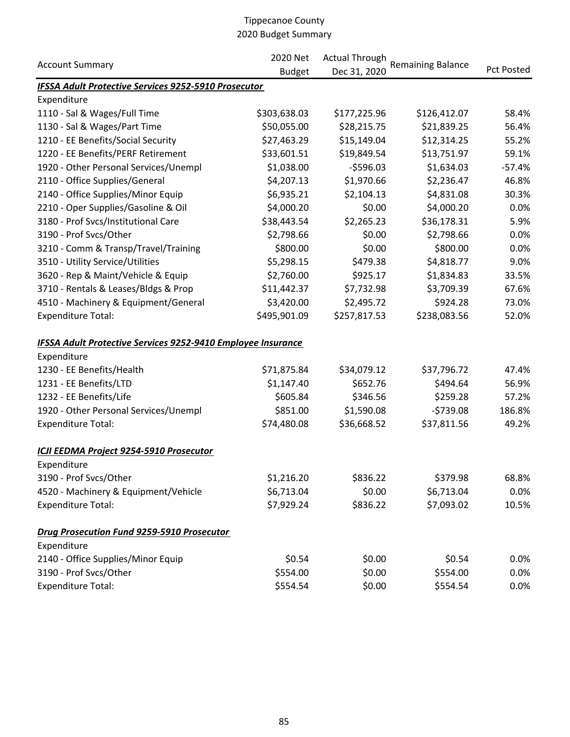| <b>Account Summary</b>                                              | 2020 Net      | <b>Actual Through</b> |                          | <b>Pct Posted</b> |
|---------------------------------------------------------------------|---------------|-----------------------|--------------------------|-------------------|
|                                                                     | <b>Budget</b> | Dec 31, 2020          | <b>Remaining Balance</b> |                   |
| IFSSA Adult Protective Services 9252-5910 Prosecutor                |               |                       |                          |                   |
| Expenditure                                                         |               |                       |                          |                   |
| 1110 - Sal & Wages/Full Time                                        | \$303,638.03  | \$177,225.96          | \$126,412.07             | 58.4%             |
| 1130 - Sal & Wages/Part Time                                        | \$50,055.00   | \$28,215.75           | \$21,839.25              | 56.4%             |
| 1210 - EE Benefits/Social Security                                  | \$27,463.29   | \$15,149.04           | \$12,314.25              | 55.2%             |
| 1220 - EE Benefits/PERF Retirement                                  | \$33,601.51   | \$19,849.54           | \$13,751.97              | 59.1%             |
| 1920 - Other Personal Services/Unempl                               | \$1,038.00    | $-5596.03$            | \$1,634.03               | $-57.4%$          |
| 2110 - Office Supplies/General                                      | \$4,207.13    | \$1,970.66            | \$2,236.47               | 46.8%             |
| 2140 - Office Supplies/Minor Equip                                  | \$6,935.21    | \$2,104.13            | \$4,831.08               | 30.3%             |
| 2210 - Oper Supplies/Gasoline & Oil                                 | \$4,000.20    | \$0.00                | \$4,000.20               | 0.0%              |
| 3180 - Prof Svcs/Institutional Care                                 | \$38,443.54   | \$2,265.23            | \$36,178.31              | 5.9%              |
| 3190 - Prof Svcs/Other                                              | \$2,798.66    | \$0.00                | \$2,798.66               | 0.0%              |
| 3210 - Comm & Transp/Travel/Training                                | \$800.00      | \$0.00                | \$800.00                 | 0.0%              |
| 3510 - Utility Service/Utilities                                    | \$5,298.15    | \$479.38              | \$4,818.77               | 9.0%              |
| 3620 - Rep & Maint/Vehicle & Equip                                  | \$2,760.00    | \$925.17              | \$1,834.83               | 33.5%             |
| 3710 - Rentals & Leases/Bldgs & Prop                                | \$11,442.37   | \$7,732.98            | \$3,709.39               | 67.6%             |
| 4510 - Machinery & Equipment/General                                | \$3,420.00    | \$2,495.72            | \$924.28                 | 73.0%             |
| <b>Expenditure Total:</b>                                           | \$495,901.09  | \$257,817.53          | \$238,083.56             | 52.0%             |
| <b>IFSSA Adult Protective Services 9252-9410 Employee Insurance</b> |               |                       |                          |                   |
| Expenditure                                                         |               |                       |                          |                   |
| 1230 - EE Benefits/Health                                           | \$71,875.84   | \$34,079.12           | \$37,796.72              | 47.4%             |
| 1231 - EE Benefits/LTD                                              | \$1,147.40    | \$652.76              | \$494.64                 | 56.9%             |
| 1232 - EE Benefits/Life                                             | \$605.84      | \$346.56              | \$259.28                 | 57.2%             |
| 1920 - Other Personal Services/Unempl                               | \$851.00      | \$1,590.08            | $-5739.08$               | 186.8%            |
| <b>Expenditure Total:</b>                                           | \$74,480.08   | \$36,668.52           | \$37,811.56              | 49.2%             |
| ICJI EEDMA Project 9254-5910 Prosecutor                             |               |                       |                          |                   |
| Expenditure                                                         |               |                       |                          |                   |
| 3190 - Prof Svcs/Other                                              | \$1,216.20    | \$836.22              | \$379.98                 | 68.8%             |
| 4520 - Machinery & Equipment/Vehicle                                | \$6,713.04    | \$0.00                | \$6,713.04               | 0.0%              |
| <b>Expenditure Total:</b>                                           | \$7,929.24    | \$836.22              | \$7,093.02               | 10.5%             |
| <b>Drug Prosecution Fund 9259-5910 Prosecutor</b>                   |               |                       |                          |                   |
| Expenditure                                                         |               |                       |                          |                   |
| 2140 - Office Supplies/Minor Equip                                  | \$0.54        | \$0.00                | \$0.54                   | 0.0%              |
| 3190 - Prof Svcs/Other                                              | \$554.00      | \$0.00                | \$554.00                 | 0.0%              |
| <b>Expenditure Total:</b>                                           | \$554.54      | \$0.00                | \$554.54                 | 0.0%              |
|                                                                     |               |                       |                          |                   |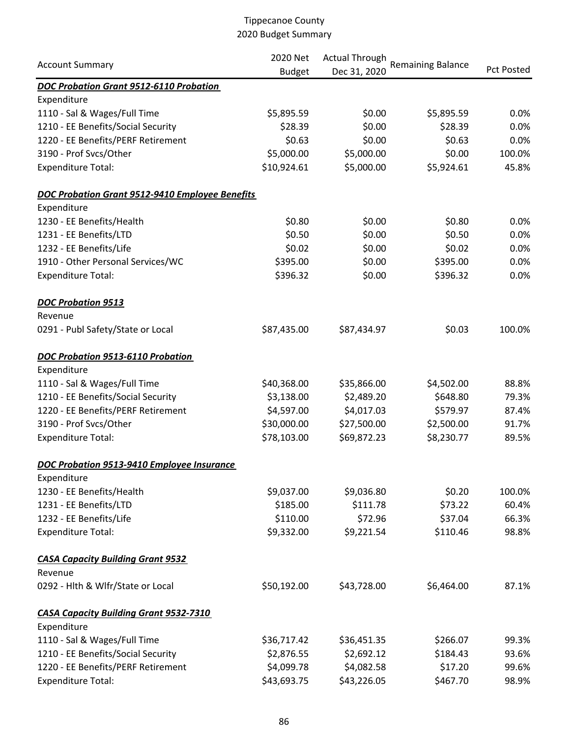|                                                        | 2020 Net<br><b>Account Summary</b><br><b>Budget</b> | <b>Actual Through</b> |                          |                   |
|--------------------------------------------------------|-----------------------------------------------------|-----------------------|--------------------------|-------------------|
|                                                        |                                                     | Dec 31, 2020          | <b>Remaining Balance</b> | <b>Pct Posted</b> |
| DOC Probation Grant 9512-6110 Probation                |                                                     |                       |                          |                   |
| Expenditure                                            |                                                     |                       |                          |                   |
| 1110 - Sal & Wages/Full Time                           | \$5,895.59                                          | \$0.00                | \$5,895.59               | 0.0%              |
| 1210 - EE Benefits/Social Security                     | \$28.39                                             | \$0.00                | \$28.39                  | 0.0%              |
| 1220 - EE Benefits/PERF Retirement                     | \$0.63                                              | \$0.00                | \$0.63                   | 0.0%              |
| 3190 - Prof Svcs/Other                                 | \$5,000.00                                          | \$5,000.00            | \$0.00                   | 100.0%            |
| <b>Expenditure Total:</b>                              | \$10,924.61                                         | \$5,000.00            | \$5,924.61               | 45.8%             |
| <b>DOC Probation Grant 9512-9410 Employee Benefits</b> |                                                     |                       |                          |                   |
| Expenditure                                            |                                                     |                       |                          |                   |
| 1230 - EE Benefits/Health                              | \$0.80                                              | \$0.00                | \$0.80                   | 0.0%              |
| 1231 - EE Benefits/LTD                                 | \$0.50                                              | \$0.00                | \$0.50                   | 0.0%              |
| 1232 - EE Benefits/Life                                | \$0.02                                              | \$0.00                | \$0.02                   | 0.0%              |
| 1910 - Other Personal Services/WC                      | \$395.00                                            | \$0.00                | \$395.00                 | 0.0%              |
| <b>Expenditure Total:</b>                              | \$396.32                                            | \$0.00                | \$396.32                 | 0.0%              |
| <b>DOC Probation 9513</b>                              |                                                     |                       |                          |                   |
| Revenue                                                |                                                     |                       |                          |                   |
| 0291 - Publ Safety/State or Local                      | \$87,435.00                                         | \$87,434.97           | \$0.03                   | 100.0%            |
| DOC Probation 9513-6110 Probation                      |                                                     |                       |                          |                   |
| Expenditure                                            |                                                     |                       |                          |                   |
| 1110 - Sal & Wages/Full Time                           | \$40,368.00                                         | \$35,866.00           | \$4,502.00               | 88.8%             |
| 1210 - EE Benefits/Social Security                     | \$3,138.00                                          | \$2,489.20            | \$648.80                 | 79.3%             |
| 1220 - EE Benefits/PERF Retirement                     | \$4,597.00                                          | \$4,017.03            | \$579.97                 | 87.4%             |
| 3190 - Prof Svcs/Other                                 | \$30,000.00                                         | \$27,500.00           | \$2,500.00               | 91.7%             |
| <b>Expenditure Total:</b>                              | \$78,103.00                                         | \$69,872.23           | \$8,230.77               | 89.5%             |
| DOC Probation 9513-9410 Employee Insurance             |                                                     |                       |                          |                   |
| Expenditure                                            |                                                     |                       |                          |                   |
| 1230 - EE Benefits/Health                              | \$9,037.00                                          | \$9,036.80            | \$0.20                   | 100.0%            |
| 1231 - EE Benefits/LTD                                 | \$185.00                                            | \$111.78              | \$73.22                  | 60.4%             |
| 1232 - EE Benefits/Life                                | \$110.00                                            | \$72.96               | \$37.04                  | 66.3%             |
| <b>Expenditure Total:</b>                              | \$9,332.00                                          | \$9,221.54            | \$110.46                 | 98.8%             |
| <b>CASA Capacity Building Grant 9532</b>               |                                                     |                       |                          |                   |
| Revenue                                                |                                                     |                       |                          |                   |
| 0292 - Hlth & Wlfr/State or Local                      | \$50,192.00                                         | \$43,728.00           | \$6,464.00               | 87.1%             |
| <b>CASA Capacity Building Grant 9532-7310</b>          |                                                     |                       |                          |                   |
| Expenditure                                            |                                                     |                       |                          |                   |
| 1110 - Sal & Wages/Full Time                           | \$36,717.42                                         | \$36,451.35           | \$266.07                 | 99.3%             |
| 1210 - EE Benefits/Social Security                     | \$2,876.55                                          | \$2,692.12            | \$184.43                 | 93.6%             |
| 1220 - EE Benefits/PERF Retirement                     | \$4,099.78                                          | \$4,082.58            | \$17.20                  | 99.6%             |
| <b>Expenditure Total:</b>                              | \$43,693.75                                         | \$43,226.05           | \$467.70                 | 98.9%             |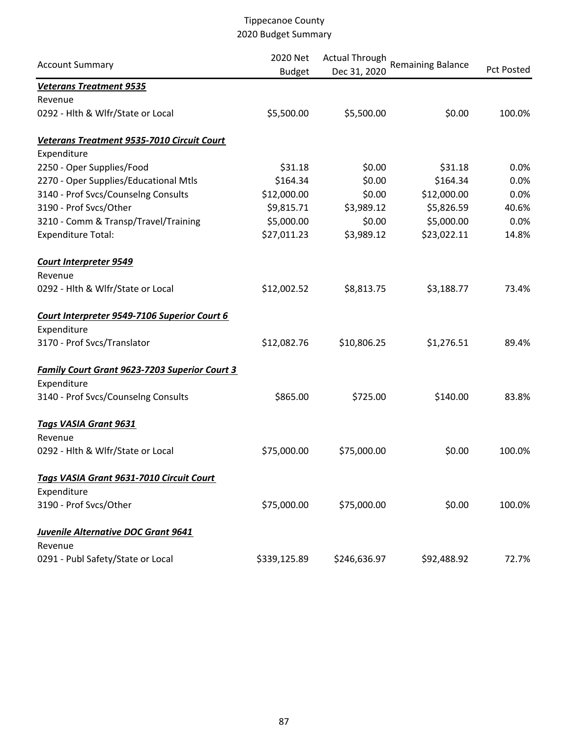| <b>Account Summary</b>                               | 2020 Net<br><b>Budget</b> | <b>Actual Through</b><br>Dec 31, 2020 | <b>Remaining Balance</b> | <b>Pct Posted</b> |
|------------------------------------------------------|---------------------------|---------------------------------------|--------------------------|-------------------|
| <b>Veterans Treatment 9535</b>                       |                           |                                       |                          |                   |
| Revenue                                              |                           |                                       |                          |                   |
| 0292 - Hlth & Wlfr/State or Local                    | \$5,500.00                | \$5,500.00                            | \$0.00                   | 100.0%            |
| Veterans Treatment 9535-7010 Circuit Court           |                           |                                       |                          |                   |
| Expenditure                                          |                           |                                       |                          |                   |
| 2250 - Oper Supplies/Food                            | \$31.18                   | \$0.00                                | \$31.18                  | 0.0%              |
| 2270 - Oper Supplies/Educational Mtls                | \$164.34                  | \$0.00                                | \$164.34                 | 0.0%              |
| 3140 - Prof Svcs/Counselng Consults                  | \$12,000.00               | \$0.00                                | \$12,000.00              | 0.0%              |
| 3190 - Prof Svcs/Other                               | \$9,815.71                | \$3,989.12                            | \$5,826.59               | 40.6%             |
| 3210 - Comm & Transp/Travel/Training                 | \$5,000.00                | \$0.00                                | \$5,000.00               | 0.0%              |
| <b>Expenditure Total:</b>                            | \$27,011.23               | \$3,989.12                            | \$23,022.11              | 14.8%             |
| <b>Court Interpreter 9549</b>                        |                           |                                       |                          |                   |
| Revenue                                              |                           |                                       |                          |                   |
| 0292 - Hlth & Wlfr/State or Local                    | \$12,002.52               | \$8,813.75                            | \$3,188.77               | 73.4%             |
| Court Interpreter 9549-7106 Superior Court 6         |                           |                                       |                          |                   |
| Expenditure                                          |                           |                                       |                          |                   |
| 3170 - Prof Svcs/Translator                          | \$12,082.76               | \$10,806.25                           | \$1,276.51               | 89.4%             |
| <b>Family Court Grant 9623-7203 Superior Court 3</b> |                           |                                       |                          |                   |
| Expenditure                                          |                           |                                       |                          |                   |
| 3140 - Prof Svcs/Counselng Consults                  | \$865.00                  | \$725.00                              | \$140.00                 | 83.8%             |
| <b>Tags VASIA Grant 9631</b>                         |                           |                                       |                          |                   |
| Revenue                                              |                           |                                       |                          |                   |
| 0292 - Hlth & Wlfr/State or Local                    | \$75,000.00               | \$75,000.00                           | \$0.00                   | 100.0%            |
| Tags VASIA Grant 9631-7010 Circuit Court             |                           |                                       |                          |                   |
| Expenditure                                          |                           |                                       |                          |                   |
| 3190 - Prof Svcs/Other                               | \$75,000.00               | \$75,000.00                           | \$0.00                   | 100.0%            |
| <b>Juvenile Alternative DOC Grant 9641</b>           |                           |                                       |                          |                   |
| Revenue                                              |                           |                                       |                          |                   |
| 0291 - Publ Safety/State or Local                    | \$339,125.89              | \$246,636.97                          | \$92,488.92              | 72.7%             |